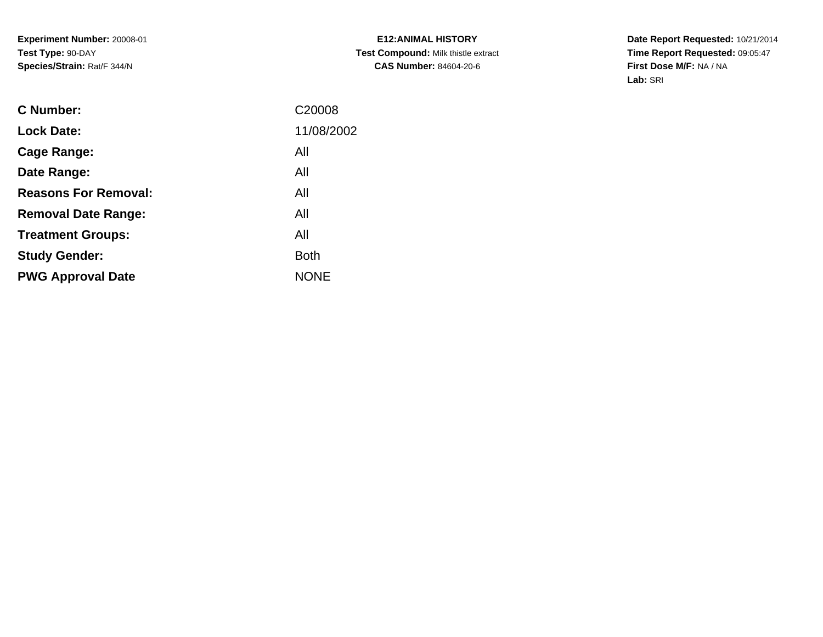**E12:ANIMAL HISTORY Test Compound:** Milk thistle extract**CAS Number:** 84604-20-6

| C Number:                   | C <sub>20008</sub> |
|-----------------------------|--------------------|
| <b>Lock Date:</b>           | 11/08/2002         |
| Cage Range:                 | All                |
| Date Range:                 | All                |
| <b>Reasons For Removal:</b> | All                |
| <b>Removal Date Range:</b>  | All                |
| <b>Treatment Groups:</b>    | All                |
| <b>Study Gender:</b>        | Both               |
| <b>PWG Approval Date</b>    | <b>NONE</b>        |
|                             |                    |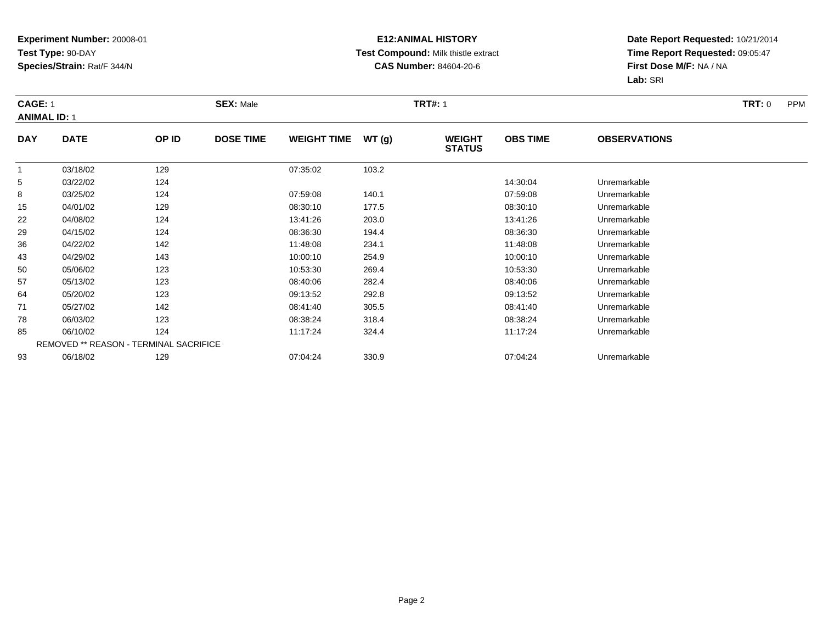### **E12:ANIMAL HISTORY Test Compound:** Milk thistle extract**CAS Number:** 84604-20-6

|              | <b>CAGE: 1</b><br><b>ANIMAL ID: 1</b>  |       | <b>SEX: Male</b> |                    |       | <b>TRT#: 1</b>                 |                 | <b>TRT: 0</b><br><b>PPM</b> |  |
|--------------|----------------------------------------|-------|------------------|--------------------|-------|--------------------------------|-----------------|-----------------------------|--|
| <b>DAY</b>   | <b>DATE</b>                            | OP ID | <b>DOSE TIME</b> | <b>WEIGHT TIME</b> | WT(g) | <b>WEIGHT</b><br><b>STATUS</b> | <b>OBS TIME</b> | <b>OBSERVATIONS</b>         |  |
| $\mathbf{1}$ | 03/18/02                               | 129   |                  | 07:35:02           | 103.2 |                                |                 |                             |  |
| 5            | 03/22/02                               | 124   |                  |                    |       |                                | 14:30:04        | Unremarkable                |  |
| 8            | 03/25/02                               | 124   |                  | 07:59:08           | 140.1 |                                | 07:59:08        | Unremarkable                |  |
| 15           | 04/01/02                               | 129   |                  | 08:30:10           | 177.5 |                                | 08:30:10        | Unremarkable                |  |
| 22           | 04/08/02                               | 124   |                  | 13:41:26           | 203.0 |                                | 13:41:26        | Unremarkable                |  |
| 29           | 04/15/02                               | 124   |                  | 08:36:30           | 194.4 |                                | 08:36:30        | Unremarkable                |  |
| 36           | 04/22/02                               | 142   |                  | 11:48:08           | 234.1 |                                | 11:48:08        | Unremarkable                |  |
| 43           | 04/29/02                               | 143   |                  | 10:00:10           | 254.9 |                                | 10:00:10        | Unremarkable                |  |
| 50           | 05/06/02                               | 123   |                  | 10:53:30           | 269.4 |                                | 10:53:30        | Unremarkable                |  |
| 57           | 05/13/02                               | 123   |                  | 08:40:06           | 282.4 |                                | 08:40:06        | Unremarkable                |  |
| 64           | 05/20/02                               | 123   |                  | 09:13:52           | 292.8 |                                | 09:13:52        | Unremarkable                |  |
| 71           | 05/27/02                               | 142   |                  | 08:41:40           | 305.5 |                                | 08:41:40        | Unremarkable                |  |
| 78           | 06/03/02                               | 123   |                  | 08:38:24           | 318.4 |                                | 08:38:24        | Unremarkable                |  |
| 85           | 06/10/02                               | 124   |                  | 11:17:24           | 324.4 |                                | 11:17:24        | Unremarkable                |  |
|              | REMOVED ** REASON - TERMINAL SACRIFICE |       |                  |                    |       |                                |                 |                             |  |
| 93           | 06/18/02                               | 129   |                  | 07:04:24           | 330.9 |                                | 07:04:24        | Unremarkable                |  |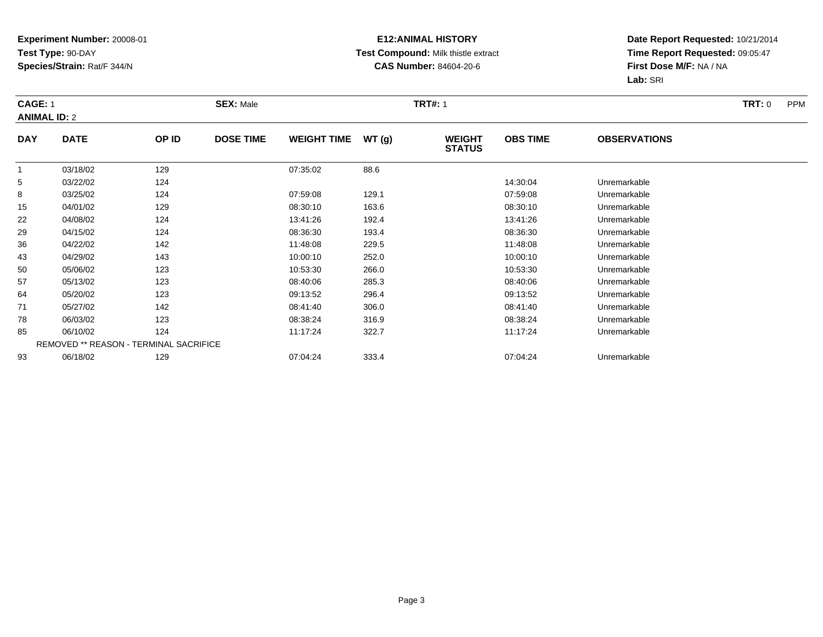### **E12:ANIMAL HISTORY Test Compound:** Milk thistle extract**CAS Number:** 84604-20-6

|              | <b>CAGE: 1</b><br><b>ANIMAL ID: 2</b>  |       |                  | <b>SEX: Male</b>   |       |                                | <b>TRT#: 1</b>  |                     |  |  |  |
|--------------|----------------------------------------|-------|------------------|--------------------|-------|--------------------------------|-----------------|---------------------|--|--|--|
| <b>DAY</b>   | <b>DATE</b>                            | OP ID | <b>DOSE TIME</b> | <b>WEIGHT TIME</b> | WT(g) | <b>WEIGHT</b><br><b>STATUS</b> | <b>OBS TIME</b> | <b>OBSERVATIONS</b> |  |  |  |
| $\mathbf{1}$ | 03/18/02                               | 129   |                  | 07:35:02           | 88.6  |                                |                 |                     |  |  |  |
| 5            | 03/22/02                               | 124   |                  |                    |       |                                | 14:30:04        | Unremarkable        |  |  |  |
| 8            | 03/25/02                               | 124   |                  | 07:59:08           | 129.1 |                                | 07:59:08        | Unremarkable        |  |  |  |
| 15           | 04/01/02                               | 129   |                  | 08:30:10           | 163.6 |                                | 08:30:10        | Unremarkable        |  |  |  |
| 22           | 04/08/02                               | 124   |                  | 13:41:26           | 192.4 |                                | 13:41:26        | Unremarkable        |  |  |  |
| 29           | 04/15/02                               | 124   |                  | 08:36:30           | 193.4 |                                | 08:36:30        | Unremarkable        |  |  |  |
| 36           | 04/22/02                               | 142   |                  | 11:48:08           | 229.5 |                                | 11:48:08        | Unremarkable        |  |  |  |
| 43           | 04/29/02                               | 143   |                  | 10:00:10           | 252.0 |                                | 10:00:10        | Unremarkable        |  |  |  |
| 50           | 05/06/02                               | 123   |                  | 10:53:30           | 266.0 |                                | 10:53:30        | Unremarkable        |  |  |  |
| 57           | 05/13/02                               | 123   |                  | 08:40:06           | 285.3 |                                | 08:40:06        | Unremarkable        |  |  |  |
| 64           | 05/20/02                               | 123   |                  | 09:13:52           | 296.4 |                                | 09:13:52        | Unremarkable        |  |  |  |
| 71           | 05/27/02                               | 142   |                  | 08:41:40           | 306.0 |                                | 08:41:40        | Unremarkable        |  |  |  |
| 78           | 06/03/02                               | 123   |                  | 08:38:24           | 316.9 |                                | 08:38:24        | Unremarkable        |  |  |  |
| 85           | 06/10/02                               | 124   |                  | 11:17:24           | 322.7 |                                | 11:17:24        | Unremarkable        |  |  |  |
|              | REMOVED ** REASON - TERMINAL SACRIFICE |       |                  |                    |       |                                |                 |                     |  |  |  |
| 93           | 06/18/02                               | 129   |                  | 07:04:24           | 333.4 |                                | 07:04:24        | Unremarkable        |  |  |  |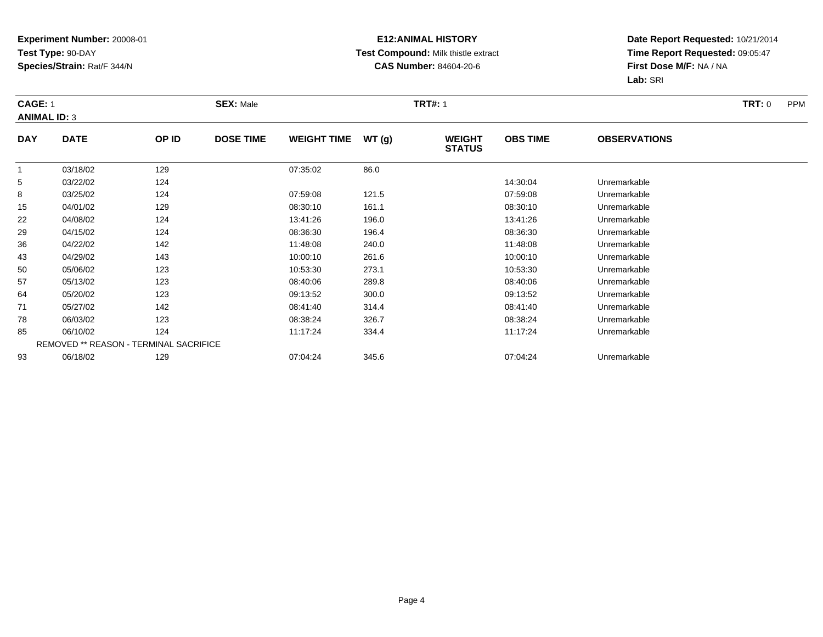### **E12:ANIMAL HISTORY Test Compound:** Milk thistle extract**CAS Number:** 84604-20-6

|                     | <b>CAGE: 1</b> |                                        | <b>SEX: Male</b> |                    |       | <b>TRT#: 1</b>                 | <b>TRT:</b> 0<br><b>PPM</b> |                     |  |
|---------------------|----------------|----------------------------------------|------------------|--------------------|-------|--------------------------------|-----------------------------|---------------------|--|
| <b>ANIMAL ID: 3</b> |                |                                        |                  |                    |       |                                |                             |                     |  |
| <b>DAY</b>          | <b>DATE</b>    | OP ID                                  | <b>DOSE TIME</b> | <b>WEIGHT TIME</b> | WT(g) | <b>WEIGHT</b><br><b>STATUS</b> | <b>OBS TIME</b>             | <b>OBSERVATIONS</b> |  |
| $\mathbf{1}$        | 03/18/02       | 129                                    |                  | 07:35:02           | 86.0  |                                |                             |                     |  |
| 5                   | 03/22/02       | 124                                    |                  |                    |       |                                | 14:30:04                    | Unremarkable        |  |
| 8                   | 03/25/02       | 124                                    |                  | 07:59:08           | 121.5 |                                | 07:59:08                    | Unremarkable        |  |
| 15                  | 04/01/02       | 129                                    |                  | 08:30:10           | 161.1 |                                | 08:30:10                    | Unremarkable        |  |
| 22                  | 04/08/02       | 124                                    |                  | 13:41:26           | 196.0 |                                | 13:41:26                    | Unremarkable        |  |
| 29                  | 04/15/02       | 124                                    |                  | 08:36:30           | 196.4 |                                | 08:36:30                    | Unremarkable        |  |
| 36                  | 04/22/02       | 142                                    |                  | 11:48:08           | 240.0 |                                | 11:48:08                    | Unremarkable        |  |
| 43                  | 04/29/02       | 143                                    |                  | 10:00:10           | 261.6 |                                | 10:00:10                    | Unremarkable        |  |
| 50                  | 05/06/02       | 123                                    |                  | 10:53:30           | 273.1 |                                | 10:53:30                    | Unremarkable        |  |
| 57                  | 05/13/02       | 123                                    |                  | 08:40:06           | 289.8 |                                | 08:40:06                    | Unremarkable        |  |
| 64                  | 05/20/02       | 123                                    |                  | 09:13:52           | 300.0 |                                | 09:13:52                    | Unremarkable        |  |
| 71                  | 05/27/02       | 142                                    |                  | 08:41:40           | 314.4 |                                | 08:41:40                    | Unremarkable        |  |
| 78                  | 06/03/02       | 123                                    |                  | 08:38:24           | 326.7 |                                | 08:38:24                    | Unremarkable        |  |
| 85                  | 06/10/02       | 124                                    |                  | 11:17:24           | 334.4 |                                | 11:17:24                    | Unremarkable        |  |
|                     |                | REMOVED ** REASON - TERMINAL SACRIFICE |                  |                    |       |                                |                             |                     |  |
| 93                  | 06/18/02       | 129                                    |                  | 07:04:24           | 345.6 |                                | 07:04:24                    | Unremarkable        |  |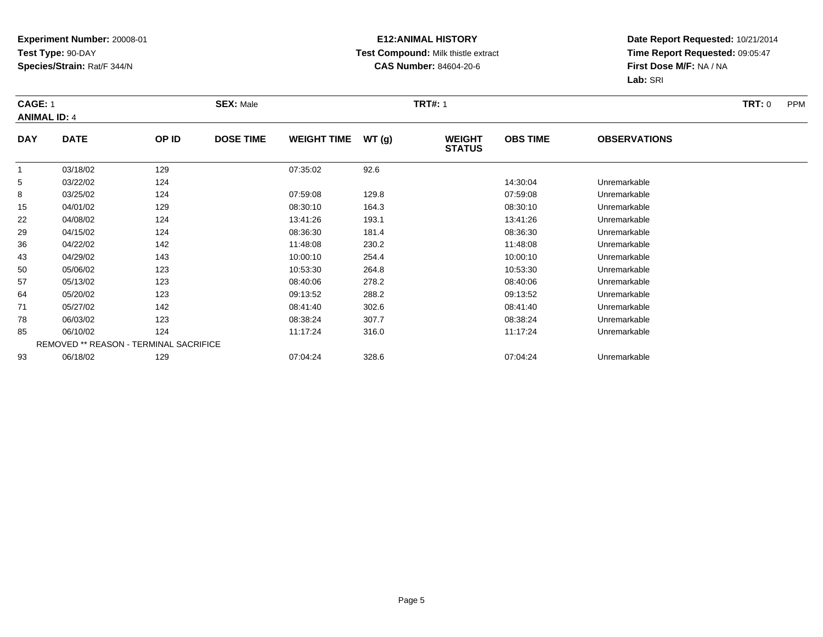### **E12:ANIMAL HISTORY Test Compound:** Milk thistle extract**CAS Number:** 84604-20-6

|            | CAGE: 1<br><b>ANIMAL ID: 4</b>         |       | <b>SEX: Male</b> |                    |       | <b>TRT#: 1</b>                 |                 | <b>TRT: 0</b><br><b>PPM</b> |  |
|------------|----------------------------------------|-------|------------------|--------------------|-------|--------------------------------|-----------------|-----------------------------|--|
| <b>DAY</b> | <b>DATE</b>                            | OP ID | <b>DOSE TIME</b> | <b>WEIGHT TIME</b> | WT(g) | <b>WEIGHT</b><br><b>STATUS</b> | <b>OBS TIME</b> | <b>OBSERVATIONS</b>         |  |
| 1          | 03/18/02                               | 129   |                  | 07:35:02           | 92.6  |                                |                 |                             |  |
| 5          | 03/22/02                               | 124   |                  |                    |       |                                | 14:30:04        | Unremarkable                |  |
| 8          | 03/25/02                               | 124   |                  | 07:59:08           | 129.8 |                                | 07:59:08        | Unremarkable                |  |
| 15         | 04/01/02                               | 129   |                  | 08:30:10           | 164.3 |                                | 08:30:10        | Unremarkable                |  |
| 22         | 04/08/02                               | 124   |                  | 13:41:26           | 193.1 |                                | 13:41:26        | Unremarkable                |  |
| 29         | 04/15/02                               | 124   |                  | 08:36:30           | 181.4 |                                | 08:36:30        | Unremarkable                |  |
| 36         | 04/22/02                               | 142   |                  | 11:48:08           | 230.2 |                                | 11:48:08        | Unremarkable                |  |
| 43         | 04/29/02                               | 143   |                  | 10:00:10           | 254.4 |                                | 10:00:10        | Unremarkable                |  |
| 50         | 05/06/02                               | 123   |                  | 10:53:30           | 264.8 |                                | 10:53:30        | Unremarkable                |  |
| 57         | 05/13/02                               | 123   |                  | 08:40:06           | 278.2 |                                | 08:40:06        | Unremarkable                |  |
| 64         | 05/20/02                               | 123   |                  | 09:13:52           | 288.2 |                                | 09:13:52        | Unremarkable                |  |
| 71         | 05/27/02                               | 142   |                  | 08:41:40           | 302.6 |                                | 08:41:40        | Unremarkable                |  |
| 78         | 06/03/02                               | 123   |                  | 08:38:24           | 307.7 |                                | 08:38:24        | Unremarkable                |  |
| 85         | 06/10/02                               | 124   |                  | 11:17:24           | 316.0 |                                | 11:17:24        | Unremarkable                |  |
|            | REMOVED ** REASON - TERMINAL SACRIFICE |       |                  |                    |       |                                |                 |                             |  |
| 93         | 06/18/02                               | 129   |                  | 07:04:24           | 328.6 |                                | 07:04:24        | Unremarkable                |  |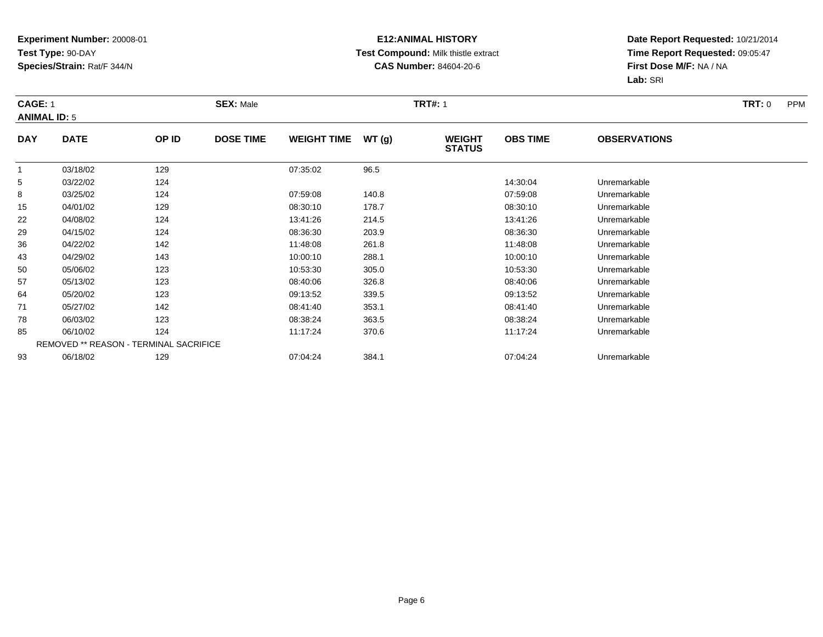### **E12:ANIMAL HISTORY Test Compound:** Milk thistle extract**CAS Number:** 84604-20-6

|            | CAGE: 1<br><b>ANIMAL ID: 5</b>         |       | <b>SEX: Male</b> |                    | <b>TRT#: 1</b> |                                | <b>TRT: 0</b><br><b>PPM</b> |                     |  |
|------------|----------------------------------------|-------|------------------|--------------------|----------------|--------------------------------|-----------------------------|---------------------|--|
| <b>DAY</b> | <b>DATE</b>                            | OP ID | <b>DOSE TIME</b> | <b>WEIGHT TIME</b> | WT(g)          | <b>WEIGHT</b><br><b>STATUS</b> | <b>OBS TIME</b>             | <b>OBSERVATIONS</b> |  |
| 1          | 03/18/02                               | 129   |                  | 07:35:02           | 96.5           |                                |                             |                     |  |
| 5          | 03/22/02                               | 124   |                  |                    |                |                                | 14:30:04                    | Unremarkable        |  |
| 8          | 03/25/02                               | 124   |                  | 07:59:08           | 140.8          |                                | 07:59:08                    | Unremarkable        |  |
| 15         | 04/01/02                               | 129   |                  | 08:30:10           | 178.7          |                                | 08:30:10                    | Unremarkable        |  |
| 22         | 04/08/02                               | 124   |                  | 13:41:26           | 214.5          |                                | 13:41:26                    | Unremarkable        |  |
| 29         | 04/15/02                               | 124   |                  | 08:36:30           | 203.9          |                                | 08:36:30                    | Unremarkable        |  |
| 36         | 04/22/02                               | 142   |                  | 11:48:08           | 261.8          |                                | 11:48:08                    | Unremarkable        |  |
| 43         | 04/29/02                               | 143   |                  | 10:00:10           | 288.1          |                                | 10:00:10                    | Unremarkable        |  |
| 50         | 05/06/02                               | 123   |                  | 10:53:30           | 305.0          |                                | 10:53:30                    | Unremarkable        |  |
| 57         | 05/13/02                               | 123   |                  | 08:40:06           | 326.8          |                                | 08:40:06                    | Unremarkable        |  |
| 64         | 05/20/02                               | 123   |                  | 09:13:52           | 339.5          |                                | 09:13:52                    | Unremarkable        |  |
| 71         | 05/27/02                               | 142   |                  | 08:41:40           | 353.1          |                                | 08:41:40                    | Unremarkable        |  |
| 78         | 06/03/02                               | 123   |                  | 08:38:24           | 363.5          |                                | 08:38:24                    | Unremarkable        |  |
| 85         | 06/10/02                               | 124   |                  | 11:17:24           | 370.6          |                                | 11:17:24                    | Unremarkable        |  |
|            | REMOVED ** REASON - TERMINAL SACRIFICE |       |                  |                    |                |                                |                             |                     |  |
| 93         | 06/18/02                               | 129   |                  | 07:04:24           | 384.1          |                                | 07:04:24                    | Unremarkable        |  |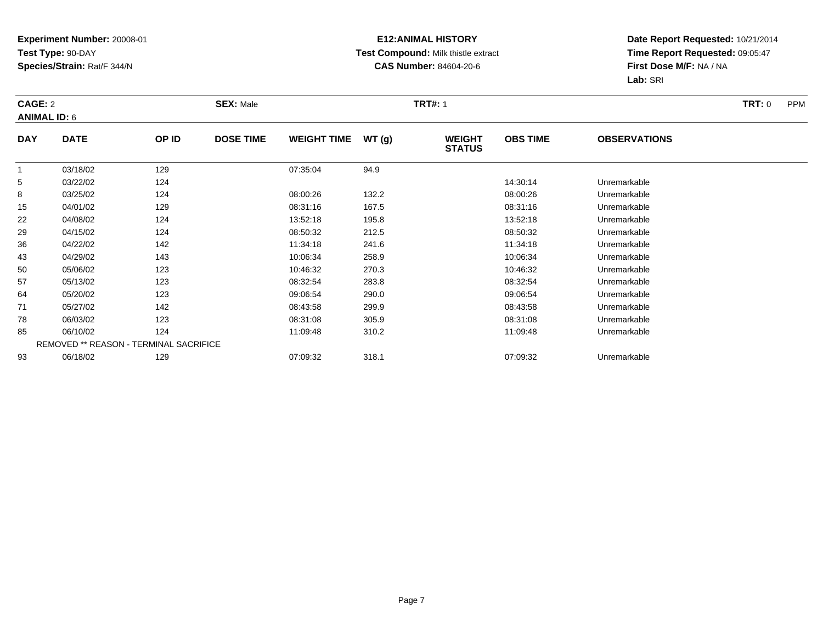### **E12:ANIMAL HISTORY Test Compound:** Milk thistle extract**CAS Number:** 84604-20-6

|              | <b>SEX: Male</b><br>CAGE: 2<br><b>ANIMAL ID: 6</b> |       |                  |                    |       | <b>TRT#: 1</b>                 |                 | <b>TRT:</b> 0<br><b>PPM</b> |  |
|--------------|----------------------------------------------------|-------|------------------|--------------------|-------|--------------------------------|-----------------|-----------------------------|--|
| <b>DAY</b>   | <b>DATE</b>                                        | OP ID | <b>DOSE TIME</b> | <b>WEIGHT TIME</b> | WT(g) | <b>WEIGHT</b><br><b>STATUS</b> | <b>OBS TIME</b> | <b>OBSERVATIONS</b>         |  |
| $\mathbf{1}$ | 03/18/02                                           | 129   |                  | 07:35:04           | 94.9  |                                |                 |                             |  |
| 5            | 03/22/02                                           | 124   |                  |                    |       |                                | 14:30:14        | Unremarkable                |  |
| 8            | 03/25/02                                           | 124   |                  | 08:00:26           | 132.2 |                                | 08:00:26        | Unremarkable                |  |
| 15           | 04/01/02                                           | 129   |                  | 08:31:16           | 167.5 |                                | 08:31:16        | Unremarkable                |  |
| 22           | 04/08/02                                           | 124   |                  | 13:52:18           | 195.8 |                                | 13:52:18        | Unremarkable                |  |
| 29           | 04/15/02                                           | 124   |                  | 08:50:32           | 212.5 |                                | 08:50:32        | Unremarkable                |  |
| 36           | 04/22/02                                           | 142   |                  | 11:34:18           | 241.6 |                                | 11:34:18        | Unremarkable                |  |
| 43           | 04/29/02                                           | 143   |                  | 10:06:34           | 258.9 |                                | 10:06:34        | Unremarkable                |  |
| 50           | 05/06/02                                           | 123   |                  | 10:46:32           | 270.3 |                                | 10:46:32        | Unremarkable                |  |
| 57           | 05/13/02                                           | 123   |                  | 08:32:54           | 283.8 |                                | 08:32:54        | Unremarkable                |  |
| 64           | 05/20/02                                           | 123   |                  | 09:06:54           | 290.0 |                                | 09:06:54        | Unremarkable                |  |
| 71           | 05/27/02                                           | 142   |                  | 08:43:58           | 299.9 |                                | 08:43:58        | Unremarkable                |  |
| 78           | 06/03/02                                           | 123   |                  | 08:31:08           | 305.9 |                                | 08:31:08        | Unremarkable                |  |
| 85           | 06/10/02                                           | 124   |                  | 11:09:48           | 310.2 |                                | 11:09:48        | Unremarkable                |  |
|              | REMOVED ** REASON - TERMINAL SACRIFICE             |       |                  |                    |       |                                |                 |                             |  |
| 93           | 06/18/02                                           | 129   |                  | 07:09:32           | 318.1 |                                | 07:09:32        | Unremarkable                |  |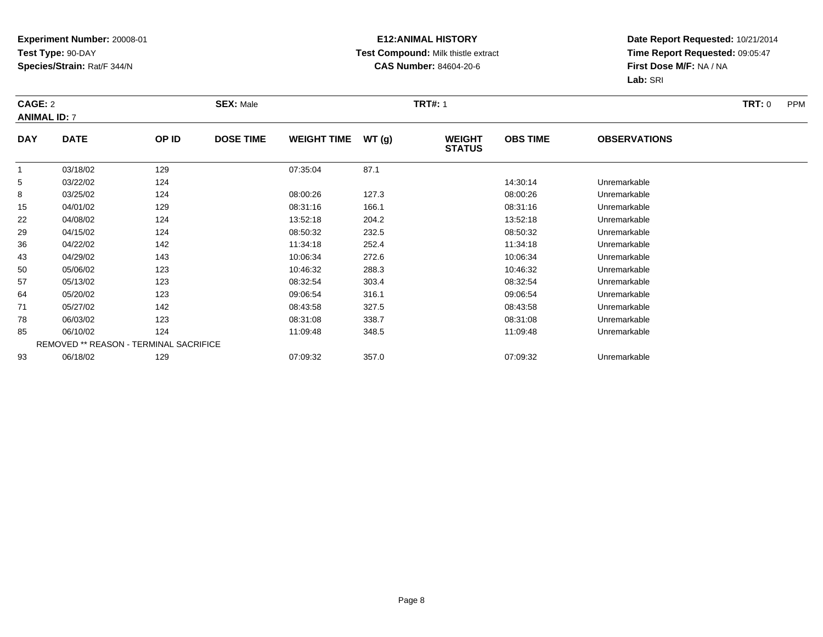### **E12:ANIMAL HISTORY Test Compound:** Milk thistle extract**CAS Number:** 84604-20-6

|              | <b>SEX: Male</b><br>CAGE: 2<br><b>ANIMAL ID: 7</b> |       |                  |                    |       | <b>TRT#: 1</b>                 |                 | <b>TRT:</b> 0<br><b>PPM</b> |  |
|--------------|----------------------------------------------------|-------|------------------|--------------------|-------|--------------------------------|-----------------|-----------------------------|--|
| <b>DAY</b>   | <b>DATE</b>                                        | OP ID | <b>DOSE TIME</b> | <b>WEIGHT TIME</b> | WT(g) | <b>WEIGHT</b><br><b>STATUS</b> | <b>OBS TIME</b> | <b>OBSERVATIONS</b>         |  |
| $\mathbf{1}$ | 03/18/02                                           | 129   |                  | 07:35:04           | 87.1  |                                |                 |                             |  |
| 5            | 03/22/02                                           | 124   |                  |                    |       |                                | 14:30:14        | Unremarkable                |  |
| 8            | 03/25/02                                           | 124   |                  | 08:00:26           | 127.3 |                                | 08:00:26        | Unremarkable                |  |
| 15           | 04/01/02                                           | 129   |                  | 08:31:16           | 166.1 |                                | 08:31:16        | Unremarkable                |  |
| 22           | 04/08/02                                           | 124   |                  | 13:52:18           | 204.2 |                                | 13:52:18        | Unremarkable                |  |
| 29           | 04/15/02                                           | 124   |                  | 08:50:32           | 232.5 |                                | 08:50:32        | Unremarkable                |  |
| 36           | 04/22/02                                           | 142   |                  | 11:34:18           | 252.4 |                                | 11:34:18        | Unremarkable                |  |
| 43           | 04/29/02                                           | 143   |                  | 10:06:34           | 272.6 |                                | 10:06:34        | Unremarkable                |  |
| 50           | 05/06/02                                           | 123   |                  | 10:46:32           | 288.3 |                                | 10:46:32        | Unremarkable                |  |
| 57           | 05/13/02                                           | 123   |                  | 08:32:54           | 303.4 |                                | 08:32:54        | Unremarkable                |  |
| 64           | 05/20/02                                           | 123   |                  | 09:06:54           | 316.1 |                                | 09:06:54        | Unremarkable                |  |
| 71           | 05/27/02                                           | 142   |                  | 08:43:58           | 327.5 |                                | 08:43:58        | Unremarkable                |  |
| 78           | 06/03/02                                           | 123   |                  | 08:31:08           | 338.7 |                                | 08:31:08        | Unremarkable                |  |
| 85           | 06/10/02                                           | 124   |                  | 11:09:48           | 348.5 |                                | 11:09:48        | Unremarkable                |  |
|              | REMOVED ** REASON - TERMINAL SACRIFICE             |       |                  |                    |       |                                |                 |                             |  |
| 93           | 06/18/02                                           | 129   |                  | 07:09:32           | 357.0 |                                | 07:09:32        | Unremarkable                |  |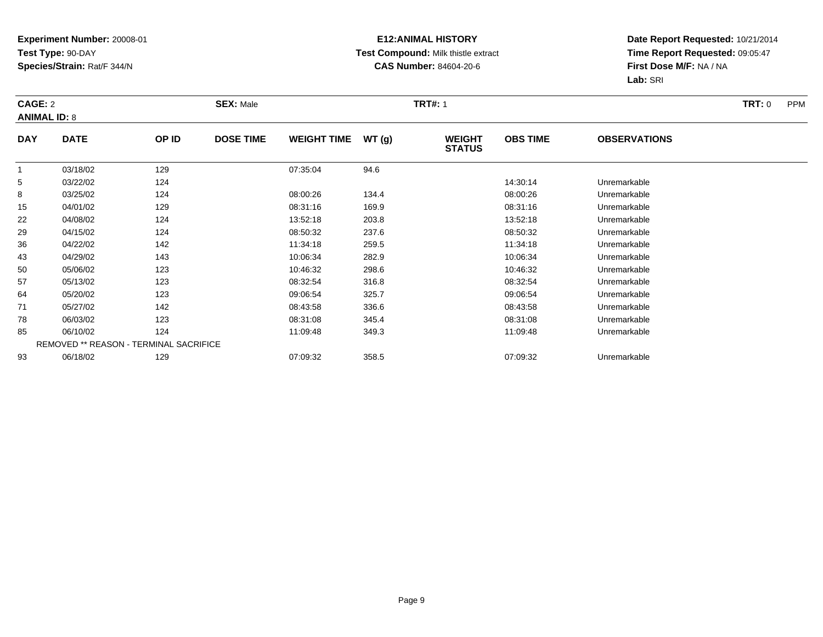### **E12:ANIMAL HISTORY Test Compound:** Milk thistle extract**CAS Number:** 84604-20-6

|              | CAGE: 2<br><b>ANIMAL ID: 8</b>         |       | <b>SEX: Male</b> |                    |       |                                | <b>TRT#: 1</b>  |                     |  |  |  |
|--------------|----------------------------------------|-------|------------------|--------------------|-------|--------------------------------|-----------------|---------------------|--|--|--|
| <b>DAY</b>   | <b>DATE</b>                            | OP ID | <b>DOSE TIME</b> | <b>WEIGHT TIME</b> | WT(g) | <b>WEIGHT</b><br><b>STATUS</b> | <b>OBS TIME</b> | <b>OBSERVATIONS</b> |  |  |  |
| $\mathbf{1}$ | 03/18/02                               | 129   |                  | 07:35:04           | 94.6  |                                |                 |                     |  |  |  |
| 5            | 03/22/02                               | 124   |                  |                    |       |                                | 14:30:14        | Unremarkable        |  |  |  |
| 8            | 03/25/02                               | 124   |                  | 08:00:26           | 134.4 |                                | 08:00:26        | Unremarkable        |  |  |  |
| 15           | 04/01/02                               | 129   |                  | 08:31:16           | 169.9 |                                | 08:31:16        | Unremarkable        |  |  |  |
| 22           | 04/08/02                               | 124   |                  | 13:52:18           | 203.8 |                                | 13:52:18        | Unremarkable        |  |  |  |
| 29           | 04/15/02                               | 124   |                  | 08:50:32           | 237.6 |                                | 08:50:32        | Unremarkable        |  |  |  |
| 36           | 04/22/02                               | 142   |                  | 11:34:18           | 259.5 |                                | 11:34:18        | Unremarkable        |  |  |  |
| 43           | 04/29/02                               | 143   |                  | 10:06:34           | 282.9 |                                | 10:06:34        | Unremarkable        |  |  |  |
| 50           | 05/06/02                               | 123   |                  | 10:46:32           | 298.6 |                                | 10:46:32        | Unremarkable        |  |  |  |
| 57           | 05/13/02                               | 123   |                  | 08:32:54           | 316.8 |                                | 08:32:54        | Unremarkable        |  |  |  |
| 64           | 05/20/02                               | 123   |                  | 09:06:54           | 325.7 |                                | 09:06:54        | Unremarkable        |  |  |  |
| 71           | 05/27/02                               | 142   |                  | 08:43:58           | 336.6 |                                | 08:43:58        | Unremarkable        |  |  |  |
| 78           | 06/03/02                               | 123   |                  | 08:31:08           | 345.4 |                                | 08:31:08        | Unremarkable        |  |  |  |
| 85           | 06/10/02                               | 124   |                  | 11:09:48           | 349.3 |                                | 11:09:48        | Unremarkable        |  |  |  |
|              | REMOVED ** REASON - TERMINAL SACRIFICE |       |                  |                    |       |                                |                 |                     |  |  |  |
| 93           | 06/18/02                               | 129   |                  | 07:09:32           | 358.5 |                                | 07:09:32        | Unremarkable        |  |  |  |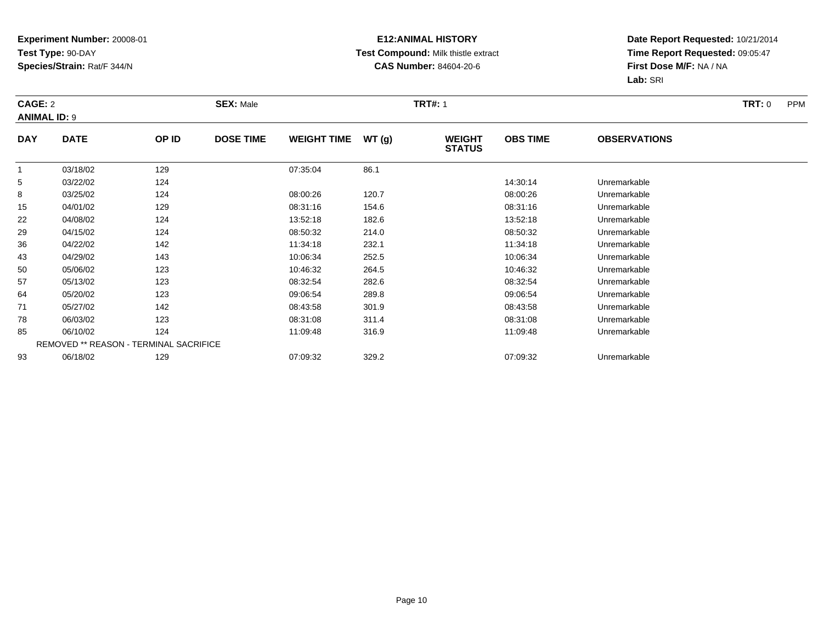### **E12:ANIMAL HISTORY Test Compound:** Milk thistle extract**CAS Number:** 84604-20-6

|                     | <b>CAGE: 2</b> |                                        | <b>SEX: Male</b> |                    |       | <b>TRT#:</b> 1                 | TRT: 0<br><b>PPM</b> |                     |  |
|---------------------|----------------|----------------------------------------|------------------|--------------------|-------|--------------------------------|----------------------|---------------------|--|
| <b>ANIMAL ID: 9</b> |                |                                        |                  |                    |       |                                |                      |                     |  |
| <b>DAY</b>          | <b>DATE</b>    | OP ID                                  | <b>DOSE TIME</b> | <b>WEIGHT TIME</b> | WT(g) | <b>WEIGHT</b><br><b>STATUS</b> | <b>OBS TIME</b>      | <b>OBSERVATIONS</b> |  |
| -1                  | 03/18/02       | 129                                    |                  | 07:35:04           | 86.1  |                                |                      |                     |  |
| 5                   | 03/22/02       | 124                                    |                  |                    |       |                                | 14:30:14             | Unremarkable        |  |
| 8                   | 03/25/02       | 124                                    |                  | 08:00:26           | 120.7 |                                | 08:00:26             | Unremarkable        |  |
| 15                  | 04/01/02       | 129                                    |                  | 08:31:16           | 154.6 |                                | 08:31:16             | Unremarkable        |  |
| 22                  | 04/08/02       | 124                                    |                  | 13:52:18           | 182.6 |                                | 13:52:18             | Unremarkable        |  |
| 29                  | 04/15/02       | 124                                    |                  | 08:50:32           | 214.0 |                                | 08:50:32             | Unremarkable        |  |
| 36                  | 04/22/02       | 142                                    |                  | 11:34:18           | 232.1 |                                | 11:34:18             | Unremarkable        |  |
| 43                  | 04/29/02       | 143                                    |                  | 10:06:34           | 252.5 |                                | 10:06:34             | Unremarkable        |  |
| 50                  | 05/06/02       | 123                                    |                  | 10:46:32           | 264.5 |                                | 10:46:32             | Unremarkable        |  |
| 57                  | 05/13/02       | 123                                    |                  | 08:32:54           | 282.6 |                                | 08:32:54             | Unremarkable        |  |
| 64                  | 05/20/02       | 123                                    |                  | 09:06:54           | 289.8 |                                | 09:06:54             | Unremarkable        |  |
| 71                  | 05/27/02       | 142                                    |                  | 08:43:58           | 301.9 |                                | 08:43:58             | Unremarkable        |  |
| 78                  | 06/03/02       | 123                                    |                  | 08:31:08           | 311.4 |                                | 08:31:08             | Unremarkable        |  |
| 85                  | 06/10/02       | 124                                    |                  | 11:09:48           | 316.9 |                                | 11:09:48             | Unremarkable        |  |
|                     |                | REMOVED ** REASON - TERMINAL SACRIFICE |                  |                    |       |                                |                      |                     |  |
| 93                  | 06/18/02       | 129                                    |                  | 07:09:32           | 329.2 |                                | 07:09:32             | Unremarkable        |  |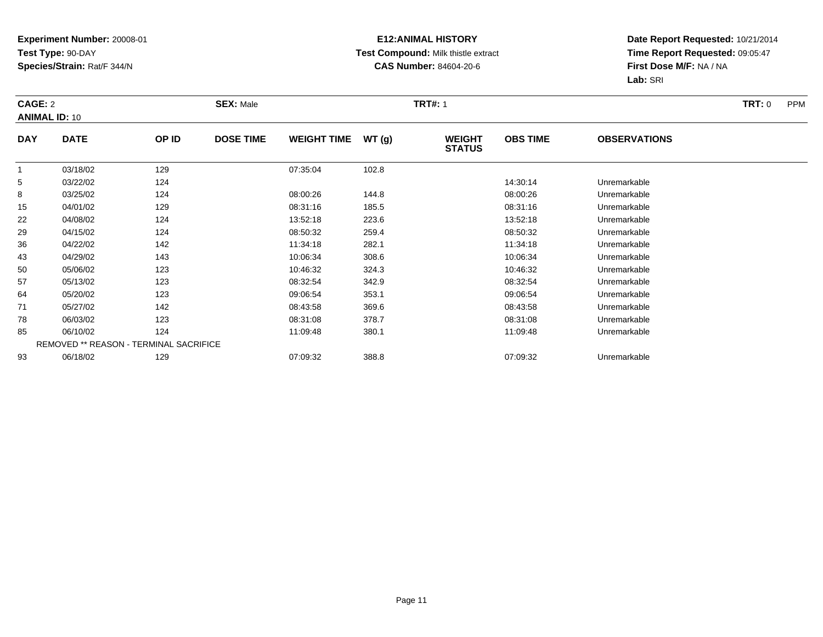### **E12:ANIMAL HISTORY Test Compound:** Milk thistle extract**CAS Number:** 84604-20-6

|            | CAGE: 2<br><b>ANIMAL ID: 10</b>        |       | <b>SEX: Male</b> |                    |       |                                | <b>TRT#:</b> 1  |                     |  |
|------------|----------------------------------------|-------|------------------|--------------------|-------|--------------------------------|-----------------|---------------------|--|
| <b>DAY</b> | <b>DATE</b>                            | OP ID | <b>DOSE TIME</b> | <b>WEIGHT TIME</b> | WT(g) | <b>WEIGHT</b><br><b>STATUS</b> | <b>OBS TIME</b> | <b>OBSERVATIONS</b> |  |
|            | 03/18/02                               | 129   |                  | 07:35:04           | 102.8 |                                |                 |                     |  |
| 5          | 03/22/02                               | 124   |                  |                    |       |                                | 14:30:14        | Unremarkable        |  |
| 8          | 03/25/02                               | 124   |                  | 08:00:26           | 144.8 |                                | 08:00:26        | Unremarkable        |  |
| 15         | 04/01/02                               | 129   |                  | 08:31:16           | 185.5 |                                | 08:31:16        | Unremarkable        |  |
| 22         | 04/08/02                               | 124   |                  | 13:52:18           | 223.6 |                                | 13:52:18        | Unremarkable        |  |
| 29         | 04/15/02                               | 124   |                  | 08:50:32           | 259.4 |                                | 08:50:32        | Unremarkable        |  |
| 36         | 04/22/02                               | 142   |                  | 11:34:18           | 282.1 |                                | 11:34:18        | Unremarkable        |  |
| 43         | 04/29/02                               | 143   |                  | 10:06:34           | 308.6 |                                | 10:06:34        | Unremarkable        |  |
| 50         | 05/06/02                               | 123   |                  | 10:46:32           | 324.3 |                                | 10:46:32        | Unremarkable        |  |
| 57         | 05/13/02                               | 123   |                  | 08:32:54           | 342.9 |                                | 08:32:54        | Unremarkable        |  |
| 64         | 05/20/02                               | 123   |                  | 09:06:54           | 353.1 |                                | 09:06:54        | Unremarkable        |  |
| 71         | 05/27/02                               | 142   |                  | 08:43:58           | 369.6 |                                | 08:43:58        | Unremarkable        |  |
| 78         | 06/03/02                               | 123   |                  | 08:31:08           | 378.7 |                                | 08:31:08        | Unremarkable        |  |
| 85         | 06/10/02                               | 124   |                  | 11:09:48           | 380.1 |                                | 11:09:48        | Unremarkable        |  |
|            | REMOVED ** REASON - TERMINAL SACRIFICE |       |                  |                    |       |                                |                 |                     |  |
| 93         | 06/18/02                               | 129   |                  | 07:09:32           | 388.8 |                                | 07:09:32        | Unremarkable        |  |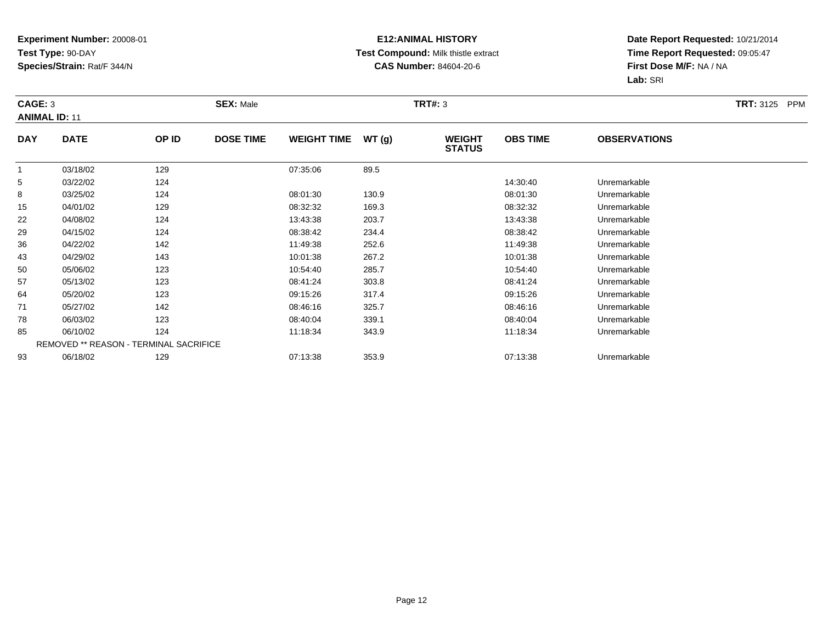### **E12:ANIMAL HISTORY Test Compound:** Milk thistle extract**CAS Number:** 84604-20-6

|                | <b>SEX: Male</b><br>CAGE: 3<br><b>ANIMAL ID: 11</b> |                                        |                  |                    |       | <b>TRT#: 3</b>                 |                 | <b>TRT:</b> 3125 PPM |  |
|----------------|-----------------------------------------------------|----------------------------------------|------------------|--------------------|-------|--------------------------------|-----------------|----------------------|--|
| <b>DAY</b>     | <b>DATE</b>                                         | OP ID                                  | <b>DOSE TIME</b> | <b>WEIGHT TIME</b> | WT(g) | <b>WEIGHT</b><br><b>STATUS</b> | <b>OBS TIME</b> | <b>OBSERVATIONS</b>  |  |
| $\overline{1}$ | 03/18/02                                            | 129                                    |                  | 07:35:06           | 89.5  |                                |                 |                      |  |
| 5              | 03/22/02                                            | 124                                    |                  |                    |       |                                | 14:30:40        | Unremarkable         |  |
| 8              | 03/25/02                                            | 124                                    |                  | 08:01:30           | 130.9 |                                | 08:01:30        | Unremarkable         |  |
| 15             | 04/01/02                                            | 129                                    |                  | 08:32:32           | 169.3 |                                | 08:32:32        | Unremarkable         |  |
| 22             | 04/08/02                                            | 124                                    |                  | 13:43:38           | 203.7 |                                | 13:43:38        | Unremarkable         |  |
| 29             | 04/15/02                                            | 124                                    |                  | 08:38:42           | 234.4 |                                | 08:38:42        | Unremarkable         |  |
| 36             | 04/22/02                                            | 142                                    |                  | 11:49:38           | 252.6 |                                | 11:49:38        | Unremarkable         |  |
| 43             | 04/29/02                                            | 143                                    |                  | 10:01:38           | 267.2 |                                | 10:01:38        | Unremarkable         |  |
| 50             | 05/06/02                                            | 123                                    |                  | 10:54:40           | 285.7 |                                | 10:54:40        | Unremarkable         |  |
| 57             | 05/13/02                                            | 123                                    |                  | 08:41:24           | 303.8 |                                | 08:41:24        | Unremarkable         |  |
| 64             | 05/20/02                                            | 123                                    |                  | 09:15:26           | 317.4 |                                | 09:15:26        | Unremarkable         |  |
| 71             | 05/27/02                                            | 142                                    |                  | 08:46:16           | 325.7 |                                | 08:46:16        | Unremarkable         |  |
| 78             | 06/03/02                                            | 123                                    |                  | 08:40:04           | 339.1 |                                | 08:40:04        | Unremarkable         |  |
| 85             | 06/10/02                                            | 124                                    |                  | 11:18:34           | 343.9 |                                | 11:18:34        | Unremarkable         |  |
|                |                                                     | REMOVED ** REASON - TERMINAL SACRIFICE |                  |                    |       |                                |                 |                      |  |
| 93             | 06/18/02                                            | 129                                    |                  | 07:13:38           | 353.9 |                                | 07:13:38        | Unremarkable         |  |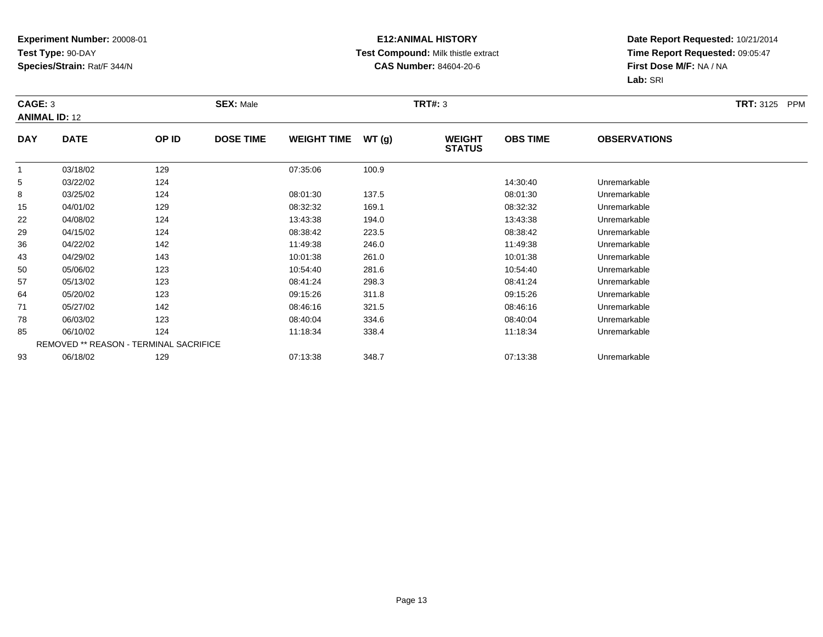### **E12:ANIMAL HISTORY Test Compound:** Milk thistle extract**CAS Number:** 84604-20-6

| CAGE: 3        | <b>ANIMAL ID: 12</b> |                                        | <b>SEX: Male</b> |                    |       | <b>TRT#: 3</b>                 |                 |                     | <b>TRT:</b> 3125 PPM |
|----------------|----------------------|----------------------------------------|------------------|--------------------|-------|--------------------------------|-----------------|---------------------|----------------------|
| <b>DAY</b>     | <b>DATE</b>          | OP ID                                  | <b>DOSE TIME</b> | <b>WEIGHT TIME</b> | WT(g) | <b>WEIGHT</b><br><b>STATUS</b> | <b>OBS TIME</b> | <b>OBSERVATIONS</b> |                      |
| $\overline{1}$ | 03/18/02             | 129                                    |                  | 07:35:06           | 100.9 |                                |                 |                     |                      |
| 5              | 03/22/02             | 124                                    |                  |                    |       |                                | 14:30:40        | Unremarkable        |                      |
| 8              | 03/25/02             | 124                                    |                  | 08:01:30           | 137.5 |                                | 08:01:30        | Unremarkable        |                      |
| 15             | 04/01/02             | 129                                    |                  | 08:32:32           | 169.1 |                                | 08:32:32        | Unremarkable        |                      |
| 22             | 04/08/02             | 124                                    |                  | 13:43:38           | 194.0 |                                | 13:43:38        | Unremarkable        |                      |
| 29             | 04/15/02             | 124                                    |                  | 08:38:42           | 223.5 |                                | 08:38:42        | Unremarkable        |                      |
| 36             | 04/22/02             | 142                                    |                  | 11:49:38           | 246.0 |                                | 11:49:38        | Unremarkable        |                      |
| 43             | 04/29/02             | 143                                    |                  | 10:01:38           | 261.0 |                                | 10:01:38        | Unremarkable        |                      |
| 50             | 05/06/02             | 123                                    |                  | 10:54:40           | 281.6 |                                | 10:54:40        | Unremarkable        |                      |
| 57             | 05/13/02             | 123                                    |                  | 08:41:24           | 298.3 |                                | 08:41:24        | Unremarkable        |                      |
| 64             | 05/20/02             | 123                                    |                  | 09:15:26           | 311.8 |                                | 09:15:26        | Unremarkable        |                      |
| 71             | 05/27/02             | 142                                    |                  | 08:46:16           | 321.5 |                                | 08:46:16        | Unremarkable        |                      |
| 78             | 06/03/02             | 123                                    |                  | 08:40:04           | 334.6 |                                | 08:40:04        | Unremarkable        |                      |
| 85             | 06/10/02             | 124                                    |                  | 11:18:34           | 338.4 |                                | 11:18:34        | Unremarkable        |                      |
|                |                      | REMOVED ** REASON - TERMINAL SACRIFICE |                  |                    |       |                                |                 |                     |                      |
| 93             | 06/18/02             | 129                                    |                  | 07:13:38           | 348.7 |                                | 07:13:38        | Unremarkable        |                      |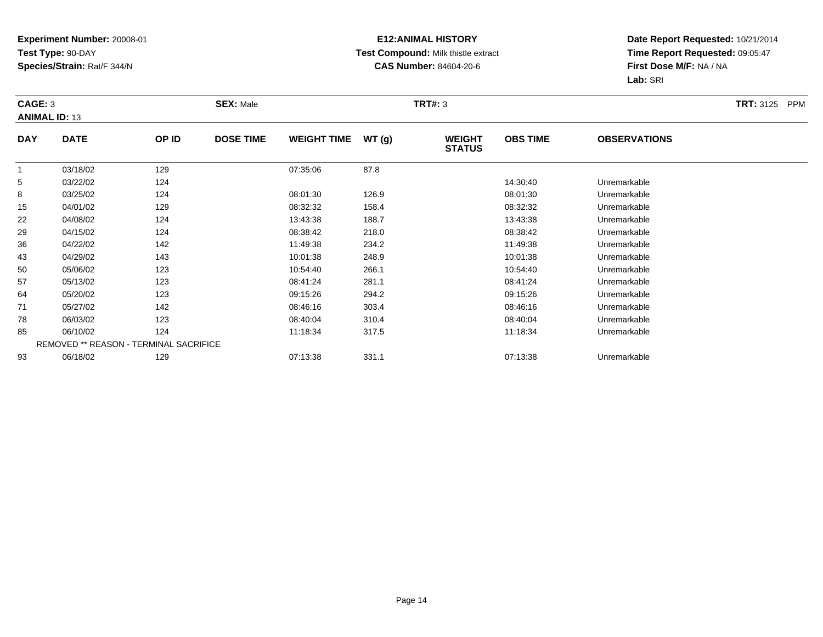### **E12:ANIMAL HISTORY Test Compound:** Milk thistle extract**CAS Number:** 84604-20-6

| CAGE: 3<br><b>ANIMAL ID: 13</b> |             |                                        | <b>SEX: Male</b> |                    |       | <b>TRT#:</b> 3                 |                 |                     | <b>TRT:</b> 3125<br><b>PPM</b> |
|---------------------------------|-------------|----------------------------------------|------------------|--------------------|-------|--------------------------------|-----------------|---------------------|--------------------------------|
| <b>DAY</b>                      | <b>DATE</b> | OP ID                                  | <b>DOSE TIME</b> | <b>WEIGHT TIME</b> | WT(g) | <b>WEIGHT</b><br><b>STATUS</b> | <b>OBS TIME</b> | <b>OBSERVATIONS</b> |                                |
|                                 | 03/18/02    | 129                                    |                  | 07:35:06           | 87.8  |                                |                 |                     |                                |
| 5                               | 03/22/02    | 124                                    |                  |                    |       |                                | 14:30:40        | Unremarkable        |                                |
| 8                               | 03/25/02    | 124                                    |                  | 08:01:30           | 126.9 |                                | 08:01:30        | Unremarkable        |                                |
| 15                              | 04/01/02    | 129                                    |                  | 08:32:32           | 158.4 |                                | 08:32:32        | Unremarkable        |                                |
| 22                              | 04/08/02    | 124                                    |                  | 13:43:38           | 188.7 |                                | 13:43:38        | Unremarkable        |                                |
| 29                              | 04/15/02    | 124                                    |                  | 08:38:42           | 218.0 |                                | 08:38:42        | Unremarkable        |                                |
| 36                              | 04/22/02    | 142                                    |                  | 11:49:38           | 234.2 |                                | 11:49:38        | Unremarkable        |                                |
| 43                              | 04/29/02    | 143                                    |                  | 10:01:38           | 248.9 |                                | 10:01:38        | Unremarkable        |                                |
| 50                              | 05/06/02    | 123                                    |                  | 10:54:40           | 266.1 |                                | 10:54:40        | Unremarkable        |                                |
| 57                              | 05/13/02    | 123                                    |                  | 08:41:24           | 281.1 |                                | 08:41:24        | Unremarkable        |                                |
| 64                              | 05/20/02    | 123                                    |                  | 09:15:26           | 294.2 |                                | 09:15:26        | Unremarkable        |                                |
| 71                              | 05/27/02    | 142                                    |                  | 08:46:16           | 303.4 |                                | 08:46:16        | Unremarkable        |                                |
| 78                              | 06/03/02    | 123                                    |                  | 08:40:04           | 310.4 |                                | 08:40:04        | Unremarkable        |                                |
| 85                              | 06/10/02    | 124                                    |                  | 11:18:34           | 317.5 |                                | 11:18:34        | Unremarkable        |                                |
|                                 |             | REMOVED ** REASON - TERMINAL SACRIFICE |                  |                    |       |                                |                 |                     |                                |
| 93                              | 06/18/02    | 129                                    |                  | 07:13:38           | 331.1 |                                | 07:13:38        | Unremarkable        |                                |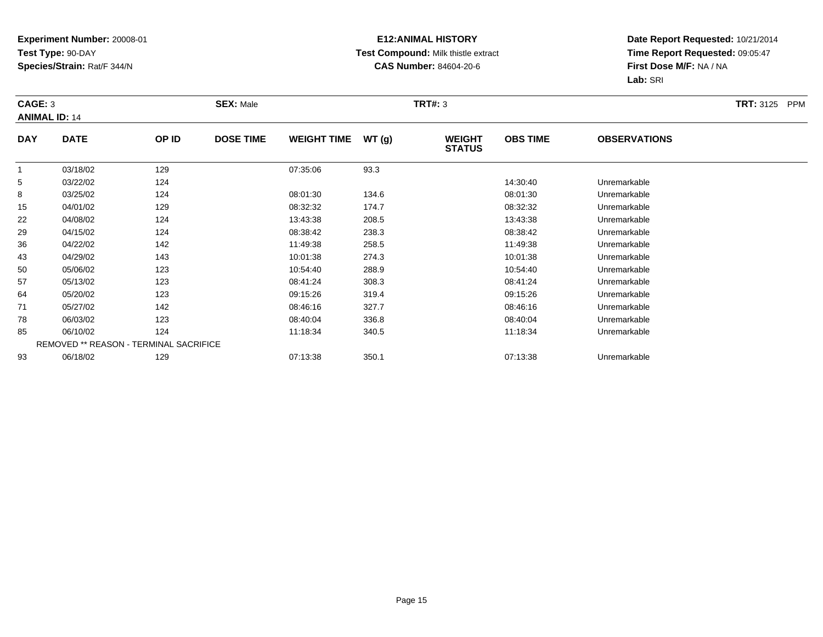### **E12:ANIMAL HISTORY Test Compound:** Milk thistle extract**CAS Number:** 84604-20-6

| CAGE: 3<br><b>ANIMAL ID: 14</b> |             |                                        | <b>SEX: Male</b> |                    |       | <b>TRT#:</b> 3                 |                 |                     | <b>TRT:</b> 3125<br><b>PPM</b> |
|---------------------------------|-------------|----------------------------------------|------------------|--------------------|-------|--------------------------------|-----------------|---------------------|--------------------------------|
| <b>DAY</b>                      | <b>DATE</b> | OP ID                                  | <b>DOSE TIME</b> | <b>WEIGHT TIME</b> | WT(g) | <b>WEIGHT</b><br><b>STATUS</b> | <b>OBS TIME</b> | <b>OBSERVATIONS</b> |                                |
|                                 | 03/18/02    | 129                                    |                  | 07:35:06           | 93.3  |                                |                 |                     |                                |
| 5                               | 03/22/02    | 124                                    |                  |                    |       |                                | 14:30:40        | Unremarkable        |                                |
| 8                               | 03/25/02    | 124                                    |                  | 08:01:30           | 134.6 |                                | 08:01:30        | Unremarkable        |                                |
| 15                              | 04/01/02    | 129                                    |                  | 08:32:32           | 174.7 |                                | 08:32:32        | Unremarkable        |                                |
| 22                              | 04/08/02    | 124                                    |                  | 13:43:38           | 208.5 |                                | 13:43:38        | Unremarkable        |                                |
| 29                              | 04/15/02    | 124                                    |                  | 08:38:42           | 238.3 |                                | 08:38:42        | Unremarkable        |                                |
| 36                              | 04/22/02    | 142                                    |                  | 11:49:38           | 258.5 |                                | 11:49:38        | Unremarkable        |                                |
| 43                              | 04/29/02    | 143                                    |                  | 10:01:38           | 274.3 |                                | 10:01:38        | Unremarkable        |                                |
| 50                              | 05/06/02    | 123                                    |                  | 10:54:40           | 288.9 |                                | 10:54:40        | Unremarkable        |                                |
| 57                              | 05/13/02    | 123                                    |                  | 08:41:24           | 308.3 |                                | 08:41:24        | Unremarkable        |                                |
| 64                              | 05/20/02    | 123                                    |                  | 09:15:26           | 319.4 |                                | 09:15:26        | Unremarkable        |                                |
| 71                              | 05/27/02    | 142                                    |                  | 08:46:16           | 327.7 |                                | 08:46:16        | Unremarkable        |                                |
| 78                              | 06/03/02    | 123                                    |                  | 08:40:04           | 336.8 |                                | 08:40:04        | Unremarkable        |                                |
| 85                              | 06/10/02    | 124                                    |                  | 11:18:34           | 340.5 |                                | 11:18:34        | Unremarkable        |                                |
|                                 |             | REMOVED ** REASON - TERMINAL SACRIFICE |                  |                    |       |                                |                 |                     |                                |
| 93                              | 06/18/02    | 129                                    |                  | 07:13:38           | 350.1 |                                | 07:13:38        | Unremarkable        |                                |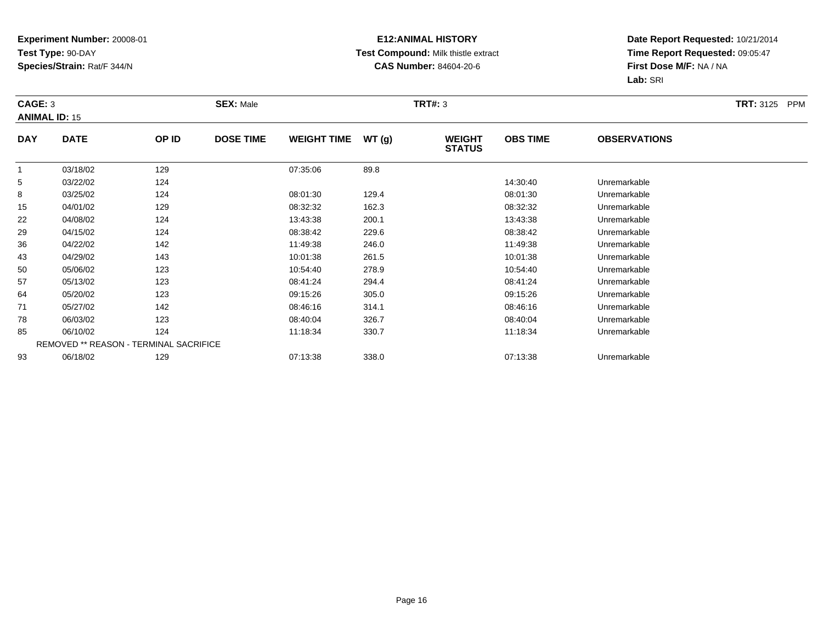### **E12:ANIMAL HISTORY Test Compound:** Milk thistle extract**CAS Number:** 84604-20-6

| CAGE: 3        | <b>ANIMAL ID: 15</b> |                                        | <b>SEX: Male</b> |                    |       | <b>TRT#: 3</b>                 |                 |                     | <b>TRT:</b> 3125<br><b>PPM</b> |
|----------------|----------------------|----------------------------------------|------------------|--------------------|-------|--------------------------------|-----------------|---------------------|--------------------------------|
| <b>DAY</b>     | <b>DATE</b>          | OP ID                                  | <b>DOSE TIME</b> | <b>WEIGHT TIME</b> | WT(g) | <b>WEIGHT</b><br><b>STATUS</b> | <b>OBS TIME</b> | <b>OBSERVATIONS</b> |                                |
| $\overline{1}$ | 03/18/02             | 129                                    |                  | 07:35:06           | 89.8  |                                |                 |                     |                                |
| 5              | 03/22/02             | 124                                    |                  |                    |       |                                | 14:30:40        | Unremarkable        |                                |
| 8              | 03/25/02             | 124                                    |                  | 08:01:30           | 129.4 |                                | 08:01:30        | Unremarkable        |                                |
| 15             | 04/01/02             | 129                                    |                  | 08:32:32           | 162.3 |                                | 08:32:32        | Unremarkable        |                                |
| 22             | 04/08/02             | 124                                    |                  | 13:43:38           | 200.1 |                                | 13:43:38        | Unremarkable        |                                |
| 29             | 04/15/02             | 124                                    |                  | 08:38:42           | 229.6 |                                | 08:38:42        | Unremarkable        |                                |
| 36             | 04/22/02             | 142                                    |                  | 11:49:38           | 246.0 |                                | 11:49:38        | Unremarkable        |                                |
| 43             | 04/29/02             | 143                                    |                  | 10:01:38           | 261.5 |                                | 10:01:38        | Unremarkable        |                                |
| 50             | 05/06/02             | 123                                    |                  | 10:54:40           | 278.9 |                                | 10:54:40        | Unremarkable        |                                |
| 57             | 05/13/02             | 123                                    |                  | 08:41:24           | 294.4 |                                | 08:41:24        | Unremarkable        |                                |
| 64             | 05/20/02             | 123                                    |                  | 09:15:26           | 305.0 |                                | 09:15:26        | Unremarkable        |                                |
| 71             | 05/27/02             | 142                                    |                  | 08:46:16           | 314.1 |                                | 08:46:16        | Unremarkable        |                                |
| 78             | 06/03/02             | 123                                    |                  | 08:40:04           | 326.7 |                                | 08:40:04        | Unremarkable        |                                |
| 85             | 06/10/02             | 124                                    |                  | 11:18:34           | 330.7 |                                | 11:18:34        | Unremarkable        |                                |
|                |                      | REMOVED ** REASON - TERMINAL SACRIFICE |                  |                    |       |                                |                 |                     |                                |
| 93             | 06/18/02             | 129                                    |                  | 07:13:38           | 338.0 |                                | 07:13:38        | Unremarkable        |                                |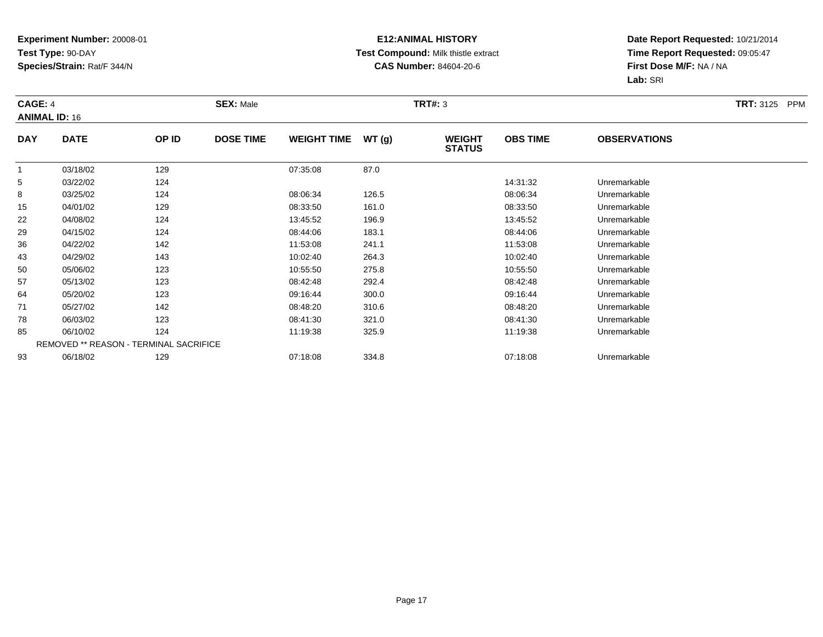### **E12:ANIMAL HISTORY Test Compound:** Milk thistle extract**CAS Number:** 84604-20-6

| CAGE: 4        | <b>ANIMAL ID: 16</b> |                                        | <b>SEX: Male</b> |                    |       | <b>TRT#: 3</b>                 |                 |                     | <b>TRT:</b> 3125<br><b>PPM</b> |
|----------------|----------------------|----------------------------------------|------------------|--------------------|-------|--------------------------------|-----------------|---------------------|--------------------------------|
| <b>DAY</b>     | <b>DATE</b>          | OP ID                                  | <b>DOSE TIME</b> | <b>WEIGHT TIME</b> | WT(g) | <b>WEIGHT</b><br><b>STATUS</b> | <b>OBS TIME</b> | <b>OBSERVATIONS</b> |                                |
| $\overline{1}$ | 03/18/02             | 129                                    |                  | 07:35:08           | 87.0  |                                |                 |                     |                                |
| 5              | 03/22/02             | 124                                    |                  |                    |       |                                | 14:31:32        | Unremarkable        |                                |
| 8              | 03/25/02             | 124                                    |                  | 08:06:34           | 126.5 |                                | 08:06:34        | Unremarkable        |                                |
| 15             | 04/01/02             | 129                                    |                  | 08:33:50           | 161.0 |                                | 08:33:50        | Unremarkable        |                                |
| 22             | 04/08/02             | 124                                    |                  | 13:45:52           | 196.9 |                                | 13:45:52        | Unremarkable        |                                |
| 29             | 04/15/02             | 124                                    |                  | 08:44:06           | 183.1 |                                | 08:44:06        | Unremarkable        |                                |
| 36             | 04/22/02             | 142                                    |                  | 11:53:08           | 241.1 |                                | 11:53:08        | Unremarkable        |                                |
| 43             | 04/29/02             | 143                                    |                  | 10:02:40           | 264.3 |                                | 10:02:40        | Unremarkable        |                                |
| 50             | 05/06/02             | 123                                    |                  | 10:55:50           | 275.8 |                                | 10:55:50        | Unremarkable        |                                |
| 57             | 05/13/02             | 123                                    |                  | 08:42:48           | 292.4 |                                | 08:42:48        | Unremarkable        |                                |
| 64             | 05/20/02             | 123                                    |                  | 09:16:44           | 300.0 |                                | 09:16:44        | Unremarkable        |                                |
| 71             | 05/27/02             | 142                                    |                  | 08:48:20           | 310.6 |                                | 08:48:20        | Unremarkable        |                                |
| 78             | 06/03/02             | 123                                    |                  | 08:41:30           | 321.0 |                                | 08:41:30        | Unremarkable        |                                |
| 85             | 06/10/02             | 124                                    |                  | 11:19:38           | 325.9 |                                | 11:19:38        | Unremarkable        |                                |
|                |                      | REMOVED ** REASON - TERMINAL SACRIFICE |                  |                    |       |                                |                 |                     |                                |
| 93             | 06/18/02             | 129                                    |                  | 07:18:08           | 334.8 |                                | 07:18:08        | Unremarkable        |                                |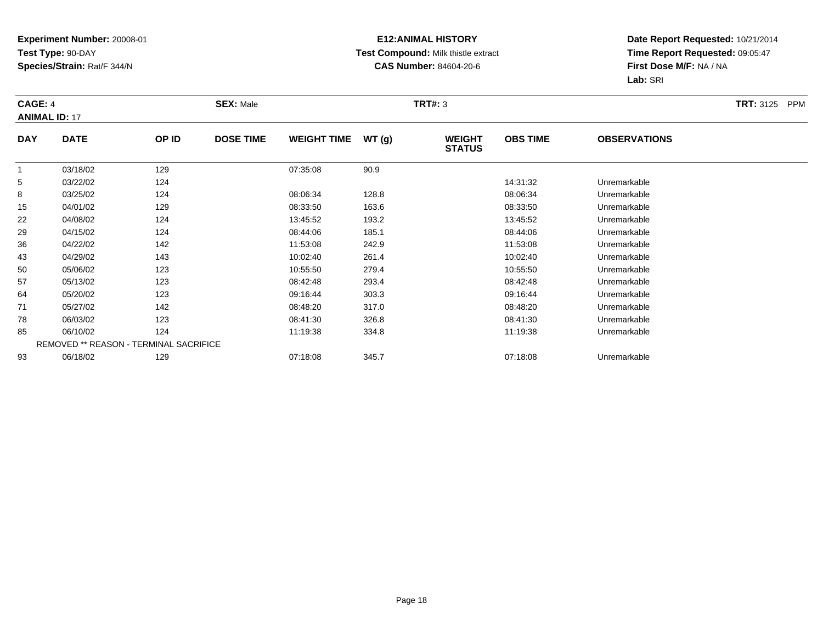### **E12:ANIMAL HISTORY Test Compound:** Milk thistle extract**CAS Number:** 84604-20-6

| CAGE: 4        | <b>ANIMAL ID: 17</b> |                                        | <b>SEX: Male</b> |                    |       | <b>TRT#: 3</b>                 |                 |                     | <b>TRT:</b> 3125<br><b>PPM</b> |
|----------------|----------------------|----------------------------------------|------------------|--------------------|-------|--------------------------------|-----------------|---------------------|--------------------------------|
| <b>DAY</b>     | <b>DATE</b>          | OP ID                                  | <b>DOSE TIME</b> | <b>WEIGHT TIME</b> | WT(g) | <b>WEIGHT</b><br><b>STATUS</b> | <b>OBS TIME</b> | <b>OBSERVATIONS</b> |                                |
| $\overline{1}$ | 03/18/02             | 129                                    |                  | 07:35:08           | 90.9  |                                |                 |                     |                                |
| 5              | 03/22/02             | 124                                    |                  |                    |       |                                | 14:31:32        | Unremarkable        |                                |
| 8              | 03/25/02             | 124                                    |                  | 08:06:34           | 128.8 |                                | 08:06:34        | Unremarkable        |                                |
| 15             | 04/01/02             | 129                                    |                  | 08:33:50           | 163.6 |                                | 08:33:50        | Unremarkable        |                                |
| 22             | 04/08/02             | 124                                    |                  | 13:45:52           | 193.2 |                                | 13:45:52        | Unremarkable        |                                |
| 29             | 04/15/02             | 124                                    |                  | 08:44:06           | 185.1 |                                | 08:44:06        | Unremarkable        |                                |
| 36             | 04/22/02             | 142                                    |                  | 11:53:08           | 242.9 |                                | 11:53:08        | Unremarkable        |                                |
| 43             | 04/29/02             | 143                                    |                  | 10:02:40           | 261.4 |                                | 10:02:40        | Unremarkable        |                                |
| 50             | 05/06/02             | 123                                    |                  | 10:55:50           | 279.4 |                                | 10:55:50        | Unremarkable        |                                |
| 57             | 05/13/02             | 123                                    |                  | 08:42:48           | 293.4 |                                | 08:42:48        | Unremarkable        |                                |
| 64             | 05/20/02             | 123                                    |                  | 09:16:44           | 303.3 |                                | 09:16:44        | Unremarkable        |                                |
| 71             | 05/27/02             | 142                                    |                  | 08:48:20           | 317.0 |                                | 08:48:20        | Unremarkable        |                                |
| 78             | 06/03/02             | 123                                    |                  | 08:41:30           | 326.8 |                                | 08:41:30        | Unremarkable        |                                |
| 85             | 06/10/02             | 124                                    |                  | 11:19:38           | 334.8 |                                | 11:19:38        | Unremarkable        |                                |
|                |                      | REMOVED ** REASON - TERMINAL SACRIFICE |                  |                    |       |                                |                 |                     |                                |
| 93             | 06/18/02             | 129                                    |                  | 07:18:08           | 345.7 |                                | 07:18:08        | Unremarkable        |                                |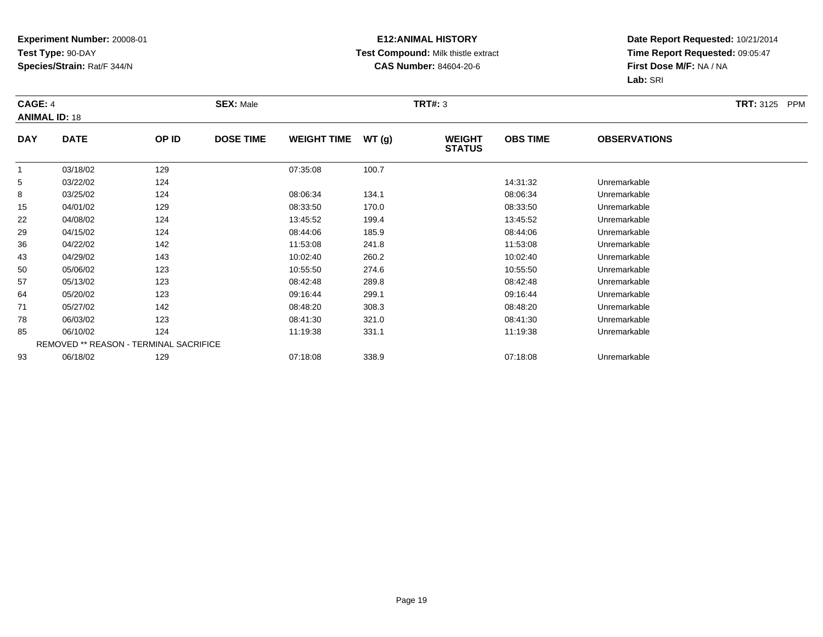### **E12:ANIMAL HISTORY Test Compound:** Milk thistle extract**CAS Number:** 84604-20-6

| CAGE: 4<br><b>ANIMAL ID: 18</b> |             |                                        | <b>SEX: Male</b> |                    |       | <b>TRT#:</b> 3                 |                 |                     | <b>TRT:</b> 3125<br><b>PPM</b> |
|---------------------------------|-------------|----------------------------------------|------------------|--------------------|-------|--------------------------------|-----------------|---------------------|--------------------------------|
| <b>DAY</b>                      | <b>DATE</b> | OP ID                                  | <b>DOSE TIME</b> | <b>WEIGHT TIME</b> | WT(g) | <b>WEIGHT</b><br><b>STATUS</b> | <b>OBS TIME</b> | <b>OBSERVATIONS</b> |                                |
|                                 | 03/18/02    | 129                                    |                  | 07:35:08           | 100.7 |                                |                 |                     |                                |
| 5                               | 03/22/02    | 124                                    |                  |                    |       |                                | 14:31:32        | Unremarkable        |                                |
| 8                               | 03/25/02    | 124                                    |                  | 08:06:34           | 134.1 |                                | 08:06:34        | Unremarkable        |                                |
| 15                              | 04/01/02    | 129                                    |                  | 08:33:50           | 170.0 |                                | 08:33:50        | Unremarkable        |                                |
| 22                              | 04/08/02    | 124                                    |                  | 13:45:52           | 199.4 |                                | 13:45:52        | Unremarkable        |                                |
| 29                              | 04/15/02    | 124                                    |                  | 08:44:06           | 185.9 |                                | 08:44:06        | Unremarkable        |                                |
| 36                              | 04/22/02    | 142                                    |                  | 11:53:08           | 241.8 |                                | 11:53:08        | Unremarkable        |                                |
| 43                              | 04/29/02    | 143                                    |                  | 10:02:40           | 260.2 |                                | 10:02:40        | Unremarkable        |                                |
| 50                              | 05/06/02    | 123                                    |                  | 10:55:50           | 274.6 |                                | 10:55:50        | Unremarkable        |                                |
| 57                              | 05/13/02    | 123                                    |                  | 08:42:48           | 289.8 |                                | 08:42:48        | Unremarkable        |                                |
| 64                              | 05/20/02    | 123                                    |                  | 09:16:44           | 299.1 |                                | 09:16:44        | Unremarkable        |                                |
| 71                              | 05/27/02    | 142                                    |                  | 08:48:20           | 308.3 |                                | 08:48:20        | Unremarkable        |                                |
| 78                              | 06/03/02    | 123                                    |                  | 08:41:30           | 321.0 |                                | 08:41:30        | Unremarkable        |                                |
| 85                              | 06/10/02    | 124                                    |                  | 11:19:38           | 331.1 |                                | 11:19:38        | Unremarkable        |                                |
|                                 |             | REMOVED ** REASON - TERMINAL SACRIFICE |                  |                    |       |                                |                 |                     |                                |
| 93                              | 06/18/02    | 129                                    |                  | 07:18:08           | 338.9 |                                | 07:18:08        | Unremarkable        |                                |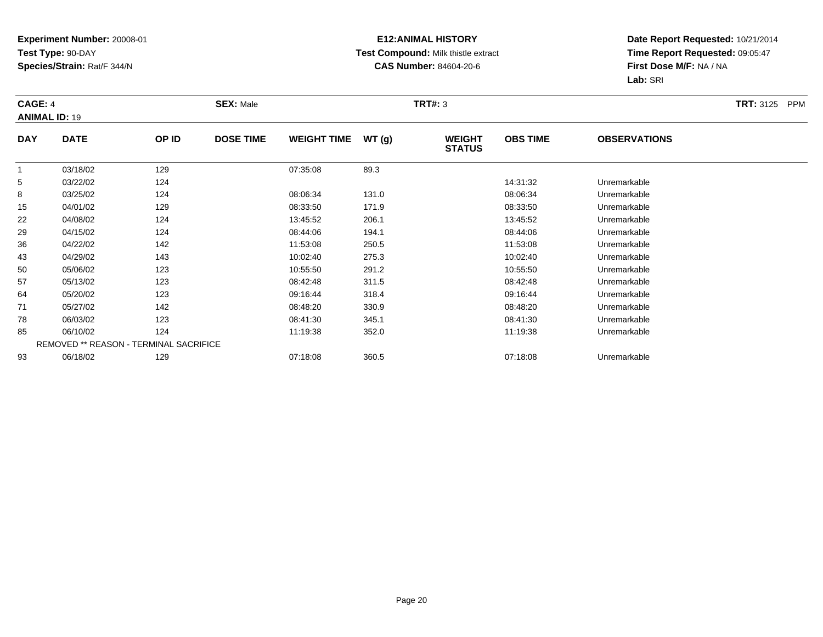### **E12:ANIMAL HISTORY Test Compound:** Milk thistle extract**CAS Number:** 84604-20-6

| CAGE: 4    | <b>ANIMAL ID: 19</b> |                                        | <b>SEX: Male</b> |                    |       | <b>TRT#:</b> 3                 |                 |                     | <b>TRT:</b> 3125<br><b>PPM</b> |
|------------|----------------------|----------------------------------------|------------------|--------------------|-------|--------------------------------|-----------------|---------------------|--------------------------------|
| <b>DAY</b> | <b>DATE</b>          | OP ID                                  | <b>DOSE TIME</b> | <b>WEIGHT TIME</b> | WT(g) | <b>WEIGHT</b><br><b>STATUS</b> | <b>OBS TIME</b> | <b>OBSERVATIONS</b> |                                |
|            | 03/18/02             | 129                                    |                  | 07:35:08           | 89.3  |                                |                 |                     |                                |
| 5          | 03/22/02             | 124                                    |                  |                    |       |                                | 14:31:32        | Unremarkable        |                                |
| 8          | 03/25/02             | 124                                    |                  | 08:06:34           | 131.0 |                                | 08:06:34        | Unremarkable        |                                |
| 15         | 04/01/02             | 129                                    |                  | 08:33:50           | 171.9 |                                | 08:33:50        | Unremarkable        |                                |
| 22         | 04/08/02             | 124                                    |                  | 13:45:52           | 206.1 |                                | 13:45:52        | Unremarkable        |                                |
| 29         | 04/15/02             | 124                                    |                  | 08:44:06           | 194.1 |                                | 08:44:06        | Unremarkable        |                                |
| 36         | 04/22/02             | 142                                    |                  | 11:53:08           | 250.5 |                                | 11:53:08        | Unremarkable        |                                |
| 43         | 04/29/02             | 143                                    |                  | 10:02:40           | 275.3 |                                | 10:02:40        | Unremarkable        |                                |
| 50         | 05/06/02             | 123                                    |                  | 10:55:50           | 291.2 |                                | 10:55:50        | Unremarkable        |                                |
| 57         | 05/13/02             | 123                                    |                  | 08:42:48           | 311.5 |                                | 08:42:48        | Unremarkable        |                                |
| 64         | 05/20/02             | 123                                    |                  | 09:16:44           | 318.4 |                                | 09:16:44        | Unremarkable        |                                |
| 71         | 05/27/02             | 142                                    |                  | 08:48:20           | 330.9 |                                | 08:48:20        | Unremarkable        |                                |
| 78         | 06/03/02             | 123                                    |                  | 08:41:30           | 345.1 |                                | 08:41:30        | Unremarkable        |                                |
| 85         | 06/10/02             | 124                                    |                  | 11:19:38           | 352.0 |                                | 11:19:38        | Unremarkable        |                                |
|            |                      | REMOVED ** REASON - TERMINAL SACRIFICE |                  |                    |       |                                |                 |                     |                                |
| 93         | 06/18/02             | 129                                    |                  | 07:18:08           | 360.5 |                                | 07:18:08        | Unremarkable        |                                |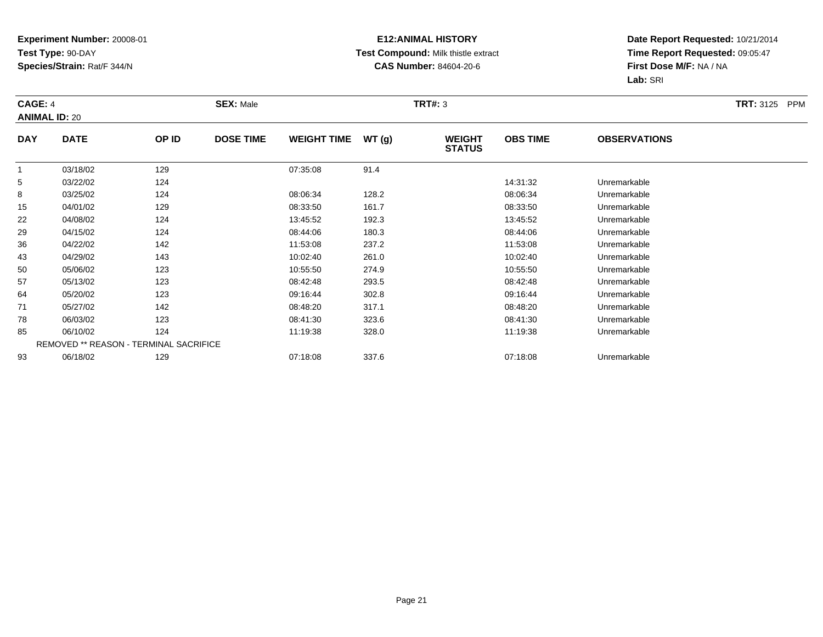### **E12:ANIMAL HISTORY Test Compound:** Milk thistle extract**CAS Number:** 84604-20-6

| CAGE: 4<br><b>ANIMAL ID: 20</b> |             |                                        | <b>SEX: Male</b> |                    |       | <b>TRT#: 3</b>                 |                 |                     | <b>TRT:</b> 3125 PPM |
|---------------------------------|-------------|----------------------------------------|------------------|--------------------|-------|--------------------------------|-----------------|---------------------|----------------------|
| <b>DAY</b>                      | <b>DATE</b> | OP ID                                  | <b>DOSE TIME</b> | <b>WEIGHT TIME</b> | WT(g) | <b>WEIGHT</b><br><b>STATUS</b> | <b>OBS TIME</b> | <b>OBSERVATIONS</b> |                      |
| $\overline{1}$                  | 03/18/02    | 129                                    |                  | 07:35:08           | 91.4  |                                |                 |                     |                      |
| 5                               | 03/22/02    | 124                                    |                  |                    |       |                                | 14:31:32        | Unremarkable        |                      |
| 8                               | 03/25/02    | 124                                    |                  | 08:06:34           | 128.2 |                                | 08:06:34        | Unremarkable        |                      |
| 15                              | 04/01/02    | 129                                    |                  | 08:33:50           | 161.7 |                                | 08:33:50        | Unremarkable        |                      |
| 22                              | 04/08/02    | 124                                    |                  | 13:45:52           | 192.3 |                                | 13:45:52        | Unremarkable        |                      |
| 29                              | 04/15/02    | 124                                    |                  | 08:44:06           | 180.3 |                                | 08:44:06        | Unremarkable        |                      |
| 36                              | 04/22/02    | 142                                    |                  | 11:53:08           | 237.2 |                                | 11:53:08        | Unremarkable        |                      |
| 43                              | 04/29/02    | 143                                    |                  | 10:02:40           | 261.0 |                                | 10:02:40        | Unremarkable        |                      |
| 50                              | 05/06/02    | 123                                    |                  | 10:55:50           | 274.9 |                                | 10:55:50        | Unremarkable        |                      |
| 57                              | 05/13/02    | 123                                    |                  | 08:42:48           | 293.5 |                                | 08:42:48        | Unremarkable        |                      |
| 64                              | 05/20/02    | 123                                    |                  | 09:16:44           | 302.8 |                                | 09:16:44        | Unremarkable        |                      |
| 71                              | 05/27/02    | 142                                    |                  | 08:48:20           | 317.1 |                                | 08:48:20        | Unremarkable        |                      |
| 78                              | 06/03/02    | 123                                    |                  | 08:41:30           | 323.6 |                                | 08:41:30        | Unremarkable        |                      |
| 85                              | 06/10/02    | 124                                    |                  | 11:19:38           | 328.0 |                                | 11:19:38        | Unremarkable        |                      |
|                                 |             | REMOVED ** REASON - TERMINAL SACRIFICE |                  |                    |       |                                |                 |                     |                      |
| 93                              | 06/18/02    | 129                                    |                  | 07:18:08           | 337.6 |                                | 07:18:08        | Unremarkable        |                      |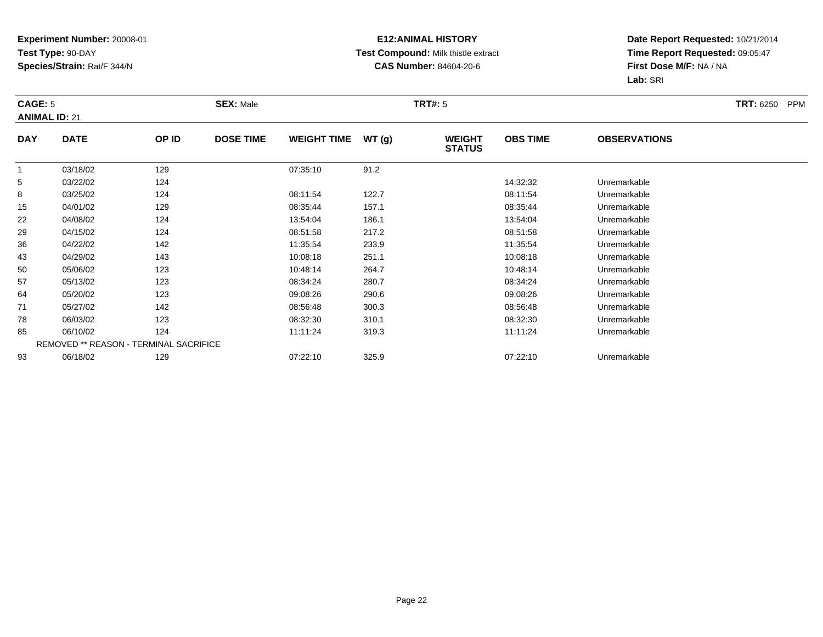### **E12:ANIMAL HISTORY Test Compound:** Milk thistle extract**CAS Number:** 84604-20-6

| CAGE: 5        | <b>ANIMAL ID: 21</b> |                                        | <b>SEX: Male</b> |                    |       | <b>TRT#:</b> 5                 |                 |                     | <b>TRT: 6250</b><br>PPM |
|----------------|----------------------|----------------------------------------|------------------|--------------------|-------|--------------------------------|-----------------|---------------------|-------------------------|
| <b>DAY</b>     | <b>DATE</b>          | OP ID                                  | <b>DOSE TIME</b> | <b>WEIGHT TIME</b> | WT(g) | <b>WEIGHT</b><br><b>STATUS</b> | <b>OBS TIME</b> | <b>OBSERVATIONS</b> |                         |
| $\overline{1}$ | 03/18/02             | 129                                    |                  | 07:35:10           | 91.2  |                                |                 |                     |                         |
| 5              | 03/22/02             | 124                                    |                  |                    |       |                                | 14:32:32        | Unremarkable        |                         |
| 8              | 03/25/02             | 124                                    |                  | 08:11:54           | 122.7 |                                | 08:11:54        | Unremarkable        |                         |
| 15             | 04/01/02             | 129                                    |                  | 08:35:44           | 157.1 |                                | 08:35:44        | Unremarkable        |                         |
| 22             | 04/08/02             | 124                                    |                  | 13:54:04           | 186.1 |                                | 13:54:04        | Unremarkable        |                         |
| 29             | 04/15/02             | 124                                    |                  | 08:51:58           | 217.2 |                                | 08:51:58        | Unremarkable        |                         |
| 36             | 04/22/02             | 142                                    |                  | 11:35:54           | 233.9 |                                | 11:35:54        | Unremarkable        |                         |
| 43             | 04/29/02             | 143                                    |                  | 10:08:18           | 251.1 |                                | 10:08:18        | Unremarkable        |                         |
| 50             | 05/06/02             | 123                                    |                  | 10:48:14           | 264.7 |                                | 10:48:14        | Unremarkable        |                         |
| 57             | 05/13/02             | 123                                    |                  | 08:34:24           | 280.7 |                                | 08:34:24        | Unremarkable        |                         |
| 64             | 05/20/02             | 123                                    |                  | 09:08:26           | 290.6 |                                | 09:08:26        | Unremarkable        |                         |
| 71             | 05/27/02             | 142                                    |                  | 08:56:48           | 300.3 |                                | 08:56:48        | Unremarkable        |                         |
| 78             | 06/03/02             | 123                                    |                  | 08:32:30           | 310.1 |                                | 08:32:30        | Unremarkable        |                         |
| 85             | 06/10/02             | 124                                    |                  | 11:11:24           | 319.3 |                                | 11:11:24        | Unremarkable        |                         |
|                |                      | REMOVED ** REASON - TERMINAL SACRIFICE |                  |                    |       |                                |                 |                     |                         |
| 93             | 06/18/02             | 129                                    |                  | 07:22:10           | 325.9 |                                | 07:22:10        | Unremarkable        |                         |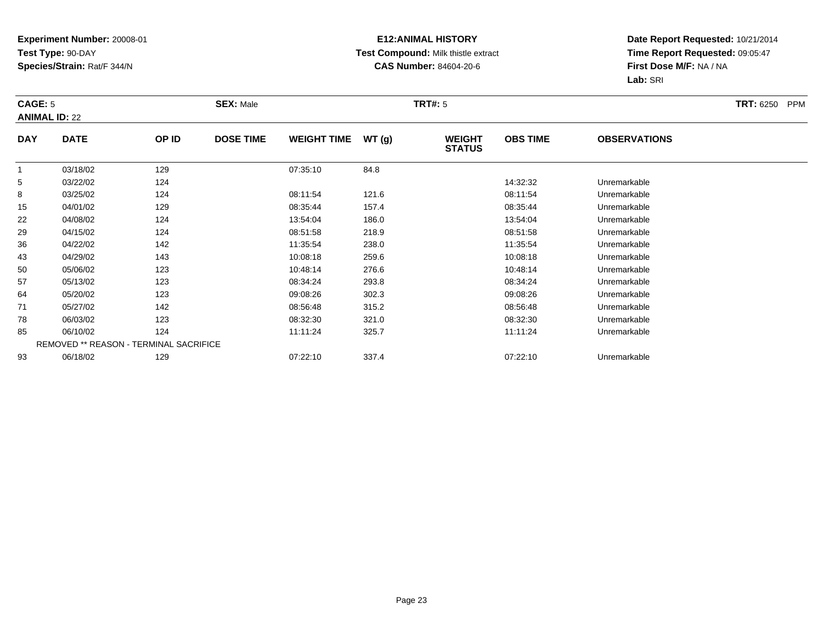### **E12:ANIMAL HISTORY Test Compound:** Milk thistle extract**CAS Number:** 84604-20-6

| CAGE: 5        | <b>ANIMAL ID: 22</b> |                                        | <b>SEX: Male</b> |                    |       | <b>TRT#:</b> 5                 |                 |                     | <b>TRT: 6250</b><br>PPM |
|----------------|----------------------|----------------------------------------|------------------|--------------------|-------|--------------------------------|-----------------|---------------------|-------------------------|
| <b>DAY</b>     | <b>DATE</b>          | OP ID                                  | <b>DOSE TIME</b> | <b>WEIGHT TIME</b> | WT(g) | <b>WEIGHT</b><br><b>STATUS</b> | <b>OBS TIME</b> | <b>OBSERVATIONS</b> |                         |
| $\overline{1}$ | 03/18/02             | 129                                    |                  | 07:35:10           | 84.8  |                                |                 |                     |                         |
| 5              | 03/22/02             | 124                                    |                  |                    |       |                                | 14:32:32        | Unremarkable        |                         |
| 8              | 03/25/02             | 124                                    |                  | 08:11:54           | 121.6 |                                | 08:11:54        | Unremarkable        |                         |
| 15             | 04/01/02             | 129                                    |                  | 08:35:44           | 157.4 |                                | 08:35:44        | Unremarkable        |                         |
| 22             | 04/08/02             | 124                                    |                  | 13:54:04           | 186.0 |                                | 13:54:04        | Unremarkable        |                         |
| 29             | 04/15/02             | 124                                    |                  | 08:51:58           | 218.9 |                                | 08:51:58        | Unremarkable        |                         |
| 36             | 04/22/02             | 142                                    |                  | 11:35:54           | 238.0 |                                | 11:35:54        | Unremarkable        |                         |
| 43             | 04/29/02             | 143                                    |                  | 10:08:18           | 259.6 |                                | 10:08:18        | Unremarkable        |                         |
| 50             | 05/06/02             | 123                                    |                  | 10:48:14           | 276.6 |                                | 10:48:14        | Unremarkable        |                         |
| 57             | 05/13/02             | 123                                    |                  | 08:34:24           | 293.8 |                                | 08:34:24        | Unremarkable        |                         |
| 64             | 05/20/02             | 123                                    |                  | 09:08:26           | 302.3 |                                | 09:08:26        | Unremarkable        |                         |
| 71             | 05/27/02             | 142                                    |                  | 08:56:48           | 315.2 |                                | 08:56:48        | Unremarkable        |                         |
| 78             | 06/03/02             | 123                                    |                  | 08:32:30           | 321.0 |                                | 08:32:30        | Unremarkable        |                         |
| 85             | 06/10/02             | 124                                    |                  | 11:11:24           | 325.7 |                                | 11:11:24        | Unremarkable        |                         |
|                |                      | REMOVED ** REASON - TERMINAL SACRIFICE |                  |                    |       |                                |                 |                     |                         |
| 93             | 06/18/02             | 129                                    |                  | 07:22:10           | 337.4 |                                | 07:22:10        | Unremarkable        |                         |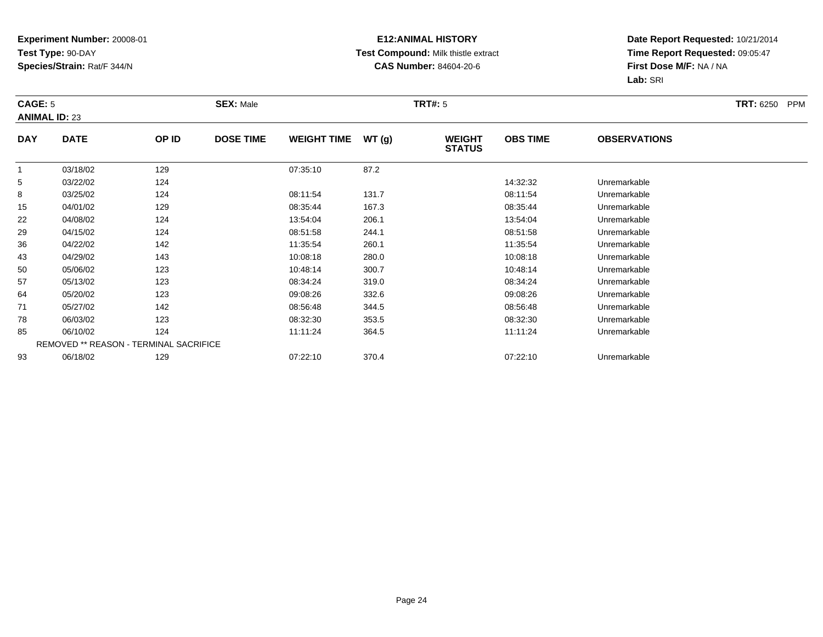### **E12:ANIMAL HISTORY Test Compound:** Milk thistle extract**CAS Number:** 84604-20-6

| CAGE: 5    | <b>ANIMAL ID: 23</b> |                                        | <b>SEX: Male</b> |                    |       | <b>TRT#:</b> 5                 |                 |                     | <b>TRT: 6250</b><br><b>PPM</b> |
|------------|----------------------|----------------------------------------|------------------|--------------------|-------|--------------------------------|-----------------|---------------------|--------------------------------|
| <b>DAY</b> | <b>DATE</b>          | OP ID                                  | <b>DOSE TIME</b> | <b>WEIGHT TIME</b> | WT(g) | <b>WEIGHT</b><br><b>STATUS</b> | <b>OBS TIME</b> | <b>OBSERVATIONS</b> |                                |
|            | 03/18/02             | 129                                    |                  | 07:35:10           | 87.2  |                                |                 |                     |                                |
| 5          | 03/22/02             | 124                                    |                  |                    |       |                                | 14:32:32        | Unremarkable        |                                |
| 8          | 03/25/02             | 124                                    |                  | 08:11:54           | 131.7 |                                | 08:11:54        | Unremarkable        |                                |
| 15         | 04/01/02             | 129                                    |                  | 08:35:44           | 167.3 |                                | 08:35:44        | Unremarkable        |                                |
| 22         | 04/08/02             | 124                                    |                  | 13:54:04           | 206.1 |                                | 13:54:04        | Unremarkable        |                                |
| 29         | 04/15/02             | 124                                    |                  | 08:51:58           | 244.1 |                                | 08:51:58        | Unremarkable        |                                |
| 36         | 04/22/02             | 142                                    |                  | 11:35:54           | 260.1 |                                | 11:35:54        | Unremarkable        |                                |
| 43         | 04/29/02             | 143                                    |                  | 10:08:18           | 280.0 |                                | 10:08:18        | Unremarkable        |                                |
| 50         | 05/06/02             | 123                                    |                  | 10:48:14           | 300.7 |                                | 10:48:14        | Unremarkable        |                                |
| 57         | 05/13/02             | 123                                    |                  | 08:34:24           | 319.0 |                                | 08:34:24        | Unremarkable        |                                |
| 64         | 05/20/02             | 123                                    |                  | 09:08:26           | 332.6 |                                | 09:08:26        | Unremarkable        |                                |
| 71         | 05/27/02             | 142                                    |                  | 08:56:48           | 344.5 |                                | 08:56:48        | Unremarkable        |                                |
| 78         | 06/03/02             | 123                                    |                  | 08:32:30           | 353.5 |                                | 08:32:30        | Unremarkable        |                                |
| 85         | 06/10/02             | 124                                    |                  | 11:11:24           | 364.5 |                                | 11:11:24        | Unremarkable        |                                |
|            |                      | REMOVED ** REASON - TERMINAL SACRIFICE |                  |                    |       |                                |                 |                     |                                |
| 93         | 06/18/02             | 129                                    |                  | 07:22:10           | 370.4 |                                | 07:22:10        | Unremarkable        |                                |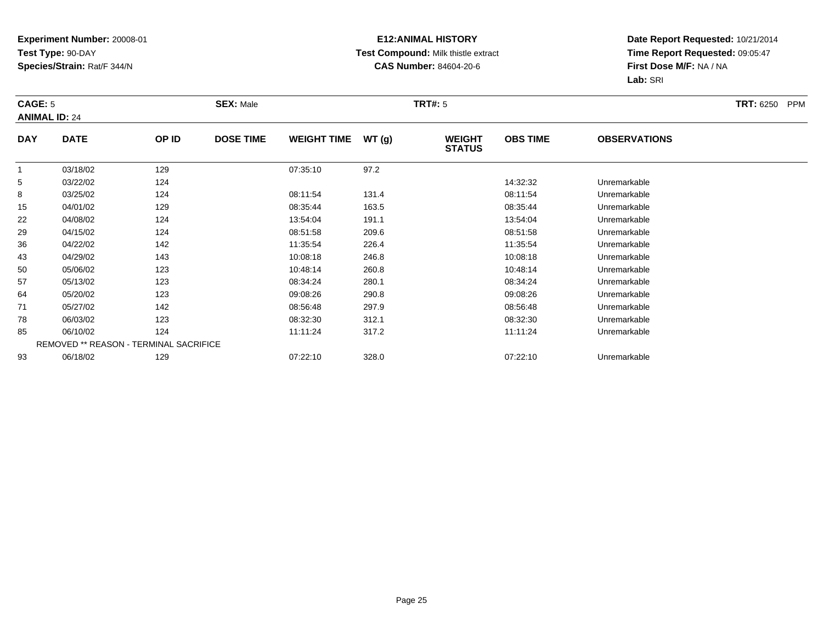### **E12:ANIMAL HISTORY Test Compound:** Milk thistle extract**CAS Number:** 84604-20-6

| CAGE: 5        | <b>ANIMAL ID: 24</b> |                                        | <b>SEX: Male</b> |                    |       | <b>TRT#:</b> 5                 |                 |                     | <b>TRT: 6250</b><br>PPM |
|----------------|----------------------|----------------------------------------|------------------|--------------------|-------|--------------------------------|-----------------|---------------------|-------------------------|
| <b>DAY</b>     | <b>DATE</b>          | OP ID                                  | <b>DOSE TIME</b> | <b>WEIGHT TIME</b> | WT(g) | <b>WEIGHT</b><br><b>STATUS</b> | <b>OBS TIME</b> | <b>OBSERVATIONS</b> |                         |
| $\overline{1}$ | 03/18/02             | 129                                    |                  | 07:35:10           | 97.2  |                                |                 |                     |                         |
| 5              | 03/22/02             | 124                                    |                  |                    |       |                                | 14:32:32        | Unremarkable        |                         |
| 8              | 03/25/02             | 124                                    |                  | 08:11:54           | 131.4 |                                | 08:11:54        | Unremarkable        |                         |
| 15             | 04/01/02             | 129                                    |                  | 08:35:44           | 163.5 |                                | 08:35:44        | Unremarkable        |                         |
| 22             | 04/08/02             | 124                                    |                  | 13:54:04           | 191.1 |                                | 13:54:04        | Unremarkable        |                         |
| 29             | 04/15/02             | 124                                    |                  | 08:51:58           | 209.6 |                                | 08:51:58        | Unremarkable        |                         |
| 36             | 04/22/02             | 142                                    |                  | 11:35:54           | 226.4 |                                | 11:35:54        | Unremarkable        |                         |
| 43             | 04/29/02             | 143                                    |                  | 10:08:18           | 246.8 |                                | 10:08:18        | Unremarkable        |                         |
| 50             | 05/06/02             | 123                                    |                  | 10:48:14           | 260.8 |                                | 10:48:14        | Unremarkable        |                         |
| 57             | 05/13/02             | 123                                    |                  | 08:34:24           | 280.1 |                                | 08:34:24        | Unremarkable        |                         |
| 64             | 05/20/02             | 123                                    |                  | 09:08:26           | 290.8 |                                | 09:08:26        | Unremarkable        |                         |
| 71             | 05/27/02             | 142                                    |                  | 08:56:48           | 297.9 |                                | 08:56:48        | Unremarkable        |                         |
| 78             | 06/03/02             | 123                                    |                  | 08:32:30           | 312.1 |                                | 08:32:30        | Unremarkable        |                         |
| 85             | 06/10/02             | 124                                    |                  | 11:11:24           | 317.2 |                                | 11:11:24        | Unremarkable        |                         |
|                |                      | REMOVED ** REASON - TERMINAL SACRIFICE |                  |                    |       |                                |                 |                     |                         |
| 93             | 06/18/02             | 129                                    |                  | 07:22:10           | 328.0 |                                | 07:22:10        | Unremarkable        |                         |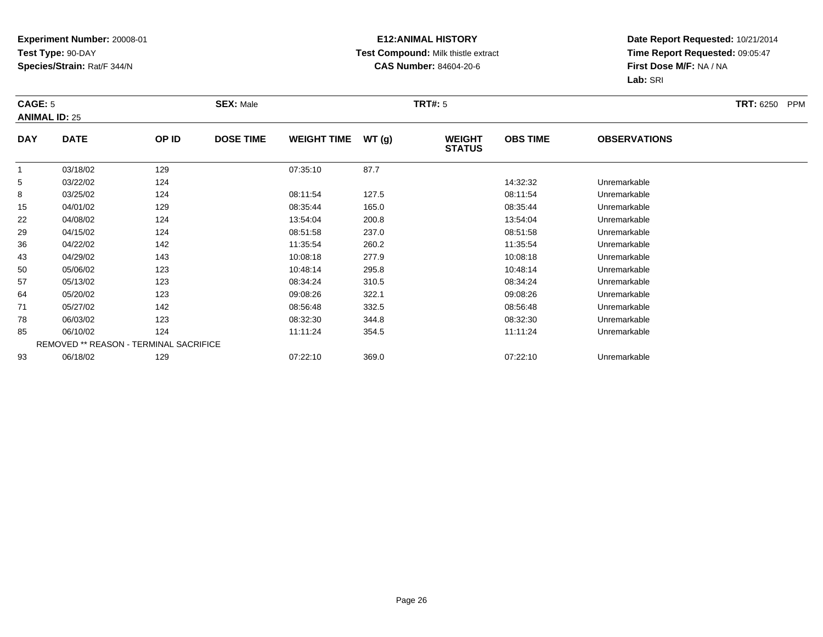### **E12:ANIMAL HISTORY Test Compound:** Milk thistle extract**CAS Number:** 84604-20-6

| CAGE: 5        | <b>ANIMAL ID: 25</b> |                                        | <b>SEX: Male</b> |                    |       | <b>TRT#: 5</b>                 |                 |                     | <b>TRT: 6250</b><br><b>PPM</b> |
|----------------|----------------------|----------------------------------------|------------------|--------------------|-------|--------------------------------|-----------------|---------------------|--------------------------------|
| <b>DAY</b>     | <b>DATE</b>          | OP ID                                  | <b>DOSE TIME</b> | <b>WEIGHT TIME</b> | WT(g) | <b>WEIGHT</b><br><b>STATUS</b> | <b>OBS TIME</b> | <b>OBSERVATIONS</b> |                                |
| $\overline{1}$ | 03/18/02             | 129                                    |                  | 07:35:10           | 87.7  |                                |                 |                     |                                |
| 5              | 03/22/02             | 124                                    |                  |                    |       |                                | 14:32:32        | Unremarkable        |                                |
| 8              | 03/25/02             | 124                                    |                  | 08:11:54           | 127.5 |                                | 08:11:54        | Unremarkable        |                                |
| 15             | 04/01/02             | 129                                    |                  | 08:35:44           | 165.0 |                                | 08:35:44        | Unremarkable        |                                |
| 22             | 04/08/02             | 124                                    |                  | 13:54:04           | 200.8 |                                | 13:54:04        | Unremarkable        |                                |
| 29             | 04/15/02             | 124                                    |                  | 08:51:58           | 237.0 |                                | 08:51:58        | Unremarkable        |                                |
| 36             | 04/22/02             | 142                                    |                  | 11:35:54           | 260.2 |                                | 11:35:54        | Unremarkable        |                                |
| 43             | 04/29/02             | 143                                    |                  | 10:08:18           | 277.9 |                                | 10:08:18        | Unremarkable        |                                |
| 50             | 05/06/02             | 123                                    |                  | 10:48:14           | 295.8 |                                | 10:48:14        | Unremarkable        |                                |
| 57             | 05/13/02             | 123                                    |                  | 08:34:24           | 310.5 |                                | 08:34:24        | Unremarkable        |                                |
| 64             | 05/20/02             | 123                                    |                  | 09:08:26           | 322.1 |                                | 09:08:26        | Unremarkable        |                                |
| 71             | 05/27/02             | 142                                    |                  | 08:56:48           | 332.5 |                                | 08:56:48        | Unremarkable        |                                |
| 78             | 06/03/02             | 123                                    |                  | 08:32:30           | 344.8 |                                | 08:32:30        | Unremarkable        |                                |
| 85             | 06/10/02             | 124                                    |                  | 11:11:24           | 354.5 |                                | 11:11:24        | Unremarkable        |                                |
|                |                      | REMOVED ** REASON - TERMINAL SACRIFICE |                  |                    |       |                                |                 |                     |                                |
| 93             | 06/18/02             | 129                                    |                  | 07:22:10           | 369.0 |                                | 07:22:10        | Unremarkable        |                                |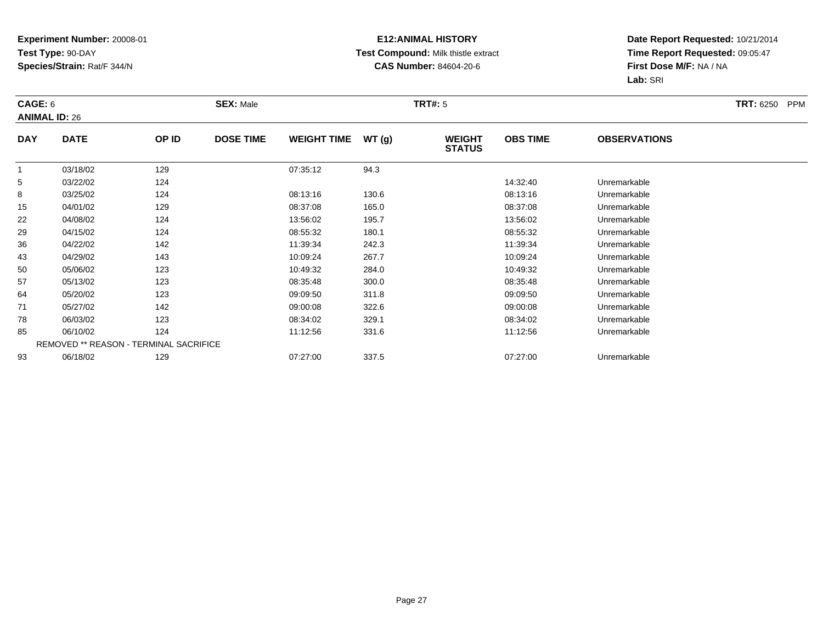### **E12:ANIMAL HISTORY Test Compound:** Milk thistle extract**CAS Number:** 84604-20-6

| CAGE: 6        | <b>ANIMAL ID: 26</b> |                                        | <b>SEX: Male</b> |                    |       | <b>TRT#:</b> 5                 |                 |                     | <b>TRT: 6250</b><br>PPM |
|----------------|----------------------|----------------------------------------|------------------|--------------------|-------|--------------------------------|-----------------|---------------------|-------------------------|
| <b>DAY</b>     | <b>DATE</b>          | OP ID                                  | <b>DOSE TIME</b> | <b>WEIGHT TIME</b> | WT(g) | <b>WEIGHT</b><br><b>STATUS</b> | <b>OBS TIME</b> | <b>OBSERVATIONS</b> |                         |
| $\overline{1}$ | 03/18/02             | 129                                    |                  | 07:35:12           | 94.3  |                                |                 |                     |                         |
| 5              | 03/22/02             | 124                                    |                  |                    |       |                                | 14:32:40        | Unremarkable        |                         |
| 8              | 03/25/02             | 124                                    |                  | 08:13:16           | 130.6 |                                | 08:13:16        | Unremarkable        |                         |
| 15             | 04/01/02             | 129                                    |                  | 08:37:08           | 165.0 |                                | 08:37:08        | Unremarkable        |                         |
| 22             | 04/08/02             | 124                                    |                  | 13:56:02           | 195.7 |                                | 13:56:02        | Unremarkable        |                         |
| 29             | 04/15/02             | 124                                    |                  | 08:55:32           | 180.1 |                                | 08:55:32        | Unremarkable        |                         |
| 36             | 04/22/02             | 142                                    |                  | 11:39:34           | 242.3 |                                | 11:39:34        | Unremarkable        |                         |
| 43             | 04/29/02             | 143                                    |                  | 10:09:24           | 267.7 |                                | 10:09:24        | Unremarkable        |                         |
| 50             | 05/06/02             | 123                                    |                  | 10:49:32           | 284.0 |                                | 10:49:32        | Unremarkable        |                         |
| 57             | 05/13/02             | 123                                    |                  | 08:35:48           | 300.0 |                                | 08:35:48        | Unremarkable        |                         |
| 64             | 05/20/02             | 123                                    |                  | 09:09:50           | 311.8 |                                | 09:09:50        | Unremarkable        |                         |
| 71             | 05/27/02             | 142                                    |                  | 09:00:08           | 322.6 |                                | 09:00:08        | Unremarkable        |                         |
| 78             | 06/03/02             | 123                                    |                  | 08:34:02           | 329.1 |                                | 08:34:02        | Unremarkable        |                         |
| 85             | 06/10/02             | 124                                    |                  | 11:12:56           | 331.6 |                                | 11:12:56        | Unremarkable        |                         |
|                |                      | REMOVED ** REASON - TERMINAL SACRIFICE |                  |                    |       |                                |                 |                     |                         |
| 93             | 06/18/02             | 129                                    |                  | 07:27:00           | 337.5 |                                | 07:27:00        | Unremarkable        |                         |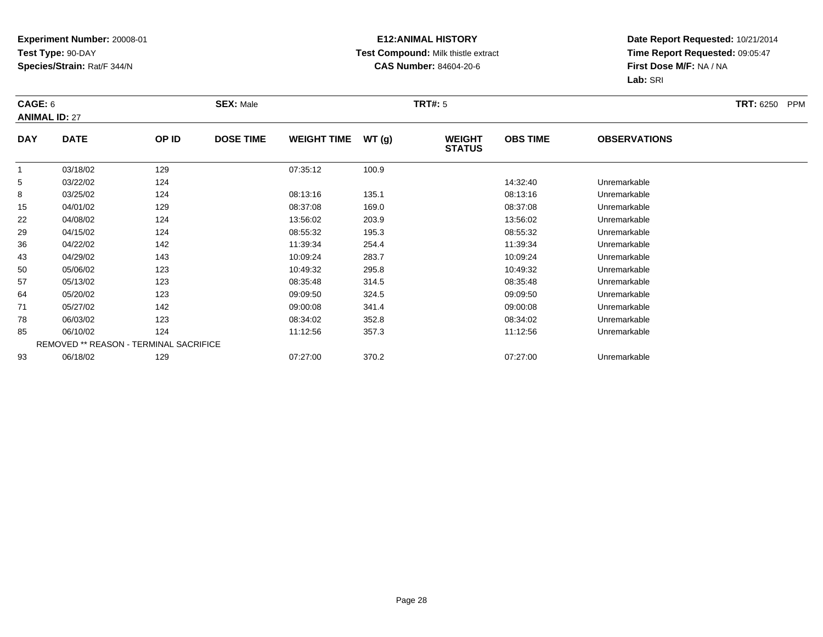### **E12:ANIMAL HISTORY Test Compound:** Milk thistle extract**CAS Number:** 84604-20-6

| CAGE: 6        | <b>ANIMAL ID: 27</b> |                                        | <b>SEX: Male</b> |                    |       | <b>TRT#: 5</b>                 |                 |                     | <b>TRT: 6250</b><br><b>PPM</b> |
|----------------|----------------------|----------------------------------------|------------------|--------------------|-------|--------------------------------|-----------------|---------------------|--------------------------------|
| <b>DAY</b>     | <b>DATE</b>          | OP ID                                  | <b>DOSE TIME</b> | <b>WEIGHT TIME</b> | WT(g) | <b>WEIGHT</b><br><b>STATUS</b> | <b>OBS TIME</b> | <b>OBSERVATIONS</b> |                                |
| $\overline{1}$ | 03/18/02             | 129                                    |                  | 07:35:12           | 100.9 |                                |                 |                     |                                |
| 5              | 03/22/02             | 124                                    |                  |                    |       |                                | 14:32:40        | Unremarkable        |                                |
| 8              | 03/25/02             | 124                                    |                  | 08:13:16           | 135.1 |                                | 08:13:16        | Unremarkable        |                                |
| 15             | 04/01/02             | 129                                    |                  | 08:37:08           | 169.0 |                                | 08:37:08        | Unremarkable        |                                |
| 22             | 04/08/02             | 124                                    |                  | 13:56:02           | 203.9 |                                | 13:56:02        | Unremarkable        |                                |
| 29             | 04/15/02             | 124                                    |                  | 08:55:32           | 195.3 |                                | 08:55:32        | Unremarkable        |                                |
| 36             | 04/22/02             | 142                                    |                  | 11:39:34           | 254.4 |                                | 11:39:34        | Unremarkable        |                                |
| 43             | 04/29/02             | 143                                    |                  | 10:09:24           | 283.7 |                                | 10:09:24        | Unremarkable        |                                |
| 50             | 05/06/02             | 123                                    |                  | 10:49:32           | 295.8 |                                | 10:49:32        | Unremarkable        |                                |
| 57             | 05/13/02             | 123                                    |                  | 08:35:48           | 314.5 |                                | 08:35:48        | Unremarkable        |                                |
| 64             | 05/20/02             | 123                                    |                  | 09:09:50           | 324.5 |                                | 09:09:50        | Unremarkable        |                                |
| 71             | 05/27/02             | 142                                    |                  | 09:00:08           | 341.4 |                                | 09:00:08        | Unremarkable        |                                |
| 78             | 06/03/02             | 123                                    |                  | 08:34:02           | 352.8 |                                | 08:34:02        | Unremarkable        |                                |
| 85             | 06/10/02             | 124                                    |                  | 11:12:56           | 357.3 |                                | 11:12:56        | Unremarkable        |                                |
|                |                      | REMOVED ** REASON - TERMINAL SACRIFICE |                  |                    |       |                                |                 |                     |                                |
| 93             | 06/18/02             | 129                                    |                  | 07:27:00           | 370.2 |                                | 07:27:00        | Unremarkable        |                                |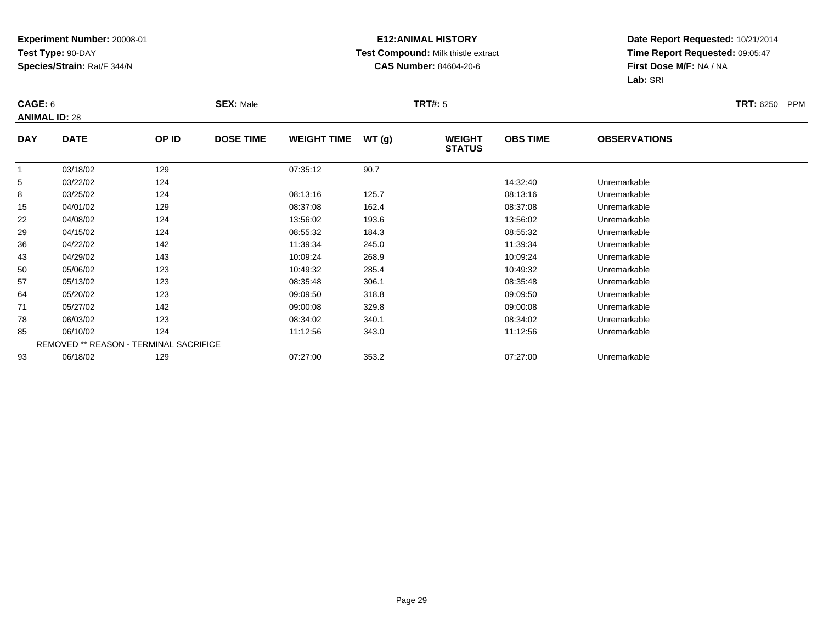### **E12:ANIMAL HISTORY Test Compound:** Milk thistle extract**CAS Number:** 84604-20-6

| CAGE: 6        | <b>ANIMAL ID: 28</b> |                                        | <b>SEX: Male</b> |                    |       | <b>TRT#:</b> 5                 |                 |                     | <b>TRT: 6250</b><br><b>PPM</b> |
|----------------|----------------------|----------------------------------------|------------------|--------------------|-------|--------------------------------|-----------------|---------------------|--------------------------------|
| <b>DAY</b>     | <b>DATE</b>          | OP ID                                  | <b>DOSE TIME</b> | <b>WEIGHT TIME</b> | WT(g) | <b>WEIGHT</b><br><b>STATUS</b> | <b>OBS TIME</b> | <b>OBSERVATIONS</b> |                                |
| $\overline{1}$ | 03/18/02             | 129                                    |                  | 07:35:12           | 90.7  |                                |                 |                     |                                |
| 5              | 03/22/02             | 124                                    |                  |                    |       |                                | 14:32:40        | Unremarkable        |                                |
| 8              | 03/25/02             | 124                                    |                  | 08:13:16           | 125.7 |                                | 08:13:16        | Unremarkable        |                                |
| 15             | 04/01/02             | 129                                    |                  | 08:37:08           | 162.4 |                                | 08:37:08        | Unremarkable        |                                |
| 22             | 04/08/02             | 124                                    |                  | 13:56:02           | 193.6 |                                | 13:56:02        | Unremarkable        |                                |
| 29             | 04/15/02             | 124                                    |                  | 08:55:32           | 184.3 |                                | 08:55:32        | Unremarkable        |                                |
| 36             | 04/22/02             | 142                                    |                  | 11:39:34           | 245.0 |                                | 11:39:34        | Unremarkable        |                                |
| 43             | 04/29/02             | 143                                    |                  | 10:09:24           | 268.9 |                                | 10:09:24        | Unremarkable        |                                |
| 50             | 05/06/02             | 123                                    |                  | 10:49:32           | 285.4 |                                | 10:49:32        | Unremarkable        |                                |
| 57             | 05/13/02             | 123                                    |                  | 08:35:48           | 306.1 |                                | 08:35:48        | Unremarkable        |                                |
| 64             | 05/20/02             | 123                                    |                  | 09:09:50           | 318.8 |                                | 09:09:50        | Unremarkable        |                                |
| 71             | 05/27/02             | 142                                    |                  | 09:00:08           | 329.8 |                                | 09:00:08        | Unremarkable        |                                |
| 78             | 06/03/02             | 123                                    |                  | 08:34:02           | 340.1 |                                | 08:34:02        | Unremarkable        |                                |
| 85             | 06/10/02             | 124                                    |                  | 11:12:56           | 343.0 |                                | 11:12:56        | Unremarkable        |                                |
|                |                      | REMOVED ** REASON - TERMINAL SACRIFICE |                  |                    |       |                                |                 |                     |                                |
| 93             | 06/18/02             | 129                                    |                  | 07:27:00           | 353.2 |                                | 07:27:00        | Unremarkable        |                                |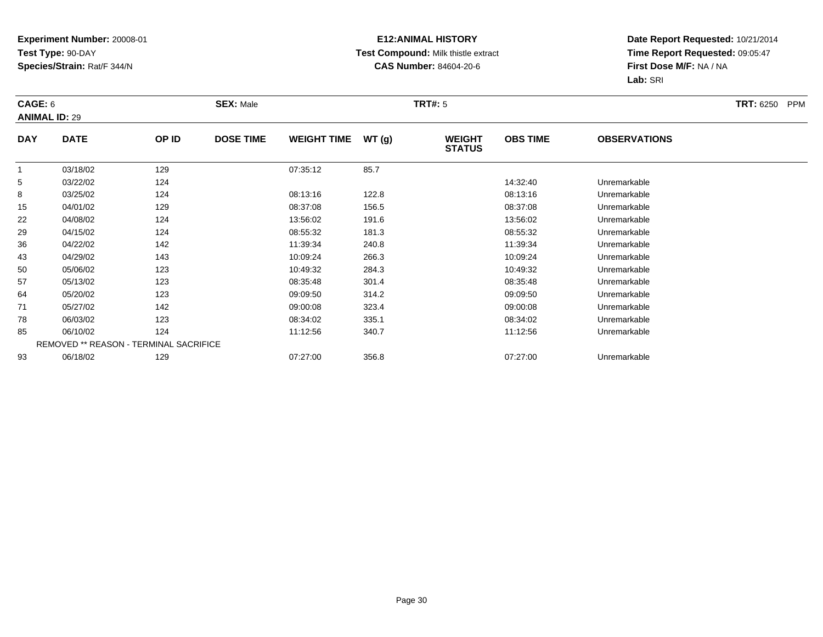### **E12:ANIMAL HISTORY Test Compound:** Milk thistle extract**CAS Number:** 84604-20-6

| CAGE: 6        | <b>ANIMAL ID: 29</b> |                                        | <b>SEX: Male</b> |                    |       | <b>TRT#:</b> 5                 |                 |                     | <b>TRT: 6250</b><br><b>PPM</b> |
|----------------|----------------------|----------------------------------------|------------------|--------------------|-------|--------------------------------|-----------------|---------------------|--------------------------------|
| <b>DAY</b>     | <b>DATE</b>          | OP ID                                  | <b>DOSE TIME</b> | <b>WEIGHT TIME</b> | WT(g) | <b>WEIGHT</b><br><b>STATUS</b> | <b>OBS TIME</b> | <b>OBSERVATIONS</b> |                                |
| $\overline{1}$ | 03/18/02             | 129                                    |                  | 07:35:12           | 85.7  |                                |                 |                     |                                |
| 5              | 03/22/02             | 124                                    |                  |                    |       |                                | 14:32:40        | Unremarkable        |                                |
| 8              | 03/25/02             | 124                                    |                  | 08:13:16           | 122.8 |                                | 08:13:16        | Unremarkable        |                                |
| 15             | 04/01/02             | 129                                    |                  | 08:37:08           | 156.5 |                                | 08:37:08        | Unremarkable        |                                |
| 22             | 04/08/02             | 124                                    |                  | 13:56:02           | 191.6 |                                | 13:56:02        | Unremarkable        |                                |
| 29             | 04/15/02             | 124                                    |                  | 08:55:32           | 181.3 |                                | 08:55:32        | Unremarkable        |                                |
| 36             | 04/22/02             | 142                                    |                  | 11:39:34           | 240.8 |                                | 11:39:34        | Unremarkable        |                                |
| 43             | 04/29/02             | 143                                    |                  | 10:09:24           | 266.3 |                                | 10:09:24        | Unremarkable        |                                |
| 50             | 05/06/02             | 123                                    |                  | 10:49:32           | 284.3 |                                | 10:49:32        | Unremarkable        |                                |
| 57             | 05/13/02             | 123                                    |                  | 08:35:48           | 301.4 |                                | 08:35:48        | Unremarkable        |                                |
| 64             | 05/20/02             | 123                                    |                  | 09:09:50           | 314.2 |                                | 09:09:50        | Unremarkable        |                                |
| 71             | 05/27/02             | 142                                    |                  | 09:00:08           | 323.4 |                                | 09:00:08        | Unremarkable        |                                |
| 78             | 06/03/02             | 123                                    |                  | 08:34:02           | 335.1 |                                | 08:34:02        | Unremarkable        |                                |
| 85             | 06/10/02             | 124                                    |                  | 11:12:56           | 340.7 |                                | 11:12:56        | Unremarkable        |                                |
|                |                      | REMOVED ** REASON - TERMINAL SACRIFICE |                  |                    |       |                                |                 |                     |                                |
| 93             | 06/18/02             | 129                                    |                  | 07:27:00           | 356.8 |                                | 07:27:00        | Unremarkable        |                                |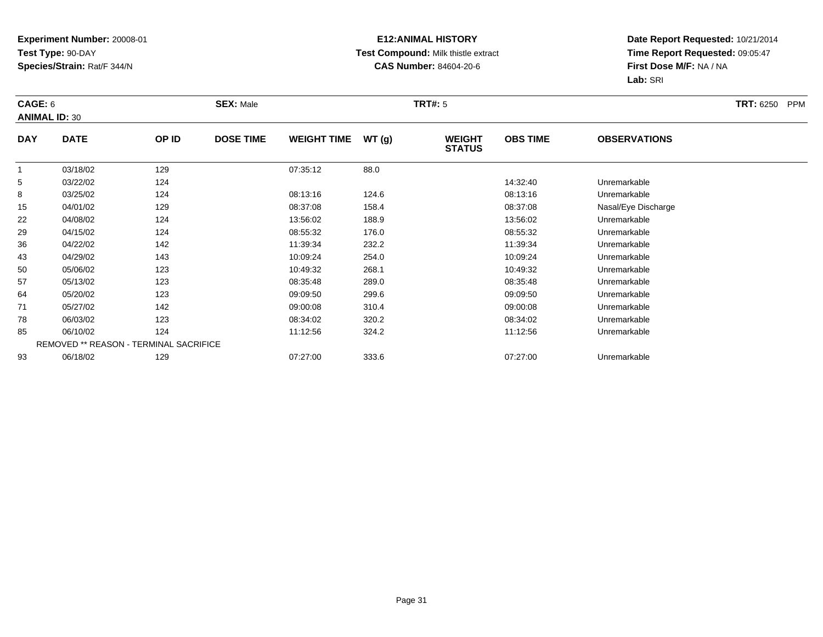### **E12:ANIMAL HISTORY Test Compound:** Milk thistle extract**CAS Number:** 84604-20-6

| CAGE: 6<br><b>ANIMAL ID: 30</b> |             |                                        | <b>SEX: Male</b> |                    |       | <b>TRT#:</b> 5                 |                 |                     | <b>TRT: 6250</b><br>PPM |
|---------------------------------|-------------|----------------------------------------|------------------|--------------------|-------|--------------------------------|-----------------|---------------------|-------------------------|
| <b>DAY</b>                      | <b>DATE</b> | OP ID                                  | <b>DOSE TIME</b> | <b>WEIGHT TIME</b> | WT(g) | <b>WEIGHT</b><br><b>STATUS</b> | <b>OBS TIME</b> | <b>OBSERVATIONS</b> |                         |
| $\overline{1}$                  | 03/18/02    | 129                                    |                  | 07:35:12           | 88.0  |                                |                 |                     |                         |
| 5                               | 03/22/02    | 124                                    |                  |                    |       |                                | 14:32:40        | Unremarkable        |                         |
| 8                               | 03/25/02    | 124                                    |                  | 08:13:16           | 124.6 |                                | 08:13:16        | Unremarkable        |                         |
| 15                              | 04/01/02    | 129                                    |                  | 08:37:08           | 158.4 |                                | 08:37:08        | Nasal/Eye Discharge |                         |
| 22                              | 04/08/02    | 124                                    |                  | 13:56:02           | 188.9 |                                | 13:56:02        | Unremarkable        |                         |
| 29                              | 04/15/02    | 124                                    |                  | 08:55:32           | 176.0 |                                | 08:55:32        | Unremarkable        |                         |
| 36                              | 04/22/02    | 142                                    |                  | 11:39:34           | 232.2 |                                | 11:39:34        | Unremarkable        |                         |
| 43                              | 04/29/02    | 143                                    |                  | 10:09:24           | 254.0 |                                | 10:09:24        | Unremarkable        |                         |
| 50                              | 05/06/02    | 123                                    |                  | 10:49:32           | 268.1 |                                | 10:49:32        | Unremarkable        |                         |
| 57                              | 05/13/02    | 123                                    |                  | 08:35:48           | 289.0 |                                | 08:35:48        | Unremarkable        |                         |
| 64                              | 05/20/02    | 123                                    |                  | 09:09:50           | 299.6 |                                | 09:09:50        | Unremarkable        |                         |
| 71                              | 05/27/02    | 142                                    |                  | 09:00:08           | 310.4 |                                | 09:00:08        | Unremarkable        |                         |
| 78                              | 06/03/02    | 123                                    |                  | 08:34:02           | 320.2 |                                | 08:34:02        | Unremarkable        |                         |
| 85                              | 06/10/02    | 124                                    |                  | 11:12:56           | 324.2 |                                | 11:12:56        | Unremarkable        |                         |
|                                 |             | REMOVED ** REASON - TERMINAL SACRIFICE |                  |                    |       |                                |                 |                     |                         |
| 93                              | 06/18/02    | 129                                    |                  | 07:27:00           | 333.6 |                                | 07:27:00        | Unremarkable        |                         |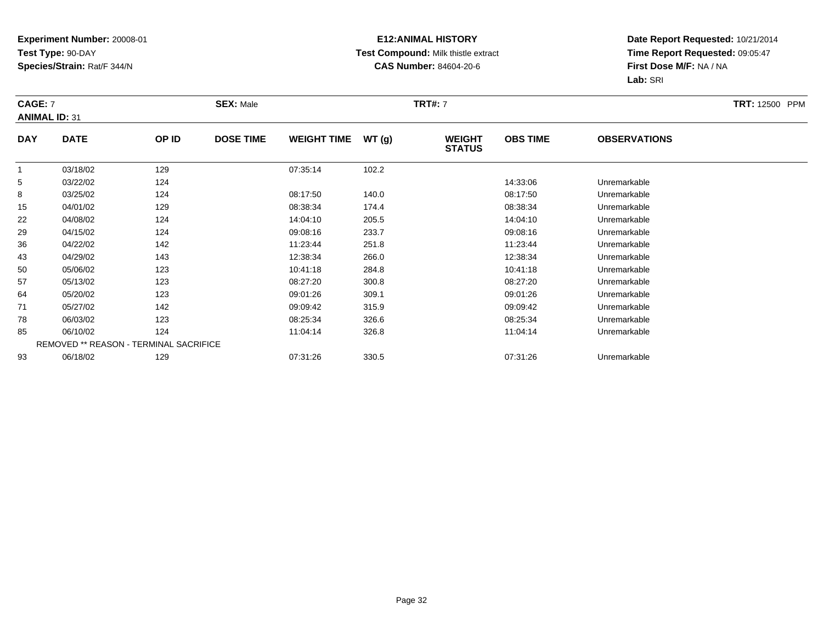### **E12:ANIMAL HISTORY Test Compound:** Milk thistle extract**CAS Number:** 84604-20-6

| <b>CAGE: 7</b>       |             |                                        | <b>SEX: Male</b> |                    |       | <b>TRT#:</b> 7                 |                 |                     | <b>TRT:</b> 12500 PPM |
|----------------------|-------------|----------------------------------------|------------------|--------------------|-------|--------------------------------|-----------------|---------------------|-----------------------|
| <b>ANIMAL ID: 31</b> |             |                                        |                  |                    |       |                                |                 |                     |                       |
| <b>DAY</b>           | <b>DATE</b> | OP ID                                  | <b>DOSE TIME</b> | <b>WEIGHT TIME</b> | WT(g) | <b>WEIGHT</b><br><b>STATUS</b> | <b>OBS TIME</b> | <b>OBSERVATIONS</b> |                       |
|                      | 03/18/02    | 129                                    |                  | 07:35:14           | 102.2 |                                |                 |                     |                       |
| 5                    | 03/22/02    | 124                                    |                  |                    |       |                                | 14:33:06        | Unremarkable        |                       |
| 8                    | 03/25/02    | 124                                    |                  | 08:17:50           | 140.0 |                                | 08:17:50        | Unremarkable        |                       |
| 15                   | 04/01/02    | 129                                    |                  | 08:38:34           | 174.4 |                                | 08:38:34        | Unremarkable        |                       |
| 22                   | 04/08/02    | 124                                    |                  | 14:04:10           | 205.5 |                                | 14:04:10        | Unremarkable        |                       |
| 29                   | 04/15/02    | 124                                    |                  | 09:08:16           | 233.7 |                                | 09:08:16        | Unremarkable        |                       |
| 36                   | 04/22/02    | 142                                    |                  | 11:23:44           | 251.8 |                                | 11:23:44        | Unremarkable        |                       |
| 43                   | 04/29/02    | 143                                    |                  | 12:38:34           | 266.0 |                                | 12:38:34        | Unremarkable        |                       |
| 50                   | 05/06/02    | 123                                    |                  | 10:41:18           | 284.8 |                                | 10:41:18        | Unremarkable        |                       |
| 57                   | 05/13/02    | 123                                    |                  | 08:27:20           | 300.8 |                                | 08:27:20        | Unremarkable        |                       |
| 64                   | 05/20/02    | 123                                    |                  | 09:01:26           | 309.1 |                                | 09:01:26        | Unremarkable        |                       |
| 71                   | 05/27/02    | 142                                    |                  | 09:09:42           | 315.9 |                                | 09:09:42        | Unremarkable        |                       |
| 78                   | 06/03/02    | 123                                    |                  | 08:25:34           | 326.6 |                                | 08:25:34        | Unremarkable        |                       |
| 85                   | 06/10/02    | 124                                    |                  | 11:04:14           | 326.8 |                                | 11:04:14        | Unremarkable        |                       |
|                      |             | REMOVED ** REASON - TERMINAL SACRIFICE |                  |                    |       |                                |                 |                     |                       |
| 93                   | 06/18/02    | 129                                    |                  | 07:31:26           | 330.5 |                                | 07:31:26        | Unremarkable        |                       |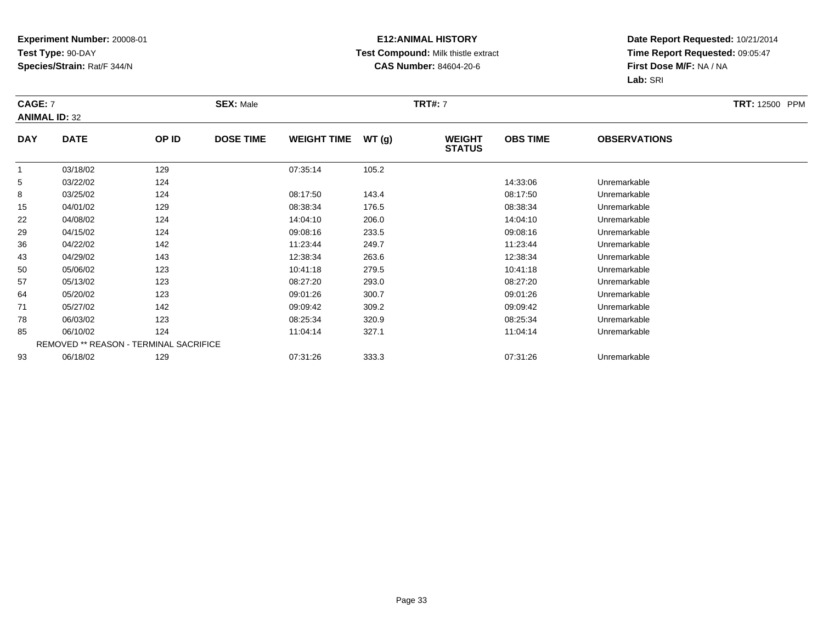### **E12:ANIMAL HISTORY Test Compound:** Milk thistle extract**CAS Number:** 84604-20-6

| <b>CAGE: 7</b>       |             |                                        | <b>SEX: Male</b> |                    |       | <b>TRT#:</b> 7                 |                 |                     | <b>TRT:</b> 12500 PPM |
|----------------------|-------------|----------------------------------------|------------------|--------------------|-------|--------------------------------|-----------------|---------------------|-----------------------|
| <b>ANIMAL ID: 32</b> |             |                                        |                  |                    |       |                                |                 |                     |                       |
| <b>DAY</b>           | <b>DATE</b> | OP ID                                  | <b>DOSE TIME</b> | <b>WEIGHT TIME</b> | WT(g) | <b>WEIGHT</b><br><b>STATUS</b> | <b>OBS TIME</b> | <b>OBSERVATIONS</b> |                       |
|                      | 03/18/02    | 129                                    |                  | 07:35:14           | 105.2 |                                |                 |                     |                       |
| 5                    | 03/22/02    | 124                                    |                  |                    |       |                                | 14:33:06        | Unremarkable        |                       |
| 8                    | 03/25/02    | 124                                    |                  | 08:17:50           | 143.4 |                                | 08:17:50        | Unremarkable        |                       |
| 15                   | 04/01/02    | 129                                    |                  | 08:38:34           | 176.5 |                                | 08:38:34        | Unremarkable        |                       |
| 22                   | 04/08/02    | 124                                    |                  | 14:04:10           | 206.0 |                                | 14:04:10        | Unremarkable        |                       |
| 29                   | 04/15/02    | 124                                    |                  | 09:08:16           | 233.5 |                                | 09:08:16        | Unremarkable        |                       |
| 36                   | 04/22/02    | 142                                    |                  | 11:23:44           | 249.7 |                                | 11:23:44        | Unremarkable        |                       |
| 43                   | 04/29/02    | 143                                    |                  | 12:38:34           | 263.6 |                                | 12:38:34        | Unremarkable        |                       |
| 50                   | 05/06/02    | 123                                    |                  | 10:41:18           | 279.5 |                                | 10:41:18        | Unremarkable        |                       |
| 57                   | 05/13/02    | 123                                    |                  | 08:27:20           | 293.0 |                                | 08:27:20        | Unremarkable        |                       |
| 64                   | 05/20/02    | 123                                    |                  | 09:01:26           | 300.7 |                                | 09:01:26        | Unremarkable        |                       |
| 71                   | 05/27/02    | 142                                    |                  | 09:09:42           | 309.2 |                                | 09:09:42        | Unremarkable        |                       |
| 78                   | 06/03/02    | 123                                    |                  | 08:25:34           | 320.9 |                                | 08:25:34        | Unremarkable        |                       |
| 85                   | 06/10/02    | 124                                    |                  | 11:04:14           | 327.1 |                                | 11:04:14        | Unremarkable        |                       |
|                      |             | REMOVED ** REASON - TERMINAL SACRIFICE |                  |                    |       |                                |                 |                     |                       |
| 93                   | 06/18/02    | 129                                    |                  | 07:31:26           | 333.3 |                                | 07:31:26        | Unremarkable        |                       |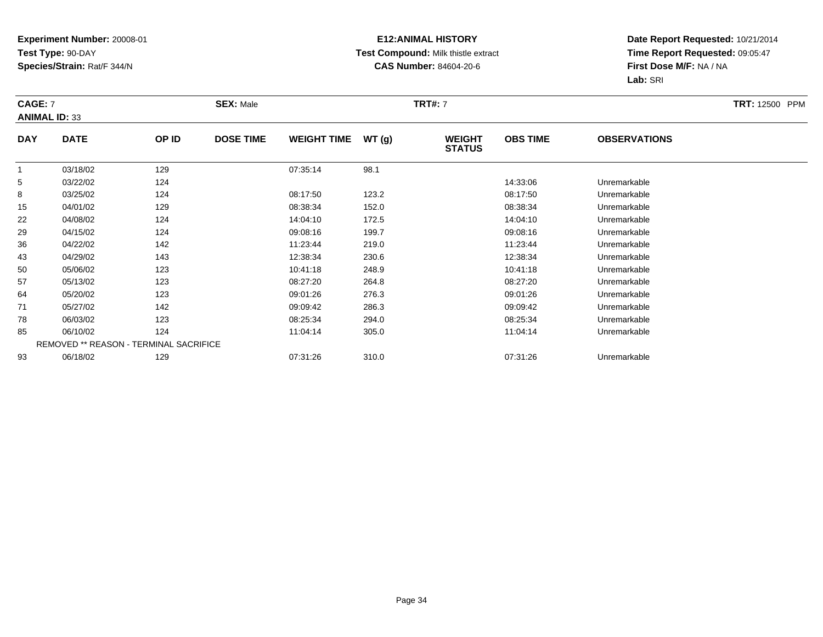### **E12:ANIMAL HISTORY Test Compound:** Milk thistle extract**CAS Number:** 84604-20-6

| <b>CAGE: 7</b> | <b>ANIMAL ID: 33</b>                   |       | <b>SEX: Male</b> |                    |       | <b>TRT#:</b> 7                 |                 |                     | <b>TRT:</b> 12500 PPM |
|----------------|----------------------------------------|-------|------------------|--------------------|-------|--------------------------------|-----------------|---------------------|-----------------------|
| <b>DAY</b>     | <b>DATE</b>                            | OP ID | <b>DOSE TIME</b> | <b>WEIGHT TIME</b> | WT(g) | <b>WEIGHT</b><br><b>STATUS</b> | <b>OBS TIME</b> | <b>OBSERVATIONS</b> |                       |
|                | 03/18/02                               | 129   |                  | 07:35:14           | 98.1  |                                |                 |                     |                       |
| 5              | 03/22/02                               | 124   |                  |                    |       |                                | 14:33:06        | Unremarkable        |                       |
| 8              | 03/25/02                               | 124   |                  | 08:17:50           | 123.2 |                                | 08:17:50        | Unremarkable        |                       |
| 15             | 04/01/02                               | 129   |                  | 08:38:34           | 152.0 |                                | 08:38:34        | Unremarkable        |                       |
| 22             | 04/08/02                               | 124   |                  | 14:04:10           | 172.5 |                                | 14:04:10        | Unremarkable        |                       |
| 29             | 04/15/02                               | 124   |                  | 09:08:16           | 199.7 |                                | 09:08:16        | Unremarkable        |                       |
| 36             | 04/22/02                               | 142   |                  | 11:23:44           | 219.0 |                                | 11:23:44        | Unremarkable        |                       |
| 43             | 04/29/02                               | 143   |                  | 12:38:34           | 230.6 |                                | 12:38:34        | Unremarkable        |                       |
| 50             | 05/06/02                               | 123   |                  | 10:41:18           | 248.9 |                                | 10:41:18        | Unremarkable        |                       |
| 57             | 05/13/02                               | 123   |                  | 08:27:20           | 264.8 |                                | 08:27:20        | Unremarkable        |                       |
| 64             | 05/20/02                               | 123   |                  | 09:01:26           | 276.3 |                                | 09:01:26        | Unremarkable        |                       |
| 71             | 05/27/02                               | 142   |                  | 09:09:42           | 286.3 |                                | 09:09:42        | Unremarkable        |                       |
| 78             | 06/03/02                               | 123   |                  | 08:25:34           | 294.0 |                                | 08:25:34        | Unremarkable        |                       |
| 85             | 06/10/02                               | 124   |                  | 11:04:14           | 305.0 |                                | 11:04:14        | Unremarkable        |                       |
|                | REMOVED ** REASON - TERMINAL SACRIFICE |       |                  |                    |       |                                |                 |                     |                       |
| 93             | 06/18/02                               | 129   |                  | 07:31:26           | 310.0 |                                | 07:31:26        | Unremarkable        |                       |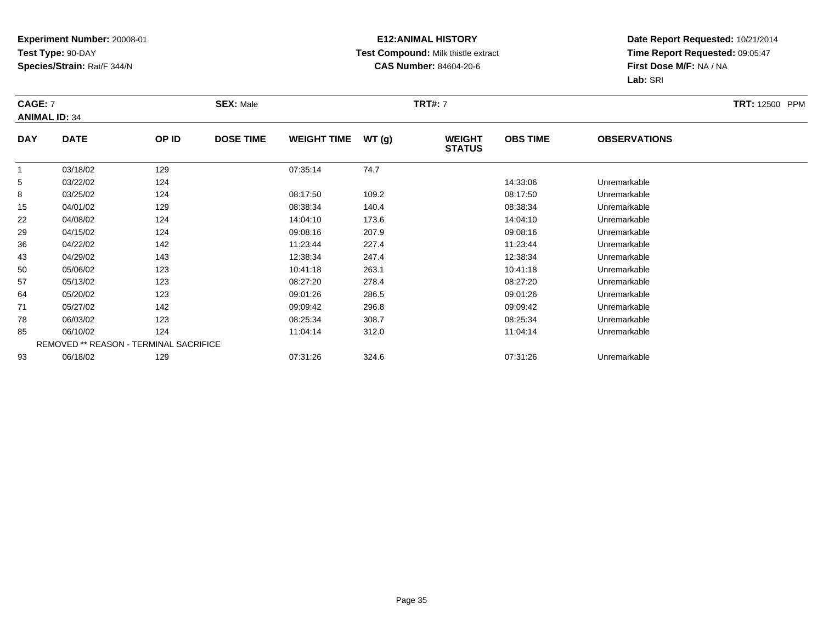### **E12:ANIMAL HISTORY Test Compound:** Milk thistle extract**CAS Number:** 84604-20-6

| <b>CAGE: 7</b>       |             |                                        | <b>SEX: Male</b> |                    |       | <b>TRT#:</b> 7                 |                 |                     | <b>TRT:</b> 12500 PPM |
|----------------------|-------------|----------------------------------------|------------------|--------------------|-------|--------------------------------|-----------------|---------------------|-----------------------|
| <b>ANIMAL ID: 34</b> |             |                                        |                  |                    |       |                                |                 |                     |                       |
| <b>DAY</b>           | <b>DATE</b> | OP ID                                  | <b>DOSE TIME</b> | <b>WEIGHT TIME</b> | WT(g) | <b>WEIGHT</b><br><b>STATUS</b> | <b>OBS TIME</b> | <b>OBSERVATIONS</b> |                       |
|                      | 03/18/02    | 129                                    |                  | 07:35:14           | 74.7  |                                |                 |                     |                       |
| 5                    | 03/22/02    | 124                                    |                  |                    |       |                                | 14:33:06        | Unremarkable        |                       |
| 8                    | 03/25/02    | 124                                    |                  | 08:17:50           | 109.2 |                                | 08:17:50        | Unremarkable        |                       |
| 15                   | 04/01/02    | 129                                    |                  | 08:38:34           | 140.4 |                                | 08:38:34        | Unremarkable        |                       |
| 22                   | 04/08/02    | 124                                    |                  | 14:04:10           | 173.6 |                                | 14:04:10        | Unremarkable        |                       |
| 29                   | 04/15/02    | 124                                    |                  | 09:08:16           | 207.9 |                                | 09:08:16        | Unremarkable        |                       |
| 36                   | 04/22/02    | 142                                    |                  | 11:23:44           | 227.4 |                                | 11:23:44        | Unremarkable        |                       |
| 43                   | 04/29/02    | 143                                    |                  | 12:38:34           | 247.4 |                                | 12:38:34        | Unremarkable        |                       |
| 50                   | 05/06/02    | 123                                    |                  | 10:41:18           | 263.1 |                                | 10:41:18        | Unremarkable        |                       |
| 57                   | 05/13/02    | 123                                    |                  | 08:27:20           | 278.4 |                                | 08:27:20        | Unremarkable        |                       |
| 64                   | 05/20/02    | 123                                    |                  | 09:01:26           | 286.5 |                                | 09:01:26        | Unremarkable        |                       |
| 71                   | 05/27/02    | 142                                    |                  | 09:09:42           | 296.8 |                                | 09:09:42        | Unremarkable        |                       |
| 78                   | 06/03/02    | 123                                    |                  | 08:25:34           | 308.7 |                                | 08:25:34        | Unremarkable        |                       |
| 85                   | 06/10/02    | 124                                    |                  | 11:04:14           | 312.0 |                                | 11:04:14        | Unremarkable        |                       |
|                      |             | REMOVED ** REASON - TERMINAL SACRIFICE |                  |                    |       |                                |                 |                     |                       |
| 93                   | 06/18/02    | 129                                    |                  | 07:31:26           | 324.6 |                                | 07:31:26        | Unremarkable        |                       |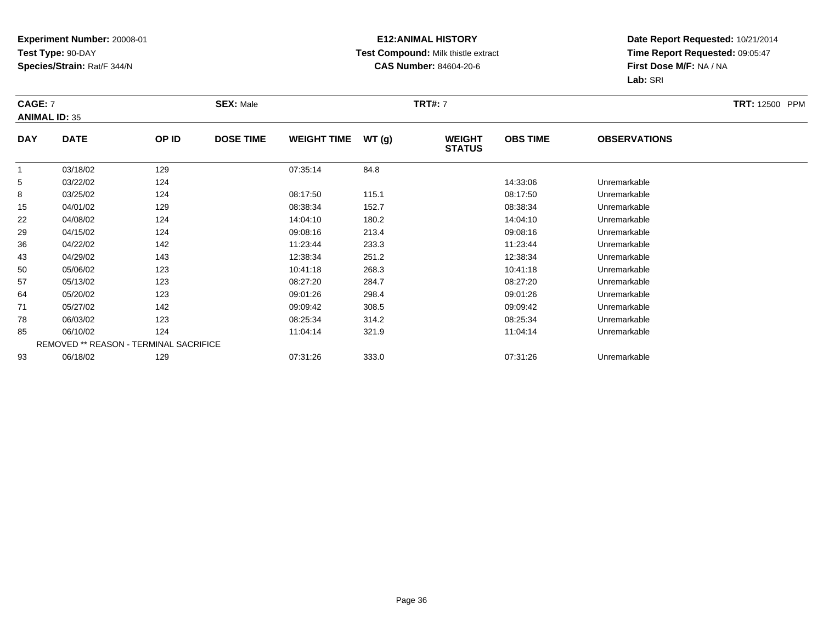### **E12:ANIMAL HISTORY Test Compound:** Milk thistle extract**CAS Number:** 84604-20-6

| <b>CAGE: 7</b><br><b>ANIMAL ID: 35</b> |             |                                        | <b>SEX: Male</b> |                    |       | <b>TRT#:</b> 7                 |                 |                     | <b>TRT:</b> 12500 PPM |
|----------------------------------------|-------------|----------------------------------------|------------------|--------------------|-------|--------------------------------|-----------------|---------------------|-----------------------|
| <b>DAY</b>                             | <b>DATE</b> | OP ID                                  | <b>DOSE TIME</b> | <b>WEIGHT TIME</b> | WT(g) | <b>WEIGHT</b><br><b>STATUS</b> | <b>OBS TIME</b> | <b>OBSERVATIONS</b> |                       |
|                                        | 03/18/02    | 129                                    |                  | 07:35:14           | 84.8  |                                |                 |                     |                       |
| 5                                      | 03/22/02    | 124                                    |                  |                    |       |                                | 14:33:06        | Unremarkable        |                       |
| 8                                      | 03/25/02    | 124                                    |                  | 08:17:50           | 115.1 |                                | 08:17:50        | Unremarkable        |                       |
| 15                                     | 04/01/02    | 129                                    |                  | 08:38:34           | 152.7 |                                | 08:38:34        | Unremarkable        |                       |
| 22                                     | 04/08/02    | 124                                    |                  | 14:04:10           | 180.2 |                                | 14:04:10        | Unremarkable        |                       |
| 29                                     | 04/15/02    | 124                                    |                  | 09:08:16           | 213.4 |                                | 09:08:16        | Unremarkable        |                       |
| 36                                     | 04/22/02    | 142                                    |                  | 11:23:44           | 233.3 |                                | 11:23:44        | Unremarkable        |                       |
| 43                                     | 04/29/02    | 143                                    |                  | 12:38:34           | 251.2 |                                | 12:38:34        | Unremarkable        |                       |
| 50                                     | 05/06/02    | 123                                    |                  | 10:41:18           | 268.3 |                                | 10:41:18        | Unremarkable        |                       |
| 57                                     | 05/13/02    | 123                                    |                  | 08:27:20           | 284.7 |                                | 08:27:20        | Unremarkable        |                       |
| 64                                     | 05/20/02    | 123                                    |                  | 09:01:26           | 298.4 |                                | 09:01:26        | Unremarkable        |                       |
| 71                                     | 05/27/02    | 142                                    |                  | 09:09:42           | 308.5 |                                | 09:09:42        | Unremarkable        |                       |
| 78                                     | 06/03/02    | 123                                    |                  | 08:25:34           | 314.2 |                                | 08:25:34        | Unremarkable        |                       |
| 85                                     | 06/10/02    | 124                                    |                  | 11:04:14           | 321.9 |                                | 11:04:14        | Unremarkable        |                       |
|                                        |             | REMOVED ** REASON - TERMINAL SACRIFICE |                  |                    |       |                                |                 |                     |                       |
| 93                                     | 06/18/02    | 129                                    |                  | 07:31:26           | 333.0 |                                | 07:31:26        | Unremarkable        |                       |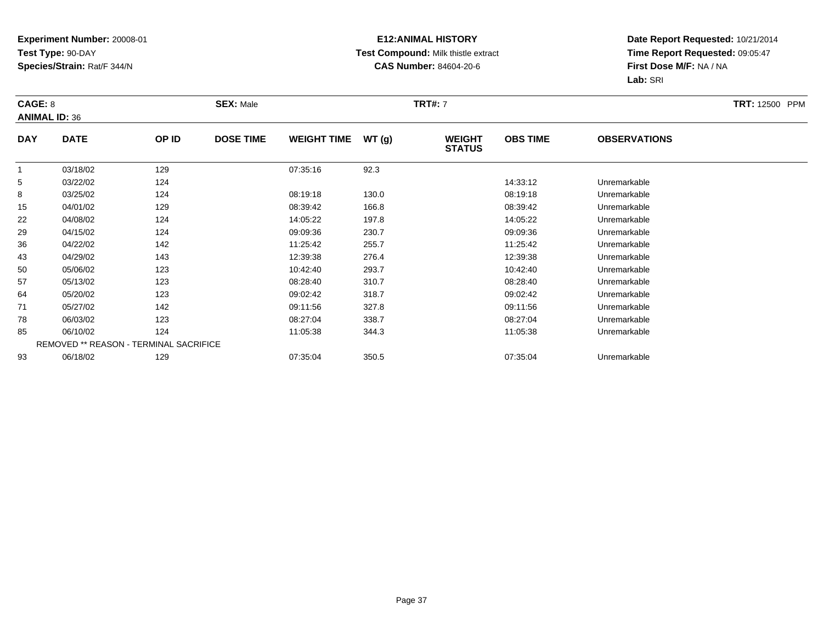#### **E12:ANIMAL HISTORY Test Compound:** Milk thistle extract**CAS Number:** 84604-20-6

| CAGE: 8        | <b>ANIMAL ID: 36</b> |                                        | <b>SEX: Male</b> |                    |       | <b>TRT#:</b> 7                 |                 |                     | <b>TRT:</b> 12500 PPM |
|----------------|----------------------|----------------------------------------|------------------|--------------------|-------|--------------------------------|-----------------|---------------------|-----------------------|
| <b>DAY</b>     | <b>DATE</b>          | OP ID                                  | <b>DOSE TIME</b> | <b>WEIGHT TIME</b> | WT(g) | <b>WEIGHT</b><br><b>STATUS</b> | <b>OBS TIME</b> | <b>OBSERVATIONS</b> |                       |
| $\overline{1}$ | 03/18/02             | 129                                    |                  | 07:35:16           | 92.3  |                                |                 |                     |                       |
| 5              | 03/22/02             | 124                                    |                  |                    |       |                                | 14:33:12        | Unremarkable        |                       |
| 8              | 03/25/02             | 124                                    |                  | 08:19:18           | 130.0 |                                | 08:19:18        | Unremarkable        |                       |
| 15             | 04/01/02             | 129                                    |                  | 08:39:42           | 166.8 |                                | 08:39:42        | Unremarkable        |                       |
| 22             | 04/08/02             | 124                                    |                  | 14:05:22           | 197.8 |                                | 14:05:22        | Unremarkable        |                       |
| 29             | 04/15/02             | 124                                    |                  | 09:09:36           | 230.7 |                                | 09:09:36        | Unremarkable        |                       |
| 36             | 04/22/02             | 142                                    |                  | 11:25:42           | 255.7 |                                | 11:25:42        | Unremarkable        |                       |
| 43             | 04/29/02             | 143                                    |                  | 12:39:38           | 276.4 |                                | 12:39:38        | Unremarkable        |                       |
| 50             | 05/06/02             | 123                                    |                  | 10:42:40           | 293.7 |                                | 10:42:40        | Unremarkable        |                       |
| 57             | 05/13/02             | 123                                    |                  | 08:28:40           | 310.7 |                                | 08:28:40        | Unremarkable        |                       |
| 64             | 05/20/02             | 123                                    |                  | 09:02:42           | 318.7 |                                | 09:02:42        | Unremarkable        |                       |
| 71             | 05/27/02             | 142                                    |                  | 09:11:56           | 327.8 |                                | 09:11:56        | Unremarkable        |                       |
| 78             | 06/03/02             | 123                                    |                  | 08:27:04           | 338.7 |                                | 08:27:04        | Unremarkable        |                       |
| 85             | 06/10/02             | 124                                    |                  | 11:05:38           | 344.3 |                                | 11:05:38        | Unremarkable        |                       |
|                |                      | REMOVED ** REASON - TERMINAL SACRIFICE |                  |                    |       |                                |                 |                     |                       |
| 93             | 06/18/02             | 129                                    |                  | 07:35:04           | 350.5 |                                | 07:35:04        | Unremarkable        |                       |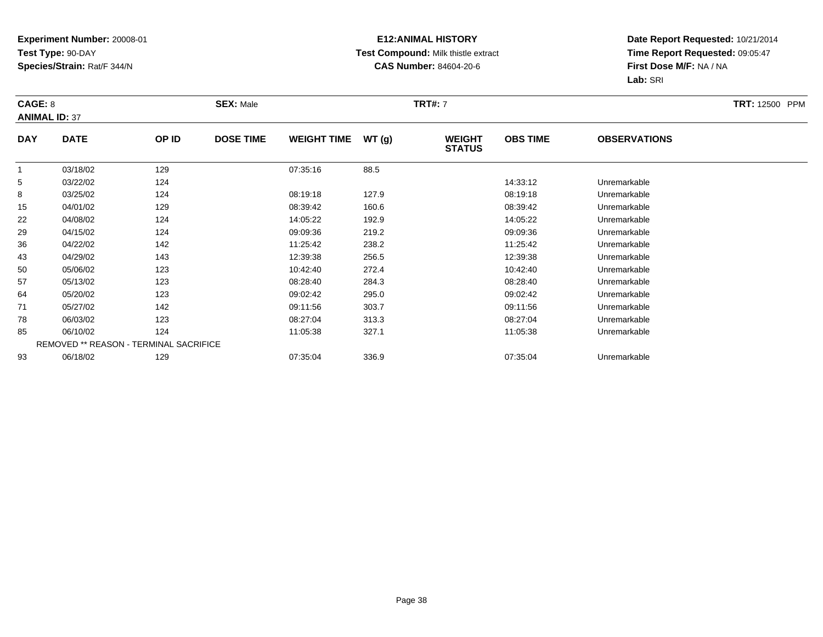#### **E12:ANIMAL HISTORY Test Compound:** Milk thistle extract**CAS Number:** 84604-20-6

| CAGE: 8              |             |                                        | <b>SEX: Male</b> |                    |       | <b>TRT#:</b> 7                 |                 |                     | <b>TRT:</b> 12500 PPM |
|----------------------|-------------|----------------------------------------|------------------|--------------------|-------|--------------------------------|-----------------|---------------------|-----------------------|
| <b>ANIMAL ID: 37</b> |             |                                        |                  |                    |       |                                |                 |                     |                       |
| <b>DAY</b>           | <b>DATE</b> | OP ID                                  | <b>DOSE TIME</b> | <b>WEIGHT TIME</b> | WT(g) | <b>WEIGHT</b><br><b>STATUS</b> | <b>OBS TIME</b> | <b>OBSERVATIONS</b> |                       |
|                      | 03/18/02    | 129                                    |                  | 07:35:16           | 88.5  |                                |                 |                     |                       |
| 5                    | 03/22/02    | 124                                    |                  |                    |       |                                | 14:33:12        | Unremarkable        |                       |
| 8                    | 03/25/02    | 124                                    |                  | 08:19:18           | 127.9 |                                | 08:19:18        | Unremarkable        |                       |
| 15                   | 04/01/02    | 129                                    |                  | 08:39:42           | 160.6 |                                | 08:39:42        | Unremarkable        |                       |
| 22                   | 04/08/02    | 124                                    |                  | 14:05:22           | 192.9 |                                | 14:05:22        | Unremarkable        |                       |
| 29                   | 04/15/02    | 124                                    |                  | 09:09:36           | 219.2 |                                | 09:09:36        | Unremarkable        |                       |
| 36                   | 04/22/02    | 142                                    |                  | 11:25:42           | 238.2 |                                | 11:25:42        | Unremarkable        |                       |
| 43                   | 04/29/02    | 143                                    |                  | 12:39:38           | 256.5 |                                | 12:39:38        | Unremarkable        |                       |
| 50                   | 05/06/02    | 123                                    |                  | 10:42:40           | 272.4 |                                | 10:42:40        | Unremarkable        |                       |
| 57                   | 05/13/02    | 123                                    |                  | 08:28:40           | 284.3 |                                | 08:28:40        | Unremarkable        |                       |
| 64                   | 05/20/02    | 123                                    |                  | 09:02:42           | 295.0 |                                | 09:02:42        | Unremarkable        |                       |
| 71                   | 05/27/02    | 142                                    |                  | 09:11:56           | 303.7 |                                | 09:11:56        | Unremarkable        |                       |
| 78                   | 06/03/02    | 123                                    |                  | 08:27:04           | 313.3 |                                | 08:27:04        | Unremarkable        |                       |
| 85                   | 06/10/02    | 124                                    |                  | 11:05:38           | 327.1 |                                | 11:05:38        | Unremarkable        |                       |
|                      |             | REMOVED ** REASON - TERMINAL SACRIFICE |                  |                    |       |                                |                 |                     |                       |
| 93                   | 06/18/02    | 129                                    |                  | 07:35:04           | 336.9 |                                | 07:35:04        | Unremarkable        |                       |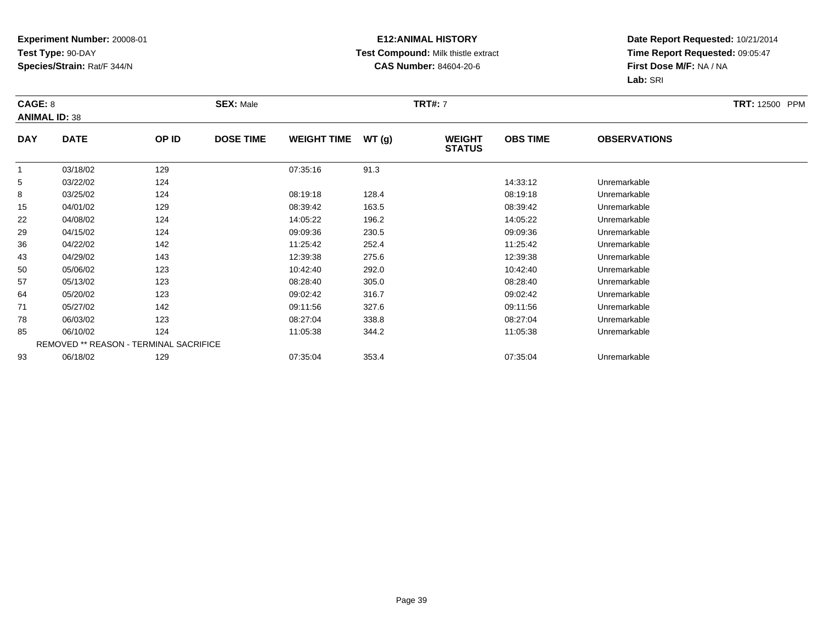#### **E12:ANIMAL HISTORY Test Compound:** Milk thistle extract**CAS Number:** 84604-20-6

| CAGE: 8<br><b>ANIMAL ID: 38</b> |             |                                        | <b>SEX: Male</b> |                    |       | <b>TRT#: 7</b>                 |                 |                     | <b>TRT: 12500 PPM</b> |
|---------------------------------|-------------|----------------------------------------|------------------|--------------------|-------|--------------------------------|-----------------|---------------------|-----------------------|
| <b>DAY</b>                      | <b>DATE</b> | OP ID                                  | <b>DOSE TIME</b> | <b>WEIGHT TIME</b> | WT(g) | <b>WEIGHT</b><br><b>STATUS</b> | <b>OBS TIME</b> | <b>OBSERVATIONS</b> |                       |
|                                 | 03/18/02    | 129                                    |                  | 07:35:16           | 91.3  |                                |                 |                     |                       |
| 5                               | 03/22/02    | 124                                    |                  |                    |       |                                | 14:33:12        | Unremarkable        |                       |
| 8                               | 03/25/02    | 124                                    |                  | 08:19:18           | 128.4 |                                | 08:19:18        | Unremarkable        |                       |
| 15                              | 04/01/02    | 129                                    |                  | 08:39:42           | 163.5 |                                | 08:39:42        | Unremarkable        |                       |
| 22                              | 04/08/02    | 124                                    |                  | 14:05:22           | 196.2 |                                | 14:05:22        | Unremarkable        |                       |
| 29                              | 04/15/02    | 124                                    |                  | 09:09:36           | 230.5 |                                | 09:09:36        | Unremarkable        |                       |
| 36                              | 04/22/02    | 142                                    |                  | 11:25:42           | 252.4 |                                | 11:25:42        | Unremarkable        |                       |
| 43                              | 04/29/02    | 143                                    |                  | 12:39:38           | 275.6 |                                | 12:39:38        | Unremarkable        |                       |
| 50                              | 05/06/02    | 123                                    |                  | 10:42:40           | 292.0 |                                | 10:42:40        | Unremarkable        |                       |
| 57                              | 05/13/02    | 123                                    |                  | 08:28:40           | 305.0 |                                | 08:28:40        | Unremarkable        |                       |
| 64                              | 05/20/02    | 123                                    |                  | 09:02:42           | 316.7 |                                | 09:02:42        | Unremarkable        |                       |
| 71                              | 05/27/02    | 142                                    |                  | 09:11:56           | 327.6 |                                | 09:11:56        | Unremarkable        |                       |
| 78                              | 06/03/02    | 123                                    |                  | 08:27:04           | 338.8 |                                | 08:27:04        | Unremarkable        |                       |
| 85                              | 06/10/02    | 124                                    |                  | 11:05:38           | 344.2 |                                | 11:05:38        | Unremarkable        |                       |
|                                 |             | REMOVED ** REASON - TERMINAL SACRIFICE |                  |                    |       |                                |                 |                     |                       |
| 93                              | 06/18/02    | 129                                    |                  | 07:35:04           | 353.4 |                                | 07:35:04        | Unremarkable        |                       |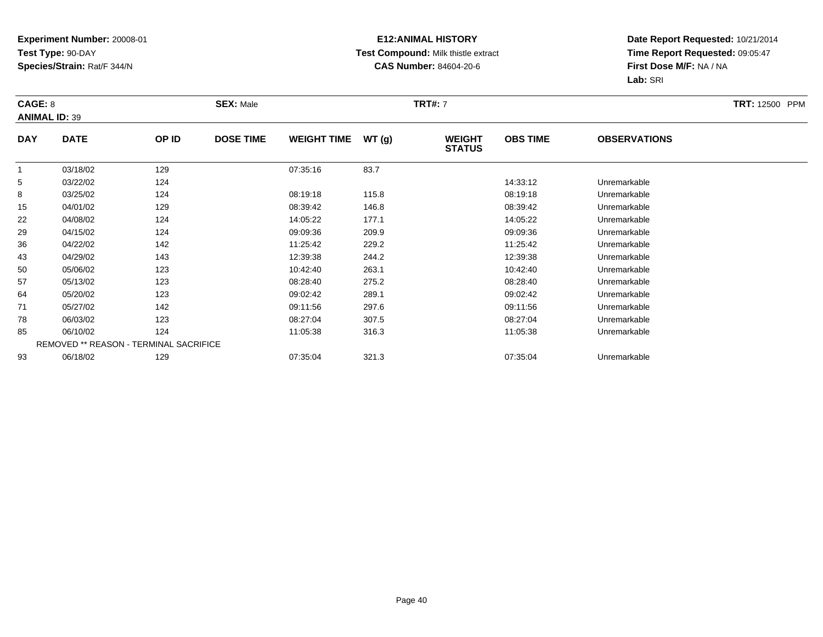#### **E12:ANIMAL HISTORY Test Compound:** Milk thistle extract**CAS Number:** 84604-20-6

| CAGE: 8              |             |                                        | <b>SEX: Male</b> |                    |       | <b>TRT#:</b> 7                 |                 |                     | <b>TRT:</b> 12500 PPM |
|----------------------|-------------|----------------------------------------|------------------|--------------------|-------|--------------------------------|-----------------|---------------------|-----------------------|
| <b>ANIMAL ID: 39</b> |             |                                        |                  |                    |       |                                |                 |                     |                       |
| <b>DAY</b>           | <b>DATE</b> | OP ID                                  | <b>DOSE TIME</b> | <b>WEIGHT TIME</b> | WT(g) | <b>WEIGHT</b><br><b>STATUS</b> | <b>OBS TIME</b> | <b>OBSERVATIONS</b> |                       |
|                      | 03/18/02    | 129                                    |                  | 07:35:16           | 83.7  |                                |                 |                     |                       |
| 5                    | 03/22/02    | 124                                    |                  |                    |       |                                | 14:33:12        | Unremarkable        |                       |
| 8                    | 03/25/02    | 124                                    |                  | 08:19:18           | 115.8 |                                | 08:19:18        | Unremarkable        |                       |
| 15                   | 04/01/02    | 129                                    |                  | 08:39:42           | 146.8 |                                | 08:39:42        | Unremarkable        |                       |
| 22                   | 04/08/02    | 124                                    |                  | 14:05:22           | 177.1 |                                | 14:05:22        | Unremarkable        |                       |
| 29                   | 04/15/02    | 124                                    |                  | 09:09:36           | 209.9 |                                | 09:09:36        | Unremarkable        |                       |
| 36                   | 04/22/02    | 142                                    |                  | 11:25:42           | 229.2 |                                | 11:25:42        | Unremarkable        |                       |
| 43                   | 04/29/02    | 143                                    |                  | 12:39:38           | 244.2 |                                | 12:39:38        | Unremarkable        |                       |
| 50                   | 05/06/02    | 123                                    |                  | 10:42:40           | 263.1 |                                | 10:42:40        | Unremarkable        |                       |
| 57                   | 05/13/02    | 123                                    |                  | 08:28:40           | 275.2 |                                | 08:28:40        | Unremarkable        |                       |
| 64                   | 05/20/02    | 123                                    |                  | 09:02:42           | 289.1 |                                | 09:02:42        | Unremarkable        |                       |
| 71                   | 05/27/02    | 142                                    |                  | 09:11:56           | 297.6 |                                | 09:11:56        | Unremarkable        |                       |
| 78                   | 06/03/02    | 123                                    |                  | 08:27:04           | 307.5 |                                | 08:27:04        | Unremarkable        |                       |
| 85                   | 06/10/02    | 124                                    |                  | 11:05:38           | 316.3 |                                | 11:05:38        | Unremarkable        |                       |
|                      |             | REMOVED ** REASON - TERMINAL SACRIFICE |                  |                    |       |                                |                 |                     |                       |
| 93                   | 06/18/02    | 129                                    |                  | 07:35:04           | 321.3 |                                | 07:35:04        | Unremarkable        |                       |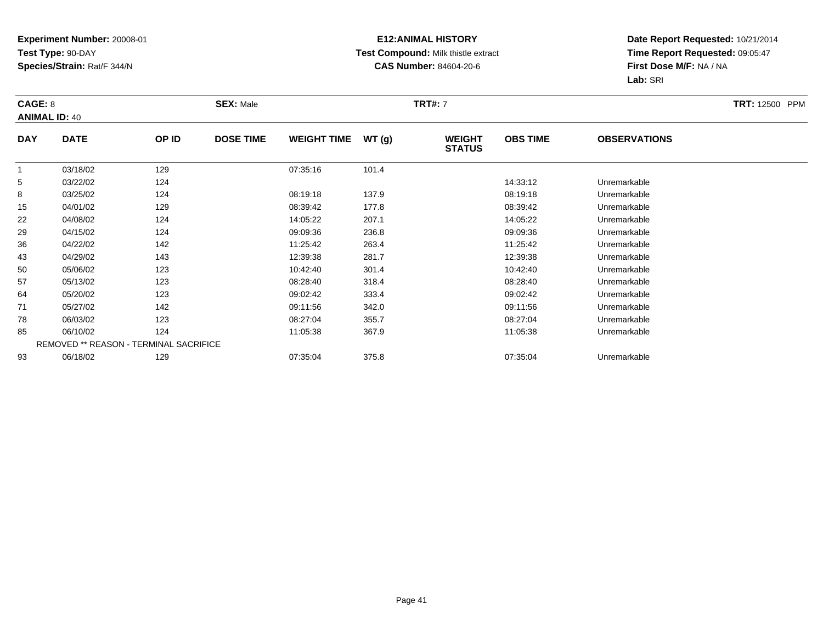#### **E12:ANIMAL HISTORY Test Compound:** Milk thistle extract**CAS Number:** 84604-20-6

| CAGE: 8              |             |                                        | <b>SEX: Male</b> |                    |       | <b>TRT#: 7</b>                 |                 |                     | <b>TRT:</b> 12500 PPM |
|----------------------|-------------|----------------------------------------|------------------|--------------------|-------|--------------------------------|-----------------|---------------------|-----------------------|
| <b>ANIMAL ID: 40</b> |             |                                        |                  |                    |       |                                |                 |                     |                       |
| <b>DAY</b>           | <b>DATE</b> | OP ID                                  | <b>DOSE TIME</b> | <b>WEIGHT TIME</b> | WT(g) | <b>WEIGHT</b><br><b>STATUS</b> | <b>OBS TIME</b> | <b>OBSERVATIONS</b> |                       |
| -1                   | 03/18/02    | 129                                    |                  | 07:35:16           | 101.4 |                                |                 |                     |                       |
| 5                    | 03/22/02    | 124                                    |                  |                    |       |                                | 14:33:12        | Unremarkable        |                       |
| 8                    | 03/25/02    | 124                                    |                  | 08:19:18           | 137.9 |                                | 08:19:18        | Unremarkable        |                       |
| 15                   | 04/01/02    | 129                                    |                  | 08:39:42           | 177.8 |                                | 08:39:42        | Unremarkable        |                       |
| 22                   | 04/08/02    | 124                                    |                  | 14:05:22           | 207.1 |                                | 14:05:22        | Unremarkable        |                       |
| 29                   | 04/15/02    | 124                                    |                  | 09:09:36           | 236.8 |                                | 09:09:36        | Unremarkable        |                       |
| 36                   | 04/22/02    | 142                                    |                  | 11:25:42           | 263.4 |                                | 11:25:42        | Unremarkable        |                       |
| 43                   | 04/29/02    | 143                                    |                  | 12:39:38           | 281.7 |                                | 12:39:38        | Unremarkable        |                       |
| 50                   | 05/06/02    | 123                                    |                  | 10:42:40           | 301.4 |                                | 10:42:40        | Unremarkable        |                       |
| 57                   | 05/13/02    | 123                                    |                  | 08:28:40           | 318.4 |                                | 08:28:40        | Unremarkable        |                       |
| 64                   | 05/20/02    | 123                                    |                  | 09:02:42           | 333.4 |                                | 09:02:42        | Unremarkable        |                       |
| 71                   | 05/27/02    | 142                                    |                  | 09:11:56           | 342.0 |                                | 09:11:56        | Unremarkable        |                       |
| 78                   | 06/03/02    | 123                                    |                  | 08:27:04           | 355.7 |                                | 08:27:04        | Unremarkable        |                       |
| 85                   | 06/10/02    | 124                                    |                  | 11:05:38           | 367.9 |                                | 11:05:38        | Unremarkable        |                       |
|                      |             | REMOVED ** REASON - TERMINAL SACRIFICE |                  |                    |       |                                |                 |                     |                       |
| 93                   | 06/18/02    | 129                                    |                  | 07:35:04           | 375.8 |                                | 07:35:04        | Unremarkable        |                       |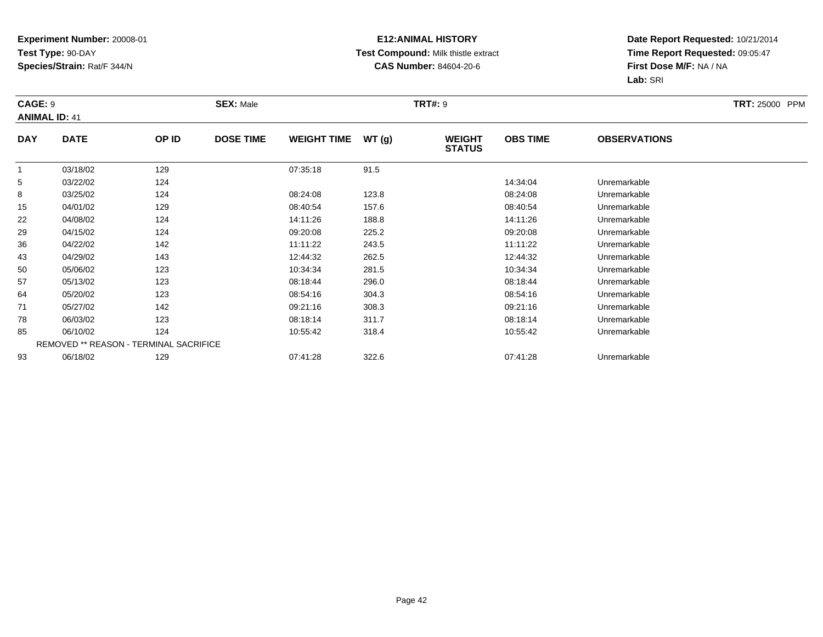#### **E12:ANIMAL HISTORY Test Compound:** Milk thistle extract**CAS Number:** 84604-20-6

| CAGE: 9        | <b>ANIMAL ID: 41</b> |                                        | <b>SEX: Male</b> |                    |       | <b>TRT#: 9</b>                 |                 |                     | <b>TRT: 25000 PPM</b> |
|----------------|----------------------|----------------------------------------|------------------|--------------------|-------|--------------------------------|-----------------|---------------------|-----------------------|
| <b>DAY</b>     | <b>DATE</b>          | OP ID                                  | <b>DOSE TIME</b> | <b>WEIGHT TIME</b> | WT(g) | <b>WEIGHT</b><br><b>STATUS</b> | <b>OBS TIME</b> | <b>OBSERVATIONS</b> |                       |
| $\overline{1}$ | 03/18/02             | 129                                    |                  | 07:35:18           | 91.5  |                                |                 |                     |                       |
| 5              | 03/22/02             | 124                                    |                  |                    |       |                                | 14:34:04        | Unremarkable        |                       |
| 8              | 03/25/02             | 124                                    |                  | 08:24:08           | 123.8 |                                | 08:24:08        | Unremarkable        |                       |
| 15             | 04/01/02             | 129                                    |                  | 08:40:54           | 157.6 |                                | 08:40:54        | Unremarkable        |                       |
| 22             | 04/08/02             | 124                                    |                  | 14:11:26           | 188.8 |                                | 14:11:26        | Unremarkable        |                       |
| 29             | 04/15/02             | 124                                    |                  | 09:20:08           | 225.2 |                                | 09:20:08        | Unremarkable        |                       |
| 36             | 04/22/02             | 142                                    |                  | 11:11:22           | 243.5 |                                | 11:11:22        | Unremarkable        |                       |
| 43             | 04/29/02             | 143                                    |                  | 12:44:32           | 262.5 |                                | 12:44:32        | Unremarkable        |                       |
| 50             | 05/06/02             | 123                                    |                  | 10:34:34           | 281.5 |                                | 10:34:34        | Unremarkable        |                       |
| 57             | 05/13/02             | 123                                    |                  | 08:18:44           | 296.0 |                                | 08:18:44        | Unremarkable        |                       |
| 64             | 05/20/02             | 123                                    |                  | 08:54:16           | 304.3 |                                | 08:54:16        | Unremarkable        |                       |
| 71             | 05/27/02             | 142                                    |                  | 09:21:16           | 308.3 |                                | 09:21:16        | Unremarkable        |                       |
| 78             | 06/03/02             | 123                                    |                  | 08:18:14           | 311.7 |                                | 08:18:14        | Unremarkable        |                       |
| 85             | 06/10/02             | 124                                    |                  | 10:55:42           | 318.4 |                                | 10:55:42        | Unremarkable        |                       |
|                |                      | REMOVED ** REASON - TERMINAL SACRIFICE |                  |                    |       |                                |                 |                     |                       |
| 93             | 06/18/02             | 129                                    |                  | 07:41:28           | 322.6 |                                | 07:41:28        | Unremarkable        |                       |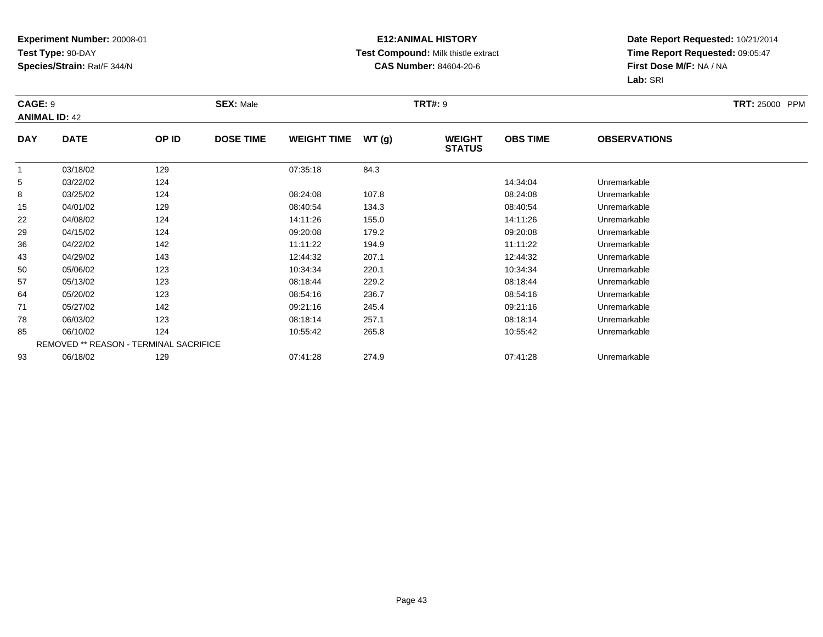#### **E12:ANIMAL HISTORY Test Compound:** Milk thistle extract**CAS Number:** 84604-20-6

|                | CAGE: 9<br><b>ANIMAL ID: 42</b> |                                        | <b>SEX: Male</b> |                    |       | <b>TRT#: 9</b>                 | <b>TRT: 25000 PPM</b> |                     |  |
|----------------|---------------------------------|----------------------------------------|------------------|--------------------|-------|--------------------------------|-----------------------|---------------------|--|
| <b>DAY</b>     | <b>DATE</b>                     | OP ID                                  | <b>DOSE TIME</b> | <b>WEIGHT TIME</b> | WT(g) | <b>WEIGHT</b><br><b>STATUS</b> | <b>OBS TIME</b>       | <b>OBSERVATIONS</b> |  |
| $\overline{1}$ | 03/18/02                        | 129                                    |                  | 07:35:18           | 84.3  |                                |                       |                     |  |
| 5              | 03/22/02                        | 124                                    |                  |                    |       |                                | 14:34:04              | Unremarkable        |  |
| 8              | 03/25/02                        | 124                                    |                  | 08:24:08           | 107.8 |                                | 08:24:08              | Unremarkable        |  |
| 15             | 04/01/02                        | 129                                    |                  | 08:40:54           | 134.3 |                                | 08:40:54              | Unremarkable        |  |
| 22             | 04/08/02                        | 124                                    |                  | 14:11:26           | 155.0 |                                | 14:11:26              | Unremarkable        |  |
| 29             | 04/15/02                        | 124                                    |                  | 09:20:08           | 179.2 |                                | 09:20:08              | Unremarkable        |  |
| 36             | 04/22/02                        | 142                                    |                  | 11:11:22           | 194.9 |                                | 11:11:22              | Unremarkable        |  |
| 43             | 04/29/02                        | 143                                    |                  | 12:44:32           | 207.1 |                                | 12:44:32              | Unremarkable        |  |
| 50             | 05/06/02                        | 123                                    |                  | 10:34:34           | 220.1 |                                | 10:34:34              | Unremarkable        |  |
| 57             | 05/13/02                        | 123                                    |                  | 08:18:44           | 229.2 |                                | 08:18:44              | Unremarkable        |  |
| 64             | 05/20/02                        | 123                                    |                  | 08:54:16           | 236.7 |                                | 08:54:16              | Unremarkable        |  |
| 71             | 05/27/02                        | 142                                    |                  | 09:21:16           | 245.4 |                                | 09:21:16              | Unremarkable        |  |
| 78             | 06/03/02                        | 123                                    |                  | 08:18:14           | 257.1 |                                | 08:18:14              | Unremarkable        |  |
| 85             | 06/10/02                        | 124                                    |                  | 10:55:42           | 265.8 |                                | 10:55:42              | Unremarkable        |  |
|                |                                 | REMOVED ** REASON - TERMINAL SACRIFICE |                  |                    |       |                                |                       |                     |  |
| 93             | 06/18/02                        | 129                                    |                  | 07:41:28           | 274.9 |                                | 07:41:28              | Unremarkable        |  |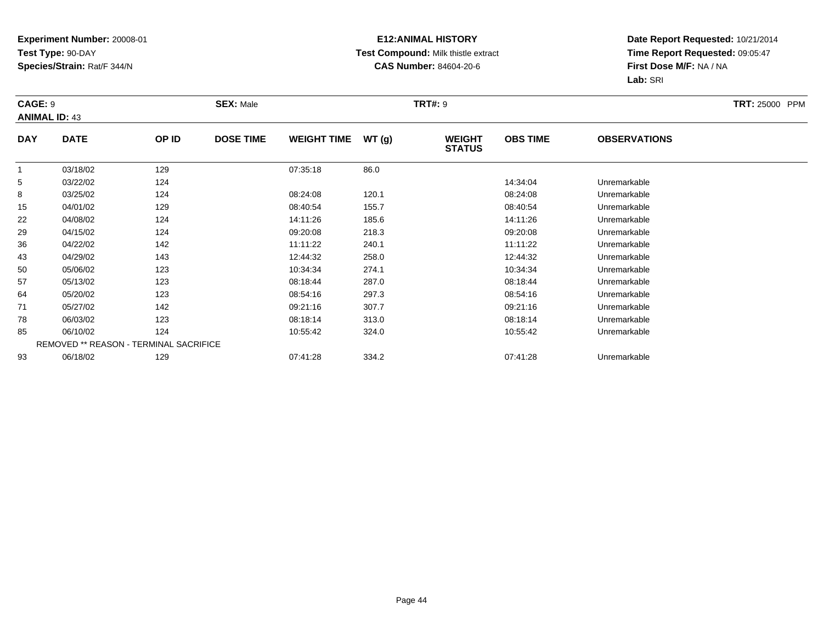#### **E12:ANIMAL HISTORY Test Compound:** Milk thistle extract**CAS Number:** 84604-20-6

| CAGE: 9        | <b>ANIMAL ID: 43</b> |                                        | <b>SEX: Male</b> |                    |       | <b>TRT#: 9</b>                 |                 |                     | <b>TRT: 25000 PPM</b> |
|----------------|----------------------|----------------------------------------|------------------|--------------------|-------|--------------------------------|-----------------|---------------------|-----------------------|
| <b>DAY</b>     | <b>DATE</b>          | OP ID                                  | <b>DOSE TIME</b> | <b>WEIGHT TIME</b> | WT(g) | <b>WEIGHT</b><br><b>STATUS</b> | <b>OBS TIME</b> | <b>OBSERVATIONS</b> |                       |
| $\overline{1}$ | 03/18/02             | 129                                    |                  | 07:35:18           | 86.0  |                                |                 |                     |                       |
| 5              | 03/22/02             | 124                                    |                  |                    |       |                                | 14:34:04        | Unremarkable        |                       |
| 8              | 03/25/02             | 124                                    |                  | 08:24:08           | 120.1 |                                | 08:24:08        | Unremarkable        |                       |
| 15             | 04/01/02             | 129                                    |                  | 08:40:54           | 155.7 |                                | 08:40:54        | Unremarkable        |                       |
| 22             | 04/08/02             | 124                                    |                  | 14:11:26           | 185.6 |                                | 14:11:26        | Unremarkable        |                       |
| 29             | 04/15/02             | 124                                    |                  | 09:20:08           | 218.3 |                                | 09:20:08        | Unremarkable        |                       |
| 36             | 04/22/02             | 142                                    |                  | 11:11:22           | 240.1 |                                | 11:11:22        | Unremarkable        |                       |
| 43             | 04/29/02             | 143                                    |                  | 12:44:32           | 258.0 |                                | 12:44:32        | Unremarkable        |                       |
| 50             | 05/06/02             | 123                                    |                  | 10:34:34           | 274.1 |                                | 10:34:34        | Unremarkable        |                       |
| 57             | 05/13/02             | 123                                    |                  | 08:18:44           | 287.0 |                                | 08:18:44        | Unremarkable        |                       |
| 64             | 05/20/02             | 123                                    |                  | 08:54:16           | 297.3 |                                | 08:54:16        | Unremarkable        |                       |
| 71             | 05/27/02             | 142                                    |                  | 09:21:16           | 307.7 |                                | 09:21:16        | Unremarkable        |                       |
| 78             | 06/03/02             | 123                                    |                  | 08:18:14           | 313.0 |                                | 08:18:14        | Unremarkable        |                       |
| 85             | 06/10/02             | 124                                    |                  | 10:55:42           | 324.0 |                                | 10:55:42        | Unremarkable        |                       |
|                |                      | REMOVED ** REASON - TERMINAL SACRIFICE |                  |                    |       |                                |                 |                     |                       |
| 93             | 06/18/02             | 129                                    |                  | 07:41:28           | 334.2 |                                | 07:41:28        | Unremarkable        |                       |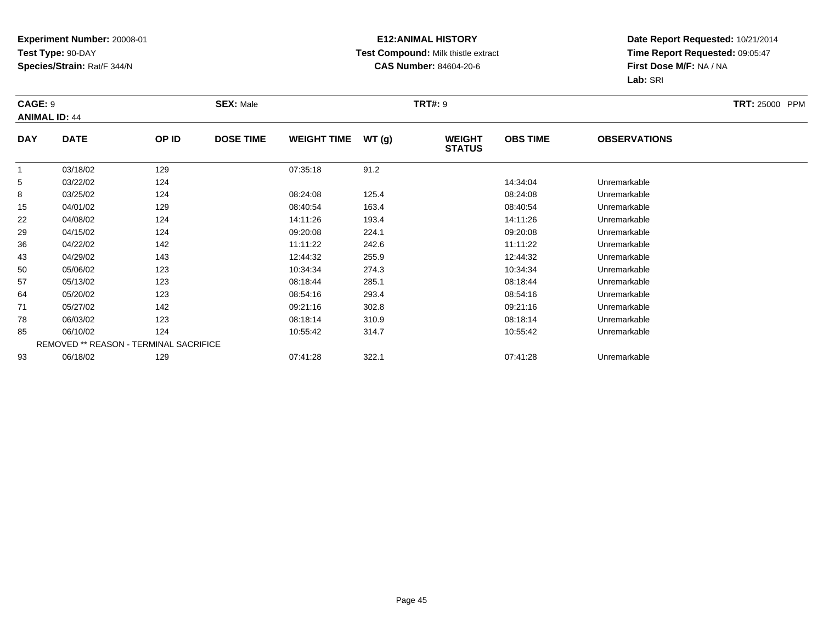#### **E12:ANIMAL HISTORY Test Compound:** Milk thistle extract**CAS Number:** 84604-20-6

| CAGE: 9    | <b>ANIMAL ID: 44</b> |                                        | <b>SEX: Male</b> |                    |       | <b>TRT#: 9</b>                 |                 |                     | <b>TRT: 25000 PPM</b> |
|------------|----------------------|----------------------------------------|------------------|--------------------|-------|--------------------------------|-----------------|---------------------|-----------------------|
| <b>DAY</b> | <b>DATE</b>          | OP ID                                  | <b>DOSE TIME</b> | <b>WEIGHT TIME</b> | WT(g) | <b>WEIGHT</b><br><b>STATUS</b> | <b>OBS TIME</b> | <b>OBSERVATIONS</b> |                       |
|            | 03/18/02             | 129                                    |                  | 07:35:18           | 91.2  |                                |                 |                     |                       |
| 5          | 03/22/02             | 124                                    |                  |                    |       |                                | 14:34:04        | Unremarkable        |                       |
| 8          | 03/25/02             | 124                                    |                  | 08:24:08           | 125.4 |                                | 08:24:08        | Unremarkable        |                       |
| 15         | 04/01/02             | 129                                    |                  | 08:40:54           | 163.4 |                                | 08:40:54        | Unremarkable        |                       |
| 22         | 04/08/02             | 124                                    |                  | 14:11:26           | 193.4 |                                | 14:11:26        | Unremarkable        |                       |
| 29         | 04/15/02             | 124                                    |                  | 09:20:08           | 224.1 |                                | 09:20:08        | Unremarkable        |                       |
| 36         | 04/22/02             | 142                                    |                  | 11:11:22           | 242.6 |                                | 11:11:22        | Unremarkable        |                       |
| 43         | 04/29/02             | 143                                    |                  | 12:44:32           | 255.9 |                                | 12:44:32        | Unremarkable        |                       |
| 50         | 05/06/02             | 123                                    |                  | 10:34:34           | 274.3 |                                | 10:34:34        | Unremarkable        |                       |
| 57         | 05/13/02             | 123                                    |                  | 08:18:44           | 285.1 |                                | 08:18:44        | Unremarkable        |                       |
| 64         | 05/20/02             | 123                                    |                  | 08:54:16           | 293.4 |                                | 08:54:16        | Unremarkable        |                       |
| 71         | 05/27/02             | 142                                    |                  | 09:21:16           | 302.8 |                                | 09:21:16        | Unremarkable        |                       |
| 78         | 06/03/02             | 123                                    |                  | 08:18:14           | 310.9 |                                | 08:18:14        | Unremarkable        |                       |
| 85         | 06/10/02             | 124                                    |                  | 10:55:42           | 314.7 |                                | 10:55:42        | Unremarkable        |                       |
|            |                      | REMOVED ** REASON - TERMINAL SACRIFICE |                  |                    |       |                                |                 |                     |                       |
| 93         | 06/18/02             | 129                                    |                  | 07:41:28           | 322.1 |                                | 07:41:28        | Unremarkable        |                       |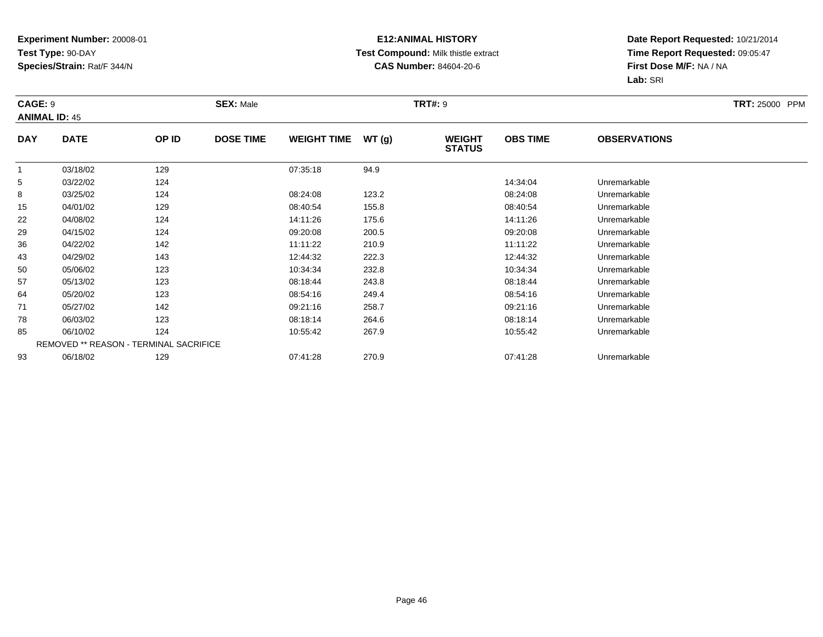#### **E12:ANIMAL HISTORY Test Compound:** Milk thistle extract**CAS Number:** 84604-20-6

| CAGE: 9        | <b>ANIMAL ID: 45</b> |                                        | <b>SEX: Male</b> |                    |       | <b>TRT#: 9</b>                 |                 |                     | <b>TRT: 25000 PPM</b> |
|----------------|----------------------|----------------------------------------|------------------|--------------------|-------|--------------------------------|-----------------|---------------------|-----------------------|
| <b>DAY</b>     | <b>DATE</b>          | OP ID                                  | <b>DOSE TIME</b> | <b>WEIGHT TIME</b> | WT(g) | <b>WEIGHT</b><br><b>STATUS</b> | <b>OBS TIME</b> | <b>OBSERVATIONS</b> |                       |
| $\overline{1}$ | 03/18/02             | 129                                    |                  | 07:35:18           | 94.9  |                                |                 |                     |                       |
| 5              | 03/22/02             | 124                                    |                  |                    |       |                                | 14:34:04        | Unremarkable        |                       |
| 8              | 03/25/02             | 124                                    |                  | 08:24:08           | 123.2 |                                | 08:24:08        | Unremarkable        |                       |
| 15             | 04/01/02             | 129                                    |                  | 08:40:54           | 155.8 |                                | 08:40:54        | Unremarkable        |                       |
| 22             | 04/08/02             | 124                                    |                  | 14:11:26           | 175.6 |                                | 14:11:26        | Unremarkable        |                       |
| 29             | 04/15/02             | 124                                    |                  | 09:20:08           | 200.5 |                                | 09:20:08        | Unremarkable        |                       |
| 36             | 04/22/02             | 142                                    |                  | 11:11:22           | 210.9 |                                | 11:11:22        | Unremarkable        |                       |
| 43             | 04/29/02             | 143                                    |                  | 12:44:32           | 222.3 |                                | 12:44:32        | Unremarkable        |                       |
| 50             | 05/06/02             | 123                                    |                  | 10:34:34           | 232.8 |                                | 10:34:34        | Unremarkable        |                       |
| 57             | 05/13/02             | 123                                    |                  | 08:18:44           | 243.8 |                                | 08:18:44        | Unremarkable        |                       |
| 64             | 05/20/02             | 123                                    |                  | 08:54:16           | 249.4 |                                | 08:54:16        | Unremarkable        |                       |
| 71             | 05/27/02             | 142                                    |                  | 09:21:16           | 258.7 |                                | 09:21:16        | Unremarkable        |                       |
| 78             | 06/03/02             | 123                                    |                  | 08:18:14           | 264.6 |                                | 08:18:14        | Unremarkable        |                       |
| 85             | 06/10/02             | 124                                    |                  | 10:55:42           | 267.9 |                                | 10:55:42        | Unremarkable        |                       |
|                |                      | REMOVED ** REASON - TERMINAL SACRIFICE |                  |                    |       |                                |                 |                     |                       |
| 93             | 06/18/02             | 129                                    |                  | 07:41:28           | 270.9 |                                | 07:41:28        | Unremarkable        |                       |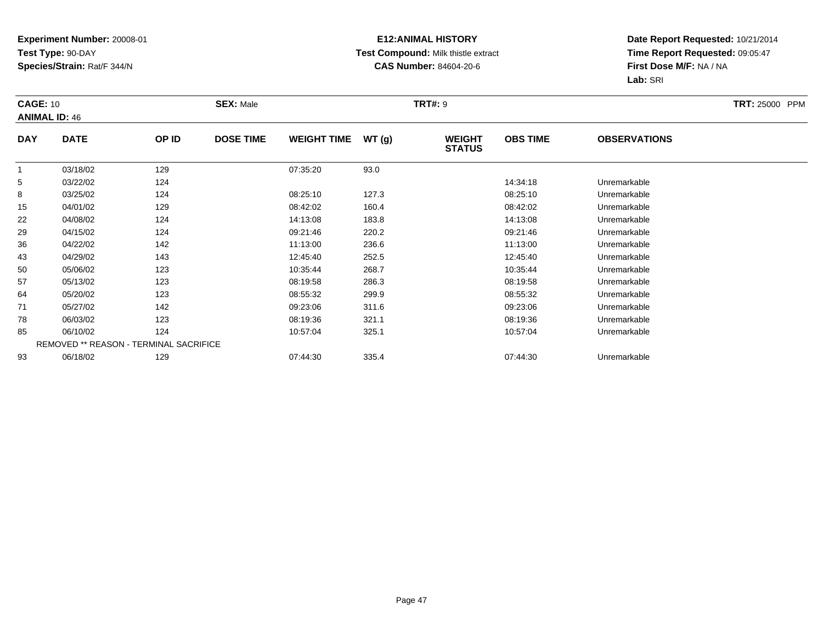#### **E12:ANIMAL HISTORY Test Compound:** Milk thistle extract**CAS Number:** 84604-20-6

| <b>CAGE: 10</b> | <b>ANIMAL ID: 46</b> |                                        | <b>SEX: Male</b> |                    |       | <b>TRT#: 9</b>                 |                 |                     | <b>TRT: 25000 PPM</b> |
|-----------------|----------------------|----------------------------------------|------------------|--------------------|-------|--------------------------------|-----------------|---------------------|-----------------------|
| <b>DAY</b>      | <b>DATE</b>          | OP ID                                  | <b>DOSE TIME</b> | <b>WEIGHT TIME</b> | WT(g) | <b>WEIGHT</b><br><b>STATUS</b> | <b>OBS TIME</b> | <b>OBSERVATIONS</b> |                       |
| $\overline{1}$  | 03/18/02             | 129                                    |                  | 07:35:20           | 93.0  |                                |                 |                     |                       |
| 5               | 03/22/02             | 124                                    |                  |                    |       |                                | 14:34:18        | Unremarkable        |                       |
| 8               | 03/25/02             | 124                                    |                  | 08:25:10           | 127.3 |                                | 08:25:10        | Unremarkable        |                       |
| 15              | 04/01/02             | 129                                    |                  | 08:42:02           | 160.4 |                                | 08:42:02        | Unremarkable        |                       |
| 22              | 04/08/02             | 124                                    |                  | 14:13:08           | 183.8 |                                | 14:13:08        | Unremarkable        |                       |
| 29              | 04/15/02             | 124                                    |                  | 09:21:46           | 220.2 |                                | 09:21:46        | Unremarkable        |                       |
| 36              | 04/22/02             | 142                                    |                  | 11:13:00           | 236.6 |                                | 11:13:00        | Unremarkable        |                       |
| 43              | 04/29/02             | 143                                    |                  | 12:45:40           | 252.5 |                                | 12:45:40        | Unremarkable        |                       |
| 50              | 05/06/02             | 123                                    |                  | 10:35:44           | 268.7 |                                | 10:35:44        | Unremarkable        |                       |
| 57              | 05/13/02             | 123                                    |                  | 08:19:58           | 286.3 |                                | 08:19:58        | Unremarkable        |                       |
| 64              | 05/20/02             | 123                                    |                  | 08:55:32           | 299.9 |                                | 08:55:32        | Unremarkable        |                       |
| 71              | 05/27/02             | 142                                    |                  | 09:23:06           | 311.6 |                                | 09:23:06        | Unremarkable        |                       |
| 78              | 06/03/02             | 123                                    |                  | 08:19:36           | 321.1 |                                | 08:19:36        | Unremarkable        |                       |
| 85              | 06/10/02             | 124                                    |                  | 10:57:04           | 325.1 |                                | 10:57:04        | Unremarkable        |                       |
|                 |                      | REMOVED ** REASON - TERMINAL SACRIFICE |                  |                    |       |                                |                 |                     |                       |
| 93              | 06/18/02             | 129                                    |                  | 07:44:30           | 335.4 |                                | 07:44:30        | Unremarkable        |                       |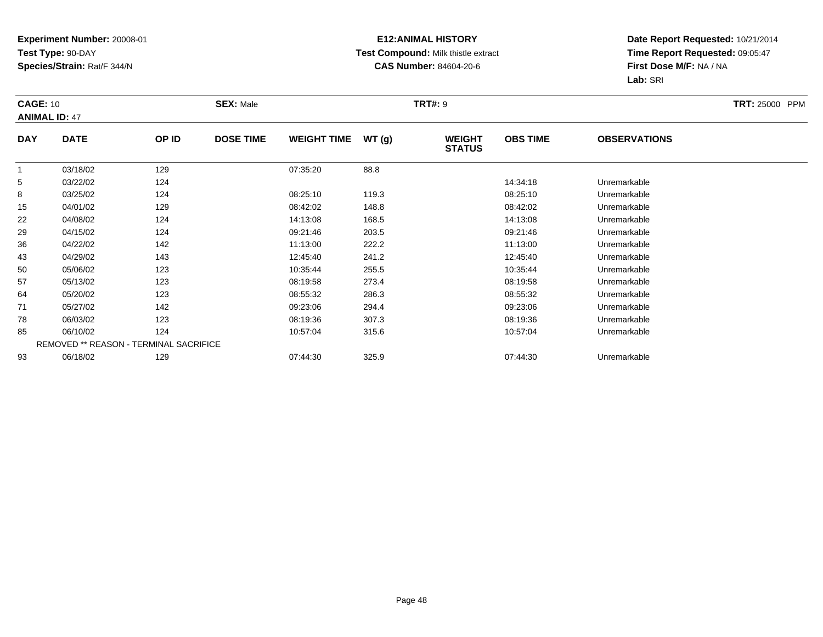#### **E12:ANIMAL HISTORY Test Compound:** Milk thistle extract**CAS Number:** 84604-20-6

| <b>CAGE: 10</b> | <b>ANIMAL ID: 47</b> |                                        | <b>SEX: Male</b> |                    |       | <b>TRT#: 9</b>                 |                 |                     | <b>TRT: 25000 PPM</b> |
|-----------------|----------------------|----------------------------------------|------------------|--------------------|-------|--------------------------------|-----------------|---------------------|-----------------------|
| <b>DAY</b>      | <b>DATE</b>          | OP ID                                  | <b>DOSE TIME</b> | <b>WEIGHT TIME</b> | WT(g) | <b>WEIGHT</b><br><b>STATUS</b> | <b>OBS TIME</b> | <b>OBSERVATIONS</b> |                       |
| $\overline{1}$  | 03/18/02             | 129                                    |                  | 07:35:20           | 88.8  |                                |                 |                     |                       |
| 5               | 03/22/02             | 124                                    |                  |                    |       |                                | 14:34:18        | Unremarkable        |                       |
| 8               | 03/25/02             | 124                                    |                  | 08:25:10           | 119.3 |                                | 08:25:10        | Unremarkable        |                       |
| 15              | 04/01/02             | 129                                    |                  | 08:42:02           | 148.8 |                                | 08:42:02        | Unremarkable        |                       |
| 22              | 04/08/02             | 124                                    |                  | 14:13:08           | 168.5 |                                | 14:13:08        | Unremarkable        |                       |
| 29              | 04/15/02             | 124                                    |                  | 09:21:46           | 203.5 |                                | 09:21:46        | Unremarkable        |                       |
| 36              | 04/22/02             | 142                                    |                  | 11:13:00           | 222.2 |                                | 11:13:00        | Unremarkable        |                       |
| 43              | 04/29/02             | 143                                    |                  | 12:45:40           | 241.2 |                                | 12:45:40        | Unremarkable        |                       |
| 50              | 05/06/02             | 123                                    |                  | 10:35:44           | 255.5 |                                | 10:35:44        | Unremarkable        |                       |
| 57              | 05/13/02             | 123                                    |                  | 08:19:58           | 273.4 |                                | 08:19:58        | Unremarkable        |                       |
| 64              | 05/20/02             | 123                                    |                  | 08:55:32           | 286.3 |                                | 08:55:32        | Unremarkable        |                       |
| 71              | 05/27/02             | 142                                    |                  | 09:23:06           | 294.4 |                                | 09:23:06        | Unremarkable        |                       |
| 78              | 06/03/02             | 123                                    |                  | 08:19:36           | 307.3 |                                | 08:19:36        | Unremarkable        |                       |
| 85              | 06/10/02             | 124                                    |                  | 10:57:04           | 315.6 |                                | 10:57:04        | Unremarkable        |                       |
|                 |                      | REMOVED ** REASON - TERMINAL SACRIFICE |                  |                    |       |                                |                 |                     |                       |
| 93              | 06/18/02             | 129                                    |                  | 07:44:30           | 325.9 |                                | 07:44:30        | Unremarkable        |                       |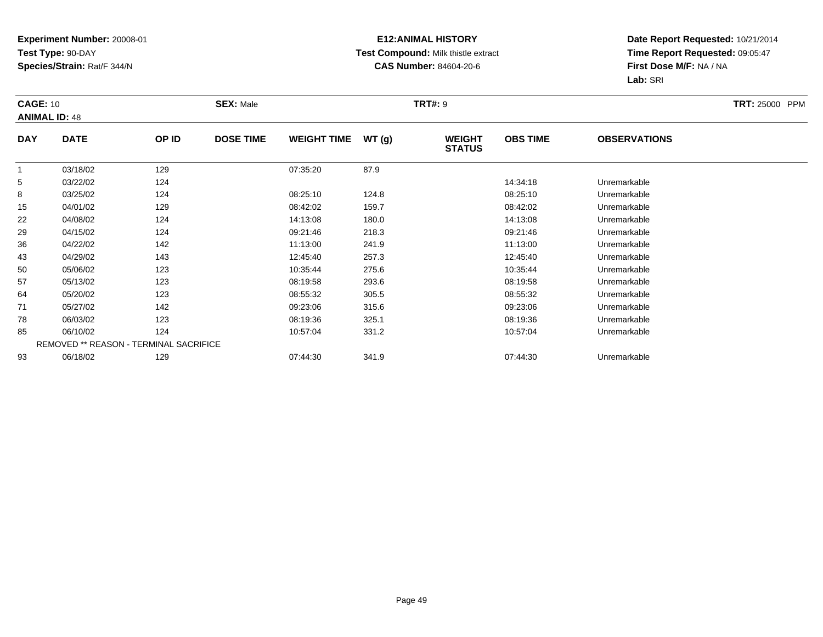#### **E12:ANIMAL HISTORY Test Compound:** Milk thistle extract**CAS Number:** 84604-20-6

| <b>CAGE: 10</b> | <b>ANIMAL ID: 48</b> |                                        | <b>SEX: Male</b> |                    |       | <b>TRT#: 9</b>                 |                 |                     | <b>TRT: 25000 PPM</b> |
|-----------------|----------------------|----------------------------------------|------------------|--------------------|-------|--------------------------------|-----------------|---------------------|-----------------------|
| <b>DAY</b>      | <b>DATE</b>          | OP ID                                  | <b>DOSE TIME</b> | <b>WEIGHT TIME</b> | WT(g) | <b>WEIGHT</b><br><b>STATUS</b> | <b>OBS TIME</b> | <b>OBSERVATIONS</b> |                       |
| $\overline{1}$  | 03/18/02             | 129                                    |                  | 07:35:20           | 87.9  |                                |                 |                     |                       |
| 5               | 03/22/02             | 124                                    |                  |                    |       |                                | 14:34:18        | Unremarkable        |                       |
| 8               | 03/25/02             | 124                                    |                  | 08:25:10           | 124.8 |                                | 08:25:10        | Unremarkable        |                       |
| 15              | 04/01/02             | 129                                    |                  | 08:42:02           | 159.7 |                                | 08:42:02        | Unremarkable        |                       |
| 22              | 04/08/02             | 124                                    |                  | 14:13:08           | 180.0 |                                | 14:13:08        | Unremarkable        |                       |
| 29              | 04/15/02             | 124                                    |                  | 09:21:46           | 218.3 |                                | 09:21:46        | Unremarkable        |                       |
| 36              | 04/22/02             | 142                                    |                  | 11:13:00           | 241.9 |                                | 11:13:00        | Unremarkable        |                       |
| 43              | 04/29/02             | 143                                    |                  | 12:45:40           | 257.3 |                                | 12:45:40        | Unremarkable        |                       |
| 50              | 05/06/02             | 123                                    |                  | 10:35:44           | 275.6 |                                | 10:35:44        | Unremarkable        |                       |
| 57              | 05/13/02             | 123                                    |                  | 08:19:58           | 293.6 |                                | 08:19:58        | Unremarkable        |                       |
| 64              | 05/20/02             | 123                                    |                  | 08:55:32           | 305.5 |                                | 08:55:32        | Unremarkable        |                       |
| 71              | 05/27/02             | 142                                    |                  | 09:23:06           | 315.6 |                                | 09:23:06        | Unremarkable        |                       |
| 78              | 06/03/02             | 123                                    |                  | 08:19:36           | 325.1 |                                | 08:19:36        | Unremarkable        |                       |
| 85              | 06/10/02             | 124                                    |                  | 10:57:04           | 331.2 |                                | 10:57:04        | Unremarkable        |                       |
|                 |                      | REMOVED ** REASON - TERMINAL SACRIFICE |                  |                    |       |                                |                 |                     |                       |
| 93              | 06/18/02             | 129                                    |                  | 07:44:30           | 341.9 |                                | 07:44:30        | Unremarkable        |                       |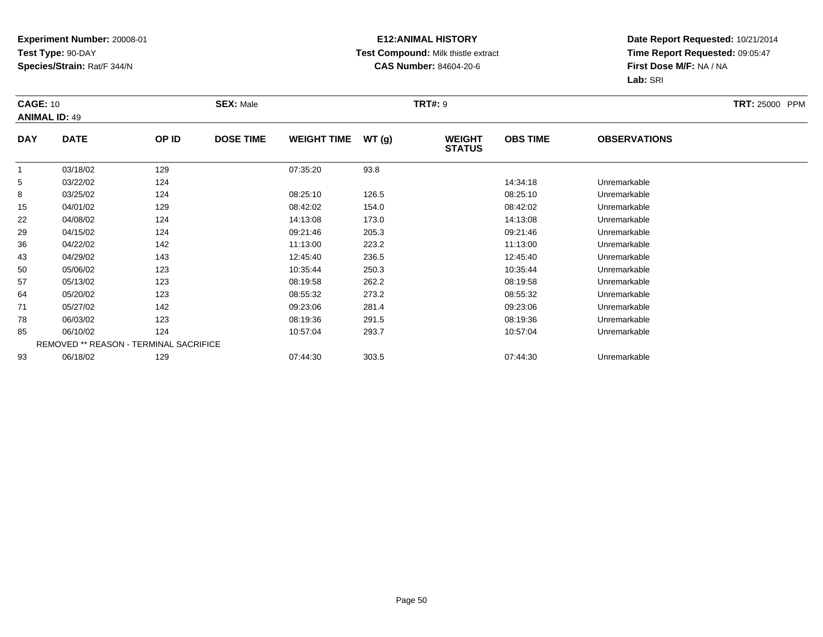#### **E12:ANIMAL HISTORY Test Compound:** Milk thistle extract**CAS Number:** 84604-20-6

| <b>CAGE: 10</b> | <b>ANIMAL ID: 49</b> |                                        | <b>SEX: Male</b> |                    |       | <b>TRT#: 9</b>                 |                 |                     | <b>TRT: 25000 PPM</b> |
|-----------------|----------------------|----------------------------------------|------------------|--------------------|-------|--------------------------------|-----------------|---------------------|-----------------------|
| <b>DAY</b>      | <b>DATE</b>          | OP ID                                  | <b>DOSE TIME</b> | <b>WEIGHT TIME</b> | WT(g) | <b>WEIGHT</b><br><b>STATUS</b> | <b>OBS TIME</b> | <b>OBSERVATIONS</b> |                       |
|                 | 03/18/02             | 129                                    |                  | 07:35:20           | 93.8  |                                |                 |                     |                       |
| 5               | 03/22/02             | 124                                    |                  |                    |       |                                | 14:34:18        | Unremarkable        |                       |
| 8               | 03/25/02             | 124                                    |                  | 08:25:10           | 126.5 |                                | 08:25:10        | Unremarkable        |                       |
| 15              | 04/01/02             | 129                                    |                  | 08:42:02           | 154.0 |                                | 08:42:02        | Unremarkable        |                       |
| 22              | 04/08/02             | 124                                    |                  | 14:13:08           | 173.0 |                                | 14:13:08        | Unremarkable        |                       |
| 29              | 04/15/02             | 124                                    |                  | 09:21:46           | 205.3 |                                | 09:21:46        | Unremarkable        |                       |
| 36              | 04/22/02             | 142                                    |                  | 11:13:00           | 223.2 |                                | 11:13:00        | Unremarkable        |                       |
| 43              | 04/29/02             | 143                                    |                  | 12:45:40           | 236.5 |                                | 12:45:40        | Unremarkable        |                       |
| 50              | 05/06/02             | 123                                    |                  | 10:35:44           | 250.3 |                                | 10:35:44        | Unremarkable        |                       |
| 57              | 05/13/02             | 123                                    |                  | 08:19:58           | 262.2 |                                | 08:19:58        | Unremarkable        |                       |
| 64              | 05/20/02             | 123                                    |                  | 08:55:32           | 273.2 |                                | 08:55:32        | Unremarkable        |                       |
| 71              | 05/27/02             | 142                                    |                  | 09:23:06           | 281.4 |                                | 09:23:06        | Unremarkable        |                       |
| 78              | 06/03/02             | 123                                    |                  | 08:19:36           | 291.5 |                                | 08:19:36        | Unremarkable        |                       |
| 85              | 06/10/02             | 124                                    |                  | 10:57:04           | 293.7 |                                | 10:57:04        | Unremarkable        |                       |
|                 |                      | REMOVED ** REASON - TERMINAL SACRIFICE |                  |                    |       |                                |                 |                     |                       |
| 93              | 06/18/02             | 129                                    |                  | 07:44:30           | 303.5 |                                | 07:44:30        | Unremarkable        |                       |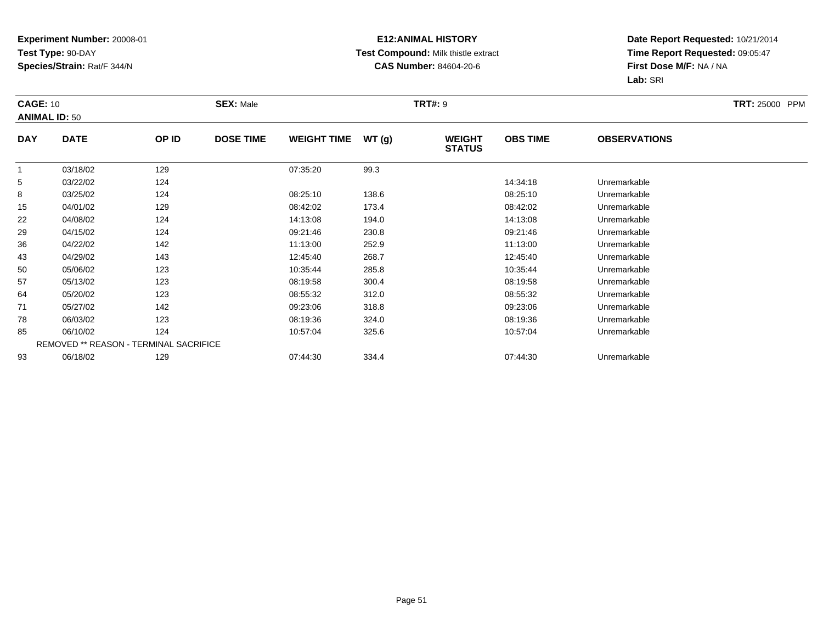#### **E12:ANIMAL HISTORY Test Compound:** Milk thistle extract**CAS Number:** 84604-20-6

| <b>CAGE: 10</b> | <b>ANIMAL ID: 50</b> |                                        | <b>SEX: Male</b> |                    |       | <b>TRT#: 9</b>                 |                 |                     | <b>TRT: 25000 PPM</b> |
|-----------------|----------------------|----------------------------------------|------------------|--------------------|-------|--------------------------------|-----------------|---------------------|-----------------------|
| <b>DAY</b>      | <b>DATE</b>          | OP ID                                  | <b>DOSE TIME</b> | <b>WEIGHT TIME</b> | WT(g) | <b>WEIGHT</b><br><b>STATUS</b> | <b>OBS TIME</b> | <b>OBSERVATIONS</b> |                       |
| $\overline{1}$  | 03/18/02             | 129                                    |                  | 07:35:20           | 99.3  |                                |                 |                     |                       |
| 5               | 03/22/02             | 124                                    |                  |                    |       |                                | 14:34:18        | Unremarkable        |                       |
| 8               | 03/25/02             | 124                                    |                  | 08:25:10           | 138.6 |                                | 08:25:10        | Unremarkable        |                       |
| 15              | 04/01/02             | 129                                    |                  | 08:42:02           | 173.4 |                                | 08:42:02        | Unremarkable        |                       |
| 22              | 04/08/02             | 124                                    |                  | 14:13:08           | 194.0 |                                | 14:13:08        | Unremarkable        |                       |
| 29              | 04/15/02             | 124                                    |                  | 09:21:46           | 230.8 |                                | 09:21:46        | Unremarkable        |                       |
| 36              | 04/22/02             | 142                                    |                  | 11:13:00           | 252.9 |                                | 11:13:00        | Unremarkable        |                       |
| 43              | 04/29/02             | 143                                    |                  | 12:45:40           | 268.7 |                                | 12:45:40        | Unremarkable        |                       |
| 50              | 05/06/02             | 123                                    |                  | 10:35:44           | 285.8 |                                | 10:35:44        | Unremarkable        |                       |
| 57              | 05/13/02             | 123                                    |                  | 08:19:58           | 300.4 |                                | 08:19:58        | Unremarkable        |                       |
| 64              | 05/20/02             | 123                                    |                  | 08:55:32           | 312.0 |                                | 08:55:32        | Unremarkable        |                       |
| 71              | 05/27/02             | 142                                    |                  | 09:23:06           | 318.8 |                                | 09:23:06        | Unremarkable        |                       |
| 78              | 06/03/02             | 123                                    |                  | 08:19:36           | 324.0 |                                | 08:19:36        | Unremarkable        |                       |
| 85              | 06/10/02             | 124                                    |                  | 10:57:04           | 325.6 |                                | 10:57:04        | Unremarkable        |                       |
|                 |                      | REMOVED ** REASON - TERMINAL SACRIFICE |                  |                    |       |                                |                 |                     |                       |
| 93              | 06/18/02             | 129                                    |                  | 07:44:30           | 334.4 |                                | 07:44:30        | Unremarkable        |                       |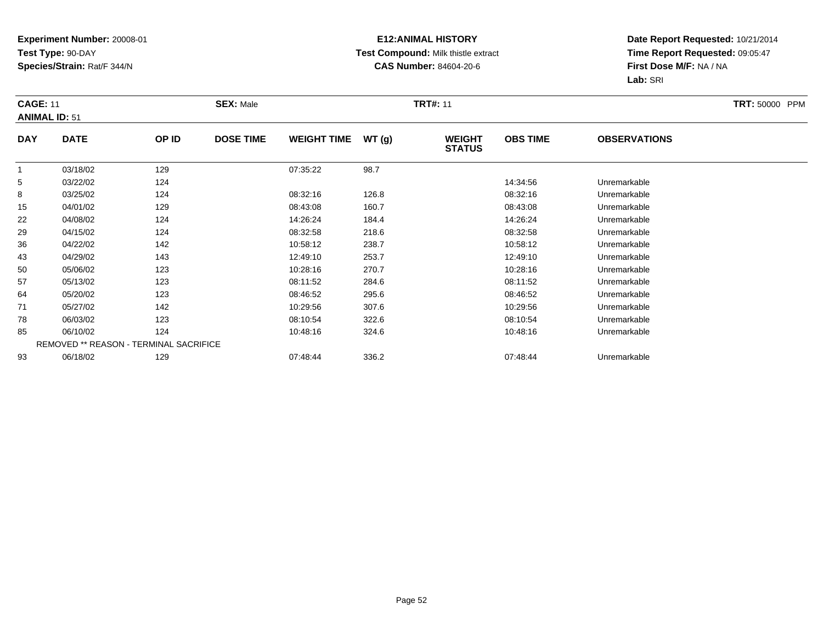#### **E12:ANIMAL HISTORY Test Compound:** Milk thistle extract**CAS Number:** 84604-20-6

| <b>CAGE: 11</b> | <b>ANIMAL ID: 51</b> |                                        | <b>SEX: Male</b> |                    |       | <b>TRT#: 11</b>                |                 |                     | <b>TRT: 50000 PPM</b> |
|-----------------|----------------------|----------------------------------------|------------------|--------------------|-------|--------------------------------|-----------------|---------------------|-----------------------|
| <b>DAY</b>      | <b>DATE</b>          | OP ID                                  | <b>DOSE TIME</b> | <b>WEIGHT TIME</b> | WT(g) | <b>WEIGHT</b><br><b>STATUS</b> | <b>OBS TIME</b> | <b>OBSERVATIONS</b> |                       |
| $\overline{1}$  | 03/18/02             | 129                                    |                  | 07:35:22           | 98.7  |                                |                 |                     |                       |
| 5               | 03/22/02             | 124                                    |                  |                    |       |                                | 14:34:56        | Unremarkable        |                       |
| 8               | 03/25/02             | 124                                    |                  | 08:32:16           | 126.8 |                                | 08:32:16        | Unremarkable        |                       |
| 15              | 04/01/02             | 129                                    |                  | 08:43:08           | 160.7 |                                | 08:43:08        | Unremarkable        |                       |
| 22              | 04/08/02             | 124                                    |                  | 14:26:24           | 184.4 |                                | 14:26:24        | Unremarkable        |                       |
| 29              | 04/15/02             | 124                                    |                  | 08:32:58           | 218.6 |                                | 08:32:58        | Unremarkable        |                       |
| 36              | 04/22/02             | 142                                    |                  | 10:58:12           | 238.7 |                                | 10:58:12        | Unremarkable        |                       |
| 43              | 04/29/02             | 143                                    |                  | 12:49:10           | 253.7 |                                | 12:49:10        | Unremarkable        |                       |
| 50              | 05/06/02             | 123                                    |                  | 10:28:16           | 270.7 |                                | 10:28:16        | Unremarkable        |                       |
| 57              | 05/13/02             | 123                                    |                  | 08:11:52           | 284.6 |                                | 08:11:52        | Unremarkable        |                       |
| 64              | 05/20/02             | 123                                    |                  | 08:46:52           | 295.6 |                                | 08:46:52        | Unremarkable        |                       |
| 71              | 05/27/02             | 142                                    |                  | 10:29:56           | 307.6 |                                | 10:29:56        | Unremarkable        |                       |
| 78              | 06/03/02             | 123                                    |                  | 08:10:54           | 322.6 |                                | 08:10:54        | Unremarkable        |                       |
| 85              | 06/10/02             | 124                                    |                  | 10:48:16           | 324.6 |                                | 10:48:16        | Unremarkable        |                       |
|                 |                      | REMOVED ** REASON - TERMINAL SACRIFICE |                  |                    |       |                                |                 |                     |                       |
| 93              | 06/18/02             | 129                                    |                  | 07:48:44           | 336.2 |                                | 07:48:44        | Unremarkable        |                       |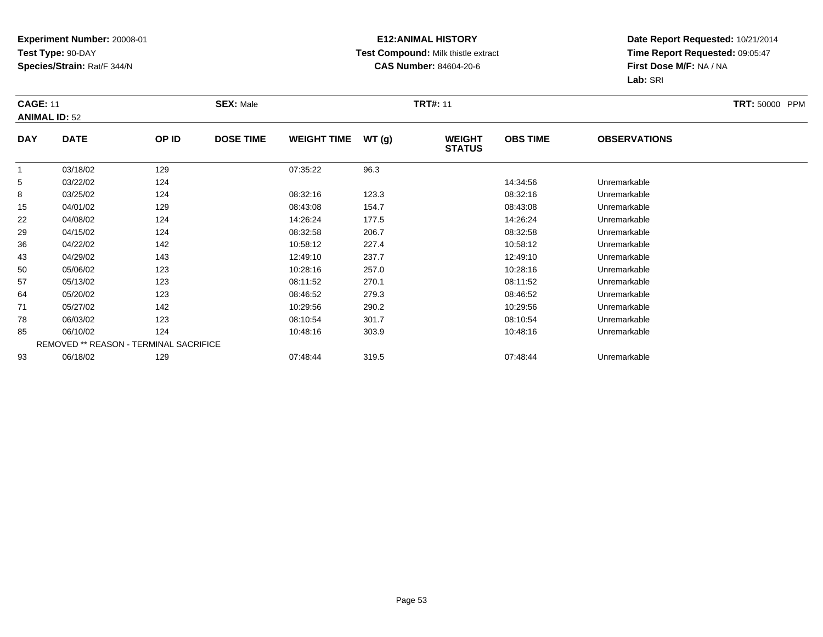#### **E12:ANIMAL HISTORY Test Compound:** Milk thistle extract**CAS Number:** 84604-20-6

| <b>CAGE: 11</b><br><b>ANIMAL ID: 52</b> |             |                                        | <b>SEX: Male</b> |                    |       | <b>TRT#: 11</b>                |                 |                     | <b>TRT: 50000 PPM</b> |
|-----------------------------------------|-------------|----------------------------------------|------------------|--------------------|-------|--------------------------------|-----------------|---------------------|-----------------------|
| <b>DAY</b>                              | <b>DATE</b> | OP ID                                  | <b>DOSE TIME</b> | <b>WEIGHT TIME</b> | WT(g) | <b>WEIGHT</b><br><b>STATUS</b> | <b>OBS TIME</b> | <b>OBSERVATIONS</b> |                       |
| $\overline{1}$                          | 03/18/02    | 129                                    |                  | 07:35:22           | 96.3  |                                |                 |                     |                       |
| 5                                       | 03/22/02    | 124                                    |                  |                    |       |                                | 14:34:56        | Unremarkable        |                       |
| 8                                       | 03/25/02    | 124                                    |                  | 08:32:16           | 123.3 |                                | 08:32:16        | Unremarkable        |                       |
| 15                                      | 04/01/02    | 129                                    |                  | 08:43:08           | 154.7 |                                | 08:43:08        | Unremarkable        |                       |
| 22                                      | 04/08/02    | 124                                    |                  | 14:26:24           | 177.5 |                                | 14:26:24        | Unremarkable        |                       |
| 29                                      | 04/15/02    | 124                                    |                  | 08:32:58           | 206.7 |                                | 08:32:58        | Unremarkable        |                       |
| 36                                      | 04/22/02    | 142                                    |                  | 10:58:12           | 227.4 |                                | 10:58:12        | Unremarkable        |                       |
| 43                                      | 04/29/02    | 143                                    |                  | 12:49:10           | 237.7 |                                | 12:49:10        | Unremarkable        |                       |
| 50                                      | 05/06/02    | 123                                    |                  | 10:28:16           | 257.0 |                                | 10:28:16        | Unremarkable        |                       |
| 57                                      | 05/13/02    | 123                                    |                  | 08:11:52           | 270.1 |                                | 08:11:52        | Unremarkable        |                       |
| 64                                      | 05/20/02    | 123                                    |                  | 08:46:52           | 279.3 |                                | 08:46:52        | Unremarkable        |                       |
| 71                                      | 05/27/02    | 142                                    |                  | 10:29:56           | 290.2 |                                | 10:29:56        | Unremarkable        |                       |
| 78                                      | 06/03/02    | 123                                    |                  | 08:10:54           | 301.7 |                                | 08:10:54        | Unremarkable        |                       |
| 85                                      | 06/10/02    | 124                                    |                  | 10:48:16           | 303.9 |                                | 10:48:16        | Unremarkable        |                       |
|                                         |             | REMOVED ** REASON - TERMINAL SACRIFICE |                  |                    |       |                                |                 |                     |                       |
| 93                                      | 06/18/02    | 129                                    |                  | 07:48:44           | 319.5 |                                | 07:48:44        | Unremarkable        |                       |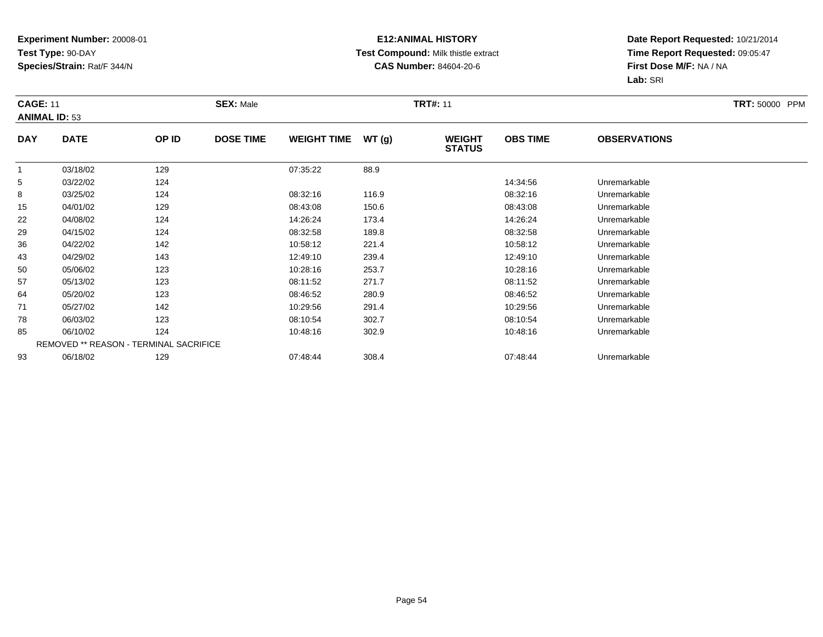#### **E12:ANIMAL HISTORY Test Compound:** Milk thistle extract**CAS Number:** 84604-20-6

| <b>CAGE: 11</b> |                                     |                                        | <b>SEX: Male</b> |                    |       | <b>TRT#: 11</b>                |                 |                     | <b>TRT: 50000 PPM</b> |
|-----------------|-------------------------------------|----------------------------------------|------------------|--------------------|-------|--------------------------------|-----------------|---------------------|-----------------------|
| <b>DAY</b>      | <b>ANIMAL ID: 53</b><br><b>DATE</b> | OP ID                                  | <b>DOSE TIME</b> | <b>WEIGHT TIME</b> | WT(g) | <b>WEIGHT</b><br><b>STATUS</b> | <b>OBS TIME</b> | <b>OBSERVATIONS</b> |                       |
| $\overline{1}$  | 03/18/02                            | 129                                    |                  | 07:35:22           | 88.9  |                                |                 |                     |                       |
| 5               | 03/22/02                            | 124                                    |                  |                    |       |                                | 14:34:56        | Unremarkable        |                       |
| 8               | 03/25/02                            | 124                                    |                  | 08:32:16           | 116.9 |                                | 08:32:16        | Unremarkable        |                       |
| 15              | 04/01/02                            | 129                                    |                  | 08:43:08           | 150.6 |                                | 08:43:08        | Unremarkable        |                       |
| 22              | 04/08/02                            | 124                                    |                  | 14:26:24           | 173.4 |                                | 14:26:24        | Unremarkable        |                       |
| 29              | 04/15/02                            | 124                                    |                  | 08:32:58           | 189.8 |                                | 08:32:58        | Unremarkable        |                       |
| 36              | 04/22/02                            | 142                                    |                  | 10:58:12           | 221.4 |                                | 10:58:12        | Unremarkable        |                       |
| 43              | 04/29/02                            | 143                                    |                  | 12:49:10           | 239.4 |                                | 12:49:10        | Unremarkable        |                       |
| 50              | 05/06/02                            | 123                                    |                  | 10:28:16           | 253.7 |                                | 10:28:16        | Unremarkable        |                       |
| 57              | 05/13/02                            | 123                                    |                  | 08:11:52           | 271.7 |                                | 08:11:52        | Unremarkable        |                       |
| 64              | 05/20/02                            | 123                                    |                  | 08:46:52           | 280.9 |                                | 08:46:52        | Unremarkable        |                       |
| 71              | 05/27/02                            | 142                                    |                  | 10:29:56           | 291.4 |                                | 10:29:56        | Unremarkable        |                       |
| 78              | 06/03/02                            | 123                                    |                  | 08:10:54           | 302.7 |                                | 08:10:54        | Unremarkable        |                       |
| 85              | 06/10/02                            | 124                                    |                  | 10:48:16           | 302.9 |                                | 10:48:16        | Unremarkable        |                       |
|                 |                                     | REMOVED ** REASON - TERMINAL SACRIFICE |                  |                    |       |                                |                 |                     |                       |
| 93              | 06/18/02                            | 129                                    |                  | 07:48:44           | 308.4 |                                | 07:48:44        | Unremarkable        |                       |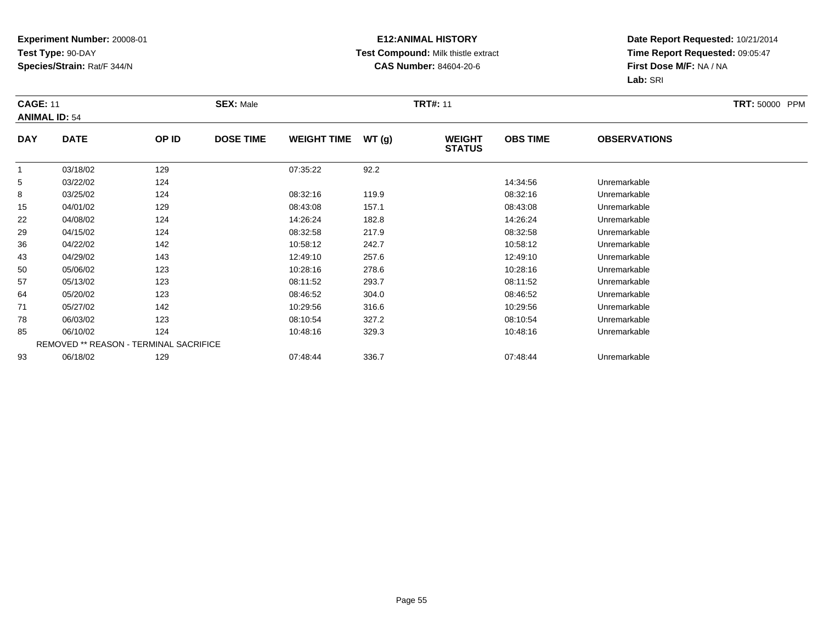#### **E12:ANIMAL HISTORY Test Compound:** Milk thistle extract**CAS Number:** 84604-20-6

| <b>CAGE: 11</b><br><b>ANIMAL ID: 54</b> |             |                                        | <b>SEX: Male</b> |                    |       | <b>TRT#: 11</b>                |                 |                     | <b>TRT: 50000 PPM</b> |
|-----------------------------------------|-------------|----------------------------------------|------------------|--------------------|-------|--------------------------------|-----------------|---------------------|-----------------------|
|                                         |             |                                        |                  |                    |       |                                |                 |                     |                       |
| <b>DAY</b>                              | <b>DATE</b> | OP ID                                  | <b>DOSE TIME</b> | <b>WEIGHT TIME</b> | WT(g) | <b>WEIGHT</b><br><b>STATUS</b> | <b>OBS TIME</b> | <b>OBSERVATIONS</b> |                       |
| $\overline{1}$                          | 03/18/02    | 129                                    |                  | 07:35:22           | 92.2  |                                |                 |                     |                       |
| 5                                       | 03/22/02    | 124                                    |                  |                    |       |                                | 14:34:56        | Unremarkable        |                       |
| 8                                       | 03/25/02    | 124                                    |                  | 08:32:16           | 119.9 |                                | 08:32:16        | Unremarkable        |                       |
| 15                                      | 04/01/02    | 129                                    |                  | 08:43:08           | 157.1 |                                | 08:43:08        | Unremarkable        |                       |
| 22                                      | 04/08/02    | 124                                    |                  | 14:26:24           | 182.8 |                                | 14:26:24        | Unremarkable        |                       |
| 29                                      | 04/15/02    | 124                                    |                  | 08:32:58           | 217.9 |                                | 08:32:58        | Unremarkable        |                       |
| 36                                      | 04/22/02    | 142                                    |                  | 10:58:12           | 242.7 |                                | 10:58:12        | Unremarkable        |                       |
| 43                                      | 04/29/02    | 143                                    |                  | 12:49:10           | 257.6 |                                | 12:49:10        | Unremarkable        |                       |
| 50                                      | 05/06/02    | 123                                    |                  | 10:28:16           | 278.6 |                                | 10:28:16        | Unremarkable        |                       |
| 57                                      | 05/13/02    | 123                                    |                  | 08:11:52           | 293.7 |                                | 08:11:52        | Unremarkable        |                       |
| 64                                      | 05/20/02    | 123                                    |                  | 08:46:52           | 304.0 |                                | 08:46:52        | Unremarkable        |                       |
| 71                                      | 05/27/02    | 142                                    |                  | 10:29:56           | 316.6 |                                | 10:29:56        | Unremarkable        |                       |
| 78                                      | 06/03/02    | 123                                    |                  | 08:10:54           | 327.2 |                                | 08:10:54        | Unremarkable        |                       |
| 85                                      | 06/10/02    | 124                                    |                  | 10:48:16           | 329.3 |                                | 10:48:16        | Unremarkable        |                       |
|                                         |             | REMOVED ** REASON - TERMINAL SACRIFICE |                  |                    |       |                                |                 |                     |                       |
| 93                                      | 06/18/02    | 129                                    |                  | 07:48:44           | 336.7 |                                | 07:48:44        | Unremarkable        |                       |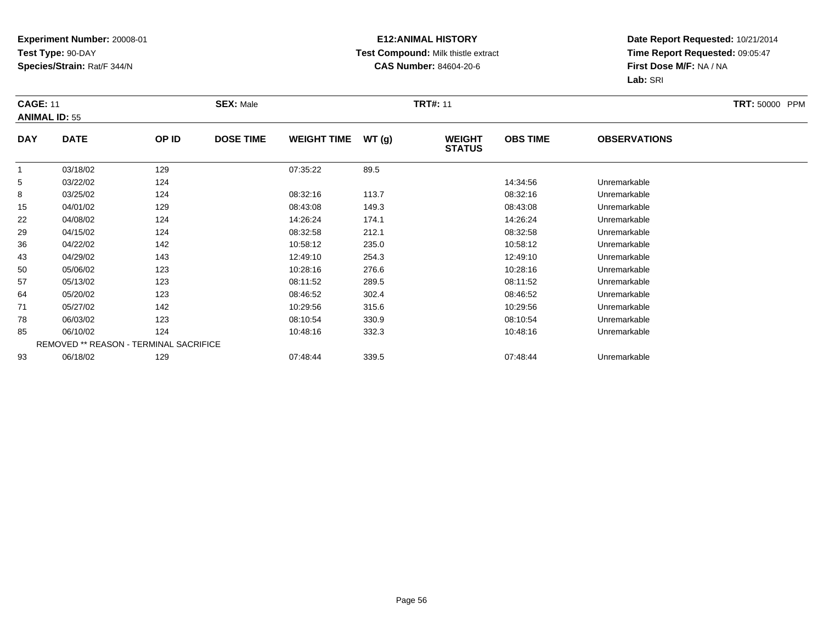#### **E12:ANIMAL HISTORY Test Compound:** Milk thistle extract**CAS Number:** 84604-20-6

| <b>CAGE: 11</b><br><b>ANIMAL ID: 55</b> |             |                                        | <b>SEX: Male</b> |                    |       | <b>TRT#: 11</b>                |                 |                     | <b>TRT: 50000 PPM</b> |
|-----------------------------------------|-------------|----------------------------------------|------------------|--------------------|-------|--------------------------------|-----------------|---------------------|-----------------------|
| <b>DAY</b>                              | <b>DATE</b> | OP ID                                  | <b>DOSE TIME</b> | <b>WEIGHT TIME</b> | WT(g) | <b>WEIGHT</b><br><b>STATUS</b> | <b>OBS TIME</b> | <b>OBSERVATIONS</b> |                       |
| $\overline{1}$                          | 03/18/02    | 129                                    |                  | 07:35:22           | 89.5  |                                |                 |                     |                       |
| 5                                       | 03/22/02    | 124                                    |                  |                    |       |                                | 14:34:56        | Unremarkable        |                       |
| 8                                       | 03/25/02    | 124                                    |                  | 08:32:16           | 113.7 |                                | 08:32:16        | Unremarkable        |                       |
| 15                                      | 04/01/02    | 129                                    |                  | 08:43:08           | 149.3 |                                | 08:43:08        | Unremarkable        |                       |
| 22                                      | 04/08/02    | 124                                    |                  | 14:26:24           | 174.1 |                                | 14:26:24        | Unremarkable        |                       |
| 29                                      | 04/15/02    | 124                                    |                  | 08:32:58           | 212.1 |                                | 08:32:58        | Unremarkable        |                       |
| 36                                      | 04/22/02    | 142                                    |                  | 10:58:12           | 235.0 |                                | 10:58:12        | Unremarkable        |                       |
| 43                                      | 04/29/02    | 143                                    |                  | 12:49:10           | 254.3 |                                | 12:49:10        | Unremarkable        |                       |
| 50                                      | 05/06/02    | 123                                    |                  | 10:28:16           | 276.6 |                                | 10:28:16        | Unremarkable        |                       |
| 57                                      | 05/13/02    | 123                                    |                  | 08:11:52           | 289.5 |                                | 08:11:52        | Unremarkable        |                       |
| 64                                      | 05/20/02    | 123                                    |                  | 08:46:52           | 302.4 |                                | 08:46:52        | Unremarkable        |                       |
| 71                                      | 05/27/02    | 142                                    |                  | 10:29:56           | 315.6 |                                | 10:29:56        | Unremarkable        |                       |
| 78                                      | 06/03/02    | 123                                    |                  | 08:10:54           | 330.9 |                                | 08:10:54        | Unremarkable        |                       |
| 85                                      | 06/10/02    | 124                                    |                  | 10:48:16           | 332.3 |                                | 10:48:16        | Unremarkable        |                       |
|                                         |             | REMOVED ** REASON - TERMINAL SACRIFICE |                  |                    |       |                                |                 |                     |                       |
| 93                                      | 06/18/02    | 129                                    |                  | 07:48:44           | 339.5 |                                | 07:48:44        | Unremarkable        |                       |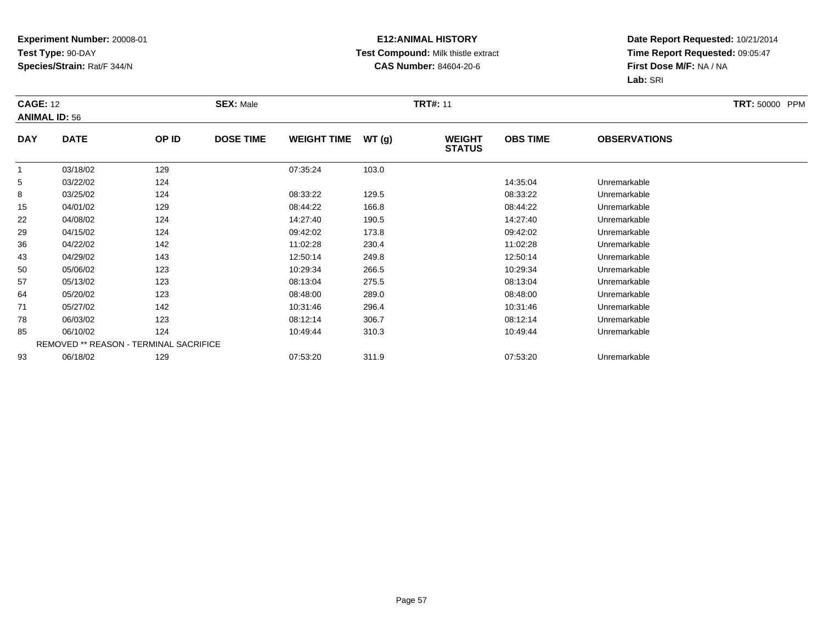#### **E12:ANIMAL HISTORY Test Compound:** Milk thistle extract**CAS Number:** 84604-20-6

|                | <b>CAGE: 12</b><br><b>ANIMAL ID: 56</b> |                                        | <b>SEX: Male</b> |                    |       | <b>TRT#: 11</b>                | <b>TRT: 50000 PPM</b> |                     |  |
|----------------|-----------------------------------------|----------------------------------------|------------------|--------------------|-------|--------------------------------|-----------------------|---------------------|--|
| <b>DAY</b>     | <b>DATE</b>                             | OP ID                                  | <b>DOSE TIME</b> | <b>WEIGHT TIME</b> | WT(g) | <b>WEIGHT</b><br><b>STATUS</b> | <b>OBS TIME</b>       | <b>OBSERVATIONS</b> |  |
| $\overline{1}$ | 03/18/02                                | 129                                    |                  | 07:35:24           | 103.0 |                                |                       |                     |  |
| 5              | 03/22/02                                | 124                                    |                  |                    |       |                                | 14:35:04              | Unremarkable        |  |
| 8              | 03/25/02                                | 124                                    |                  | 08:33:22           | 129.5 |                                | 08:33:22              | Unremarkable        |  |
| 15             | 04/01/02                                | 129                                    |                  | 08:44:22           | 166.8 |                                | 08:44:22              | Unremarkable        |  |
| 22             | 04/08/02                                | 124                                    |                  | 14:27:40           | 190.5 |                                | 14:27:40              | Unremarkable        |  |
| 29             | 04/15/02                                | 124                                    |                  | 09:42:02           | 173.8 |                                | 09:42:02              | Unremarkable        |  |
| 36             | 04/22/02                                | 142                                    |                  | 11:02:28           | 230.4 |                                | 11:02:28              | Unremarkable        |  |
| 43             | 04/29/02                                | 143                                    |                  | 12:50:14           | 249.8 |                                | 12:50:14              | Unremarkable        |  |
| 50             | 05/06/02                                | 123                                    |                  | 10:29:34           | 266.5 |                                | 10:29:34              | Unremarkable        |  |
| 57             | 05/13/02                                | 123                                    |                  | 08:13:04           | 275.5 |                                | 08:13:04              | Unremarkable        |  |
| 64             | 05/20/02                                | 123                                    |                  | 08:48:00           | 289.0 |                                | 08:48:00              | Unremarkable        |  |
| 71             | 05/27/02                                | 142                                    |                  | 10:31:46           | 296.4 |                                | 10:31:46              | Unremarkable        |  |
| 78             | 06/03/02                                | 123                                    |                  | 08:12:14           | 306.7 |                                | 08:12:14              | Unremarkable        |  |
| 85             | 06/10/02                                | 124                                    |                  | 10:49:44           | 310.3 |                                | 10:49:44              | Unremarkable        |  |
|                |                                         | REMOVED ** REASON - TERMINAL SACRIFICE |                  |                    |       |                                |                       |                     |  |
| 93             | 06/18/02                                | 129                                    |                  | 07:53:20           | 311.9 |                                | 07:53:20              | Unremarkable        |  |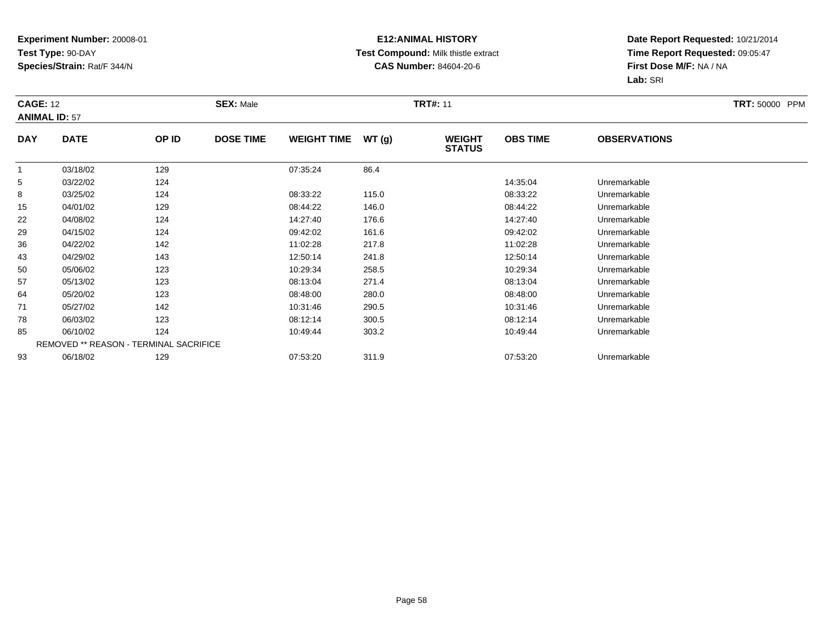#### **E12:ANIMAL HISTORY Test Compound:** Milk thistle extract**CAS Number:** 84604-20-6

|                | <b>CAGE: 12</b><br><b>ANIMAL ID: 57</b> |                                        | <b>SEX: Male</b> |                    |       | <b>TRT#: 11</b>                | <b>TRT: 50000 PPM</b> |                     |  |
|----------------|-----------------------------------------|----------------------------------------|------------------|--------------------|-------|--------------------------------|-----------------------|---------------------|--|
| <b>DAY</b>     | <b>DATE</b>                             | OP ID                                  | <b>DOSE TIME</b> | <b>WEIGHT TIME</b> | WT(g) | <b>WEIGHT</b><br><b>STATUS</b> | <b>OBS TIME</b>       | <b>OBSERVATIONS</b> |  |
| $\overline{1}$ | 03/18/02                                | 129                                    |                  | 07:35:24           | 86.4  |                                |                       |                     |  |
| 5              | 03/22/02                                | 124                                    |                  |                    |       |                                | 14:35:04              | Unremarkable        |  |
| 8              | 03/25/02                                | 124                                    |                  | 08:33:22           | 115.0 |                                | 08:33:22              | Unremarkable        |  |
| 15             | 04/01/02                                | 129                                    |                  | 08:44:22           | 146.0 |                                | 08:44:22              | Unremarkable        |  |
| 22             | 04/08/02                                | 124                                    |                  | 14:27:40           | 176.6 |                                | 14:27:40              | Unremarkable        |  |
| 29             | 04/15/02                                | 124                                    |                  | 09:42:02           | 161.6 |                                | 09:42:02              | Unremarkable        |  |
| 36             | 04/22/02                                | 142                                    |                  | 11:02:28           | 217.8 |                                | 11:02:28              | Unremarkable        |  |
| 43             | 04/29/02                                | 143                                    |                  | 12:50:14           | 241.8 |                                | 12:50:14              | Unremarkable        |  |
| 50             | 05/06/02                                | 123                                    |                  | 10:29:34           | 258.5 |                                | 10:29:34              | Unremarkable        |  |
| 57             | 05/13/02                                | 123                                    |                  | 08:13:04           | 271.4 |                                | 08:13:04              | Unremarkable        |  |
| 64             | 05/20/02                                | 123                                    |                  | 08:48:00           | 280.0 |                                | 08:48:00              | Unremarkable        |  |
| 71             | 05/27/02                                | 142                                    |                  | 10:31:46           | 290.5 |                                | 10:31:46              | Unremarkable        |  |
| 78             | 06/03/02                                | 123                                    |                  | 08:12:14           | 300.5 |                                | 08:12:14              | Unremarkable        |  |
| 85             | 06/10/02                                | 124                                    |                  | 10:49:44           | 303.2 |                                | 10:49:44              | Unremarkable        |  |
|                |                                         | REMOVED ** REASON - TERMINAL SACRIFICE |                  |                    |       |                                |                       |                     |  |
| 93             | 06/18/02                                | 129                                    |                  | 07:53:20           | 311.9 |                                | 07:53:20              | Unremarkable        |  |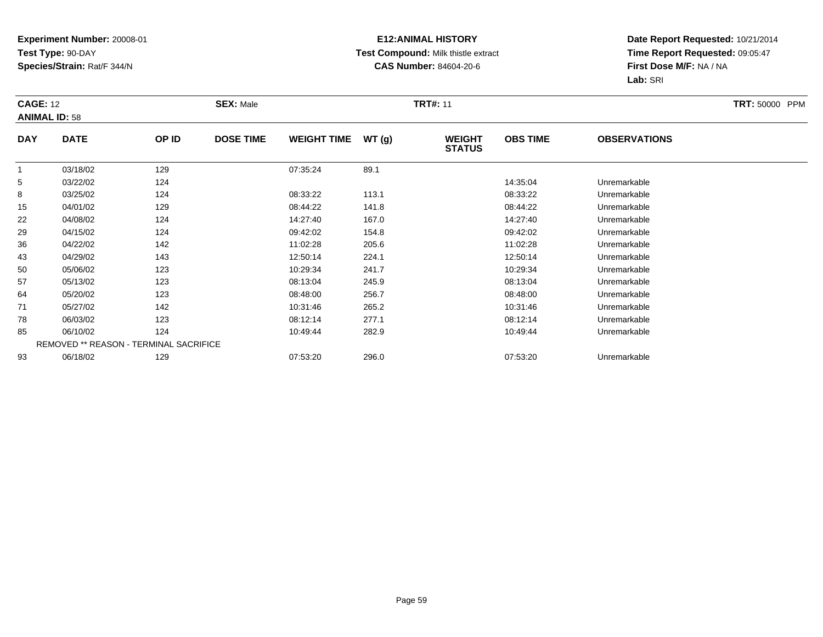#### **E12:ANIMAL HISTORY Test Compound:** Milk thistle extract**CAS Number:** 84604-20-6

|                | <b>CAGE: 12</b><br><b>ANIMAL ID: 58</b> |                                        | <b>SEX: Male</b> |                    |       | <b>TRT#: 11</b>                | <b>TRT: 50000 PPM</b> |                     |  |
|----------------|-----------------------------------------|----------------------------------------|------------------|--------------------|-------|--------------------------------|-----------------------|---------------------|--|
| <b>DAY</b>     | <b>DATE</b>                             | OP ID                                  | <b>DOSE TIME</b> | <b>WEIGHT TIME</b> | WT(g) | <b>WEIGHT</b><br><b>STATUS</b> | <b>OBS TIME</b>       | <b>OBSERVATIONS</b> |  |
| $\overline{1}$ | 03/18/02                                | 129                                    |                  | 07:35:24           | 89.1  |                                |                       |                     |  |
| 5              | 03/22/02                                | 124                                    |                  |                    |       |                                | 14:35:04              | Unremarkable        |  |
| 8              | 03/25/02                                | 124                                    |                  | 08:33:22           | 113.1 |                                | 08:33:22              | Unremarkable        |  |
| 15             | 04/01/02                                | 129                                    |                  | 08:44:22           | 141.8 |                                | 08:44:22              | Unremarkable        |  |
| 22             | 04/08/02                                | 124                                    |                  | 14:27:40           | 167.0 |                                | 14:27:40              | Unremarkable        |  |
| 29             | 04/15/02                                | 124                                    |                  | 09:42:02           | 154.8 |                                | 09:42:02              | Unremarkable        |  |
| 36             | 04/22/02                                | 142                                    |                  | 11:02:28           | 205.6 |                                | 11:02:28              | Unremarkable        |  |
| 43             | 04/29/02                                | 143                                    |                  | 12:50:14           | 224.1 |                                | 12:50:14              | Unremarkable        |  |
| 50             | 05/06/02                                | 123                                    |                  | 10:29:34           | 241.7 |                                | 10:29:34              | Unremarkable        |  |
| 57             | 05/13/02                                | 123                                    |                  | 08:13:04           | 245.9 |                                | 08:13:04              | Unremarkable        |  |
| 64             | 05/20/02                                | 123                                    |                  | 08:48:00           | 256.7 |                                | 08:48:00              | Unremarkable        |  |
| 71             | 05/27/02                                | 142                                    |                  | 10:31:46           | 265.2 |                                | 10:31:46              | Unremarkable        |  |
| 78             | 06/03/02                                | 123                                    |                  | 08:12:14           | 277.1 |                                | 08:12:14              | Unremarkable        |  |
| 85             | 06/10/02                                | 124                                    |                  | 10:49:44           | 282.9 |                                | 10:49:44              | Unremarkable        |  |
|                |                                         | REMOVED ** REASON - TERMINAL SACRIFICE |                  |                    |       |                                |                       |                     |  |
| 93             | 06/18/02                                | 129                                    |                  | 07:53:20           | 296.0 |                                | 07:53:20              | Unremarkable        |  |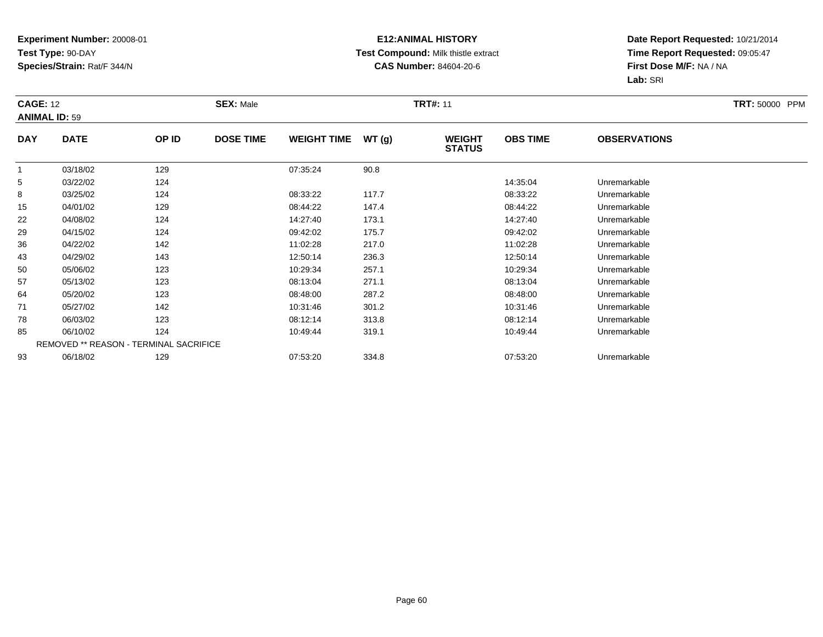#### **E12:ANIMAL HISTORY Test Compound:** Milk thistle extract**CAS Number:** 84604-20-6

| <b>CAGE: 12</b><br><b>ANIMAL ID: 59</b> |             |                                        | <b>SEX: Male</b> |                    |       | <b>TRT#: 11</b>                |                 |                     | <b>TRT: 50000 PPM</b> |
|-----------------------------------------|-------------|----------------------------------------|------------------|--------------------|-------|--------------------------------|-----------------|---------------------|-----------------------|
| <b>DAY</b>                              | <b>DATE</b> | OP ID                                  | <b>DOSE TIME</b> | <b>WEIGHT TIME</b> | WT(g) | <b>WEIGHT</b><br><b>STATUS</b> | <b>OBS TIME</b> | <b>OBSERVATIONS</b> |                       |
| $\overline{1}$                          | 03/18/02    | 129                                    |                  | 07:35:24           | 90.8  |                                |                 |                     |                       |
| 5                                       | 03/22/02    | 124                                    |                  |                    |       |                                | 14:35:04        | Unremarkable        |                       |
| 8                                       | 03/25/02    | 124                                    |                  | 08:33:22           | 117.7 |                                | 08:33:22        | Unremarkable        |                       |
| 15                                      | 04/01/02    | 129                                    |                  | 08:44:22           | 147.4 |                                | 08:44:22        | Unremarkable        |                       |
| 22                                      | 04/08/02    | 124                                    |                  | 14:27:40           | 173.1 |                                | 14:27:40        | Unremarkable        |                       |
| 29                                      | 04/15/02    | 124                                    |                  | 09:42:02           | 175.7 |                                | 09:42:02        | Unremarkable        |                       |
| 36                                      | 04/22/02    | 142                                    |                  | 11:02:28           | 217.0 |                                | 11:02:28        | Unremarkable        |                       |
| 43                                      | 04/29/02    | 143                                    |                  | 12:50:14           | 236.3 |                                | 12:50:14        | Unremarkable        |                       |
| 50                                      | 05/06/02    | 123                                    |                  | 10:29:34           | 257.1 |                                | 10:29:34        | Unremarkable        |                       |
| 57                                      | 05/13/02    | 123                                    |                  | 08:13:04           | 271.1 |                                | 08:13:04        | Unremarkable        |                       |
| 64                                      | 05/20/02    | 123                                    |                  | 08:48:00           | 287.2 |                                | 08:48:00        | Unremarkable        |                       |
| 71                                      | 05/27/02    | 142                                    |                  | 10:31:46           | 301.2 |                                | 10:31:46        | Unremarkable        |                       |
| 78                                      | 06/03/02    | 123                                    |                  | 08:12:14           | 313.8 |                                | 08:12:14        | Unremarkable        |                       |
| 85                                      | 06/10/02    | 124                                    |                  | 10:49:44           | 319.1 |                                | 10:49:44        | Unremarkable        |                       |
|                                         |             | REMOVED ** REASON - TERMINAL SACRIFICE |                  |                    |       |                                |                 |                     |                       |
| 93                                      | 06/18/02    | 129                                    |                  | 07:53:20           | 334.8 |                                | 07:53:20        | Unremarkable        |                       |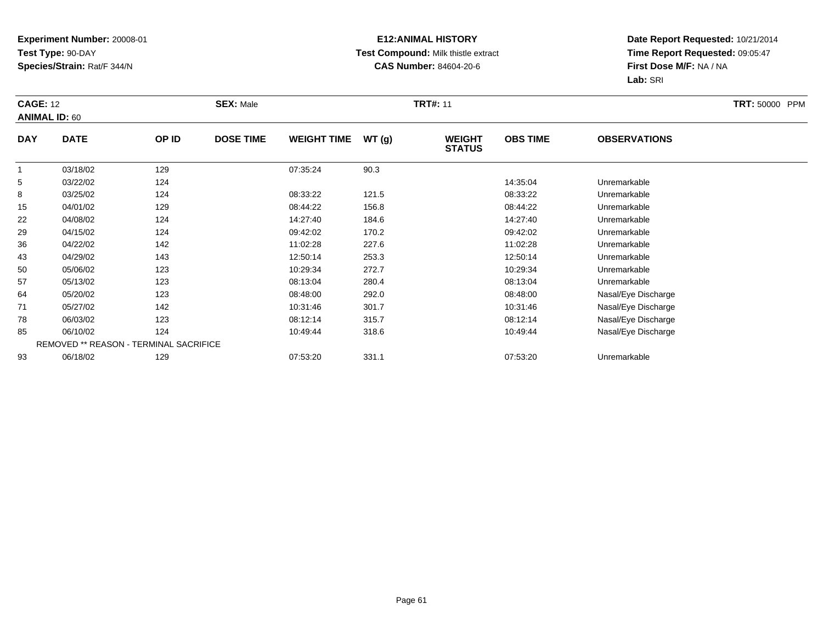#### **E12:ANIMAL HISTORY Test Compound:** Milk thistle extract**CAS Number:** 84604-20-6

|            | <b>CAGE: 12</b><br><b>ANIMAL ID: 60</b> |                                        | <b>SEX: Male</b> |                    |       |                                | <b>TRT#: 11</b> |                     |  |  |
|------------|-----------------------------------------|----------------------------------------|------------------|--------------------|-------|--------------------------------|-----------------|---------------------|--|--|
| <b>DAY</b> | <b>DATE</b>                             | OP ID                                  | <b>DOSE TIME</b> | <b>WEIGHT TIME</b> | WT(g) | <b>WEIGHT</b><br><b>STATUS</b> | <b>OBS TIME</b> | <b>OBSERVATIONS</b> |  |  |
|            | 03/18/02                                | 129                                    |                  | 07:35:24           | 90.3  |                                |                 |                     |  |  |
| 5          | 03/22/02                                | 124                                    |                  |                    |       |                                | 14:35:04        | Unremarkable        |  |  |
| 8          | 03/25/02                                | 124                                    |                  | 08:33:22           | 121.5 |                                | 08:33:22        | Unremarkable        |  |  |
| 15         | 04/01/02                                | 129                                    |                  | 08:44:22           | 156.8 |                                | 08:44:22        | Unremarkable        |  |  |
| 22         | 04/08/02                                | 124                                    |                  | 14:27:40           | 184.6 |                                | 14:27:40        | Unremarkable        |  |  |
| 29         | 04/15/02                                | 124                                    |                  | 09:42:02           | 170.2 |                                | 09:42:02        | Unremarkable        |  |  |
| 36         | 04/22/02                                | 142                                    |                  | 11:02:28           | 227.6 |                                | 11:02:28        | Unremarkable        |  |  |
| 43         | 04/29/02                                | 143                                    |                  | 12:50:14           | 253.3 |                                | 12:50:14        | Unremarkable        |  |  |
| 50         | 05/06/02                                | 123                                    |                  | 10:29:34           | 272.7 |                                | 10:29:34        | Unremarkable        |  |  |
| 57         | 05/13/02                                | 123                                    |                  | 08:13:04           | 280.4 |                                | 08:13:04        | Unremarkable        |  |  |
| 64         | 05/20/02                                | 123                                    |                  | 08:48:00           | 292.0 |                                | 08:48:00        | Nasal/Eye Discharge |  |  |
| 71         | 05/27/02                                | 142                                    |                  | 10:31:46           | 301.7 |                                | 10:31:46        | Nasal/Eye Discharge |  |  |
| 78         | 06/03/02                                | 123                                    |                  | 08:12:14           | 315.7 |                                | 08:12:14        | Nasal/Eye Discharge |  |  |
| 85         | 06/10/02                                | 124                                    |                  | 10:49:44           | 318.6 |                                | 10:49:44        | Nasal/Eye Discharge |  |  |
|            |                                         | REMOVED ** REASON - TERMINAL SACRIFICE |                  |                    |       |                                |                 |                     |  |  |
| 93         | 06/18/02                                | 129                                    |                  | 07:53:20           | 331.1 |                                | 07:53:20        | Unremarkable        |  |  |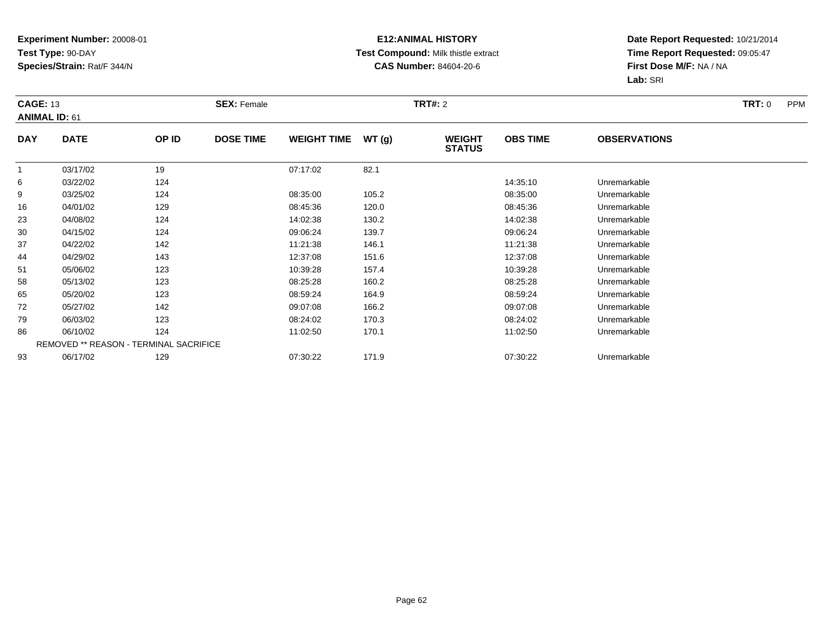#### **E12:ANIMAL HISTORY Test Compound:** Milk thistle extract**CAS Number:** 84604-20-6

|            | <b>CAGE: 13</b><br><b>ANIMAL ID: 61</b> |       | <b>SEX: Female</b> |                    |       |                                | <b>TRT#: 2</b>  |                     |  |
|------------|-----------------------------------------|-------|--------------------|--------------------|-------|--------------------------------|-----------------|---------------------|--|
| <b>DAY</b> | <b>DATE</b>                             | OP ID | <b>DOSE TIME</b>   | <b>WEIGHT TIME</b> | WT(g) | <b>WEIGHT</b><br><b>STATUS</b> | <b>OBS TIME</b> | <b>OBSERVATIONS</b> |  |
|            | 03/17/02                                | 19    |                    | 07:17:02           | 82.1  |                                |                 |                     |  |
| 6          | 03/22/02                                | 124   |                    |                    |       |                                | 14:35:10        | Unremarkable        |  |
| 9          | 03/25/02                                | 124   |                    | 08:35:00           | 105.2 |                                | 08:35:00        | Unremarkable        |  |
| 16         | 04/01/02                                | 129   |                    | 08:45:36           | 120.0 |                                | 08:45:36        | Unremarkable        |  |
| 23         | 04/08/02                                | 124   |                    | 14:02:38           | 130.2 |                                | 14:02:38        | Unremarkable        |  |
| 30         | 04/15/02                                | 124   |                    | 09:06:24           | 139.7 |                                | 09:06:24        | Unremarkable        |  |
| 37         | 04/22/02                                | 142   |                    | 11:21:38           | 146.1 |                                | 11:21:38        | Unremarkable        |  |
| 44         | 04/29/02                                | 143   |                    | 12:37:08           | 151.6 |                                | 12:37:08        | Unremarkable        |  |
| 51         | 05/06/02                                | 123   |                    | 10:39:28           | 157.4 |                                | 10:39:28        | Unremarkable        |  |
| 58         | 05/13/02                                | 123   |                    | 08:25:28           | 160.2 |                                | 08:25:28        | Unremarkable        |  |
| 65         | 05/20/02                                | 123   |                    | 08:59:24           | 164.9 |                                | 08:59:24        | Unremarkable        |  |
| 72         | 05/27/02                                | 142   |                    | 09:07:08           | 166.2 |                                | 09:07:08        | Unremarkable        |  |
| 79         | 06/03/02                                | 123   |                    | 08:24:02           | 170.3 |                                | 08:24:02        | Unremarkable        |  |
| 86         | 06/10/02                                | 124   |                    | 11:02:50           | 170.1 |                                | 11:02:50        | Unremarkable        |  |
|            | REMOVED ** REASON - TERMINAL SACRIFICE  |       |                    |                    |       |                                |                 |                     |  |
| 93         | 06/17/02                                | 129   |                    | 07:30:22           | 171.9 |                                | 07:30:22        | Unremarkable        |  |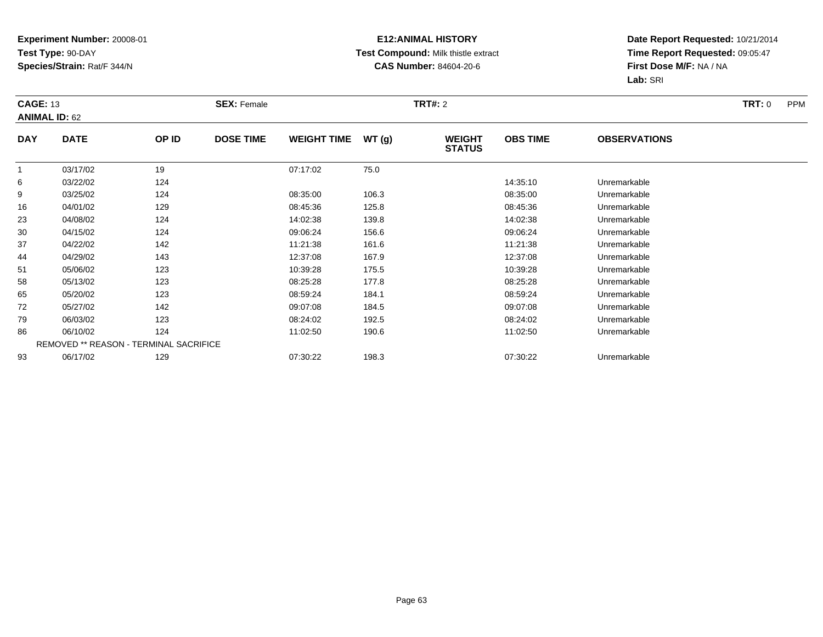#### **E12:ANIMAL HISTORY Test Compound:** Milk thistle extract**CAS Number:** 84604-20-6

|            | <b>CAGE: 13</b><br><b>ANIMAL ID: 62</b> |       | <b>SEX: Female</b> |                    |       |                                | <b>TRT#: 2</b>  |                     |  |
|------------|-----------------------------------------|-------|--------------------|--------------------|-------|--------------------------------|-----------------|---------------------|--|
| <b>DAY</b> | <b>DATE</b>                             | OP ID | <b>DOSE TIME</b>   | <b>WEIGHT TIME</b> | WT(g) | <b>WEIGHT</b><br><b>STATUS</b> | <b>OBS TIME</b> | <b>OBSERVATIONS</b> |  |
|            | 03/17/02                                | 19    |                    | 07:17:02           | 75.0  |                                |                 |                     |  |
| 6          | 03/22/02                                | 124   |                    |                    |       |                                | 14:35:10        | Unremarkable        |  |
| 9          | 03/25/02                                | 124   |                    | 08:35:00           | 106.3 |                                | 08:35:00        | Unremarkable        |  |
| 16         | 04/01/02                                | 129   |                    | 08:45:36           | 125.8 |                                | 08:45:36        | Unremarkable        |  |
| 23         | 04/08/02                                | 124   |                    | 14:02:38           | 139.8 |                                | 14:02:38        | Unremarkable        |  |
| 30         | 04/15/02                                | 124   |                    | 09:06:24           | 156.6 |                                | 09:06:24        | Unremarkable        |  |
| 37         | 04/22/02                                | 142   |                    | 11:21:38           | 161.6 |                                | 11:21:38        | Unremarkable        |  |
| 44         | 04/29/02                                | 143   |                    | 12:37:08           | 167.9 |                                | 12:37:08        | Unremarkable        |  |
| 51         | 05/06/02                                | 123   |                    | 10:39:28           | 175.5 |                                | 10:39:28        | Unremarkable        |  |
| 58         | 05/13/02                                | 123   |                    | 08:25:28           | 177.8 |                                | 08:25:28        | Unremarkable        |  |
| 65         | 05/20/02                                | 123   |                    | 08:59:24           | 184.1 |                                | 08:59:24        | Unremarkable        |  |
| 72         | 05/27/02                                | 142   |                    | 09:07:08           | 184.5 |                                | 09:07:08        | Unremarkable        |  |
| 79         | 06/03/02                                | 123   |                    | 08:24:02           | 192.5 |                                | 08:24:02        | Unremarkable        |  |
| 86         | 06/10/02                                | 124   |                    | 11:02:50           | 190.6 |                                | 11:02:50        | Unremarkable        |  |
|            | REMOVED ** REASON - TERMINAL SACRIFICE  |       |                    |                    |       |                                |                 |                     |  |
| 93         | 06/17/02                                | 129   |                    | 07:30:22           | 198.3 |                                | 07:30:22        | Unremarkable        |  |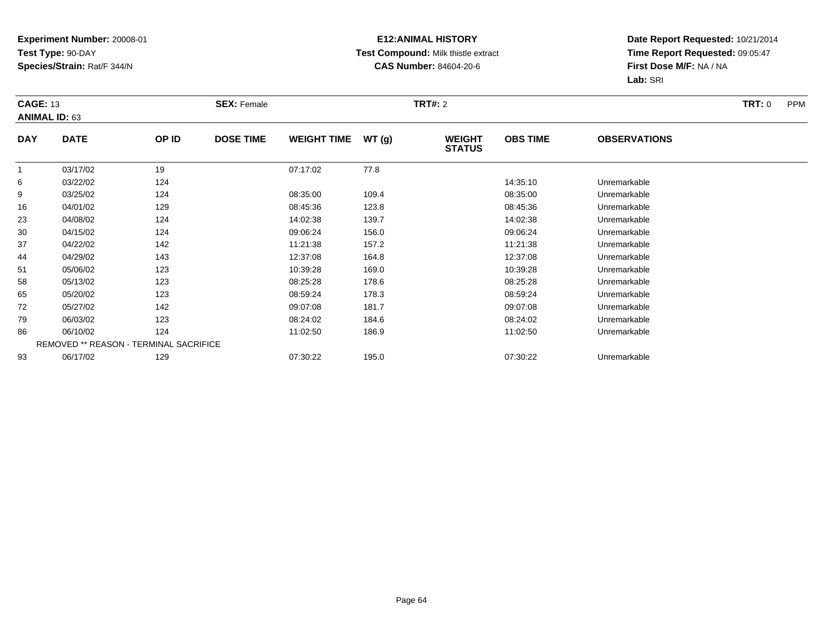#### **E12:ANIMAL HISTORY Test Compound:** Milk thistle extract**CAS Number:** 84604-20-6

|            | <b>CAGE: 13</b><br><b>ANIMAL ID: 63</b> |       | <b>SEX: Female</b> |                    |       |                                | <b>TRT#: 2</b>  |                     |  |
|------------|-----------------------------------------|-------|--------------------|--------------------|-------|--------------------------------|-----------------|---------------------|--|
| <b>DAY</b> | <b>DATE</b>                             | OP ID | <b>DOSE TIME</b>   | <b>WEIGHT TIME</b> | WT(g) | <b>WEIGHT</b><br><b>STATUS</b> | <b>OBS TIME</b> | <b>OBSERVATIONS</b> |  |
|            | 03/17/02                                | 19    |                    | 07:17:02           | 77.8  |                                |                 |                     |  |
| 6          | 03/22/02                                | 124   |                    |                    |       |                                | 14:35:10        | Unremarkable        |  |
| 9          | 03/25/02                                | 124   |                    | 08:35:00           | 109.4 |                                | 08:35:00        | Unremarkable        |  |
| 16         | 04/01/02                                | 129   |                    | 08:45:36           | 123.8 |                                | 08:45:36        | Unremarkable        |  |
| 23         | 04/08/02                                | 124   |                    | 14:02:38           | 139.7 |                                | 14:02:38        | Unremarkable        |  |
| 30         | 04/15/02                                | 124   |                    | 09:06:24           | 156.0 |                                | 09:06:24        | Unremarkable        |  |
| 37         | 04/22/02                                | 142   |                    | 11:21:38           | 157.2 |                                | 11:21:38        | Unremarkable        |  |
| 44         | 04/29/02                                | 143   |                    | 12:37:08           | 164.8 |                                | 12:37:08        | Unremarkable        |  |
| 51         | 05/06/02                                | 123   |                    | 10:39:28           | 169.0 |                                | 10:39:28        | Unremarkable        |  |
| 58         | 05/13/02                                | 123   |                    | 08:25:28           | 178.6 |                                | 08:25:28        | Unremarkable        |  |
| 65         | 05/20/02                                | 123   |                    | 08:59:24           | 178.3 |                                | 08:59:24        | Unremarkable        |  |
| 72         | 05/27/02                                | 142   |                    | 09:07:08           | 181.7 |                                | 09:07:08        | Unremarkable        |  |
| 79         | 06/03/02                                | 123   |                    | 08:24:02           | 184.6 |                                | 08:24:02        | Unremarkable        |  |
| 86         | 06/10/02                                | 124   |                    | 11:02:50           | 186.9 |                                | 11:02:50        | Unremarkable        |  |
|            | REMOVED ** REASON - TERMINAL SACRIFICE  |       |                    |                    |       |                                |                 |                     |  |
| 93         | 06/17/02                                | 129   |                    | 07:30:22           | 195.0 |                                | 07:30:22        | Unremarkable        |  |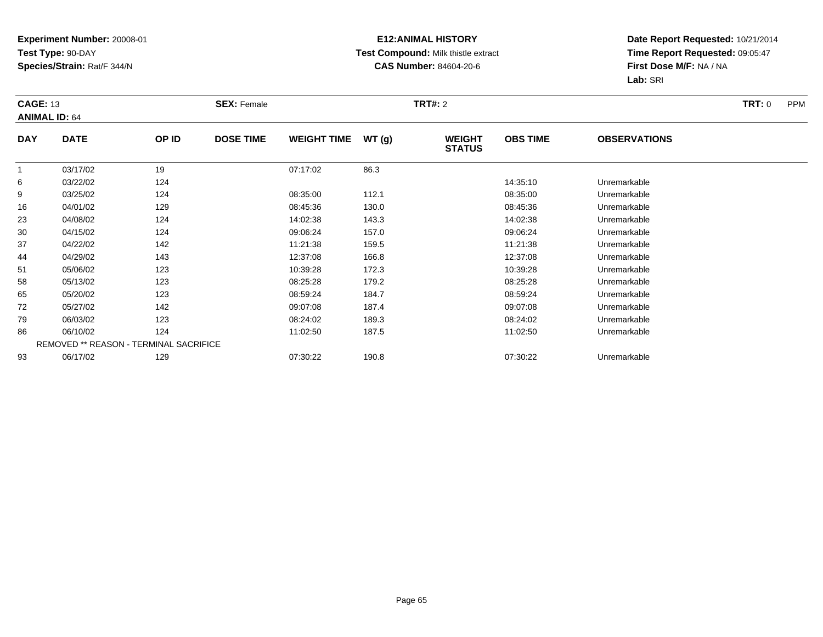#### **E12:ANIMAL HISTORY Test Compound:** Milk thistle extract**CAS Number:** 84604-20-6

|            | <b>CAGE: 13</b><br><b>ANIMAL ID: 64</b> |       | <b>SEX: Female</b> |                    |       |                                | <b>TRT#: 2</b>  |                     |  |
|------------|-----------------------------------------|-------|--------------------|--------------------|-------|--------------------------------|-----------------|---------------------|--|
| <b>DAY</b> | <b>DATE</b>                             | OP ID | <b>DOSE TIME</b>   | <b>WEIGHT TIME</b> | WT(g) | <b>WEIGHT</b><br><b>STATUS</b> | <b>OBS TIME</b> | <b>OBSERVATIONS</b> |  |
|            | 03/17/02                                | 19    |                    | 07:17:02           | 86.3  |                                |                 |                     |  |
| 6          | 03/22/02                                | 124   |                    |                    |       |                                | 14:35:10        | Unremarkable        |  |
| 9          | 03/25/02                                | 124   |                    | 08:35:00           | 112.1 |                                | 08:35:00        | Unremarkable        |  |
| 16         | 04/01/02                                | 129   |                    | 08:45:36           | 130.0 |                                | 08:45:36        | Unremarkable        |  |
| 23         | 04/08/02                                | 124   |                    | 14:02:38           | 143.3 |                                | 14:02:38        | Unremarkable        |  |
| 30         | 04/15/02                                | 124   |                    | 09:06:24           | 157.0 |                                | 09:06:24        | Unremarkable        |  |
| 37         | 04/22/02                                | 142   |                    | 11:21:38           | 159.5 |                                | 11:21:38        | Unremarkable        |  |
| 44         | 04/29/02                                | 143   |                    | 12:37:08           | 166.8 |                                | 12:37:08        | Unremarkable        |  |
| 51         | 05/06/02                                | 123   |                    | 10:39:28           | 172.3 |                                | 10:39:28        | Unremarkable        |  |
| 58         | 05/13/02                                | 123   |                    | 08:25:28           | 179.2 |                                | 08:25:28        | Unremarkable        |  |
| 65         | 05/20/02                                | 123   |                    | 08:59:24           | 184.7 |                                | 08:59:24        | Unremarkable        |  |
| 72         | 05/27/02                                | 142   |                    | 09:07:08           | 187.4 |                                | 09:07:08        | Unremarkable        |  |
| 79         | 06/03/02                                | 123   |                    | 08:24:02           | 189.3 |                                | 08:24:02        | Unremarkable        |  |
| 86         | 06/10/02                                | 124   |                    | 11:02:50           | 187.5 |                                | 11:02:50        | Unremarkable        |  |
|            | REMOVED ** REASON - TERMINAL SACRIFICE  |       |                    |                    |       |                                |                 |                     |  |
| 93         | 06/17/02                                | 129   |                    | 07:30:22           | 190.8 |                                | 07:30:22        | Unremarkable        |  |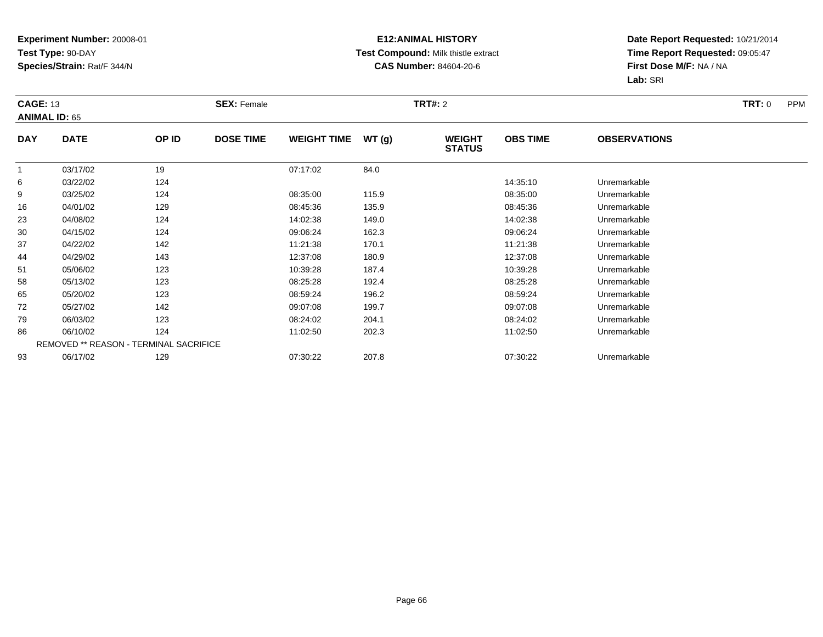#### **E12:ANIMAL HISTORY Test Compound:** Milk thistle extract**CAS Number:** 84604-20-6

|            | <b>CAGE: 13</b><br><b>ANIMAL ID: 65</b> |       | <b>SEX: Female</b> |                    |       |                                | <b>TRT#: 2</b>  |                     |  |
|------------|-----------------------------------------|-------|--------------------|--------------------|-------|--------------------------------|-----------------|---------------------|--|
| <b>DAY</b> | <b>DATE</b>                             | OP ID | <b>DOSE TIME</b>   | <b>WEIGHT TIME</b> | WT(g) | <b>WEIGHT</b><br><b>STATUS</b> | <b>OBS TIME</b> | <b>OBSERVATIONS</b> |  |
|            | 03/17/02                                | 19    |                    | 07:17:02           | 84.0  |                                |                 |                     |  |
| 6          | 03/22/02                                | 124   |                    |                    |       |                                | 14:35:10        | Unremarkable        |  |
| 9          | 03/25/02                                | 124   |                    | 08:35:00           | 115.9 |                                | 08:35:00        | Unremarkable        |  |
| 16         | 04/01/02                                | 129   |                    | 08:45:36           | 135.9 |                                | 08:45:36        | Unremarkable        |  |
| 23         | 04/08/02                                | 124   |                    | 14:02:38           | 149.0 |                                | 14:02:38        | Unremarkable        |  |
| 30         | 04/15/02                                | 124   |                    | 09:06:24           | 162.3 |                                | 09:06:24        | Unremarkable        |  |
| 37         | 04/22/02                                | 142   |                    | 11:21:38           | 170.1 |                                | 11:21:38        | Unremarkable        |  |
| 44         | 04/29/02                                | 143   |                    | 12:37:08           | 180.9 |                                | 12:37:08        | Unremarkable        |  |
| 51         | 05/06/02                                | 123   |                    | 10:39:28           | 187.4 |                                | 10:39:28        | Unremarkable        |  |
| 58         | 05/13/02                                | 123   |                    | 08:25:28           | 192.4 |                                | 08:25:28        | Unremarkable        |  |
| 65         | 05/20/02                                | 123   |                    | 08:59:24           | 196.2 |                                | 08:59:24        | Unremarkable        |  |
| 72         | 05/27/02                                | 142   |                    | 09:07:08           | 199.7 |                                | 09:07:08        | Unremarkable        |  |
| 79         | 06/03/02                                | 123   |                    | 08:24:02           | 204.1 |                                | 08:24:02        | Unremarkable        |  |
| 86         | 06/10/02                                | 124   |                    | 11:02:50           | 202.3 |                                | 11:02:50        | Unremarkable        |  |
|            | REMOVED ** REASON - TERMINAL SACRIFICE  |       |                    |                    |       |                                |                 |                     |  |
| 93         | 06/17/02                                | 129   |                    | 07:30:22           | 207.8 |                                | 07:30:22        | Unremarkable        |  |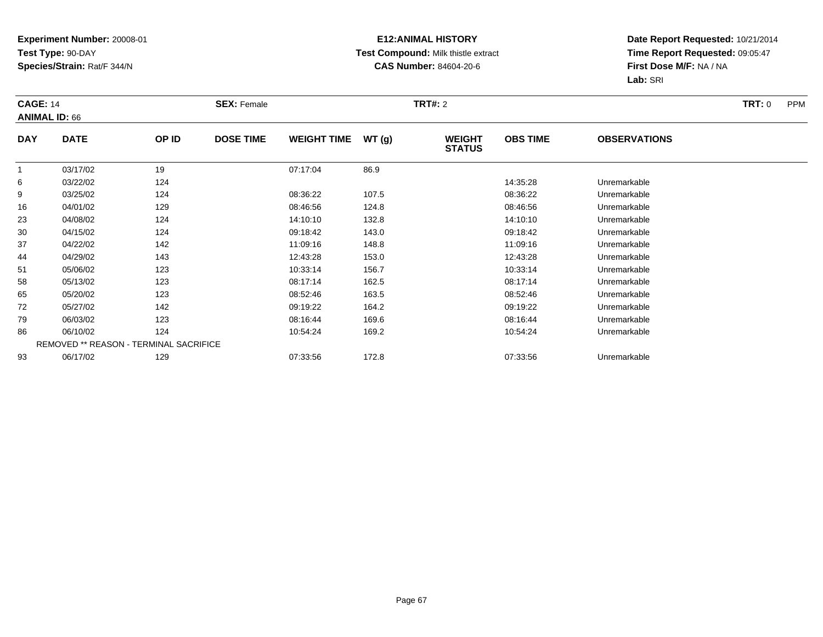#### **E12:ANIMAL HISTORY Test Compound:** Milk thistle extract**CAS Number:** 84604-20-6

|            | <b>CAGE: 14</b><br><b>ANIMAL ID: 66</b> |       | <b>SEX: Female</b> |                    |       |                                | <b>TRT#: 2</b>  |                     |  |
|------------|-----------------------------------------|-------|--------------------|--------------------|-------|--------------------------------|-----------------|---------------------|--|
| <b>DAY</b> | <b>DATE</b>                             | OP ID | <b>DOSE TIME</b>   | <b>WEIGHT TIME</b> | WT(g) | <b>WEIGHT</b><br><b>STATUS</b> | <b>OBS TIME</b> | <b>OBSERVATIONS</b> |  |
|            | 03/17/02                                | 19    |                    | 07:17:04           | 86.9  |                                |                 |                     |  |
| 6          | 03/22/02                                | 124   |                    |                    |       |                                | 14:35:28        | Unremarkable        |  |
| 9          | 03/25/02                                | 124   |                    | 08:36:22           | 107.5 |                                | 08:36:22        | Unremarkable        |  |
| 16         | 04/01/02                                | 129   |                    | 08:46:56           | 124.8 |                                | 08:46:56        | Unremarkable        |  |
| 23         | 04/08/02                                | 124   |                    | 14:10:10           | 132.8 |                                | 14:10:10        | Unremarkable        |  |
| 30         | 04/15/02                                | 124   |                    | 09:18:42           | 143.0 |                                | 09:18:42        | Unremarkable        |  |
| 37         | 04/22/02                                | 142   |                    | 11:09:16           | 148.8 |                                | 11:09:16        | Unremarkable        |  |
| 44         | 04/29/02                                | 143   |                    | 12:43:28           | 153.0 |                                | 12:43:28        | Unremarkable        |  |
| 51         | 05/06/02                                | 123   |                    | 10:33:14           | 156.7 |                                | 10:33:14        | Unremarkable        |  |
| 58         | 05/13/02                                | 123   |                    | 08:17:14           | 162.5 |                                | 08:17:14        | Unremarkable        |  |
| 65         | 05/20/02                                | 123   |                    | 08:52:46           | 163.5 |                                | 08:52:46        | Unremarkable        |  |
| 72         | 05/27/02                                | 142   |                    | 09:19:22           | 164.2 |                                | 09:19:22        | Unremarkable        |  |
| 79         | 06/03/02                                | 123   |                    | 08:16:44           | 169.6 |                                | 08:16:44        | Unremarkable        |  |
| 86         | 06/10/02                                | 124   |                    | 10:54:24           | 169.2 |                                | 10:54:24        | Unremarkable        |  |
|            | REMOVED ** REASON - TERMINAL SACRIFICE  |       |                    |                    |       |                                |                 |                     |  |
| 93         | 06/17/02                                | 129   |                    | 07:33:56           | 172.8 |                                | 07:33:56        | Unremarkable        |  |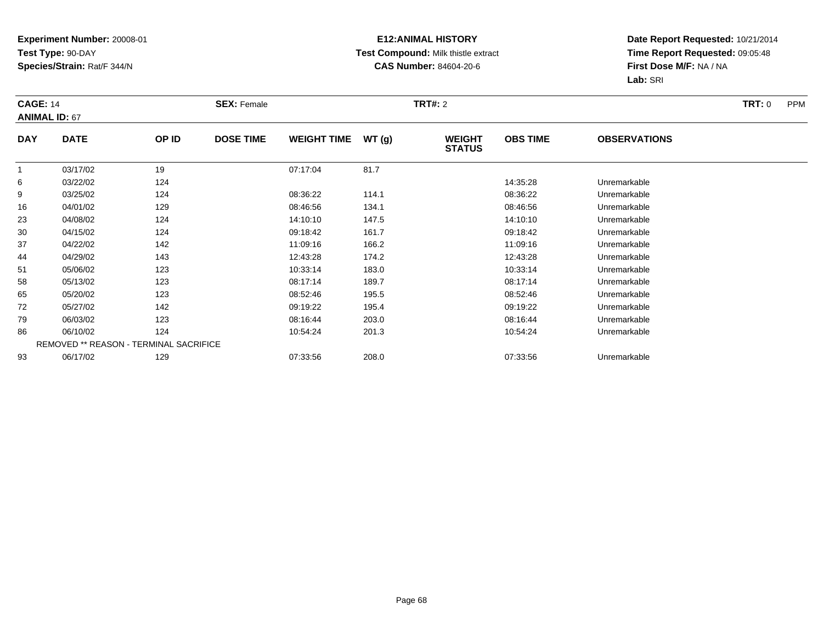#### **E12:ANIMAL HISTORY Test Compound:** Milk thistle extract**CAS Number:** 84604-20-6

|            | <b>CAGE: 14</b><br><b>ANIMAL ID: 67</b> |       | <b>SEX: Female</b> |                    |       |                                | <b>TRT#: 2</b>  |                     |  |
|------------|-----------------------------------------|-------|--------------------|--------------------|-------|--------------------------------|-----------------|---------------------|--|
| <b>DAY</b> | <b>DATE</b>                             | OP ID | <b>DOSE TIME</b>   | <b>WEIGHT TIME</b> | WT(g) | <b>WEIGHT</b><br><b>STATUS</b> | <b>OBS TIME</b> | <b>OBSERVATIONS</b> |  |
|            | 03/17/02                                | 19    |                    | 07:17:04           | 81.7  |                                |                 |                     |  |
| 6          | 03/22/02                                | 124   |                    |                    |       |                                | 14:35:28        | Unremarkable        |  |
| 9          | 03/25/02                                | 124   |                    | 08:36:22           | 114.1 |                                | 08:36:22        | Unremarkable        |  |
| 16         | 04/01/02                                | 129   |                    | 08:46:56           | 134.1 |                                | 08:46:56        | Unremarkable        |  |
| 23         | 04/08/02                                | 124   |                    | 14:10:10           | 147.5 |                                | 14:10:10        | Unremarkable        |  |
| 30         | 04/15/02                                | 124   |                    | 09:18:42           | 161.7 |                                | 09:18:42        | Unremarkable        |  |
| 37         | 04/22/02                                | 142   |                    | 11:09:16           | 166.2 |                                | 11:09:16        | Unremarkable        |  |
| 44         | 04/29/02                                | 143   |                    | 12:43:28           | 174.2 |                                | 12:43:28        | Unremarkable        |  |
| 51         | 05/06/02                                | 123   |                    | 10:33:14           | 183.0 |                                | 10:33:14        | Unremarkable        |  |
| 58         | 05/13/02                                | 123   |                    | 08:17:14           | 189.7 |                                | 08:17:14        | Unremarkable        |  |
| 65         | 05/20/02                                | 123   |                    | 08:52:46           | 195.5 |                                | 08:52:46        | Unremarkable        |  |
| 72         | 05/27/02                                | 142   |                    | 09:19:22           | 195.4 |                                | 09:19:22        | Unremarkable        |  |
| 79         | 06/03/02                                | 123   |                    | 08:16:44           | 203.0 |                                | 08:16:44        | Unremarkable        |  |
| 86         | 06/10/02                                | 124   |                    | 10:54:24           | 201.3 |                                | 10:54:24        | Unremarkable        |  |
|            | REMOVED ** REASON - TERMINAL SACRIFICE  |       |                    |                    |       |                                |                 |                     |  |
| 93         | 06/17/02                                | 129   |                    | 07:33:56           | 208.0 |                                | 07:33:56        | Unremarkable        |  |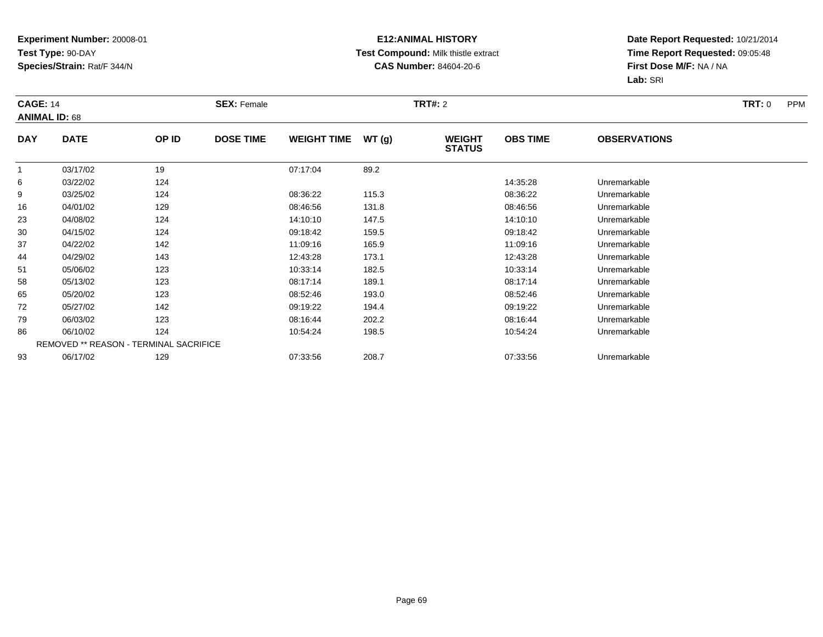#### **E12:ANIMAL HISTORY Test Compound:** Milk thistle extract**CAS Number:** 84604-20-6

|            | <b>CAGE: 14</b><br><b>ANIMAL ID: 68</b> |       | <b>SEX: Female</b> |                    |       |                                | <b>TRT#: 2</b>  |                     |  |
|------------|-----------------------------------------|-------|--------------------|--------------------|-------|--------------------------------|-----------------|---------------------|--|
| <b>DAY</b> | <b>DATE</b>                             | OP ID | <b>DOSE TIME</b>   | <b>WEIGHT TIME</b> | WT(g) | <b>WEIGHT</b><br><b>STATUS</b> | <b>OBS TIME</b> | <b>OBSERVATIONS</b> |  |
|            | 03/17/02                                | 19    |                    | 07:17:04           | 89.2  |                                |                 |                     |  |
| 6          | 03/22/02                                | 124   |                    |                    |       |                                | 14:35:28        | Unremarkable        |  |
| 9          | 03/25/02                                | 124   |                    | 08:36:22           | 115.3 |                                | 08:36:22        | Unremarkable        |  |
| 16         | 04/01/02                                | 129   |                    | 08:46:56           | 131.8 |                                | 08:46:56        | Unremarkable        |  |
| 23         | 04/08/02                                | 124   |                    | 14:10:10           | 147.5 |                                | 14:10:10        | Unremarkable        |  |
| 30         | 04/15/02                                | 124   |                    | 09:18:42           | 159.5 |                                | 09:18:42        | Unremarkable        |  |
| 37         | 04/22/02                                | 142   |                    | 11:09:16           | 165.9 |                                | 11:09:16        | Unremarkable        |  |
| 44         | 04/29/02                                | 143   |                    | 12:43:28           | 173.1 |                                | 12:43:28        | Unremarkable        |  |
| 51         | 05/06/02                                | 123   |                    | 10:33:14           | 182.5 |                                | 10:33:14        | Unremarkable        |  |
| 58         | 05/13/02                                | 123   |                    | 08:17:14           | 189.1 |                                | 08:17:14        | Unremarkable        |  |
| 65         | 05/20/02                                | 123   |                    | 08:52:46           | 193.0 |                                | 08:52:46        | Unremarkable        |  |
| 72         | 05/27/02                                | 142   |                    | 09:19:22           | 194.4 |                                | 09:19:22        | Unremarkable        |  |
| 79         | 06/03/02                                | 123   |                    | 08:16:44           | 202.2 |                                | 08:16:44        | Unremarkable        |  |
| 86         | 06/10/02                                | 124   |                    | 10:54:24           | 198.5 |                                | 10:54:24        | Unremarkable        |  |
|            | REMOVED ** REASON - TERMINAL SACRIFICE  |       |                    |                    |       |                                |                 |                     |  |
| 93         | 06/17/02                                | 129   |                    | 07:33:56           | 208.7 |                                | 07:33:56        | Unremarkable        |  |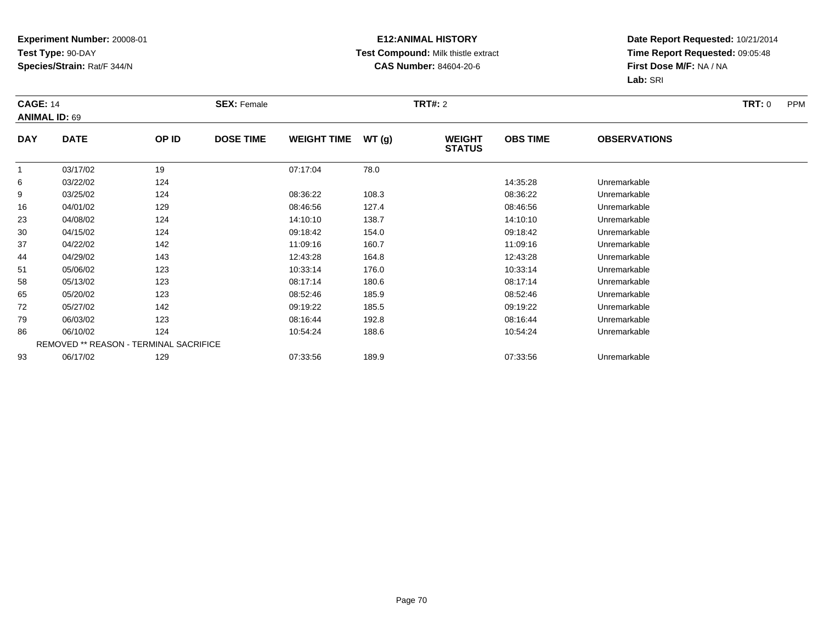#### **E12:ANIMAL HISTORY Test Compound:** Milk thistle extract**CAS Number:** 84604-20-6

|            | <b>CAGE: 14</b><br><b>ANIMAL ID: 69</b> |       | <b>SEX: Female</b> |                    |       |                                | <b>TRT#: 2</b>  |                     |  |
|------------|-----------------------------------------|-------|--------------------|--------------------|-------|--------------------------------|-----------------|---------------------|--|
| <b>DAY</b> | <b>DATE</b>                             | OP ID | <b>DOSE TIME</b>   | <b>WEIGHT TIME</b> | WT(g) | <b>WEIGHT</b><br><b>STATUS</b> | <b>OBS TIME</b> | <b>OBSERVATIONS</b> |  |
|            | 03/17/02                                | 19    |                    | 07:17:04           | 78.0  |                                |                 |                     |  |
| 6          | 03/22/02                                | 124   |                    |                    |       |                                | 14:35:28        | Unremarkable        |  |
| 9          | 03/25/02                                | 124   |                    | 08:36:22           | 108.3 |                                | 08:36:22        | Unremarkable        |  |
| 16         | 04/01/02                                | 129   |                    | 08:46:56           | 127.4 |                                | 08:46:56        | Unremarkable        |  |
| 23         | 04/08/02                                | 124   |                    | 14:10:10           | 138.7 |                                | 14:10:10        | Unremarkable        |  |
| 30         | 04/15/02                                | 124   |                    | 09:18:42           | 154.0 |                                | 09:18:42        | Unremarkable        |  |
| 37         | 04/22/02                                | 142   |                    | 11:09:16           | 160.7 |                                | 11:09:16        | Unremarkable        |  |
| 44         | 04/29/02                                | 143   |                    | 12:43:28           | 164.8 |                                | 12:43:28        | Unremarkable        |  |
| 51         | 05/06/02                                | 123   |                    | 10:33:14           | 176.0 |                                | 10:33:14        | Unremarkable        |  |
| 58         | 05/13/02                                | 123   |                    | 08:17:14           | 180.6 |                                | 08:17:14        | Unremarkable        |  |
| 65         | 05/20/02                                | 123   |                    | 08:52:46           | 185.9 |                                | 08:52:46        | Unremarkable        |  |
| 72         | 05/27/02                                | 142   |                    | 09:19:22           | 185.5 |                                | 09:19:22        | Unremarkable        |  |
| 79         | 06/03/02                                | 123   |                    | 08:16:44           | 192.8 |                                | 08:16:44        | Unremarkable        |  |
| 86         | 06/10/02                                | 124   |                    | 10:54:24           | 188.6 |                                | 10:54:24        | Unremarkable        |  |
|            | REMOVED ** REASON - TERMINAL SACRIFICE  |       |                    |                    |       |                                |                 |                     |  |
| 93         | 06/17/02                                | 129   |                    | 07:33:56           | 189.9 |                                | 07:33:56        | Unremarkable        |  |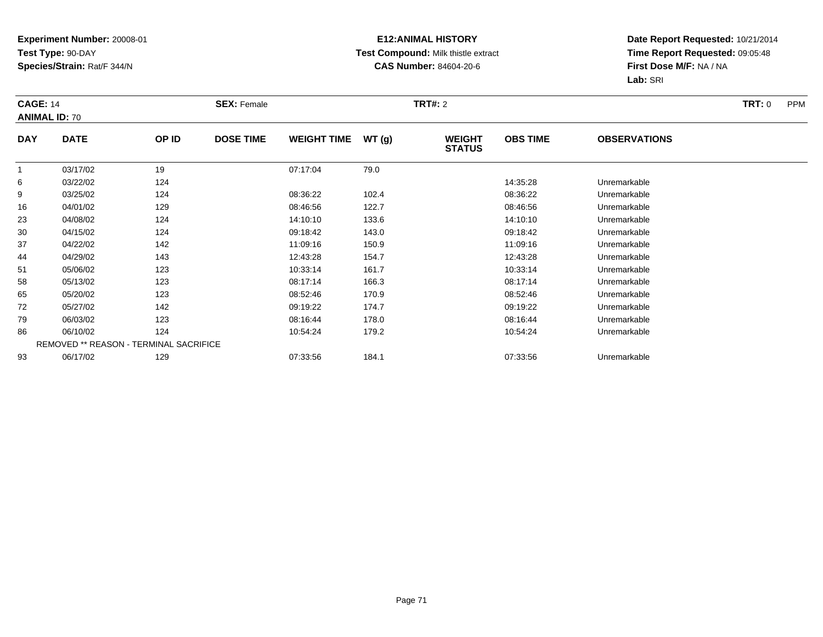#### **E12:ANIMAL HISTORY Test Compound:** Milk thistle extract**CAS Number:** 84604-20-6

|            | <b>CAGE: 14</b><br><b>ANIMAL ID: 70</b> |       | <b>SEX: Female</b> |                    |       |                                | <b>TRT#:</b> 2  |                     |  |
|------------|-----------------------------------------|-------|--------------------|--------------------|-------|--------------------------------|-----------------|---------------------|--|
| <b>DAY</b> | <b>DATE</b>                             | OP ID | <b>DOSE TIME</b>   | <b>WEIGHT TIME</b> | WT(g) | <b>WEIGHT</b><br><b>STATUS</b> | <b>OBS TIME</b> | <b>OBSERVATIONS</b> |  |
|            | 03/17/02                                | 19    |                    | 07:17:04           | 79.0  |                                |                 |                     |  |
| 6          | 03/22/02                                | 124   |                    |                    |       |                                | 14:35:28        | Unremarkable        |  |
| 9          | 03/25/02                                | 124   |                    | 08:36:22           | 102.4 |                                | 08:36:22        | Unremarkable        |  |
| 16         | 04/01/02                                | 129   |                    | 08:46:56           | 122.7 |                                | 08:46:56        | Unremarkable        |  |
| 23         | 04/08/02                                | 124   |                    | 14:10:10           | 133.6 |                                | 14:10:10        | Unremarkable        |  |
| 30         | 04/15/02                                | 124   |                    | 09:18:42           | 143.0 |                                | 09:18:42        | Unremarkable        |  |
| 37         | 04/22/02                                | 142   |                    | 11:09:16           | 150.9 |                                | 11:09:16        | Unremarkable        |  |
| 44         | 04/29/02                                | 143   |                    | 12:43:28           | 154.7 |                                | 12:43:28        | Unremarkable        |  |
| 51         | 05/06/02                                | 123   |                    | 10:33:14           | 161.7 |                                | 10:33:14        | Unremarkable        |  |
| 58         | 05/13/02                                | 123   |                    | 08:17:14           | 166.3 |                                | 08:17:14        | Unremarkable        |  |
| 65         | 05/20/02                                | 123   |                    | 08:52:46           | 170.9 |                                | 08:52:46        | Unremarkable        |  |
| 72         | 05/27/02                                | 142   |                    | 09:19:22           | 174.7 |                                | 09:19:22        | Unremarkable        |  |
| 79         | 06/03/02                                | 123   |                    | 08:16:44           | 178.0 |                                | 08:16:44        | Unremarkable        |  |
| 86         | 06/10/02                                | 124   |                    | 10:54:24           | 179.2 |                                | 10:54:24        | Unremarkable        |  |
|            | REMOVED ** REASON - TERMINAL SACRIFICE  |       |                    |                    |       |                                |                 |                     |  |
| 93         | 06/17/02                                | 129   |                    | 07:33:56           | 184.1 |                                | 07:33:56        | Unremarkable        |  |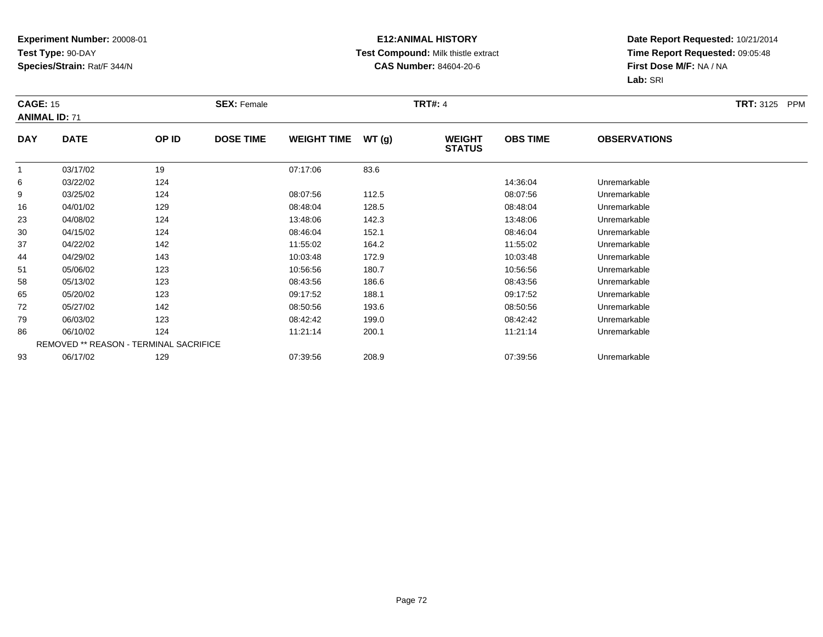#### **E12:ANIMAL HISTORY Test Compound:** Milk thistle extract**CAS Number:** 84604-20-6

|                | <b>CAGE: 15</b><br><b>ANIMAL ID: 71</b> |                                        | <b>SEX: Female</b> |                    |       |                                | <b>TRT#: 4</b>  |                     |  |  |
|----------------|-----------------------------------------|----------------------------------------|--------------------|--------------------|-------|--------------------------------|-----------------|---------------------|--|--|
| <b>DAY</b>     | <b>DATE</b>                             | OP ID                                  | <b>DOSE TIME</b>   | <b>WEIGHT TIME</b> | WT(g) | <b>WEIGHT</b><br><b>STATUS</b> | <b>OBS TIME</b> | <b>OBSERVATIONS</b> |  |  |
| $\overline{1}$ | 03/17/02                                | 19                                     |                    | 07:17:06           | 83.6  |                                |                 |                     |  |  |
| 6              | 03/22/02                                | 124                                    |                    |                    |       |                                | 14:36:04        | Unremarkable        |  |  |
| 9              | 03/25/02                                | 124                                    |                    | 08:07:56           | 112.5 |                                | 08:07:56        | Unremarkable        |  |  |
| 16             | 04/01/02                                | 129                                    |                    | 08:48:04           | 128.5 |                                | 08:48:04        | Unremarkable        |  |  |
| 23             | 04/08/02                                | 124                                    |                    | 13:48:06           | 142.3 |                                | 13:48:06        | Unremarkable        |  |  |
| 30             | 04/15/02                                | 124                                    |                    | 08:46:04           | 152.1 |                                | 08:46:04        | Unremarkable        |  |  |
| 37             | 04/22/02                                | 142                                    |                    | 11:55:02           | 164.2 |                                | 11:55:02        | Unremarkable        |  |  |
| 44             | 04/29/02                                | 143                                    |                    | 10:03:48           | 172.9 |                                | 10:03:48        | Unremarkable        |  |  |
| 51             | 05/06/02                                | 123                                    |                    | 10:56:56           | 180.7 |                                | 10:56:56        | Unremarkable        |  |  |
| 58             | 05/13/02                                | 123                                    |                    | 08:43:56           | 186.6 |                                | 08:43:56        | Unremarkable        |  |  |
| 65             | 05/20/02                                | 123                                    |                    | 09:17:52           | 188.1 |                                | 09:17:52        | Unremarkable        |  |  |
| 72             | 05/27/02                                | 142                                    |                    | 08:50:56           | 193.6 |                                | 08:50:56        | Unremarkable        |  |  |
| 79             | 06/03/02                                | 123                                    |                    | 08:42:42           | 199.0 |                                | 08:42:42        | Unremarkable        |  |  |
| 86             | 06/10/02                                | 124                                    |                    | 11:21:14           | 200.1 |                                | 11:21:14        | Unremarkable        |  |  |
|                |                                         | REMOVED ** REASON - TERMINAL SACRIFICE |                    |                    |       |                                |                 |                     |  |  |
| 93             | 06/17/02                                | 129                                    |                    | 07:39:56           | 208.9 |                                | 07:39:56        | Unremarkable        |  |  |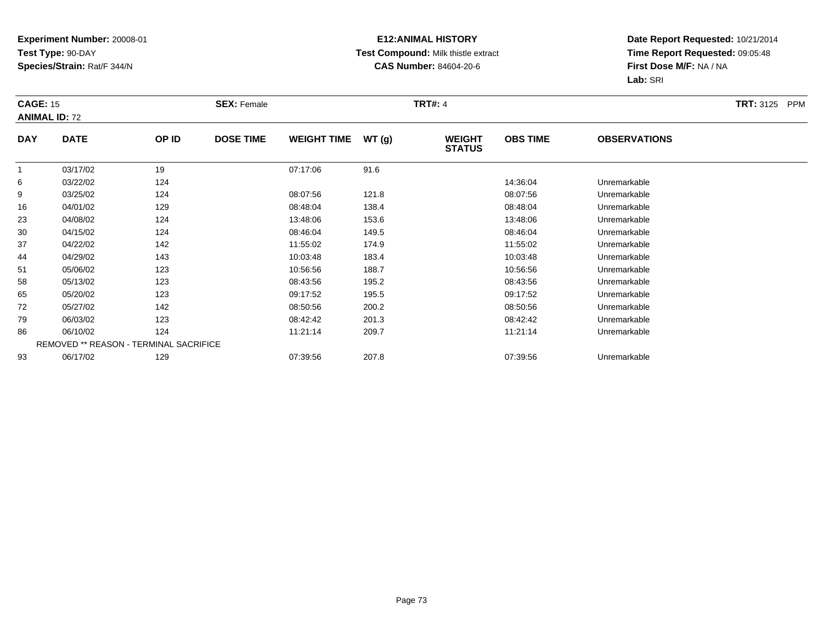## **E12:ANIMAL HISTORY Test Compound:** Milk thistle extract**CAS Number:** 84604-20-6

|                | <b>CAGE: 15</b><br><b>ANIMAL ID: 72</b> |                                        | <b>SEX: Female</b> |                    |       |                                | <b>TRT#: 4</b>  |                     |  |  |
|----------------|-----------------------------------------|----------------------------------------|--------------------|--------------------|-------|--------------------------------|-----------------|---------------------|--|--|
| <b>DAY</b>     | <b>DATE</b>                             | OP ID                                  | <b>DOSE TIME</b>   | <b>WEIGHT TIME</b> | WT(g) | <b>WEIGHT</b><br><b>STATUS</b> | <b>OBS TIME</b> | <b>OBSERVATIONS</b> |  |  |
| $\overline{1}$ | 03/17/02                                | 19                                     |                    | 07:17:06           | 91.6  |                                |                 |                     |  |  |
| 6              | 03/22/02                                | 124                                    |                    |                    |       |                                | 14:36:04        | Unremarkable        |  |  |
| 9              | 03/25/02                                | 124                                    |                    | 08:07:56           | 121.8 |                                | 08:07:56        | Unremarkable        |  |  |
| 16             | 04/01/02                                | 129                                    |                    | 08:48:04           | 138.4 |                                | 08:48:04        | Unremarkable        |  |  |
| 23             | 04/08/02                                | 124                                    |                    | 13:48:06           | 153.6 |                                | 13:48:06        | Unremarkable        |  |  |
| 30             | 04/15/02                                | 124                                    |                    | 08:46:04           | 149.5 |                                | 08:46:04        | Unremarkable        |  |  |
| 37             | 04/22/02                                | 142                                    |                    | 11:55:02           | 174.9 |                                | 11:55:02        | Unremarkable        |  |  |
| 44             | 04/29/02                                | 143                                    |                    | 10:03:48           | 183.4 |                                | 10:03:48        | Unremarkable        |  |  |
| 51             | 05/06/02                                | 123                                    |                    | 10:56:56           | 188.7 |                                | 10:56:56        | Unremarkable        |  |  |
| 58             | 05/13/02                                | 123                                    |                    | 08:43:56           | 195.2 |                                | 08:43:56        | Unremarkable        |  |  |
| 65             | 05/20/02                                | 123                                    |                    | 09:17:52           | 195.5 |                                | 09:17:52        | Unremarkable        |  |  |
| 72             | 05/27/02                                | 142                                    |                    | 08:50:56           | 200.2 |                                | 08:50:56        | Unremarkable        |  |  |
| 79             | 06/03/02                                | 123                                    |                    | 08:42:42           | 201.3 |                                | 08:42:42        | Unremarkable        |  |  |
| 86             | 06/10/02                                | 124                                    |                    | 11:21:14           | 209.7 |                                | 11:21:14        | Unremarkable        |  |  |
|                |                                         | REMOVED ** REASON - TERMINAL SACRIFICE |                    |                    |       |                                |                 |                     |  |  |
| 93             | 06/17/02                                | 129                                    |                    | 07:39:56           | 207.8 |                                | 07:39:56        | Unremarkable        |  |  |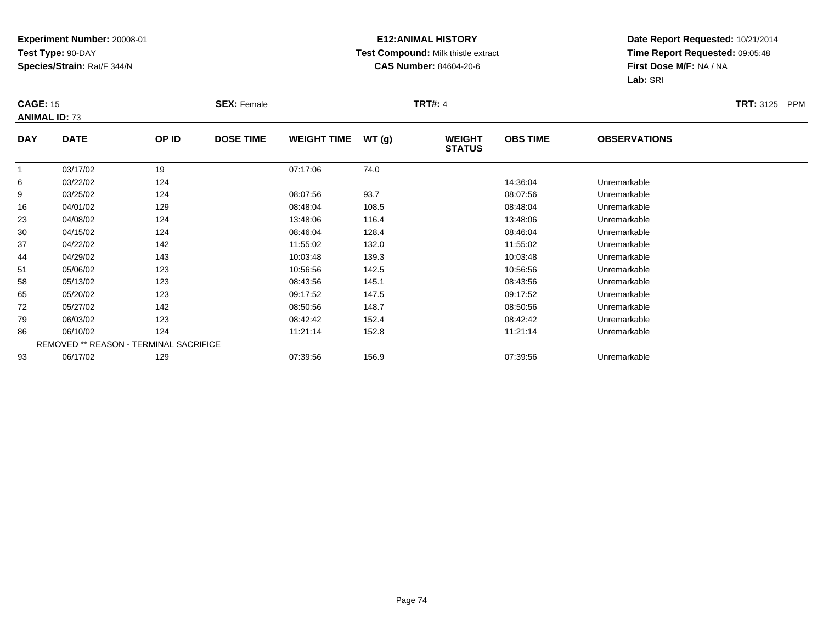## **E12:ANIMAL HISTORY Test Compound:** Milk thistle extract**CAS Number:** 84604-20-6

|            | <b>CAGE: 15</b><br><b>ANIMAL ID: 73</b> |                                        | <b>SEX: Female</b> |                    |       | <b>TRT#: 4</b>                 |                 |                     | <b>TRT: 3125 PPM</b> |
|------------|-----------------------------------------|----------------------------------------|--------------------|--------------------|-------|--------------------------------|-----------------|---------------------|----------------------|
| <b>DAY</b> | <b>DATE</b>                             | OP ID                                  | <b>DOSE TIME</b>   | <b>WEIGHT TIME</b> | WT(g) | <b>WEIGHT</b><br><b>STATUS</b> | <b>OBS TIME</b> | <b>OBSERVATIONS</b> |                      |
|            | 03/17/02                                | 19                                     |                    | 07:17:06           | 74.0  |                                |                 |                     |                      |
| 6          | 03/22/02                                | 124                                    |                    |                    |       |                                | 14:36:04        | Unremarkable        |                      |
| 9          | 03/25/02                                | 124                                    |                    | 08:07:56           | 93.7  |                                | 08:07:56        | Unremarkable        |                      |
| 16         | 04/01/02                                | 129                                    |                    | 08:48:04           | 108.5 |                                | 08:48:04        | Unremarkable        |                      |
| 23         | 04/08/02                                | 124                                    |                    | 13:48:06           | 116.4 |                                | 13:48:06        | Unremarkable        |                      |
| 30         | 04/15/02                                | 124                                    |                    | 08:46:04           | 128.4 |                                | 08:46:04        | Unremarkable        |                      |
| 37         | 04/22/02                                | 142                                    |                    | 11:55:02           | 132.0 |                                | 11:55:02        | Unremarkable        |                      |
| 44         | 04/29/02                                | 143                                    |                    | 10:03:48           | 139.3 |                                | 10:03:48        | Unremarkable        |                      |
| 51         | 05/06/02                                | 123                                    |                    | 10:56:56           | 142.5 |                                | 10:56:56        | Unremarkable        |                      |
| 58         | 05/13/02                                | 123                                    |                    | 08:43:56           | 145.1 |                                | 08:43:56        | Unremarkable        |                      |
| 65         | 05/20/02                                | 123                                    |                    | 09:17:52           | 147.5 |                                | 09:17:52        | Unremarkable        |                      |
| 72         | 05/27/02                                | 142                                    |                    | 08:50:56           | 148.7 |                                | 08:50:56        | Unremarkable        |                      |
| 79         | 06/03/02                                | 123                                    |                    | 08:42:42           | 152.4 |                                | 08:42:42        | Unremarkable        |                      |
| 86         | 06/10/02                                | 124                                    |                    | 11:21:14           | 152.8 |                                | 11:21:14        | Unremarkable        |                      |
|            |                                         | REMOVED ** REASON - TERMINAL SACRIFICE |                    |                    |       |                                |                 |                     |                      |
| 93         | 06/17/02                                | 129                                    |                    | 07:39:56           | 156.9 |                                | 07:39:56        | Unremarkable        |                      |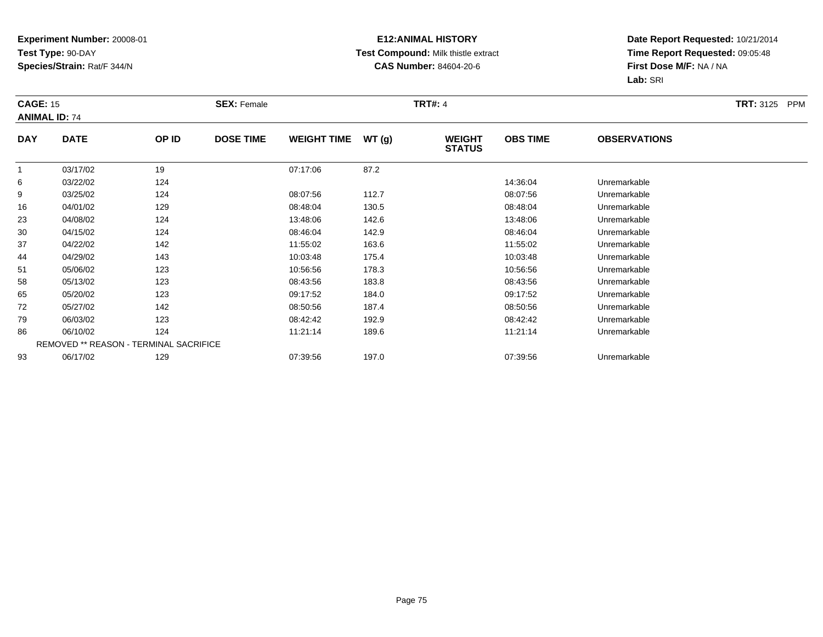## **E12:ANIMAL HISTORY Test Compound:** Milk thistle extract**CAS Number:** 84604-20-6

|            | <b>CAGE: 15</b><br><b>ANIMAL ID: 74</b> |       | <b>SEX: Female</b> |                    |       | <b>TRT#: 4</b>                 |                 |                     | <b>TRT: 3125 PPM</b> |
|------------|-----------------------------------------|-------|--------------------|--------------------|-------|--------------------------------|-----------------|---------------------|----------------------|
| <b>DAY</b> | <b>DATE</b>                             | OP ID | <b>DOSE TIME</b>   | <b>WEIGHT TIME</b> | WT(g) | <b>WEIGHT</b><br><b>STATUS</b> | <b>OBS TIME</b> | <b>OBSERVATIONS</b> |                      |
|            | 03/17/02                                | 19    |                    | 07:17:06           | 87.2  |                                |                 |                     |                      |
| 6          | 03/22/02                                | 124   |                    |                    |       |                                | 14:36:04        | Unremarkable        |                      |
| 9          | 03/25/02                                | 124   |                    | 08:07:56           | 112.7 |                                | 08:07:56        | Unremarkable        |                      |
| 16         | 04/01/02                                | 129   |                    | 08:48:04           | 130.5 |                                | 08:48:04        | Unremarkable        |                      |
| 23         | 04/08/02                                | 124   |                    | 13:48:06           | 142.6 |                                | 13:48:06        | Unremarkable        |                      |
| 30         | 04/15/02                                | 124   |                    | 08:46:04           | 142.9 |                                | 08:46:04        | Unremarkable        |                      |
| 37         | 04/22/02                                | 142   |                    | 11:55:02           | 163.6 |                                | 11:55:02        | Unremarkable        |                      |
| 44         | 04/29/02                                | 143   |                    | 10:03:48           | 175.4 |                                | 10:03:48        | Unremarkable        |                      |
| 51         | 05/06/02                                | 123   |                    | 10:56:56           | 178.3 |                                | 10:56:56        | Unremarkable        |                      |
| 58         | 05/13/02                                | 123   |                    | 08:43:56           | 183.8 |                                | 08:43:56        | Unremarkable        |                      |
| 65         | 05/20/02                                | 123   |                    | 09:17:52           | 184.0 |                                | 09:17:52        | Unremarkable        |                      |
| 72         | 05/27/02                                | 142   |                    | 08:50:56           | 187.4 |                                | 08:50:56        | Unremarkable        |                      |
| 79         | 06/03/02                                | 123   |                    | 08:42:42           | 192.9 |                                | 08:42:42        | Unremarkable        |                      |
| 86         | 06/10/02                                | 124   |                    | 11:21:14           | 189.6 |                                | 11:21:14        | Unremarkable        |                      |
|            | REMOVED ** REASON - TERMINAL SACRIFICE  |       |                    |                    |       |                                |                 |                     |                      |
| 93         | 06/17/02                                | 129   |                    | 07:39:56           | 197.0 |                                | 07:39:56        | Unremarkable        |                      |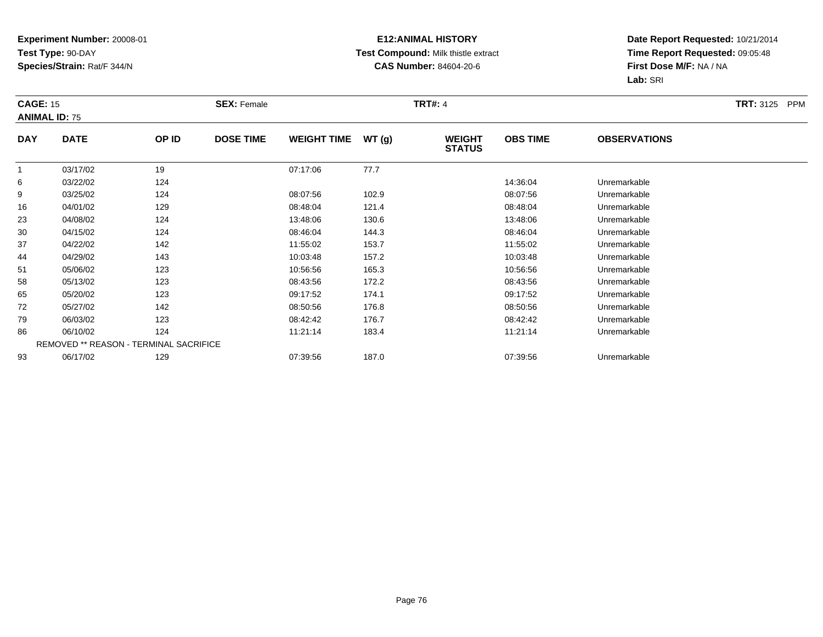## **E12:ANIMAL HISTORY Test Compound:** Milk thistle extract**CAS Number:** 84604-20-6

|                | <b>CAGE: 15</b><br><b>ANIMAL ID: 75</b> |                                        | <b>SEX: Female</b> |                    |       |                                | <b>TRT#: 4</b>  |                     |  |  |
|----------------|-----------------------------------------|----------------------------------------|--------------------|--------------------|-------|--------------------------------|-----------------|---------------------|--|--|
| <b>DAY</b>     | <b>DATE</b>                             | OP ID                                  | <b>DOSE TIME</b>   | <b>WEIGHT TIME</b> | WT(g) | <b>WEIGHT</b><br><b>STATUS</b> | <b>OBS TIME</b> | <b>OBSERVATIONS</b> |  |  |
| $\overline{1}$ | 03/17/02                                | 19                                     |                    | 07:17:06           | 77.7  |                                |                 |                     |  |  |
| 6              | 03/22/02                                | 124                                    |                    |                    |       |                                | 14:36:04        | Unremarkable        |  |  |
| 9              | 03/25/02                                | 124                                    |                    | 08:07:56           | 102.9 |                                | 08:07:56        | Unremarkable        |  |  |
| 16             | 04/01/02                                | 129                                    |                    | 08:48:04           | 121.4 |                                | 08:48:04        | Unremarkable        |  |  |
| 23             | 04/08/02                                | 124                                    |                    | 13:48:06           | 130.6 |                                | 13:48:06        | Unremarkable        |  |  |
| 30             | 04/15/02                                | 124                                    |                    | 08:46:04           | 144.3 |                                | 08:46:04        | Unremarkable        |  |  |
| 37             | 04/22/02                                | 142                                    |                    | 11:55:02           | 153.7 |                                | 11:55:02        | Unremarkable        |  |  |
| 44             | 04/29/02                                | 143                                    |                    | 10:03:48           | 157.2 |                                | 10:03:48        | Unremarkable        |  |  |
| 51             | 05/06/02                                | 123                                    |                    | 10:56:56           | 165.3 |                                | 10:56:56        | Unremarkable        |  |  |
| 58             | 05/13/02                                | 123                                    |                    | 08:43:56           | 172.2 |                                | 08:43:56        | Unremarkable        |  |  |
| 65             | 05/20/02                                | 123                                    |                    | 09:17:52           | 174.1 |                                | 09:17:52        | Unremarkable        |  |  |
| 72             | 05/27/02                                | 142                                    |                    | 08:50:56           | 176.8 |                                | 08:50:56        | Unremarkable        |  |  |
| 79             | 06/03/02                                | 123                                    |                    | 08:42:42           | 176.7 |                                | 08:42:42        | Unremarkable        |  |  |
| 86             | 06/10/02                                | 124                                    |                    | 11:21:14           | 183.4 |                                | 11:21:14        | Unremarkable        |  |  |
|                |                                         | REMOVED ** REASON - TERMINAL SACRIFICE |                    |                    |       |                                |                 |                     |  |  |
| 93             | 06/17/02                                | 129                                    |                    | 07:39:56           | 187.0 |                                | 07:39:56        | Unremarkable        |  |  |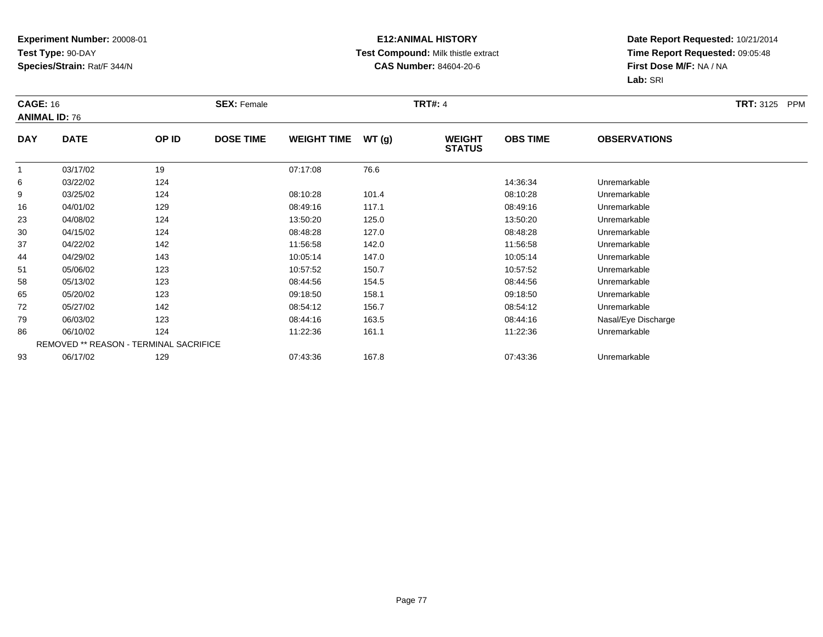## **E12:ANIMAL HISTORY Test Compound:** Milk thistle extract**CAS Number:** 84604-20-6

|                | <b>CAGE: 16</b><br><b>ANIMAL ID: 76</b> |                                        | <b>SEX: Female</b> |                    |       |                                | <b>TRT#: 4</b>  |                     |  |
|----------------|-----------------------------------------|----------------------------------------|--------------------|--------------------|-------|--------------------------------|-----------------|---------------------|--|
| <b>DAY</b>     | <b>DATE</b>                             | OP ID                                  | <b>DOSE TIME</b>   | <b>WEIGHT TIME</b> | WT(g) | <b>WEIGHT</b><br><b>STATUS</b> | <b>OBS TIME</b> | <b>OBSERVATIONS</b> |  |
| $\overline{1}$ | 03/17/02                                | 19                                     |                    | 07:17:08           | 76.6  |                                |                 |                     |  |
| 6              | 03/22/02                                | 124                                    |                    |                    |       |                                | 14:36:34        | Unremarkable        |  |
| 9              | 03/25/02                                | 124                                    |                    | 08:10:28           | 101.4 |                                | 08:10:28        | Unremarkable        |  |
| 16             | 04/01/02                                | 129                                    |                    | 08:49:16           | 117.1 |                                | 08:49:16        | Unremarkable        |  |
| 23             | 04/08/02                                | 124                                    |                    | 13:50:20           | 125.0 |                                | 13:50:20        | Unremarkable        |  |
| 30             | 04/15/02                                | 124                                    |                    | 08:48:28           | 127.0 |                                | 08:48:28        | Unremarkable        |  |
| 37             | 04/22/02                                | 142                                    |                    | 11:56:58           | 142.0 |                                | 11:56:58        | Unremarkable        |  |
| 44             | 04/29/02                                | 143                                    |                    | 10:05:14           | 147.0 |                                | 10:05:14        | Unremarkable        |  |
| 51             | 05/06/02                                | 123                                    |                    | 10:57:52           | 150.7 |                                | 10:57:52        | Unremarkable        |  |
| 58             | 05/13/02                                | 123                                    |                    | 08:44:56           | 154.5 |                                | 08:44:56        | Unremarkable        |  |
| 65             | 05/20/02                                | 123                                    |                    | 09:18:50           | 158.1 |                                | 09:18:50        | Unremarkable        |  |
| 72             | 05/27/02                                | 142                                    |                    | 08:54:12           | 156.7 |                                | 08:54:12        | Unremarkable        |  |
| 79             | 06/03/02                                | 123                                    |                    | 08:44:16           | 163.5 |                                | 08:44:16        | Nasal/Eye Discharge |  |
| 86             | 06/10/02                                | 124                                    |                    | 11:22:36           | 161.1 |                                | 11:22:36        | Unremarkable        |  |
|                |                                         | REMOVED ** REASON - TERMINAL SACRIFICE |                    |                    |       |                                |                 |                     |  |
| 93             | 06/17/02                                | 129                                    |                    | 07:43:36           | 167.8 |                                | 07:43:36        | Unremarkable        |  |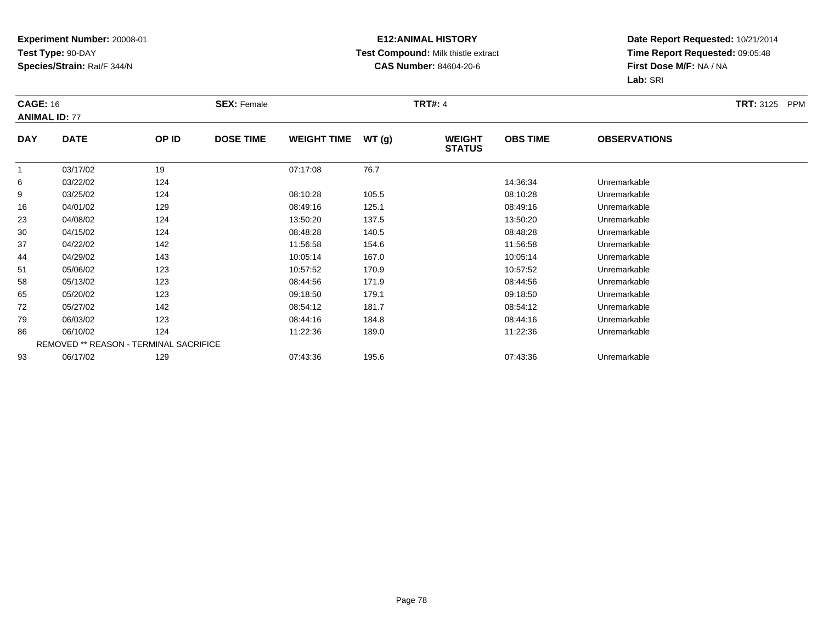## **E12:ANIMAL HISTORY Test Compound:** Milk thistle extract**CAS Number:** 84604-20-6

|                | <b>CAGE: 16</b><br><b>ANIMAL ID: 77</b> |                                        | <b>SEX: Female</b> |                    |       |                                | <b>TRT#: 4</b>  |                     |  |
|----------------|-----------------------------------------|----------------------------------------|--------------------|--------------------|-------|--------------------------------|-----------------|---------------------|--|
| <b>DAY</b>     | <b>DATE</b>                             | OP ID                                  | <b>DOSE TIME</b>   | <b>WEIGHT TIME</b> | WT(g) | <b>WEIGHT</b><br><b>STATUS</b> | <b>OBS TIME</b> | <b>OBSERVATIONS</b> |  |
| $\overline{1}$ | 03/17/02                                | 19                                     |                    | 07:17:08           | 76.7  |                                |                 |                     |  |
| 6              | 03/22/02                                | 124                                    |                    |                    |       |                                | 14:36:34        | Unremarkable        |  |
| 9              | 03/25/02                                | 124                                    |                    | 08:10:28           | 105.5 |                                | 08:10:28        | Unremarkable        |  |
| 16             | 04/01/02                                | 129                                    |                    | 08:49:16           | 125.1 |                                | 08:49:16        | Unremarkable        |  |
| 23             | 04/08/02                                | 124                                    |                    | 13:50:20           | 137.5 |                                | 13:50:20        | Unremarkable        |  |
| 30             | 04/15/02                                | 124                                    |                    | 08:48:28           | 140.5 |                                | 08:48:28        | Unremarkable        |  |
| 37             | 04/22/02                                | 142                                    |                    | 11:56:58           | 154.6 |                                | 11:56:58        | Unremarkable        |  |
| 44             | 04/29/02                                | 143                                    |                    | 10:05:14           | 167.0 |                                | 10:05:14        | Unremarkable        |  |
| 51             | 05/06/02                                | 123                                    |                    | 10:57:52           | 170.9 |                                | 10:57:52        | Unremarkable        |  |
| 58             | 05/13/02                                | 123                                    |                    | 08:44:56           | 171.9 |                                | 08:44:56        | Unremarkable        |  |
| 65             | 05/20/02                                | 123                                    |                    | 09:18:50           | 179.1 |                                | 09:18:50        | Unremarkable        |  |
| 72             | 05/27/02                                | 142                                    |                    | 08:54:12           | 181.7 |                                | 08:54:12        | Unremarkable        |  |
| 79             | 06/03/02                                | 123                                    |                    | 08:44:16           | 184.8 |                                | 08:44:16        | Unremarkable        |  |
| 86             | 06/10/02                                | 124                                    |                    | 11:22:36           | 189.0 |                                | 11:22:36        | Unremarkable        |  |
|                |                                         | REMOVED ** REASON - TERMINAL SACRIFICE |                    |                    |       |                                |                 |                     |  |
| 93             | 06/17/02                                | 129                                    |                    | 07:43:36           | 195.6 |                                | 07:43:36        | Unremarkable        |  |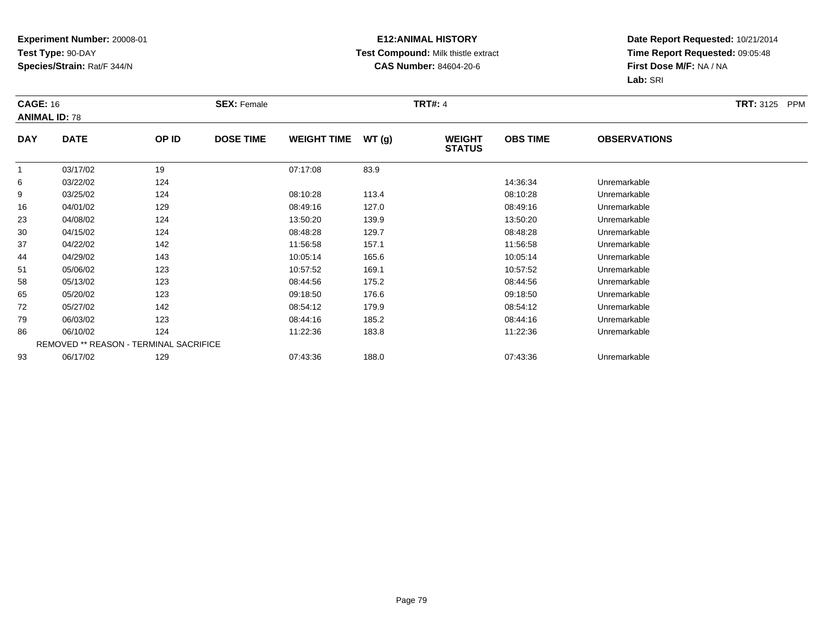## **E12:ANIMAL HISTORY Test Compound:** Milk thistle extract**CAS Number:** 84604-20-6

| <b>CAGE: 16</b> | <b>ANIMAL ID: 78</b> |                                        | <b>SEX: Female</b> |                    |       | <b>TRT#: 4</b>                 |                 |                     | <b>TRT: 3125 PPM</b> |
|-----------------|----------------------|----------------------------------------|--------------------|--------------------|-------|--------------------------------|-----------------|---------------------|----------------------|
| <b>DAY</b>      | <b>DATE</b>          | OP ID                                  | <b>DOSE TIME</b>   | <b>WEIGHT TIME</b> | WT(g) | <b>WEIGHT</b><br><b>STATUS</b> | <b>OBS TIME</b> | <b>OBSERVATIONS</b> |                      |
|                 | 03/17/02             | 19                                     |                    | 07:17:08           | 83.9  |                                |                 |                     |                      |
| 6               | 03/22/02             | 124                                    |                    |                    |       |                                | 14:36:34        | Unremarkable        |                      |
| 9               | 03/25/02             | 124                                    |                    | 08:10:28           | 113.4 |                                | 08:10:28        | Unremarkable        |                      |
| 16              | 04/01/02             | 129                                    |                    | 08:49:16           | 127.0 |                                | 08:49:16        | Unremarkable        |                      |
| 23              | 04/08/02             | 124                                    |                    | 13:50:20           | 139.9 |                                | 13:50:20        | Unremarkable        |                      |
| 30              | 04/15/02             | 124                                    |                    | 08:48:28           | 129.7 |                                | 08:48:28        | Unremarkable        |                      |
| 37              | 04/22/02             | 142                                    |                    | 11:56:58           | 157.1 |                                | 11:56:58        | Unremarkable        |                      |
| 44              | 04/29/02             | 143                                    |                    | 10:05:14           | 165.6 |                                | 10:05:14        | Unremarkable        |                      |
| 51              | 05/06/02             | 123                                    |                    | 10:57:52           | 169.1 |                                | 10:57:52        | Unremarkable        |                      |
| 58              | 05/13/02             | 123                                    |                    | 08:44:56           | 175.2 |                                | 08:44:56        | Unremarkable        |                      |
| 65              | 05/20/02             | 123                                    |                    | 09:18:50           | 176.6 |                                | 09:18:50        | Unremarkable        |                      |
| 72              | 05/27/02             | 142                                    |                    | 08:54:12           | 179.9 |                                | 08:54:12        | Unremarkable        |                      |
| 79              | 06/03/02             | 123                                    |                    | 08:44:16           | 185.2 |                                | 08:44:16        | Unremarkable        |                      |
| 86              | 06/10/02             | 124                                    |                    | 11:22:36           | 183.8 |                                | 11:22:36        | Unremarkable        |                      |
|                 |                      | REMOVED ** REASON - TERMINAL SACRIFICE |                    |                    |       |                                |                 |                     |                      |
| 93              | 06/17/02             | 129                                    |                    | 07:43:36           | 188.0 |                                | 07:43:36        | Unremarkable        |                      |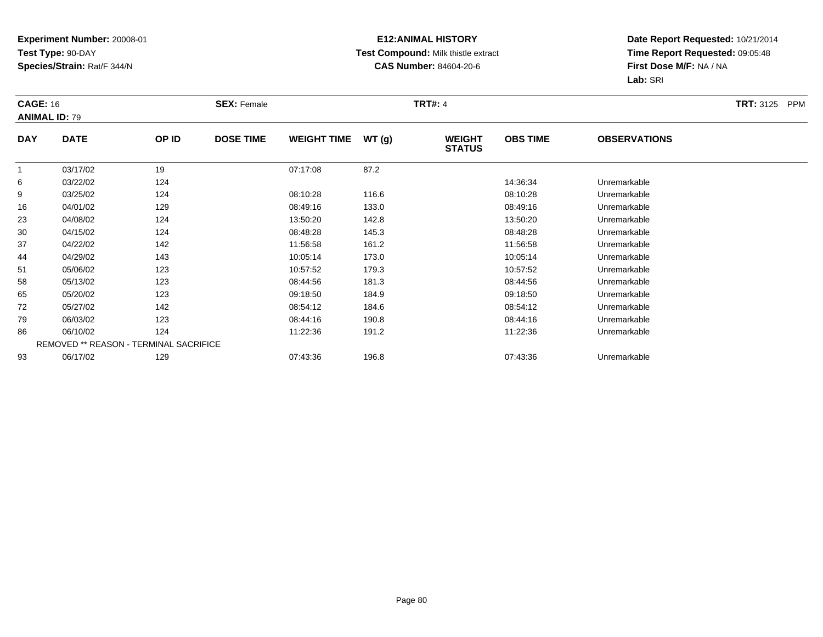## **E12:ANIMAL HISTORY Test Compound:** Milk thistle extract**CAS Number:** 84604-20-6

|            | <b>CAGE: 16</b><br><b>ANIMAL ID: 79</b> |       | <b>SEX: Female</b> |                    |       |                                | <b>TRT#: 4</b>  |                     |  |  |
|------------|-----------------------------------------|-------|--------------------|--------------------|-------|--------------------------------|-----------------|---------------------|--|--|
| <b>DAY</b> | <b>DATE</b>                             | OP ID | <b>DOSE TIME</b>   | <b>WEIGHT TIME</b> | WT(g) | <b>WEIGHT</b><br><b>STATUS</b> | <b>OBS TIME</b> | <b>OBSERVATIONS</b> |  |  |
|            | 03/17/02                                | 19    |                    | 07:17:08           | 87.2  |                                |                 |                     |  |  |
| 6          | 03/22/02                                | 124   |                    |                    |       |                                | 14:36:34        | Unremarkable        |  |  |
| 9          | 03/25/02                                | 124   |                    | 08:10:28           | 116.6 |                                | 08:10:28        | Unremarkable        |  |  |
| 16         | 04/01/02                                | 129   |                    | 08:49:16           | 133.0 |                                | 08:49:16        | Unremarkable        |  |  |
| 23         | 04/08/02                                | 124   |                    | 13:50:20           | 142.8 |                                | 13:50:20        | Unremarkable        |  |  |
| 30         | 04/15/02                                | 124   |                    | 08:48:28           | 145.3 |                                | 08:48:28        | Unremarkable        |  |  |
| 37         | 04/22/02                                | 142   |                    | 11:56:58           | 161.2 |                                | 11:56:58        | Unremarkable        |  |  |
| 44         | 04/29/02                                | 143   |                    | 10:05:14           | 173.0 |                                | 10:05:14        | Unremarkable        |  |  |
| 51         | 05/06/02                                | 123   |                    | 10:57:52           | 179.3 |                                | 10:57:52        | Unremarkable        |  |  |
| 58         | 05/13/02                                | 123   |                    | 08:44:56           | 181.3 |                                | 08:44:56        | Unremarkable        |  |  |
| 65         | 05/20/02                                | 123   |                    | 09:18:50           | 184.9 |                                | 09:18:50        | Unremarkable        |  |  |
| 72         | 05/27/02                                | 142   |                    | 08:54:12           | 184.6 |                                | 08:54:12        | Unremarkable        |  |  |
| 79         | 06/03/02                                | 123   |                    | 08:44:16           | 190.8 |                                | 08:44:16        | Unremarkable        |  |  |
| 86         | 06/10/02                                | 124   |                    | 11:22:36           | 191.2 |                                | 11:22:36        | Unremarkable        |  |  |
|            | REMOVED ** REASON - TERMINAL SACRIFICE  |       |                    |                    |       |                                |                 |                     |  |  |
| 93         | 06/17/02                                | 129   |                    | 07:43:36           | 196.8 |                                | 07:43:36        | Unremarkable        |  |  |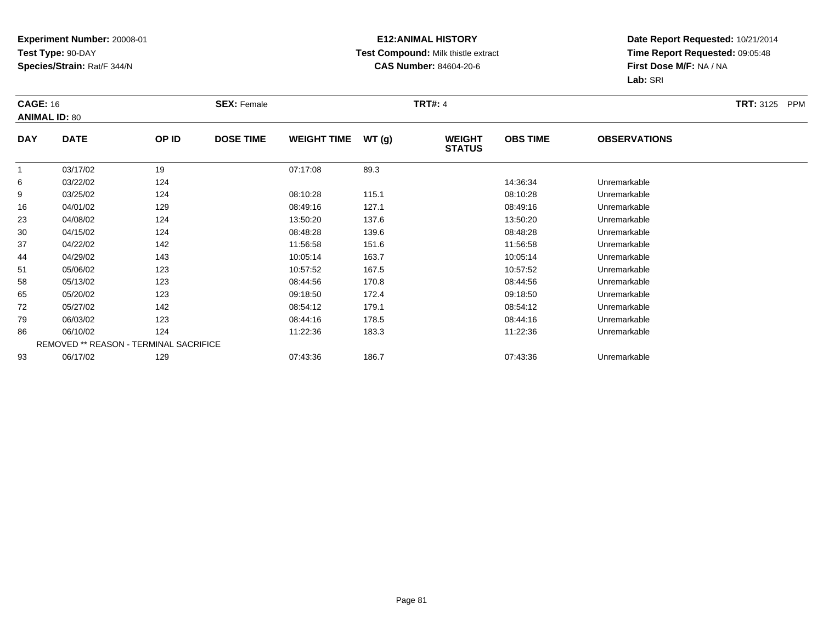## **E12:ANIMAL HISTORY Test Compound:** Milk thistle extract**CAS Number:** 84604-20-6

| <b>CAGE: 16</b> | <b>ANIMAL ID: 80</b>                   |       | <b>SEX: Female</b> |                    |       | <b>TRT#: 4</b>                 |                 |                     | <b>TRT: 3125 PPM</b> |
|-----------------|----------------------------------------|-------|--------------------|--------------------|-------|--------------------------------|-----------------|---------------------|----------------------|
| <b>DAY</b>      | <b>DATE</b>                            | OP ID | <b>DOSE TIME</b>   | <b>WEIGHT TIME</b> | WT(g) | <b>WEIGHT</b><br><b>STATUS</b> | <b>OBS TIME</b> | <b>OBSERVATIONS</b> |                      |
|                 | 03/17/02                               | 19    |                    | 07:17:08           | 89.3  |                                |                 |                     |                      |
| 6               | 03/22/02                               | 124   |                    |                    |       |                                | 14:36:34        | Unremarkable        |                      |
| 9               | 03/25/02                               | 124   |                    | 08:10:28           | 115.1 |                                | 08:10:28        | Unremarkable        |                      |
| 16              | 04/01/02                               | 129   |                    | 08:49:16           | 127.1 |                                | 08:49:16        | Unremarkable        |                      |
| 23              | 04/08/02                               | 124   |                    | 13:50:20           | 137.6 |                                | 13:50:20        | Unremarkable        |                      |
| 30              | 04/15/02                               | 124   |                    | 08:48:28           | 139.6 |                                | 08:48:28        | Unremarkable        |                      |
| 37              | 04/22/02                               | 142   |                    | 11:56:58           | 151.6 |                                | 11:56:58        | Unremarkable        |                      |
| 44              | 04/29/02                               | 143   |                    | 10:05:14           | 163.7 |                                | 10:05:14        | Unremarkable        |                      |
| 51              | 05/06/02                               | 123   |                    | 10:57:52           | 167.5 |                                | 10:57:52        | Unremarkable        |                      |
| 58              | 05/13/02                               | 123   |                    | 08:44:56           | 170.8 |                                | 08:44:56        | Unremarkable        |                      |
| 65              | 05/20/02                               | 123   |                    | 09:18:50           | 172.4 |                                | 09:18:50        | Unremarkable        |                      |
| 72              | 05/27/02                               | 142   |                    | 08:54:12           | 179.1 |                                | 08:54:12        | Unremarkable        |                      |
| 79              | 06/03/02                               | 123   |                    | 08:44:16           | 178.5 |                                | 08:44:16        | Unremarkable        |                      |
| 86              | 06/10/02                               | 124   |                    | 11:22:36           | 183.3 |                                | 11:22:36        | Unremarkable        |                      |
|                 | REMOVED ** REASON - TERMINAL SACRIFICE |       |                    |                    |       |                                |                 |                     |                      |
| 93              | 06/17/02                               | 129   |                    | 07:43:36           | 186.7 |                                | 07:43:36        | Unremarkable        |                      |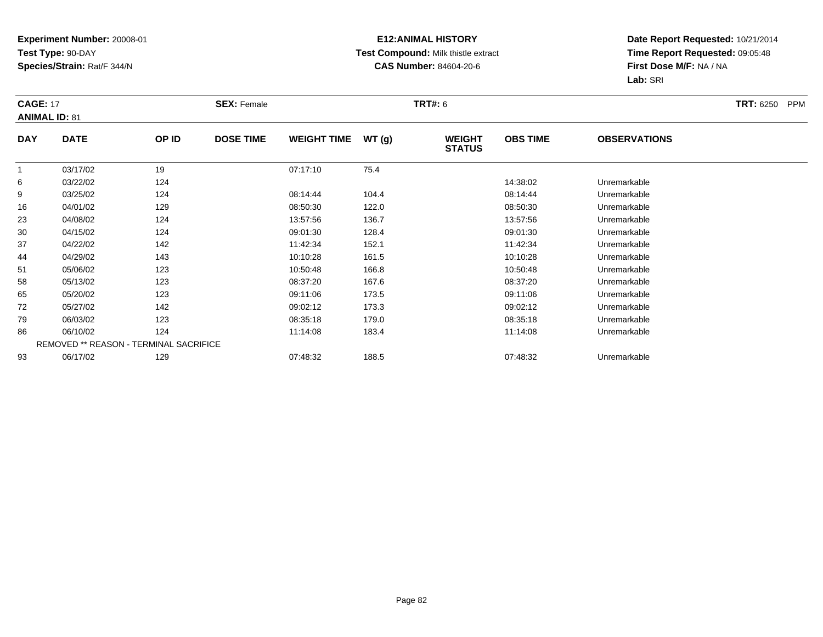## **E12:ANIMAL HISTORY Test Compound:** Milk thistle extract**CAS Number:** 84604-20-6

| <b>CAGE: 17</b> | <b>ANIMAL ID: 81</b>                   |       | <b>SEX: Female</b> |                    |       | <b>TRT#: 6</b>                 |                 |                     | <b>TRT: 6250</b><br>PPM |
|-----------------|----------------------------------------|-------|--------------------|--------------------|-------|--------------------------------|-----------------|---------------------|-------------------------|
| <b>DAY</b>      | <b>DATE</b>                            | OP ID | <b>DOSE TIME</b>   | <b>WEIGHT TIME</b> | WT(g) | <b>WEIGHT</b><br><b>STATUS</b> | <b>OBS TIME</b> | <b>OBSERVATIONS</b> |                         |
|                 | 03/17/02                               | 19    |                    | 07:17:10           | 75.4  |                                |                 |                     |                         |
| 6               | 03/22/02                               | 124   |                    |                    |       |                                | 14:38:02        | Unremarkable        |                         |
| 9               | 03/25/02                               | 124   |                    | 08:14:44           | 104.4 |                                | 08:14:44        | Unremarkable        |                         |
| 16              | 04/01/02                               | 129   |                    | 08:50:30           | 122.0 |                                | 08:50:30        | Unremarkable        |                         |
| 23              | 04/08/02                               | 124   |                    | 13:57:56           | 136.7 |                                | 13:57:56        | Unremarkable        |                         |
| 30              | 04/15/02                               | 124   |                    | 09:01:30           | 128.4 |                                | 09:01:30        | Unremarkable        |                         |
| 37              | 04/22/02                               | 142   |                    | 11:42:34           | 152.1 |                                | 11:42:34        | Unremarkable        |                         |
| 44              | 04/29/02                               | 143   |                    | 10:10:28           | 161.5 |                                | 10:10:28        | Unremarkable        |                         |
| 51              | 05/06/02                               | 123   |                    | 10:50:48           | 166.8 |                                | 10:50:48        | Unremarkable        |                         |
| 58              | 05/13/02                               | 123   |                    | 08:37:20           | 167.6 |                                | 08:37:20        | Unremarkable        |                         |
| 65              | 05/20/02                               | 123   |                    | 09:11:06           | 173.5 |                                | 09:11:06        | Unremarkable        |                         |
| 72              | 05/27/02                               | 142   |                    | 09:02:12           | 173.3 |                                | 09:02:12        | Unremarkable        |                         |
| 79              | 06/03/02                               | 123   |                    | 08:35:18           | 179.0 |                                | 08:35:18        | Unremarkable        |                         |
| 86              | 06/10/02                               | 124   |                    | 11:14:08           | 183.4 |                                | 11:14:08        | Unremarkable        |                         |
|                 | REMOVED ** REASON - TERMINAL SACRIFICE |       |                    |                    |       |                                |                 |                     |                         |
| 93              | 06/17/02                               | 129   |                    | 07:48:32           | 188.5 |                                | 07:48:32        | Unremarkable        |                         |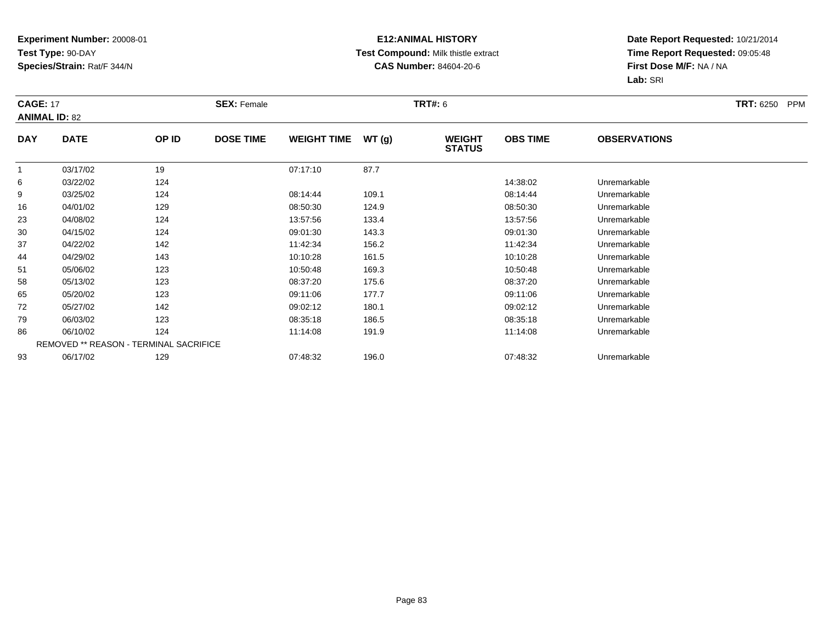## **E12:ANIMAL HISTORY Test Compound:** Milk thistle extract**CAS Number:** 84604-20-6

| <b>CAGE: 17</b> | <b>ANIMAL ID: 82</b> |                                        | <b>SEX: Female</b> |                    |       | <b>TRT#: 6</b>                 |                 |                     | <b>TRT: 6250</b><br>PPM |
|-----------------|----------------------|----------------------------------------|--------------------|--------------------|-------|--------------------------------|-----------------|---------------------|-------------------------|
| <b>DAY</b>      | <b>DATE</b>          | OP ID                                  | <b>DOSE TIME</b>   | <b>WEIGHT TIME</b> | WT(g) | <b>WEIGHT</b><br><b>STATUS</b> | <b>OBS TIME</b> | <b>OBSERVATIONS</b> |                         |
|                 | 03/17/02             | 19                                     |                    | 07:17:10           | 87.7  |                                |                 |                     |                         |
| 6               | 03/22/02             | 124                                    |                    |                    |       |                                | 14:38:02        | Unremarkable        |                         |
| 9               | 03/25/02             | 124                                    |                    | 08:14:44           | 109.1 |                                | 08:14:44        | Unremarkable        |                         |
| 16              | 04/01/02             | 129                                    |                    | 08:50:30           | 124.9 |                                | 08:50:30        | Unremarkable        |                         |
| 23              | 04/08/02             | 124                                    |                    | 13:57:56           | 133.4 |                                | 13:57:56        | Unremarkable        |                         |
| 30              | 04/15/02             | 124                                    |                    | 09:01:30           | 143.3 |                                | 09:01:30        | Unremarkable        |                         |
| 37              | 04/22/02             | 142                                    |                    | 11:42:34           | 156.2 |                                | 11:42:34        | Unremarkable        |                         |
| 44              | 04/29/02             | 143                                    |                    | 10:10:28           | 161.5 |                                | 10:10:28        | Unremarkable        |                         |
| 51              | 05/06/02             | 123                                    |                    | 10:50:48           | 169.3 |                                | 10:50:48        | Unremarkable        |                         |
| 58              | 05/13/02             | 123                                    |                    | 08:37:20           | 175.6 |                                | 08:37:20        | Unremarkable        |                         |
| 65              | 05/20/02             | 123                                    |                    | 09:11:06           | 177.7 |                                | 09:11:06        | Unremarkable        |                         |
| 72              | 05/27/02             | 142                                    |                    | 09:02:12           | 180.1 |                                | 09:02:12        | Unremarkable        |                         |
| 79              | 06/03/02             | 123                                    |                    | 08:35:18           | 186.5 |                                | 08:35:18        | Unremarkable        |                         |
| 86              | 06/10/02             | 124                                    |                    | 11:14:08           | 191.9 |                                | 11:14:08        | Unremarkable        |                         |
|                 |                      | REMOVED ** REASON - TERMINAL SACRIFICE |                    |                    |       |                                |                 |                     |                         |
| 93              | 06/17/02             | 129                                    |                    | 07:48:32           | 196.0 |                                | 07:48:32        | Unremarkable        |                         |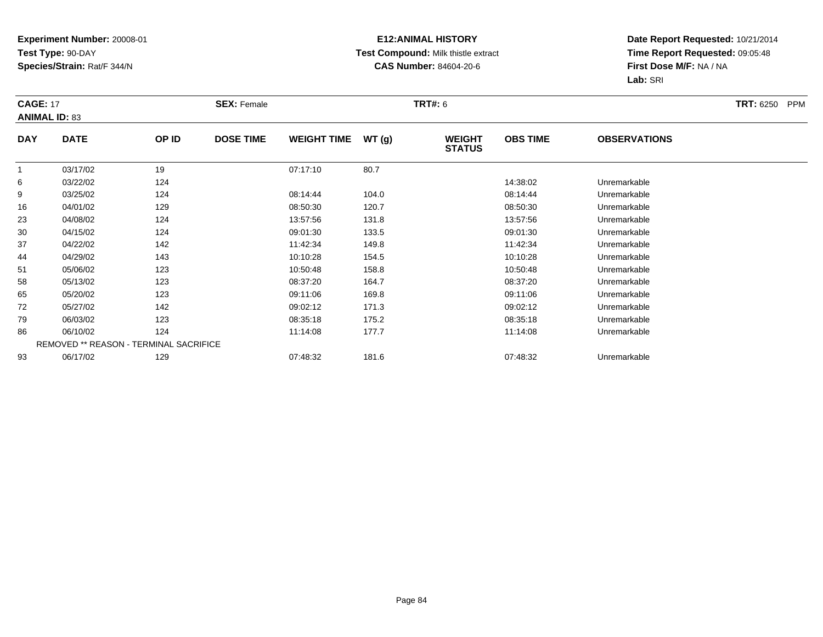## **E12:ANIMAL HISTORY Test Compound:** Milk thistle extract**CAS Number:** 84604-20-6

|            | <b>CAGE: 17</b><br><b>ANIMAL ID: 83</b> |                                        | <b>SEX: Female</b> |                    |       |                                | <b>TRT#:</b> 6  |                     |  |  |
|------------|-----------------------------------------|----------------------------------------|--------------------|--------------------|-------|--------------------------------|-----------------|---------------------|--|--|
| <b>DAY</b> | <b>DATE</b>                             | OP ID                                  | <b>DOSE TIME</b>   | <b>WEIGHT TIME</b> | WT(g) | <b>WEIGHT</b><br><b>STATUS</b> | <b>OBS TIME</b> | <b>OBSERVATIONS</b> |  |  |
|            | 03/17/02                                | 19                                     |                    | 07:17:10           | 80.7  |                                |                 |                     |  |  |
| 6          | 03/22/02                                | 124                                    |                    |                    |       |                                | 14:38:02        | Unremarkable        |  |  |
| 9          | 03/25/02                                | 124                                    |                    | 08:14:44           | 104.0 |                                | 08:14:44        | Unremarkable        |  |  |
| 16         | 04/01/02                                | 129                                    |                    | 08:50:30           | 120.7 |                                | 08:50:30        | Unremarkable        |  |  |
| 23         | 04/08/02                                | 124                                    |                    | 13:57:56           | 131.8 |                                | 13:57:56        | Unremarkable        |  |  |
| 30         | 04/15/02                                | 124                                    |                    | 09:01:30           | 133.5 |                                | 09:01:30        | Unremarkable        |  |  |
| 37         | 04/22/02                                | 142                                    |                    | 11:42:34           | 149.8 |                                | 11:42:34        | Unremarkable        |  |  |
| 44         | 04/29/02                                | 143                                    |                    | 10:10:28           | 154.5 |                                | 10:10:28        | Unremarkable        |  |  |
| 51         | 05/06/02                                | 123                                    |                    | 10:50:48           | 158.8 |                                | 10:50:48        | Unremarkable        |  |  |
| 58         | 05/13/02                                | 123                                    |                    | 08:37:20           | 164.7 |                                | 08:37:20        | Unremarkable        |  |  |
| 65         | 05/20/02                                | 123                                    |                    | 09:11:06           | 169.8 |                                | 09:11:06        | Unremarkable        |  |  |
| 72         | 05/27/02                                | 142                                    |                    | 09:02:12           | 171.3 |                                | 09:02:12        | Unremarkable        |  |  |
| 79         | 06/03/02                                | 123                                    |                    | 08:35:18           | 175.2 |                                | 08:35:18        | Unremarkable        |  |  |
| 86         | 06/10/02                                | 124                                    |                    | 11:14:08           | 177.7 |                                | 11:14:08        | Unremarkable        |  |  |
|            |                                         | REMOVED ** REASON - TERMINAL SACRIFICE |                    |                    |       |                                |                 |                     |  |  |
| 93         | 06/17/02                                | 129                                    |                    | 07:48:32           | 181.6 |                                | 07:48:32        | Unremarkable        |  |  |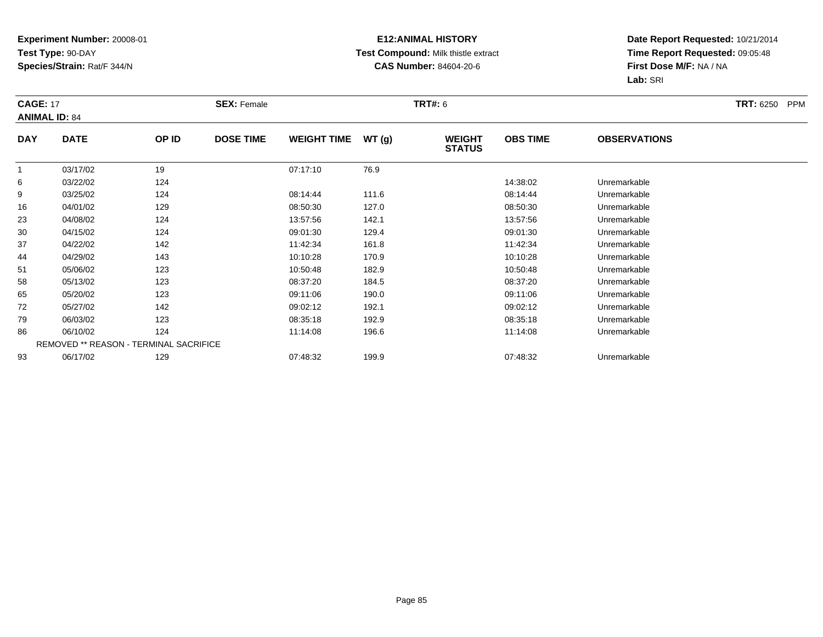## **E12:ANIMAL HISTORY Test Compound:** Milk thistle extract**CAS Number:** 84604-20-6

|                | <b>CAGE: 17</b><br><b>ANIMAL ID: 84</b> |                                        | <b>SEX: Female</b> |                    |       | <b>TRT#: 6</b>                 | <b>TRT: 6250</b><br>PPM |                     |  |
|----------------|-----------------------------------------|----------------------------------------|--------------------|--------------------|-------|--------------------------------|-------------------------|---------------------|--|
| <b>DAY</b>     | <b>DATE</b>                             | OP ID                                  | <b>DOSE TIME</b>   | <b>WEIGHT TIME</b> | WT(g) | <b>WEIGHT</b><br><b>STATUS</b> | <b>OBS TIME</b>         | <b>OBSERVATIONS</b> |  |
| $\overline{1}$ | 03/17/02                                | 19                                     |                    | 07:17:10           | 76.9  |                                |                         |                     |  |
| 6              | 03/22/02                                | 124                                    |                    |                    |       |                                | 14:38:02                | Unremarkable        |  |
| 9              | 03/25/02                                | 124                                    |                    | 08:14:44           | 111.6 |                                | 08:14:44                | Unremarkable        |  |
| 16             | 04/01/02                                | 129                                    |                    | 08:50:30           | 127.0 |                                | 08:50:30                | Unremarkable        |  |
| 23             | 04/08/02                                | 124                                    |                    | 13:57:56           | 142.1 |                                | 13:57:56                | Unremarkable        |  |
| 30             | 04/15/02                                | 124                                    |                    | 09:01:30           | 129.4 |                                | 09:01:30                | Unremarkable        |  |
| 37             | 04/22/02                                | 142                                    |                    | 11:42:34           | 161.8 |                                | 11:42:34                | Unremarkable        |  |
| 44             | 04/29/02                                | 143                                    |                    | 10:10:28           | 170.9 |                                | 10:10:28                | Unremarkable        |  |
| 51             | 05/06/02                                | 123                                    |                    | 10:50:48           | 182.9 |                                | 10:50:48                | Unremarkable        |  |
| 58             | 05/13/02                                | 123                                    |                    | 08:37:20           | 184.5 |                                | 08:37:20                | Unremarkable        |  |
| 65             | 05/20/02                                | 123                                    |                    | 09:11:06           | 190.0 |                                | 09:11:06                | Unremarkable        |  |
| 72             | 05/27/02                                | 142                                    |                    | 09:02:12           | 192.1 |                                | 09:02:12                | Unremarkable        |  |
| 79             | 06/03/02                                | 123                                    |                    | 08:35:18           | 192.9 |                                | 08:35:18                | Unremarkable        |  |
| 86             | 06/10/02                                | 124                                    |                    | 11:14:08           | 196.6 |                                | 11:14:08                | Unremarkable        |  |
|                |                                         | REMOVED ** REASON - TERMINAL SACRIFICE |                    |                    |       |                                |                         |                     |  |
| 93             | 06/17/02                                | 129                                    |                    | 07:48:32           | 199.9 |                                | 07:48:32                | Unremarkable        |  |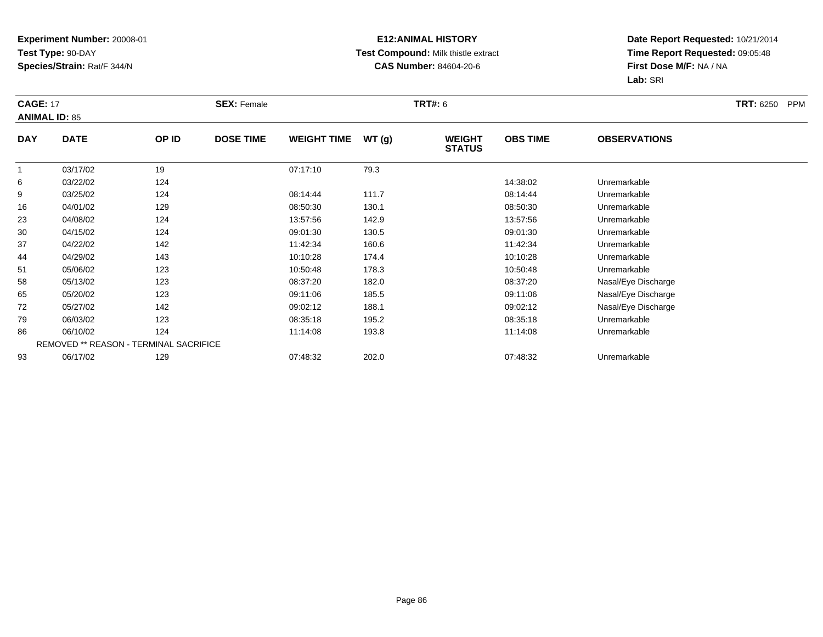## **E12:ANIMAL HISTORY Test Compound:** Milk thistle extract**CAS Number:** 84604-20-6

|                | <b>CAGE: 17</b><br><b>ANIMAL ID: 85</b> |                                        | <b>SEX: Female</b> |                    |       | <b>TRT#: 6</b>                 | <b>TRT: 6250</b><br><b>PPM</b> |                     |  |
|----------------|-----------------------------------------|----------------------------------------|--------------------|--------------------|-------|--------------------------------|--------------------------------|---------------------|--|
| <b>DAY</b>     | <b>DATE</b>                             | OP ID                                  | <b>DOSE TIME</b>   | <b>WEIGHT TIME</b> | WT(g) | <b>WEIGHT</b><br><b>STATUS</b> | <b>OBS TIME</b>                | <b>OBSERVATIONS</b> |  |
| $\overline{1}$ | 03/17/02                                | 19                                     |                    | 07:17:10           | 79.3  |                                |                                |                     |  |
| 6              | 03/22/02                                | 124                                    |                    |                    |       |                                | 14:38:02                       | Unremarkable        |  |
| 9              | 03/25/02                                | 124                                    |                    | 08:14:44           | 111.7 |                                | 08:14:44                       | Unremarkable        |  |
| 16             | 04/01/02                                | 129                                    |                    | 08:50:30           | 130.1 |                                | 08:50:30                       | Unremarkable        |  |
| 23             | 04/08/02                                | 124                                    |                    | 13:57:56           | 142.9 |                                | 13:57:56                       | Unremarkable        |  |
| 30             | 04/15/02                                | 124                                    |                    | 09:01:30           | 130.5 |                                | 09:01:30                       | Unremarkable        |  |
| 37             | 04/22/02                                | 142                                    |                    | 11:42:34           | 160.6 |                                | 11:42:34                       | Unremarkable        |  |
| 44             | 04/29/02                                | 143                                    |                    | 10:10:28           | 174.4 |                                | 10:10:28                       | Unremarkable        |  |
| 51             | 05/06/02                                | 123                                    |                    | 10:50:48           | 178.3 |                                | 10:50:48                       | Unremarkable        |  |
| 58             | 05/13/02                                | 123                                    |                    | 08:37:20           | 182.0 |                                | 08:37:20                       | Nasal/Eye Discharge |  |
| 65             | 05/20/02                                | 123                                    |                    | 09:11:06           | 185.5 |                                | 09:11:06                       | Nasal/Eye Discharge |  |
| 72             | 05/27/02                                | 142                                    |                    | 09:02:12           | 188.1 |                                | 09:02:12                       | Nasal/Eye Discharge |  |
| 79             | 06/03/02                                | 123                                    |                    | 08:35:18           | 195.2 |                                | 08:35:18                       | Unremarkable        |  |
| 86             | 06/10/02                                | 124                                    |                    | 11:14:08           | 193.8 |                                | 11:14:08                       | Unremarkable        |  |
|                |                                         | REMOVED ** REASON - TERMINAL SACRIFICE |                    |                    |       |                                |                                |                     |  |
| 93             | 06/17/02                                | 129                                    |                    | 07:48:32           | 202.0 |                                | 07:48:32                       | Unremarkable        |  |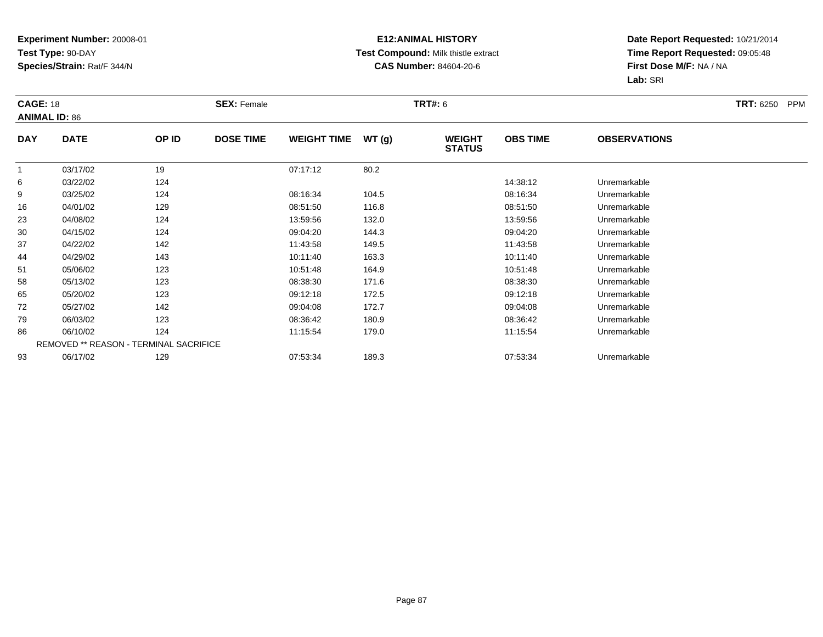## **E12:ANIMAL HISTORY Test Compound:** Milk thistle extract**CAS Number:** 84604-20-6

|            | <b>CAGE: 18</b><br><b>ANIMAL ID: 86</b> |                                        | <b>SEX: Female</b> |                    |       |                                | <b>TRT#:</b> 6  |                     |  |  |
|------------|-----------------------------------------|----------------------------------------|--------------------|--------------------|-------|--------------------------------|-----------------|---------------------|--|--|
| <b>DAY</b> | <b>DATE</b>                             | OP ID                                  | <b>DOSE TIME</b>   | <b>WEIGHT TIME</b> | WT(g) | <b>WEIGHT</b><br><b>STATUS</b> | <b>OBS TIME</b> | <b>OBSERVATIONS</b> |  |  |
|            | 03/17/02                                | 19                                     |                    | 07:17:12           | 80.2  |                                |                 |                     |  |  |
| 6          | 03/22/02                                | 124                                    |                    |                    |       |                                | 14:38:12        | Unremarkable        |  |  |
| 9          | 03/25/02                                | 124                                    |                    | 08:16:34           | 104.5 |                                | 08:16:34        | Unremarkable        |  |  |
| 16         | 04/01/02                                | 129                                    |                    | 08:51:50           | 116.8 |                                | 08:51:50        | Unremarkable        |  |  |
| 23         | 04/08/02                                | 124                                    |                    | 13:59:56           | 132.0 |                                | 13:59:56        | Unremarkable        |  |  |
| 30         | 04/15/02                                | 124                                    |                    | 09:04:20           | 144.3 |                                | 09:04:20        | Unremarkable        |  |  |
| 37         | 04/22/02                                | 142                                    |                    | 11:43:58           | 149.5 |                                | 11:43:58        | Unremarkable        |  |  |
| 44         | 04/29/02                                | 143                                    |                    | 10:11:40           | 163.3 |                                | 10:11:40        | Unremarkable        |  |  |
| 51         | 05/06/02                                | 123                                    |                    | 10:51:48           | 164.9 |                                | 10:51:48        | Unremarkable        |  |  |
| 58         | 05/13/02                                | 123                                    |                    | 08:38:30           | 171.6 |                                | 08:38:30        | Unremarkable        |  |  |
| 65         | 05/20/02                                | 123                                    |                    | 09:12:18           | 172.5 |                                | 09:12:18        | Unremarkable        |  |  |
| 72         | 05/27/02                                | 142                                    |                    | 09:04:08           | 172.7 |                                | 09:04:08        | Unremarkable        |  |  |
| 79         | 06/03/02                                | 123                                    |                    | 08:36:42           | 180.9 |                                | 08:36:42        | Unremarkable        |  |  |
| 86         | 06/10/02                                | 124                                    |                    | 11:15:54           | 179.0 |                                | 11:15:54        | Unremarkable        |  |  |
|            |                                         | REMOVED ** REASON - TERMINAL SACRIFICE |                    |                    |       |                                |                 |                     |  |  |
| 93         | 06/17/02                                | 129                                    |                    | 07:53:34           | 189.3 |                                | 07:53:34        | Unremarkable        |  |  |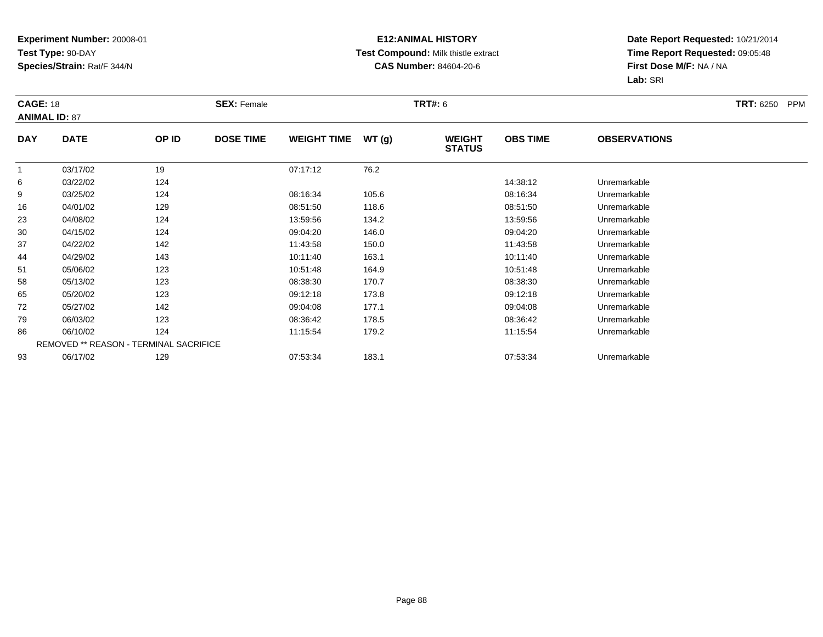## **E12:ANIMAL HISTORY Test Compound:** Milk thistle extract**CAS Number:** 84604-20-6

|            | <b>CAGE: 18</b><br><b>ANIMAL ID: 87</b>       |       | <b>SEX: Female</b> |                    |       |                                | <b>TRT#: 6</b>  |                     |  |  |
|------------|-----------------------------------------------|-------|--------------------|--------------------|-------|--------------------------------|-----------------|---------------------|--|--|
| <b>DAY</b> | <b>DATE</b>                                   | OP ID | <b>DOSE TIME</b>   | <b>WEIGHT TIME</b> | WT(g) | <b>WEIGHT</b><br><b>STATUS</b> | <b>OBS TIME</b> | <b>OBSERVATIONS</b> |  |  |
|            | 03/17/02                                      | 19    |                    | 07:17:12           | 76.2  |                                |                 |                     |  |  |
| 6          | 03/22/02                                      | 124   |                    |                    |       |                                | 14:38:12        | Unremarkable        |  |  |
| 9          | 03/25/02                                      | 124   |                    | 08:16:34           | 105.6 |                                | 08:16:34        | Unremarkable        |  |  |
| 16         | 04/01/02                                      | 129   |                    | 08:51:50           | 118.6 |                                | 08:51:50        | Unremarkable        |  |  |
| 23         | 04/08/02                                      | 124   |                    | 13:59:56           | 134.2 |                                | 13:59:56        | Unremarkable        |  |  |
| 30         | 04/15/02                                      | 124   |                    | 09:04:20           | 146.0 |                                | 09:04:20        | Unremarkable        |  |  |
| 37         | 04/22/02                                      | 142   |                    | 11:43:58           | 150.0 |                                | 11:43:58        | Unremarkable        |  |  |
| 44         | 04/29/02                                      | 143   |                    | 10:11:40           | 163.1 |                                | 10:11:40        | Unremarkable        |  |  |
| 51         | 05/06/02                                      | 123   |                    | 10:51:48           | 164.9 |                                | 10:51:48        | Unremarkable        |  |  |
| 58         | 05/13/02                                      | 123   |                    | 08:38:30           | 170.7 |                                | 08:38:30        | Unremarkable        |  |  |
| 65         | 05/20/02                                      | 123   |                    | 09:12:18           | 173.8 |                                | 09:12:18        | Unremarkable        |  |  |
| 72         | 05/27/02                                      | 142   |                    | 09:04:08           | 177.1 |                                | 09:04:08        | Unremarkable        |  |  |
| 79         | 06/03/02                                      | 123   |                    | 08:36:42           | 178.5 |                                | 08:36:42        | Unremarkable        |  |  |
| 86         | 06/10/02                                      | 124   |                    | 11:15:54           | 179.2 |                                | 11:15:54        | Unremarkable        |  |  |
|            | <b>REMOVED ** REASON - TERMINAL SACRIFICE</b> |       |                    |                    |       |                                |                 |                     |  |  |
| 93         | 06/17/02                                      | 129   |                    | 07:53:34           | 183.1 |                                | 07:53:34        | Unremarkable        |  |  |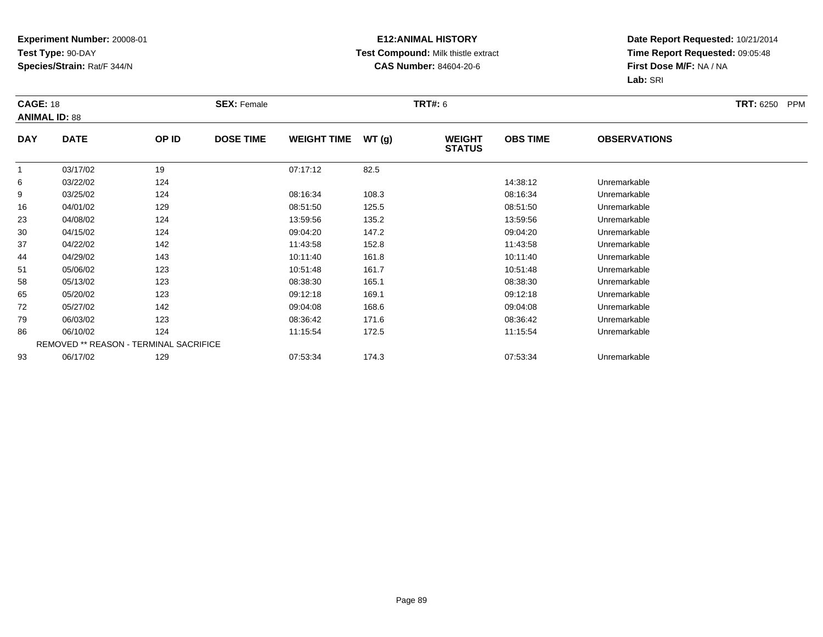## **E12:ANIMAL HISTORY Test Compound:** Milk thistle extract**CAS Number:** 84604-20-6

|            | <b>CAGE: 18</b><br><b>ANIMAL ID: 88</b>       |       | <b>SEX: Female</b> |                    |       | <b>TRT#: 6</b>                 |                 | <b>TRT: 6250</b><br><b>PPM</b> |  |
|------------|-----------------------------------------------|-------|--------------------|--------------------|-------|--------------------------------|-----------------|--------------------------------|--|
| <b>DAY</b> | <b>DATE</b>                                   | OP ID | <b>DOSE TIME</b>   | <b>WEIGHT TIME</b> | WT(g) | <b>WEIGHT</b><br><b>STATUS</b> | <b>OBS TIME</b> | <b>OBSERVATIONS</b>            |  |
|            | 03/17/02                                      | 19    |                    | 07:17:12           | 82.5  |                                |                 |                                |  |
| 6          | 03/22/02                                      | 124   |                    |                    |       |                                | 14:38:12        | Unremarkable                   |  |
| 9          | 03/25/02                                      | 124   |                    | 08:16:34           | 108.3 |                                | 08:16:34        | Unremarkable                   |  |
| 16         | 04/01/02                                      | 129   |                    | 08:51:50           | 125.5 |                                | 08:51:50        | Unremarkable                   |  |
| 23         | 04/08/02                                      | 124   |                    | 13:59:56           | 135.2 |                                | 13:59:56        | Unremarkable                   |  |
| 30         | 04/15/02                                      | 124   |                    | 09:04:20           | 147.2 |                                | 09:04:20        | Unremarkable                   |  |
| 37         | 04/22/02                                      | 142   |                    | 11:43:58           | 152.8 |                                | 11:43:58        | Unremarkable                   |  |
| 44         | 04/29/02                                      | 143   |                    | 10:11:40           | 161.8 |                                | 10:11:40        | Unremarkable                   |  |
| 51         | 05/06/02                                      | 123   |                    | 10:51:48           | 161.7 |                                | 10:51:48        | Unremarkable                   |  |
| 58         | 05/13/02                                      | 123   |                    | 08:38:30           | 165.1 |                                | 08:38:30        | Unremarkable                   |  |
| 65         | 05/20/02                                      | 123   |                    | 09:12:18           | 169.1 |                                | 09:12:18        | Unremarkable                   |  |
| 72         | 05/27/02                                      | 142   |                    | 09:04:08           | 168.6 |                                | 09:04:08        | Unremarkable                   |  |
| 79         | 06/03/02                                      | 123   |                    | 08:36:42           | 171.6 |                                | 08:36:42        | Unremarkable                   |  |
| 86         | 06/10/02                                      | 124   |                    | 11:15:54           | 172.5 |                                | 11:15:54        | Unremarkable                   |  |
|            | <b>REMOVED ** REASON - TERMINAL SACRIFICE</b> |       |                    |                    |       |                                |                 |                                |  |
| 93         | 06/17/02                                      | 129   |                    | 07:53:34           | 174.3 |                                | 07:53:34        | Unremarkable                   |  |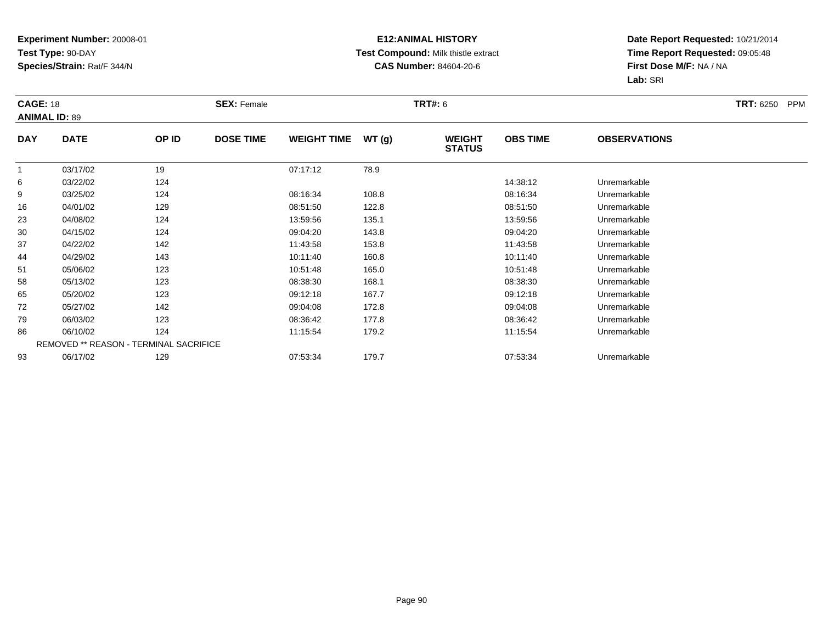## **E12:ANIMAL HISTORY Test Compound:** Milk thistle extract**CAS Number:** 84604-20-6

|            | <b>CAGE: 18</b><br><b>ANIMAL ID: 89</b> |                                               | <b>SEX: Female</b> |                    |       |                                | <b>TRT#: 6</b>  |                     |  |  |
|------------|-----------------------------------------|-----------------------------------------------|--------------------|--------------------|-------|--------------------------------|-----------------|---------------------|--|--|
| <b>DAY</b> | <b>DATE</b>                             | OP ID                                         | <b>DOSE TIME</b>   | <b>WEIGHT TIME</b> | WT(g) | <b>WEIGHT</b><br><b>STATUS</b> | <b>OBS TIME</b> | <b>OBSERVATIONS</b> |  |  |
|            | 03/17/02                                | 19                                            |                    | 07:17:12           | 78.9  |                                |                 |                     |  |  |
| 6          | 03/22/02                                | 124                                           |                    |                    |       |                                | 14:38:12        | Unremarkable        |  |  |
| 9          | 03/25/02                                | 124                                           |                    | 08:16:34           | 108.8 |                                | 08:16:34        | Unremarkable        |  |  |
| 16         | 04/01/02                                | 129                                           |                    | 08:51:50           | 122.8 |                                | 08:51:50        | Unremarkable        |  |  |
| 23         | 04/08/02                                | 124                                           |                    | 13:59:56           | 135.1 |                                | 13:59:56        | Unremarkable        |  |  |
| 30         | 04/15/02                                | 124                                           |                    | 09:04:20           | 143.8 |                                | 09:04:20        | Unremarkable        |  |  |
| 37         | 04/22/02                                | 142                                           |                    | 11:43:58           | 153.8 |                                | 11:43:58        | Unremarkable        |  |  |
| 44         | 04/29/02                                | 143                                           |                    | 10:11:40           | 160.8 |                                | 10:11:40        | Unremarkable        |  |  |
| 51         | 05/06/02                                | 123                                           |                    | 10:51:48           | 165.0 |                                | 10:51:48        | Unremarkable        |  |  |
| 58         | 05/13/02                                | 123                                           |                    | 08:38:30           | 168.1 |                                | 08:38:30        | Unremarkable        |  |  |
| 65         | 05/20/02                                | 123                                           |                    | 09:12:18           | 167.7 |                                | 09:12:18        | Unremarkable        |  |  |
| 72         | 05/27/02                                | 142                                           |                    | 09:04:08           | 172.8 |                                | 09:04:08        | Unremarkable        |  |  |
| 79         | 06/03/02                                | 123                                           |                    | 08:36:42           | 177.8 |                                | 08:36:42        | Unremarkable        |  |  |
| 86         | 06/10/02                                | 124                                           |                    | 11:15:54           | 179.2 |                                | 11:15:54        | Unremarkable        |  |  |
|            |                                         | <b>REMOVED ** REASON - TERMINAL SACRIFICE</b> |                    |                    |       |                                |                 |                     |  |  |
| 93         | 06/17/02                                | 129                                           |                    | 07:53:34           | 179.7 |                                | 07:53:34        | Unremarkable        |  |  |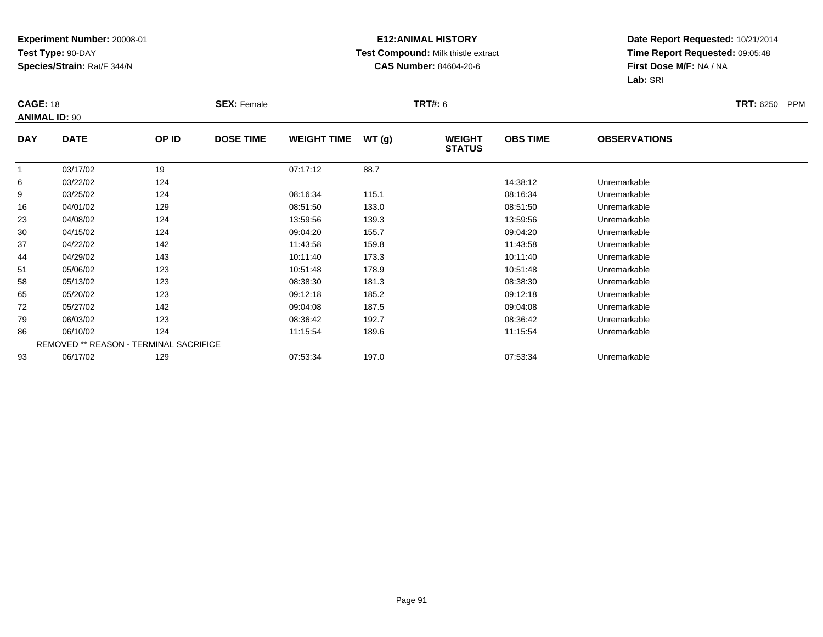## **E12:ANIMAL HISTORY Test Compound:** Milk thistle extract**CAS Number:** 84604-20-6

|            | <b>CAGE: 18</b><br><b>ANIMAL ID: 90</b> |       | <b>SEX: Female</b> |                    |       |                                | <b>TRT#:</b> 6  |                     |  |  |
|------------|-----------------------------------------|-------|--------------------|--------------------|-------|--------------------------------|-----------------|---------------------|--|--|
| <b>DAY</b> | <b>DATE</b>                             | OP ID | <b>DOSE TIME</b>   | <b>WEIGHT TIME</b> | WT(g) | <b>WEIGHT</b><br><b>STATUS</b> | <b>OBS TIME</b> | <b>OBSERVATIONS</b> |  |  |
|            | 03/17/02                                | 19    |                    | 07:17:12           | 88.7  |                                |                 |                     |  |  |
| 6          | 03/22/02                                | 124   |                    |                    |       |                                | 14:38:12        | Unremarkable        |  |  |
| 9          | 03/25/02                                | 124   |                    | 08:16:34           | 115.1 |                                | 08:16:34        | Unremarkable        |  |  |
| 16         | 04/01/02                                | 129   |                    | 08:51:50           | 133.0 |                                | 08:51:50        | Unremarkable        |  |  |
| 23         | 04/08/02                                | 124   |                    | 13:59:56           | 139.3 |                                | 13:59:56        | Unremarkable        |  |  |
| 30         | 04/15/02                                | 124   |                    | 09:04:20           | 155.7 |                                | 09:04:20        | Unremarkable        |  |  |
| 37         | 04/22/02                                | 142   |                    | 11:43:58           | 159.8 |                                | 11:43:58        | Unremarkable        |  |  |
| 44         | 04/29/02                                | 143   |                    | 10:11:40           | 173.3 |                                | 10:11:40        | Unremarkable        |  |  |
| 51         | 05/06/02                                | 123   |                    | 10:51:48           | 178.9 |                                | 10:51:48        | Unremarkable        |  |  |
| 58         | 05/13/02                                | 123   |                    | 08:38:30           | 181.3 |                                | 08:38:30        | Unremarkable        |  |  |
| 65         | 05/20/02                                | 123   |                    | 09:12:18           | 185.2 |                                | 09:12:18        | Unremarkable        |  |  |
| 72         | 05/27/02                                | 142   |                    | 09:04:08           | 187.5 |                                | 09:04:08        | Unremarkable        |  |  |
| 79         | 06/03/02                                | 123   |                    | 08:36:42           | 192.7 |                                | 08:36:42        | Unremarkable        |  |  |
| 86         | 06/10/02                                | 124   |                    | 11:15:54           | 189.6 |                                | 11:15:54        | Unremarkable        |  |  |
|            | REMOVED ** REASON - TERMINAL SACRIFICE  |       |                    |                    |       |                                |                 |                     |  |  |
| 93         | 06/17/02                                | 129   |                    | 07:53:34           | 197.0 |                                | 07:53:34        | Unremarkable        |  |  |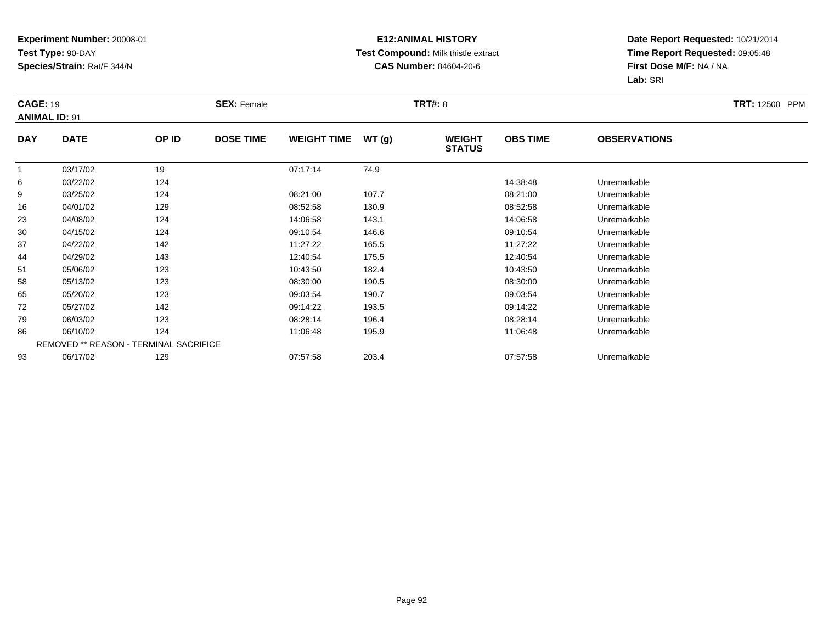## **E12:ANIMAL HISTORY Test Compound:** Milk thistle extract**CAS Number:** 84604-20-6

|            | <b>CAGE: 19</b><br><b>ANIMAL ID: 91</b> |                                               | <b>SEX: Female</b> |                    |       | <b>TRT#: 8</b>                 | <b>TRT: 12500 PPM</b> |                     |  |
|------------|-----------------------------------------|-----------------------------------------------|--------------------|--------------------|-------|--------------------------------|-----------------------|---------------------|--|
| <b>DAY</b> | <b>DATE</b>                             | OP ID                                         | <b>DOSE TIME</b>   | <b>WEIGHT TIME</b> | WT(g) | <b>WEIGHT</b><br><b>STATUS</b> | <b>OBS TIME</b>       | <b>OBSERVATIONS</b> |  |
|            | 03/17/02                                | 19                                            |                    | 07:17:14           | 74.9  |                                |                       |                     |  |
| 6          | 03/22/02                                | 124                                           |                    |                    |       |                                | 14:38:48              | Unremarkable        |  |
| 9          | 03/25/02                                | 124                                           |                    | 08:21:00           | 107.7 |                                | 08:21:00              | Unremarkable        |  |
| 16         | 04/01/02                                | 129                                           |                    | 08:52:58           | 130.9 |                                | 08:52:58              | Unremarkable        |  |
| 23         | 04/08/02                                | 124                                           |                    | 14:06:58           | 143.1 |                                | 14:06:58              | Unremarkable        |  |
| 30         | 04/15/02                                | 124                                           |                    | 09:10:54           | 146.6 |                                | 09:10:54              | Unremarkable        |  |
| 37         | 04/22/02                                | 142                                           |                    | 11:27:22           | 165.5 |                                | 11:27:22              | Unremarkable        |  |
| 44         | 04/29/02                                | 143                                           |                    | 12:40:54           | 175.5 |                                | 12:40:54              | Unremarkable        |  |
| 51         | 05/06/02                                | 123                                           |                    | 10:43:50           | 182.4 |                                | 10:43:50              | Unremarkable        |  |
| 58         | 05/13/02                                | 123                                           |                    | 08:30:00           | 190.5 |                                | 08:30:00              | Unremarkable        |  |
| 65         | 05/20/02                                | 123                                           |                    | 09:03:54           | 190.7 |                                | 09:03:54              | Unremarkable        |  |
| 72         | 05/27/02                                | 142                                           |                    | 09:14:22           | 193.5 |                                | 09:14:22              | Unremarkable        |  |
| 79         | 06/03/02                                | 123                                           |                    | 08:28:14           | 196.4 |                                | 08:28:14              | Unremarkable        |  |
| 86         | 06/10/02                                | 124                                           |                    | 11:06:48           | 195.9 |                                | 11:06:48              | Unremarkable        |  |
|            |                                         | <b>REMOVED ** REASON - TERMINAL SACRIFICE</b> |                    |                    |       |                                |                       |                     |  |
| 93         | 06/17/02                                | 129                                           |                    | 07:57:58           | 203.4 |                                | 07:57:58              | Unremarkable        |  |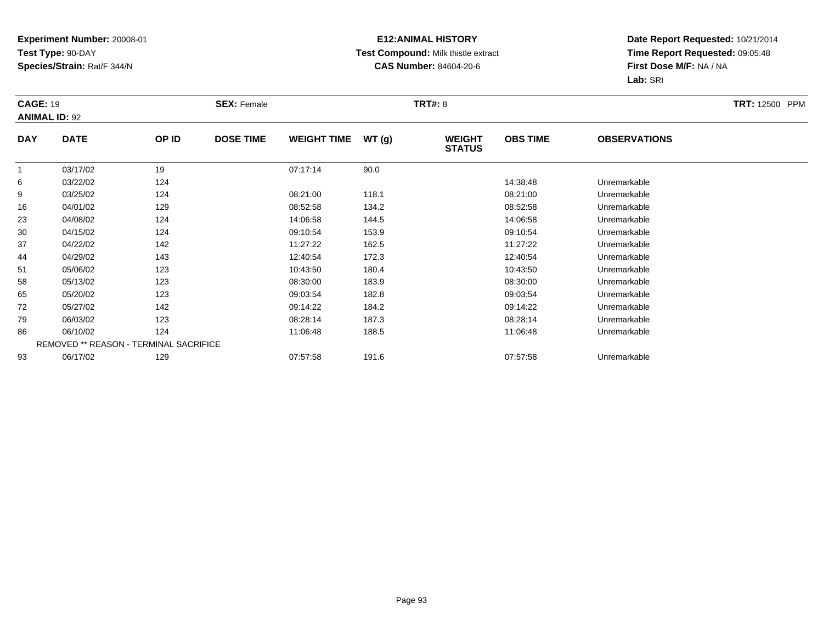## **E12:ANIMAL HISTORY Test Compound:** Milk thistle extract**CAS Number:** 84604-20-6

|            | <b>CAGE: 19</b><br><b>ANIMAL ID: 92</b> |                                               | <b>SEX: Female</b> |                    |       |                                | <b>TRT#: 8</b>  |                     |  |  |
|------------|-----------------------------------------|-----------------------------------------------|--------------------|--------------------|-------|--------------------------------|-----------------|---------------------|--|--|
| <b>DAY</b> | <b>DATE</b>                             | OP ID                                         | <b>DOSE TIME</b>   | <b>WEIGHT TIME</b> | WT(g) | <b>WEIGHT</b><br><b>STATUS</b> | <b>OBS TIME</b> | <b>OBSERVATIONS</b> |  |  |
|            | 03/17/02                                | 19                                            |                    | 07:17:14           | 90.0  |                                |                 |                     |  |  |
| 6          | 03/22/02                                | 124                                           |                    |                    |       |                                | 14:38:48        | Unremarkable        |  |  |
| 9          | 03/25/02                                | 124                                           |                    | 08:21:00           | 118.1 |                                | 08:21:00        | Unremarkable        |  |  |
| 16         | 04/01/02                                | 129                                           |                    | 08:52:58           | 134.2 |                                | 08:52:58        | Unremarkable        |  |  |
| 23         | 04/08/02                                | 124                                           |                    | 14:06:58           | 144.5 |                                | 14:06:58        | Unremarkable        |  |  |
| 30         | 04/15/02                                | 124                                           |                    | 09:10:54           | 153.9 |                                | 09:10:54        | Unremarkable        |  |  |
| 37         | 04/22/02                                | 142                                           |                    | 11:27:22           | 162.5 |                                | 11:27:22        | Unremarkable        |  |  |
| 44         | 04/29/02                                | 143                                           |                    | 12:40:54           | 172.3 |                                | 12:40:54        | Unremarkable        |  |  |
| 51         | 05/06/02                                | 123                                           |                    | 10:43:50           | 180.4 |                                | 10:43:50        | Unremarkable        |  |  |
| 58         | 05/13/02                                | 123                                           |                    | 08:30:00           | 183.9 |                                | 08:30:00        | Unremarkable        |  |  |
| 65         | 05/20/02                                | 123                                           |                    | 09:03:54           | 182.8 |                                | 09:03:54        | Unremarkable        |  |  |
| 72         | 05/27/02                                | 142                                           |                    | 09:14:22           | 184.2 |                                | 09:14:22        | Unremarkable        |  |  |
| 79         | 06/03/02                                | 123                                           |                    | 08:28:14           | 187.3 |                                | 08:28:14        | Unremarkable        |  |  |
| 86         | 06/10/02                                | 124                                           |                    | 11:06:48           | 188.5 |                                | 11:06:48        | Unremarkable        |  |  |
|            |                                         | <b>REMOVED ** REASON - TERMINAL SACRIFICE</b> |                    |                    |       |                                |                 |                     |  |  |
| 93         | 06/17/02                                | 129                                           |                    | 07:57:58           | 191.6 |                                | 07:57:58        | Unremarkable        |  |  |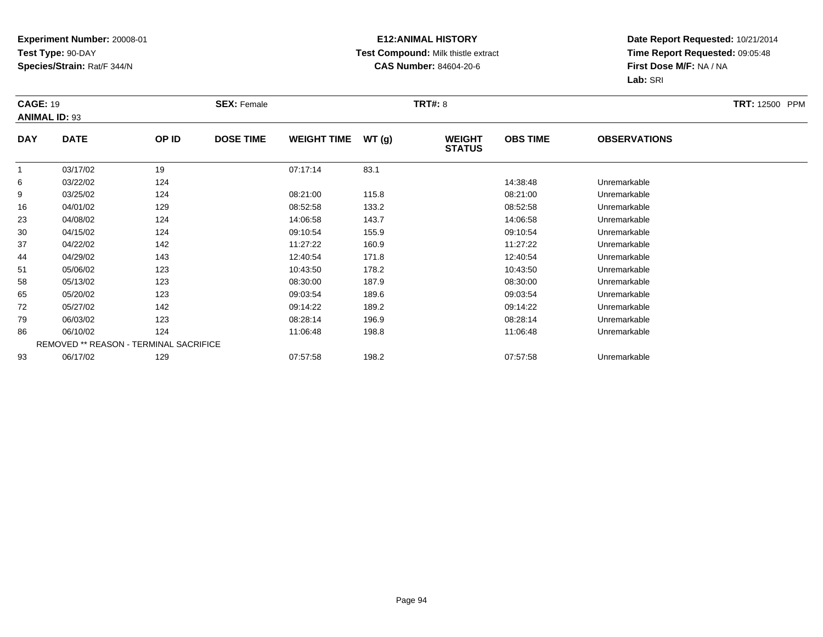## **E12:ANIMAL HISTORY Test Compound:** Milk thistle extract**CAS Number:** 84604-20-6

|            | <b>CAGE: 19</b><br><b>ANIMAL ID: 93</b> |       | <b>SEX: Female</b> |                    |       | <b>TRT#: 8</b>                 | <b>TRT: 12500 PPM</b> |                     |  |
|------------|-----------------------------------------|-------|--------------------|--------------------|-------|--------------------------------|-----------------------|---------------------|--|
| <b>DAY</b> | <b>DATE</b>                             | OP ID | <b>DOSE TIME</b>   | <b>WEIGHT TIME</b> | WT(g) | <b>WEIGHT</b><br><b>STATUS</b> | <b>OBS TIME</b>       | <b>OBSERVATIONS</b> |  |
| 1          | 03/17/02                                | 19    |                    | 07:17:14           | 83.1  |                                |                       |                     |  |
| 6          | 03/22/02                                | 124   |                    |                    |       |                                | 14:38:48              | Unremarkable        |  |
| 9          | 03/25/02                                | 124   |                    | 08:21:00           | 115.8 |                                | 08:21:00              | Unremarkable        |  |
| 16         | 04/01/02                                | 129   |                    | 08:52:58           | 133.2 |                                | 08:52:58              | Unremarkable        |  |
| 23         | 04/08/02                                | 124   |                    | 14:06:58           | 143.7 |                                | 14:06:58              | Unremarkable        |  |
| 30         | 04/15/02                                | 124   |                    | 09:10:54           | 155.9 |                                | 09:10:54              | Unremarkable        |  |
| 37         | 04/22/02                                | 142   |                    | 11:27:22           | 160.9 |                                | 11:27:22              | Unremarkable        |  |
| 44         | 04/29/02                                | 143   |                    | 12:40:54           | 171.8 |                                | 12:40:54              | Unremarkable        |  |
| 51         | 05/06/02                                | 123   |                    | 10:43:50           | 178.2 |                                | 10:43:50              | Unremarkable        |  |
| 58         | 05/13/02                                | 123   |                    | 08:30:00           | 187.9 |                                | 08:30:00              | Unremarkable        |  |
| 65         | 05/20/02                                | 123   |                    | 09:03:54           | 189.6 |                                | 09:03:54              | Unremarkable        |  |
| 72         | 05/27/02                                | 142   |                    | 09:14:22           | 189.2 |                                | 09:14:22              | Unremarkable        |  |
| 79         | 06/03/02                                | 123   |                    | 08:28:14           | 196.9 |                                | 08:28:14              | Unremarkable        |  |
| 86         | 06/10/02                                | 124   |                    | 11:06:48           | 198.8 |                                | 11:06:48              | Unremarkable        |  |
|            | REMOVED ** REASON - TERMINAL SACRIFICE  |       |                    |                    |       |                                |                       |                     |  |
| 93         | 06/17/02                                | 129   |                    | 07:57:58           | 198.2 |                                | 07:57:58              | Unremarkable        |  |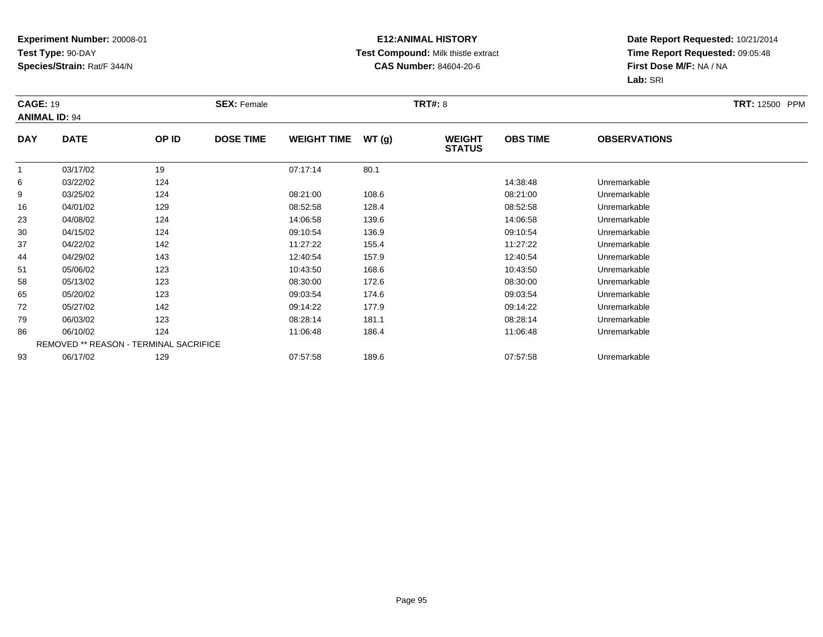## **E12:ANIMAL HISTORY Test Compound:** Milk thistle extract**CAS Number:** 84604-20-6

|            | <b>CAGE: 19</b><br><b>ANIMAL ID: 94</b> |                                        | <b>SEX: Female</b> |                    |       |                                | <b>TRT#: 8</b>  |                     |  |  |
|------------|-----------------------------------------|----------------------------------------|--------------------|--------------------|-------|--------------------------------|-----------------|---------------------|--|--|
| <b>DAY</b> | <b>DATE</b>                             | OP ID                                  | <b>DOSE TIME</b>   | <b>WEIGHT TIME</b> | WT(g) | <b>WEIGHT</b><br><b>STATUS</b> | <b>OBS TIME</b> | <b>OBSERVATIONS</b> |  |  |
|            | 03/17/02                                | 19                                     |                    | 07:17:14           | 80.1  |                                |                 |                     |  |  |
| 6          | 03/22/02                                | 124                                    |                    |                    |       |                                | 14:38:48        | Unremarkable        |  |  |
| 9          | 03/25/02                                | 124                                    |                    | 08:21:00           | 108.6 |                                | 08:21:00        | Unremarkable        |  |  |
| 16         | 04/01/02                                | 129                                    |                    | 08:52:58           | 128.4 |                                | 08:52:58        | Unremarkable        |  |  |
| 23         | 04/08/02                                | 124                                    |                    | 14:06:58           | 139.6 |                                | 14:06:58        | Unremarkable        |  |  |
| 30         | 04/15/02                                | 124                                    |                    | 09:10:54           | 136.9 |                                | 09:10:54        | Unremarkable        |  |  |
| 37         | 04/22/02                                | 142                                    |                    | 11:27:22           | 155.4 |                                | 11:27:22        | Unremarkable        |  |  |
| 44         | 04/29/02                                | 143                                    |                    | 12:40:54           | 157.9 |                                | 12:40:54        | Unremarkable        |  |  |
| 51         | 05/06/02                                | 123                                    |                    | 10:43:50           | 168.6 |                                | 10:43:50        | Unremarkable        |  |  |
| 58         | 05/13/02                                | 123                                    |                    | 08:30:00           | 172.6 |                                | 08:30:00        | Unremarkable        |  |  |
| 65         | 05/20/02                                | 123                                    |                    | 09:03:54           | 174.6 |                                | 09:03:54        | Unremarkable        |  |  |
| 72         | 05/27/02                                | 142                                    |                    | 09:14:22           | 177.9 |                                | 09:14:22        | Unremarkable        |  |  |
| 79         | 06/03/02                                | 123                                    |                    | 08:28:14           | 181.1 |                                | 08:28:14        | Unremarkable        |  |  |
| 86         | 06/10/02                                | 124                                    |                    | 11:06:48           | 186.4 |                                | 11:06:48        | Unremarkable        |  |  |
|            |                                         | REMOVED ** REASON - TERMINAL SACRIFICE |                    |                    |       |                                |                 |                     |  |  |
| 93         | 06/17/02                                | 129                                    |                    | 07:57:58           | 189.6 |                                | 07:57:58        | Unremarkable        |  |  |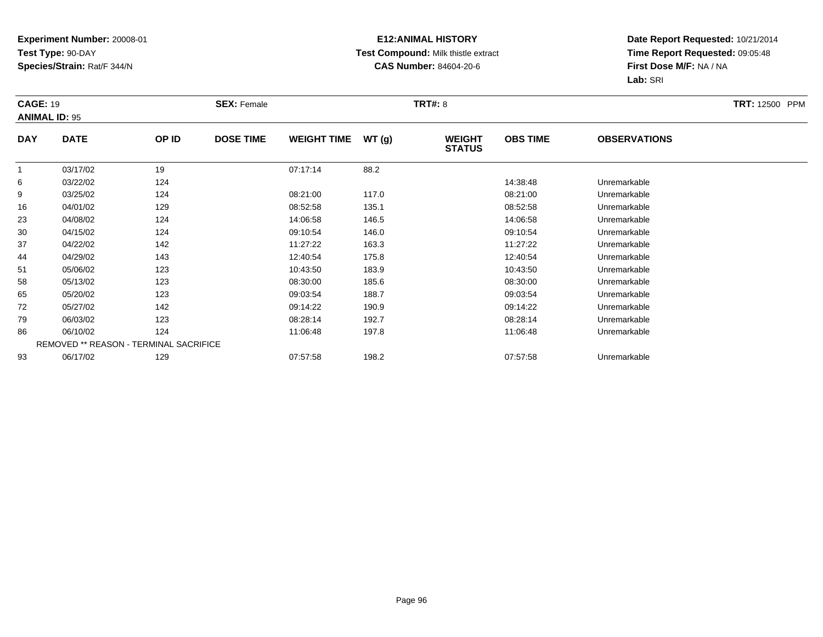## **E12:ANIMAL HISTORY Test Compound:** Milk thistle extract**CAS Number:** 84604-20-6

|                | <b>CAGE: 19</b><br><b>ANIMAL ID: 95</b> |                                        | <b>SEX: Female</b> |                    |       |                                | <b>TRT#: 8</b>  |                     |  |  |
|----------------|-----------------------------------------|----------------------------------------|--------------------|--------------------|-------|--------------------------------|-----------------|---------------------|--|--|
| <b>DAY</b>     | <b>DATE</b>                             | OP ID                                  | <b>DOSE TIME</b>   | <b>WEIGHT TIME</b> | WT(g) | <b>WEIGHT</b><br><b>STATUS</b> | <b>OBS TIME</b> | <b>OBSERVATIONS</b> |  |  |
| $\overline{1}$ | 03/17/02                                | 19                                     |                    | 07:17:14           | 88.2  |                                |                 |                     |  |  |
| 6              | 03/22/02                                | 124                                    |                    |                    |       |                                | 14:38:48        | Unremarkable        |  |  |
| 9              | 03/25/02                                | 124                                    |                    | 08:21:00           | 117.0 |                                | 08:21:00        | Unremarkable        |  |  |
| 16             | 04/01/02                                | 129                                    |                    | 08:52:58           | 135.1 |                                | 08:52:58        | Unremarkable        |  |  |
| 23             | 04/08/02                                | 124                                    |                    | 14:06:58           | 146.5 |                                | 14:06:58        | Unremarkable        |  |  |
| 30             | 04/15/02                                | 124                                    |                    | 09:10:54           | 146.0 |                                | 09:10:54        | Unremarkable        |  |  |
| 37             | 04/22/02                                | 142                                    |                    | 11:27:22           | 163.3 |                                | 11:27:22        | Unremarkable        |  |  |
| 44             | 04/29/02                                | 143                                    |                    | 12:40:54           | 175.8 |                                | 12:40:54        | Unremarkable        |  |  |
| 51             | 05/06/02                                | 123                                    |                    | 10:43:50           | 183.9 |                                | 10:43:50        | Unremarkable        |  |  |
| 58             | 05/13/02                                | 123                                    |                    | 08:30:00           | 185.6 |                                | 08:30:00        | Unremarkable        |  |  |
| 65             | 05/20/02                                | 123                                    |                    | 09:03:54           | 188.7 |                                | 09:03:54        | Unremarkable        |  |  |
| 72             | 05/27/02                                | 142                                    |                    | 09:14:22           | 190.9 |                                | 09:14:22        | Unremarkable        |  |  |
| 79             | 06/03/02                                | 123                                    |                    | 08:28:14           | 192.7 |                                | 08:28:14        | Unremarkable        |  |  |
| 86             | 06/10/02                                | 124                                    |                    | 11:06:48           | 197.8 |                                | 11:06:48        | Unremarkable        |  |  |
|                |                                         | REMOVED ** REASON - TERMINAL SACRIFICE |                    |                    |       |                                |                 |                     |  |  |
| 93             | 06/17/02                                | 129                                    |                    | 07:57:58           | 198.2 |                                | 07:57:58        | Unremarkable        |  |  |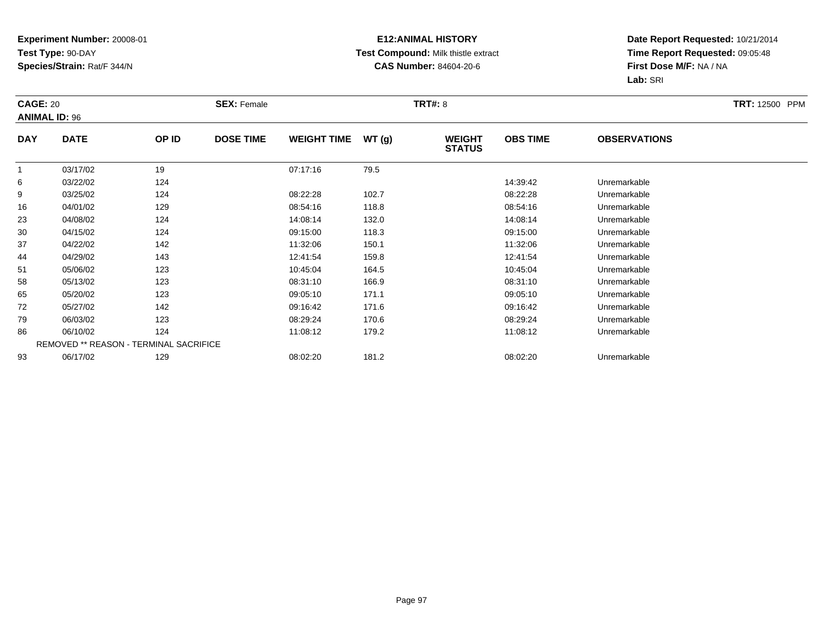## **E12:ANIMAL HISTORY Test Compound:** Milk thistle extract**CAS Number:** 84604-20-6

| <b>CAGE: 20</b> | <b>ANIMAL ID: 96</b> |                                        | <b>SEX: Female</b> |                    |       | <b>TRT#: 8</b>                 |                 |                     | <b>TRT: 12500 PPM</b> |
|-----------------|----------------------|----------------------------------------|--------------------|--------------------|-------|--------------------------------|-----------------|---------------------|-----------------------|
| <b>DAY</b>      | <b>DATE</b>          | OP ID                                  | <b>DOSE TIME</b>   | <b>WEIGHT TIME</b> | WT(g) | <b>WEIGHT</b><br><b>STATUS</b> | <b>OBS TIME</b> | <b>OBSERVATIONS</b> |                       |
|                 | 03/17/02             | 19                                     |                    | 07:17:16           | 79.5  |                                |                 |                     |                       |
| 6               | 03/22/02             | 124                                    |                    |                    |       |                                | 14:39:42        | Unremarkable        |                       |
| 9               | 03/25/02             | 124                                    |                    | 08:22:28           | 102.7 |                                | 08:22:28        | Unremarkable        |                       |
| 16              | 04/01/02             | 129                                    |                    | 08:54:16           | 118.8 |                                | 08:54:16        | Unremarkable        |                       |
| 23              | 04/08/02             | 124                                    |                    | 14:08:14           | 132.0 |                                | 14:08:14        | Unremarkable        |                       |
| 30              | 04/15/02             | 124                                    |                    | 09:15:00           | 118.3 |                                | 09:15:00        | Unremarkable        |                       |
| 37              | 04/22/02             | 142                                    |                    | 11:32:06           | 150.1 |                                | 11:32:06        | Unremarkable        |                       |
| 44              | 04/29/02             | 143                                    |                    | 12:41:54           | 159.8 |                                | 12:41:54        | Unremarkable        |                       |
| 51              | 05/06/02             | 123                                    |                    | 10:45:04           | 164.5 |                                | 10:45:04        | Unremarkable        |                       |
| 58              | 05/13/02             | 123                                    |                    | 08:31:10           | 166.9 |                                | 08:31:10        | Unremarkable        |                       |
| 65              | 05/20/02             | 123                                    |                    | 09:05:10           | 171.1 |                                | 09:05:10        | Unremarkable        |                       |
| 72              | 05/27/02             | 142                                    |                    | 09:16:42           | 171.6 |                                | 09:16:42        | Unremarkable        |                       |
| 79              | 06/03/02             | 123                                    |                    | 08:29:24           | 170.6 |                                | 08:29:24        | Unremarkable        |                       |
| 86              | 06/10/02             | 124                                    |                    | 11:08:12           | 179.2 |                                | 11:08:12        | Unremarkable        |                       |
|                 |                      | REMOVED ** REASON - TERMINAL SACRIFICE |                    |                    |       |                                |                 |                     |                       |
| 93              | 06/17/02             | 129                                    |                    | 08:02:20           | 181.2 |                                | 08:02:20        | Unremarkable        |                       |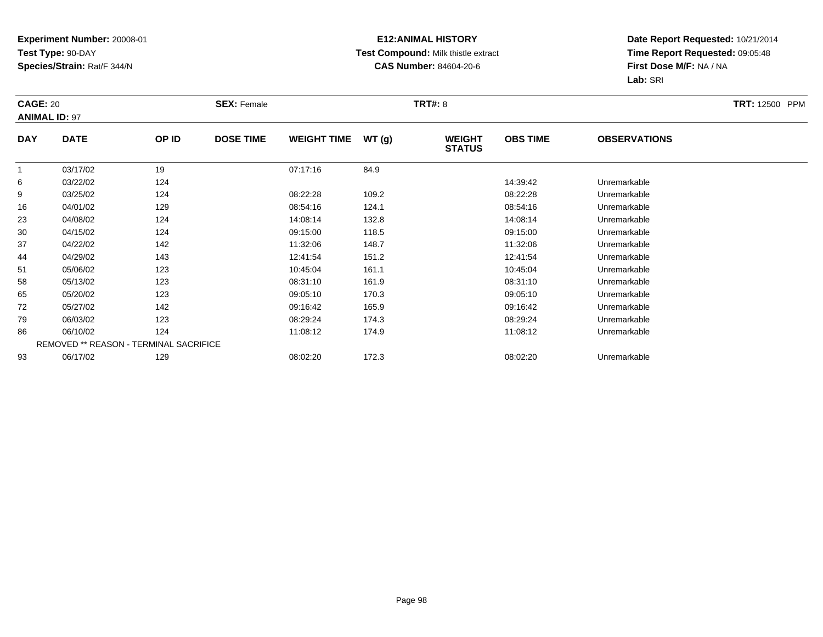## **E12:ANIMAL HISTORY Test Compound:** Milk thistle extract**CAS Number:** 84604-20-6

| <b>CAGE: 20</b> | <b>ANIMAL ID: 97</b> |                                               | <b>SEX: Female</b> |                    |       | <b>TRT#: 8</b>                 |                 |                     | <b>TRT: 12500 PPM</b> |
|-----------------|----------------------|-----------------------------------------------|--------------------|--------------------|-------|--------------------------------|-----------------|---------------------|-----------------------|
| <b>DAY</b>      | <b>DATE</b>          | OP ID                                         | <b>DOSE TIME</b>   | <b>WEIGHT TIME</b> | WT(g) | <b>WEIGHT</b><br><b>STATUS</b> | <b>OBS TIME</b> | <b>OBSERVATIONS</b> |                       |
|                 | 03/17/02             | 19                                            |                    | 07:17:16           | 84.9  |                                |                 |                     |                       |
| 6               | 03/22/02             | 124                                           |                    |                    |       |                                | 14:39:42        | Unremarkable        |                       |
| 9               | 03/25/02             | 124                                           |                    | 08:22:28           | 109.2 |                                | 08:22:28        | Unremarkable        |                       |
| 16              | 04/01/02             | 129                                           |                    | 08:54:16           | 124.1 |                                | 08:54:16        | Unremarkable        |                       |
| 23              | 04/08/02             | 124                                           |                    | 14:08:14           | 132.8 |                                | 14:08:14        | Unremarkable        |                       |
| 30              | 04/15/02             | 124                                           |                    | 09:15:00           | 118.5 |                                | 09:15:00        | Unremarkable        |                       |
| 37              | 04/22/02             | 142                                           |                    | 11:32:06           | 148.7 |                                | 11:32:06        | Unremarkable        |                       |
| 44              | 04/29/02             | 143                                           |                    | 12:41:54           | 151.2 |                                | 12:41:54        | Unremarkable        |                       |
| 51              | 05/06/02             | 123                                           |                    | 10:45:04           | 161.1 |                                | 10:45:04        | Unremarkable        |                       |
| 58              | 05/13/02             | 123                                           |                    | 08:31:10           | 161.9 |                                | 08:31:10        | Unremarkable        |                       |
| 65              | 05/20/02             | 123                                           |                    | 09:05:10           | 170.3 |                                | 09:05:10        | Unremarkable        |                       |
| 72              | 05/27/02             | 142                                           |                    | 09:16:42           | 165.9 |                                | 09:16:42        | Unremarkable        |                       |
| 79              | 06/03/02             | 123                                           |                    | 08:29:24           | 174.3 |                                | 08:29:24        | Unremarkable        |                       |
| 86              | 06/10/02             | 124                                           |                    | 11:08:12           | 174.9 |                                | 11:08:12        | Unremarkable        |                       |
|                 |                      | <b>REMOVED ** REASON - TERMINAL SACRIFICE</b> |                    |                    |       |                                |                 |                     |                       |
| 93              | 06/17/02             | 129                                           |                    | 08:02:20           | 172.3 |                                | 08:02:20        | Unremarkable        |                       |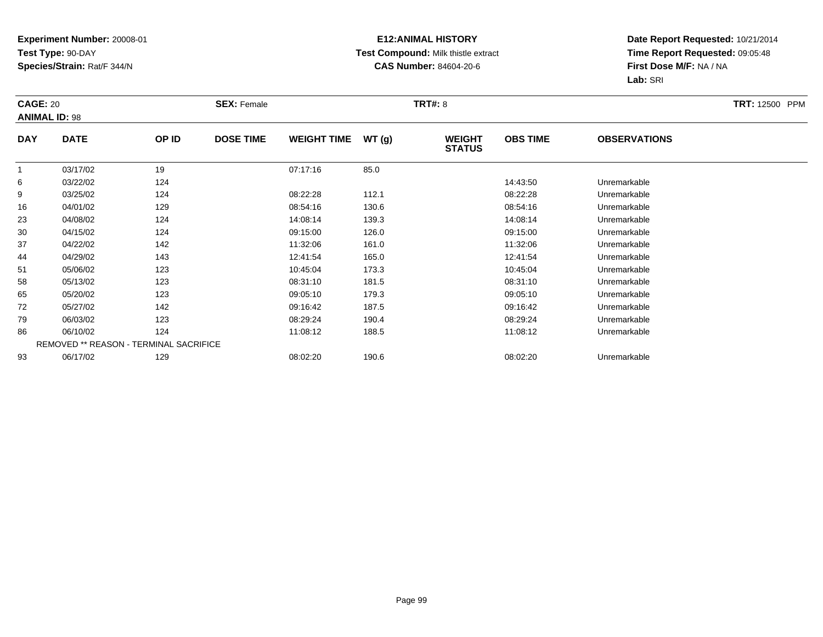## **E12:ANIMAL HISTORY Test Compound:** Milk thistle extract**CAS Number:** 84604-20-6

|            | <b>CAGE: 20</b><br><b>ANIMAL ID: 98</b> |                                        | <b>SEX: Female</b> |                    |       |                                | <b>TRT#: 8</b>  |                     |  |  |
|------------|-----------------------------------------|----------------------------------------|--------------------|--------------------|-------|--------------------------------|-----------------|---------------------|--|--|
| <b>DAY</b> | <b>DATE</b>                             | OP ID                                  | <b>DOSE TIME</b>   | <b>WEIGHT TIME</b> | WT(g) | <b>WEIGHT</b><br><b>STATUS</b> | <b>OBS TIME</b> | <b>OBSERVATIONS</b> |  |  |
|            | 03/17/02                                | 19                                     |                    | 07:17:16           | 85.0  |                                |                 |                     |  |  |
| 6          | 03/22/02                                | 124                                    |                    |                    |       |                                | 14:43:50        | Unremarkable        |  |  |
| 9          | 03/25/02                                | 124                                    |                    | 08:22:28           | 112.1 |                                | 08:22:28        | Unremarkable        |  |  |
| 16         | 04/01/02                                | 129                                    |                    | 08:54:16           | 130.6 |                                | 08:54:16        | Unremarkable        |  |  |
| 23         | 04/08/02                                | 124                                    |                    | 14:08:14           | 139.3 |                                | 14:08:14        | Unremarkable        |  |  |
| 30         | 04/15/02                                | 124                                    |                    | 09:15:00           | 126.0 |                                | 09:15:00        | Unremarkable        |  |  |
| 37         | 04/22/02                                | 142                                    |                    | 11:32:06           | 161.0 |                                | 11:32:06        | Unremarkable        |  |  |
| 44         | 04/29/02                                | 143                                    |                    | 12:41:54           | 165.0 |                                | 12:41:54        | Unremarkable        |  |  |
| 51         | 05/06/02                                | 123                                    |                    | 10:45:04           | 173.3 |                                | 10:45:04        | Unremarkable        |  |  |
| 58         | 05/13/02                                | 123                                    |                    | 08:31:10           | 181.5 |                                | 08:31:10        | Unremarkable        |  |  |
| 65         | 05/20/02                                | 123                                    |                    | 09:05:10           | 179.3 |                                | 09:05:10        | Unremarkable        |  |  |
| 72         | 05/27/02                                | 142                                    |                    | 09:16:42           | 187.5 |                                | 09:16:42        | Unremarkable        |  |  |
| 79         | 06/03/02                                | 123                                    |                    | 08:29:24           | 190.4 |                                | 08:29:24        | Unremarkable        |  |  |
| 86         | 06/10/02                                | 124                                    |                    | 11:08:12           | 188.5 |                                | 11:08:12        | Unremarkable        |  |  |
|            |                                         | REMOVED ** REASON - TERMINAL SACRIFICE |                    |                    |       |                                |                 |                     |  |  |
| 93         | 06/17/02                                | 129                                    |                    | 08:02:20           | 190.6 |                                | 08:02:20        | Unremarkable        |  |  |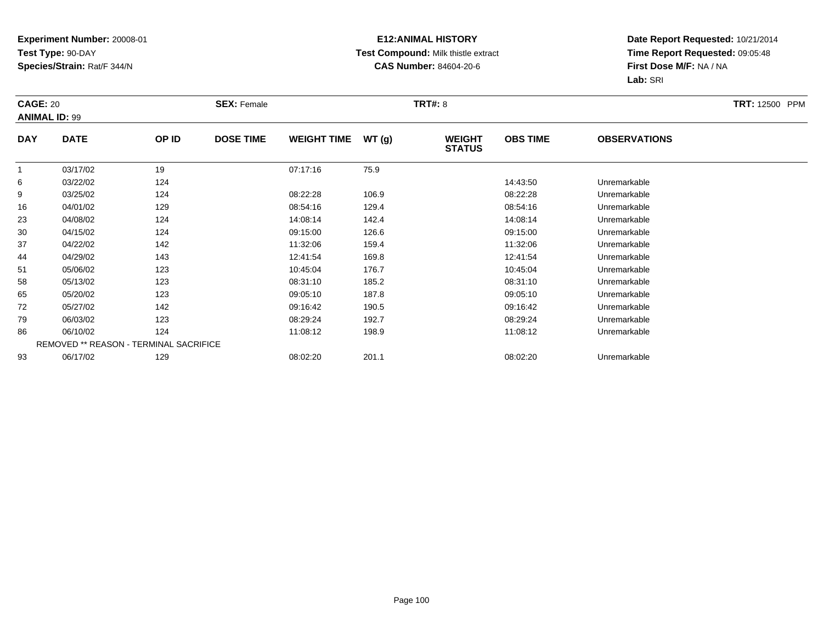## **E12:ANIMAL HISTORY Test Compound:** Milk thistle extract**CAS Number:** 84604-20-6

| <b>CAGE: 20</b><br><b>ANIMAL ID: 99</b> |             |                                        | <b>SEX: Female</b> |                    |       | <b>TRT#: 8</b>                 |                 |                     | <b>TRT: 12500 PPM</b> |
|-----------------------------------------|-------------|----------------------------------------|--------------------|--------------------|-------|--------------------------------|-----------------|---------------------|-----------------------|
| <b>DAY</b>                              | <b>DATE</b> | OP ID                                  | <b>DOSE TIME</b>   | <b>WEIGHT TIME</b> | WT(g) | <b>WEIGHT</b><br><b>STATUS</b> | <b>OBS TIME</b> | <b>OBSERVATIONS</b> |                       |
|                                         | 03/17/02    | 19                                     |                    | 07:17:16           | 75.9  |                                |                 |                     |                       |
| 6                                       | 03/22/02    | 124                                    |                    |                    |       |                                | 14:43:50        | Unremarkable        |                       |
| 9                                       | 03/25/02    | 124                                    |                    | 08:22:28           | 106.9 |                                | 08:22:28        | Unremarkable        |                       |
| 16                                      | 04/01/02    | 129                                    |                    | 08:54:16           | 129.4 |                                | 08:54:16        | Unremarkable        |                       |
| 23                                      | 04/08/02    | 124                                    |                    | 14:08:14           | 142.4 |                                | 14:08:14        | Unremarkable        |                       |
| 30                                      | 04/15/02    | 124                                    |                    | 09:15:00           | 126.6 |                                | 09:15:00        | Unremarkable        |                       |
| 37                                      | 04/22/02    | 142                                    |                    | 11:32:06           | 159.4 |                                | 11:32:06        | Unremarkable        |                       |
| 44                                      | 04/29/02    | 143                                    |                    | 12:41:54           | 169.8 |                                | 12:41:54        | Unremarkable        |                       |
| 51                                      | 05/06/02    | 123                                    |                    | 10:45:04           | 176.7 |                                | 10:45:04        | Unremarkable        |                       |
| 58                                      | 05/13/02    | 123                                    |                    | 08:31:10           | 185.2 |                                | 08:31:10        | Unremarkable        |                       |
| 65                                      | 05/20/02    | 123                                    |                    | 09:05:10           | 187.8 |                                | 09:05:10        | Unremarkable        |                       |
| 72                                      | 05/27/02    | 142                                    |                    | 09:16:42           | 190.5 |                                | 09:16:42        | Unremarkable        |                       |
| 79                                      | 06/03/02    | 123                                    |                    | 08:29:24           | 192.7 |                                | 08:29:24        | Unremarkable        |                       |
| 86                                      | 06/10/02    | 124                                    |                    | 11:08:12           | 198.9 |                                | 11:08:12        | Unremarkable        |                       |
|                                         |             | REMOVED ** REASON - TERMINAL SACRIFICE |                    |                    |       |                                |                 |                     |                       |
| 93                                      | 06/17/02    | 129                                    |                    | 08:02:20           | 201.1 |                                | 08:02:20        | Unremarkable        |                       |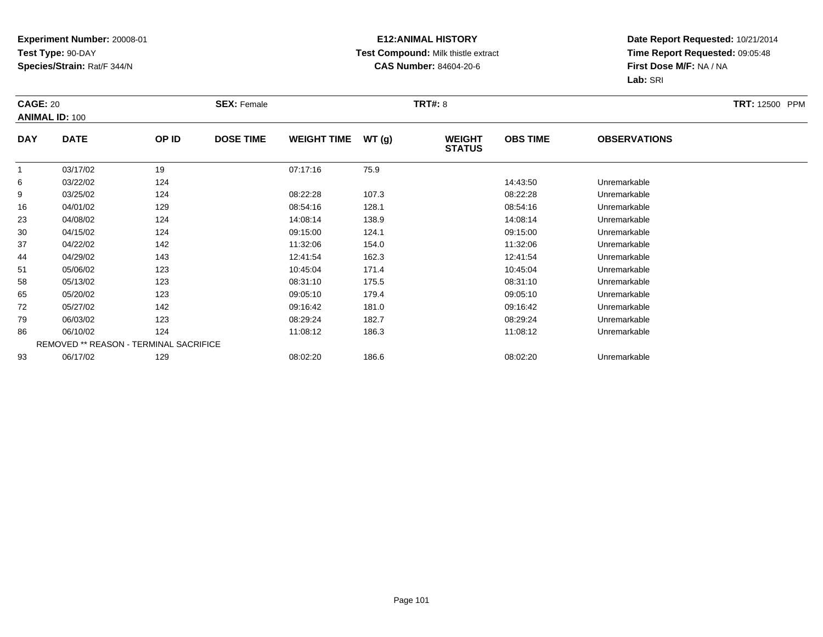## **E12:ANIMAL HISTORY Test Compound:** Milk thistle extract**CAS Number:** 84604-20-6

| <b>CAGE: 20</b> | <b>ANIMAL ID: 100</b> |                                        | <b>SEX: Female</b> |                    |       | <b>TRT#: 8</b>                 |                 |                     | <b>TRT: 12500 PPM</b> |
|-----------------|-----------------------|----------------------------------------|--------------------|--------------------|-------|--------------------------------|-----------------|---------------------|-----------------------|
| <b>DAY</b>      | <b>DATE</b>           | OP ID                                  | <b>DOSE TIME</b>   | <b>WEIGHT TIME</b> | WT(g) | <b>WEIGHT</b><br><b>STATUS</b> | <b>OBS TIME</b> | <b>OBSERVATIONS</b> |                       |
| $\mathbf 1$     | 03/17/02              | 19                                     |                    | 07:17:16           | 75.9  |                                |                 |                     |                       |
| 6               | 03/22/02              | 124                                    |                    |                    |       |                                | 14:43:50        | Unremarkable        |                       |
| 9               | 03/25/02              | 124                                    |                    | 08:22:28           | 107.3 |                                | 08:22:28        | Unremarkable        |                       |
| 16              | 04/01/02              | 129                                    |                    | 08:54:16           | 128.1 |                                | 08:54:16        | Unremarkable        |                       |
| 23              | 04/08/02              | 124                                    |                    | 14:08:14           | 138.9 |                                | 14:08:14        | Unremarkable        |                       |
| 30              | 04/15/02              | 124                                    |                    | 09:15:00           | 124.1 |                                | 09:15:00        | Unremarkable        |                       |
| 37              | 04/22/02              | 142                                    |                    | 11:32:06           | 154.0 |                                | 11:32:06        | Unremarkable        |                       |
| 44              | 04/29/02              | 143                                    |                    | 12:41:54           | 162.3 |                                | 12:41:54        | Unremarkable        |                       |
| 51              | 05/06/02              | 123                                    |                    | 10:45:04           | 171.4 |                                | 10:45:04        | Unremarkable        |                       |
| 58              | 05/13/02              | 123                                    |                    | 08:31:10           | 175.5 |                                | 08:31:10        | Unremarkable        |                       |
| 65              | 05/20/02              | 123                                    |                    | 09:05:10           | 179.4 |                                | 09:05:10        | Unremarkable        |                       |
| 72              | 05/27/02              | 142                                    |                    | 09:16:42           | 181.0 |                                | 09:16:42        | Unremarkable        |                       |
| 79              | 06/03/02              | 123                                    |                    | 08:29:24           | 182.7 |                                | 08:29:24        | Unremarkable        |                       |
| 86              | 06/10/02              | 124                                    |                    | 11:08:12           | 186.3 |                                | 11:08:12        | Unremarkable        |                       |
|                 |                       | REMOVED ** REASON - TERMINAL SACRIFICE |                    |                    |       |                                |                 |                     |                       |
| 93              | 06/17/02              | 129                                    |                    | 08:02:20           | 186.6 |                                | 08:02:20        | Unremarkable        |                       |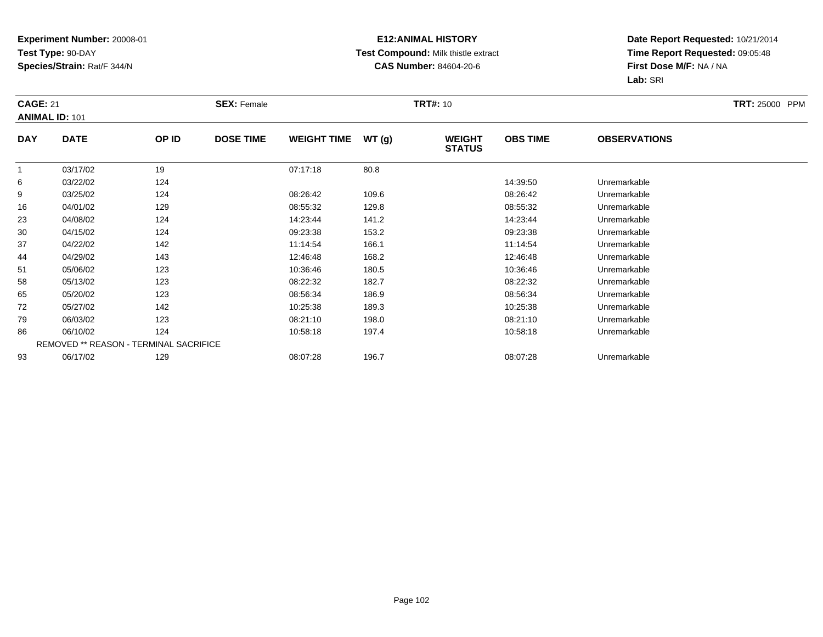## **E12:ANIMAL HISTORY Test Compound:** Milk thistle extract**CAS Number:** 84604-20-6

| <b>CAGE: 21</b> | <b>ANIMAL ID: 101</b>                  |       | <b>SEX: Female</b> |                    |       | <b>TRT#: 10</b>                |                 |                     | <b>TRT: 25000 PPM</b> |
|-----------------|----------------------------------------|-------|--------------------|--------------------|-------|--------------------------------|-----------------|---------------------|-----------------------|
| <b>DAY</b>      | <b>DATE</b>                            | OP ID | <b>DOSE TIME</b>   | <b>WEIGHT TIME</b> | WT(g) | <b>WEIGHT</b><br><b>STATUS</b> | <b>OBS TIME</b> | <b>OBSERVATIONS</b> |                       |
| 1               | 03/17/02                               | 19    |                    | 07:17:18           | 80.8  |                                |                 |                     |                       |
| 6               | 03/22/02                               | 124   |                    |                    |       |                                | 14:39:50        | Unremarkable        |                       |
| 9               | 03/25/02                               | 124   |                    | 08:26:42           | 109.6 |                                | 08:26:42        | Unremarkable        |                       |
| 16              | 04/01/02                               | 129   |                    | 08:55:32           | 129.8 |                                | 08:55:32        | Unremarkable        |                       |
| 23              | 04/08/02                               | 124   |                    | 14:23:44           | 141.2 |                                | 14:23:44        | Unremarkable        |                       |
| 30              | 04/15/02                               | 124   |                    | 09:23:38           | 153.2 |                                | 09:23:38        | Unremarkable        |                       |
| 37              | 04/22/02                               | 142   |                    | 11:14:54           | 166.1 |                                | 11:14:54        | Unremarkable        |                       |
| 44              | 04/29/02                               | 143   |                    | 12:46:48           | 168.2 |                                | 12:46:48        | Unremarkable        |                       |
| 51              | 05/06/02                               | 123   |                    | 10:36:46           | 180.5 |                                | 10:36:46        | Unremarkable        |                       |
| 58              | 05/13/02                               | 123   |                    | 08:22:32           | 182.7 |                                | 08:22:32        | Unremarkable        |                       |
| 65              | 05/20/02                               | 123   |                    | 08:56:34           | 186.9 |                                | 08:56:34        | Unremarkable        |                       |
| 72              | 05/27/02                               | 142   |                    | 10:25:38           | 189.3 |                                | 10:25:38        | Unremarkable        |                       |
| 79              | 06/03/02                               | 123   |                    | 08:21:10           | 198.0 |                                | 08:21:10        | Unremarkable        |                       |
| 86              | 06/10/02                               | 124   |                    | 10:58:18           | 197.4 |                                | 10:58:18        | Unremarkable        |                       |
|                 | REMOVED ** REASON - TERMINAL SACRIFICE |       |                    |                    |       |                                |                 |                     |                       |
| 93              | 06/17/02                               | 129   |                    | 08:07:28           | 196.7 |                                | 08:07:28        | Unremarkable        |                       |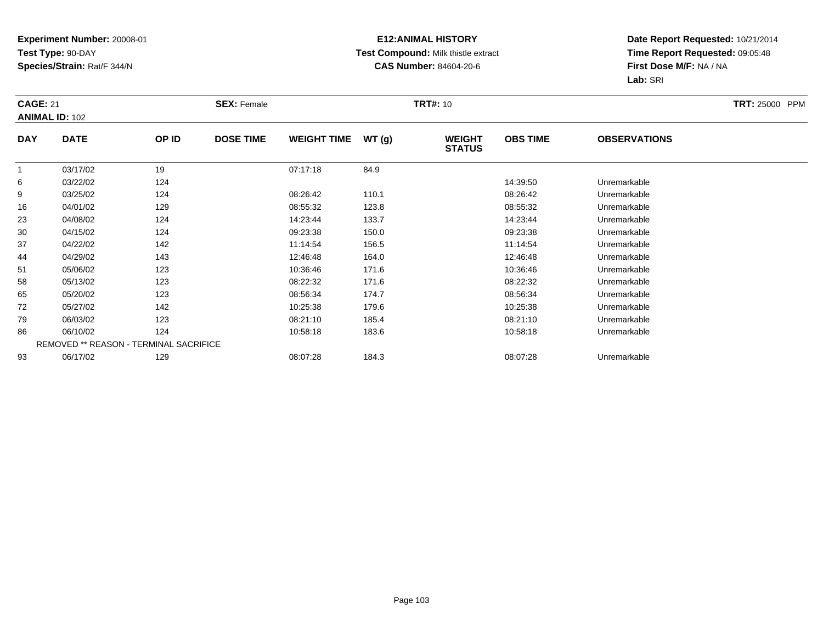## **E12:ANIMAL HISTORY Test Compound:** Milk thistle extract**CAS Number:** 84604-20-6

| <b>CAGE: 21</b> | <b>ANIMAL ID: 102</b>                  |       | <b>SEX: Female</b> |                    |       | <b>TRT#: 10</b>                |                 |                     | <b>TRT: 25000 PPM</b> |
|-----------------|----------------------------------------|-------|--------------------|--------------------|-------|--------------------------------|-----------------|---------------------|-----------------------|
| <b>DAY</b>      | <b>DATE</b>                            | OP ID | <b>DOSE TIME</b>   | <b>WEIGHT TIME</b> | WT(g) | <b>WEIGHT</b><br><b>STATUS</b> | <b>OBS TIME</b> | <b>OBSERVATIONS</b> |                       |
| 1               | 03/17/02                               | 19    |                    | 07:17:18           | 84.9  |                                |                 |                     |                       |
| 6               | 03/22/02                               | 124   |                    |                    |       |                                | 14:39:50        | Unremarkable        |                       |
| 9               | 03/25/02                               | 124   |                    | 08:26:42           | 110.1 |                                | 08:26:42        | Unremarkable        |                       |
| 16              | 04/01/02                               | 129   |                    | 08:55:32           | 123.8 |                                | 08:55:32        | Unremarkable        |                       |
| 23              | 04/08/02                               | 124   |                    | 14:23:44           | 133.7 |                                | 14:23:44        | Unremarkable        |                       |
| 30              | 04/15/02                               | 124   |                    | 09:23:38           | 150.0 |                                | 09:23:38        | Unremarkable        |                       |
| 37              | 04/22/02                               | 142   |                    | 11:14:54           | 156.5 |                                | 11:14:54        | Unremarkable        |                       |
| 44              | 04/29/02                               | 143   |                    | 12:46:48           | 164.0 |                                | 12:46:48        | Unremarkable        |                       |
| 51              | 05/06/02                               | 123   |                    | 10:36:46           | 171.6 |                                | 10:36:46        | Unremarkable        |                       |
| 58              | 05/13/02                               | 123   |                    | 08:22:32           | 171.6 |                                | 08:22:32        | Unremarkable        |                       |
| 65              | 05/20/02                               | 123   |                    | 08:56:34           | 174.7 |                                | 08:56:34        | Unremarkable        |                       |
| 72              | 05/27/02                               | 142   |                    | 10:25:38           | 179.6 |                                | 10:25:38        | Unremarkable        |                       |
| 79              | 06/03/02                               | 123   |                    | 08:21:10           | 185.4 |                                | 08:21:10        | Unremarkable        |                       |
| 86              | 06/10/02                               | 124   |                    | 10:58:18           | 183.6 |                                | 10:58:18        | Unremarkable        |                       |
|                 | REMOVED ** REASON - TERMINAL SACRIFICE |       |                    |                    |       |                                |                 |                     |                       |
| 93              | 06/17/02                               | 129   |                    | 08:07:28           | 184.3 |                                | 08:07:28        | Unremarkable        |                       |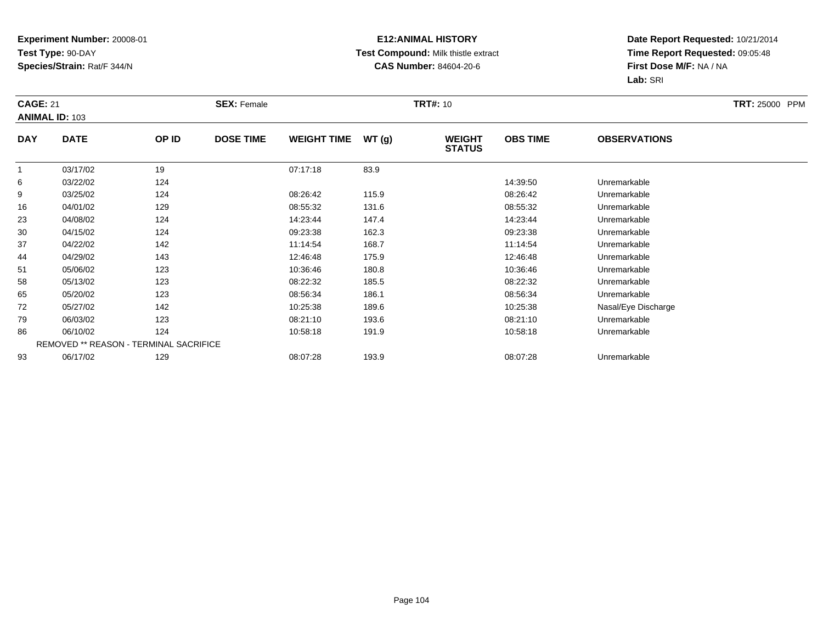## **E12:ANIMAL HISTORY Test Compound:** Milk thistle extract**CAS Number:** 84604-20-6

| <b>CAGE: 21</b> | <b>ANIMAL ID: 103</b> |                                        | <b>SEX: Female</b> |                    |       | <b>TRT#: 10</b>                |                 |                     | <b>TRT: 25000 PPM</b> |
|-----------------|-----------------------|----------------------------------------|--------------------|--------------------|-------|--------------------------------|-----------------|---------------------|-----------------------|
| <b>DAY</b>      | <b>DATE</b>           | OP ID                                  | <b>DOSE TIME</b>   | <b>WEIGHT TIME</b> | WT(g) | <b>WEIGHT</b><br><b>STATUS</b> | <b>OBS TIME</b> | <b>OBSERVATIONS</b> |                       |
| $\overline{1}$  | 03/17/02              | 19                                     |                    | 07:17:18           | 83.9  |                                |                 |                     |                       |
| 6               | 03/22/02              | 124                                    |                    |                    |       |                                | 14:39:50        | Unremarkable        |                       |
| 9               | 03/25/02              | 124                                    |                    | 08:26:42           | 115.9 |                                | 08:26:42        | Unremarkable        |                       |
| 16              | 04/01/02              | 129                                    |                    | 08:55:32           | 131.6 |                                | 08:55:32        | Unremarkable        |                       |
| 23              | 04/08/02              | 124                                    |                    | 14:23:44           | 147.4 |                                | 14:23:44        | Unremarkable        |                       |
| 30              | 04/15/02              | 124                                    |                    | 09:23:38           | 162.3 |                                | 09:23:38        | Unremarkable        |                       |
| 37              | 04/22/02              | 142                                    |                    | 11:14:54           | 168.7 |                                | 11:14:54        | Unremarkable        |                       |
| 44              | 04/29/02              | 143                                    |                    | 12:46:48           | 175.9 |                                | 12:46:48        | Unremarkable        |                       |
| 51              | 05/06/02              | 123                                    |                    | 10:36:46           | 180.8 |                                | 10:36:46        | Unremarkable        |                       |
| 58              | 05/13/02              | 123                                    |                    | 08:22:32           | 185.5 |                                | 08:22:32        | Unremarkable        |                       |
| 65              | 05/20/02              | 123                                    |                    | 08:56:34           | 186.1 |                                | 08:56:34        | Unremarkable        |                       |
| 72              | 05/27/02              | 142                                    |                    | 10:25:38           | 189.6 |                                | 10:25:38        | Nasal/Eye Discharge |                       |
| 79              | 06/03/02              | 123                                    |                    | 08:21:10           | 193.6 |                                | 08:21:10        | Unremarkable        |                       |
| 86              | 06/10/02              | 124                                    |                    | 10:58:18           | 191.9 |                                | 10:58:18        | Unremarkable        |                       |
|                 |                       | REMOVED ** REASON - TERMINAL SACRIFICE |                    |                    |       |                                |                 |                     |                       |
| 93              | 06/17/02              | 129                                    |                    | 08:07:28           | 193.9 |                                | 08:07:28        | Unremarkable        |                       |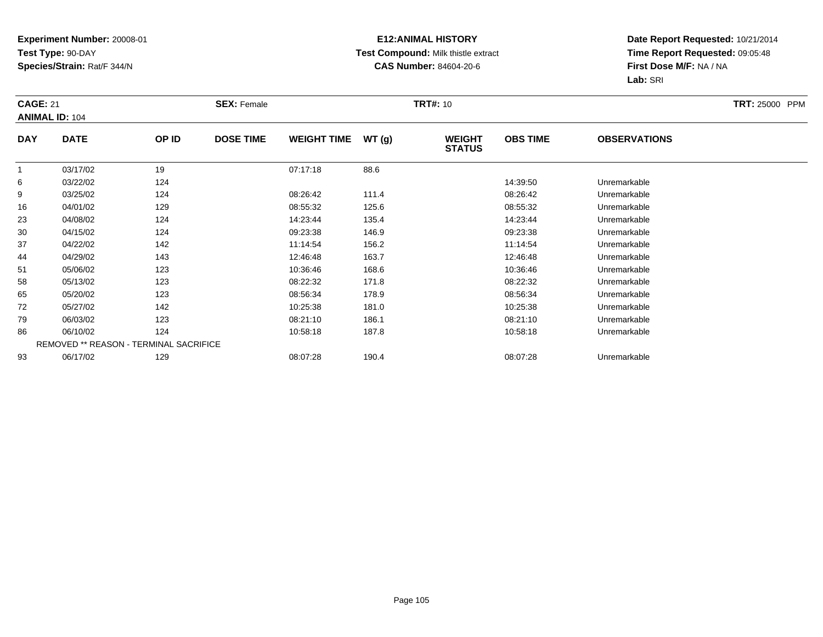## **E12:ANIMAL HISTORY Test Compound:** Milk thistle extract**CAS Number:** 84604-20-6

| <b>CAGE: 21</b> | <b>ANIMAL ID: 104</b>                  |       | <b>SEX: Female</b> |                    |       | <b>TRT#: 10</b>                |                 |                     | TRT: 25000 PPM |
|-----------------|----------------------------------------|-------|--------------------|--------------------|-------|--------------------------------|-----------------|---------------------|----------------|
| <b>DAY</b>      | <b>DATE</b>                            | OP ID | <b>DOSE TIME</b>   | <b>WEIGHT TIME</b> | WT(g) | <b>WEIGHT</b><br><b>STATUS</b> | <b>OBS TIME</b> | <b>OBSERVATIONS</b> |                |
|                 | 03/17/02                               | 19    |                    | 07:17:18           | 88.6  |                                |                 |                     |                |
| 6               | 03/22/02                               | 124   |                    |                    |       |                                | 14:39:50        | Unremarkable        |                |
| 9               | 03/25/02                               | 124   |                    | 08:26:42           | 111.4 |                                | 08:26:42        | Unremarkable        |                |
| 16              | 04/01/02                               | 129   |                    | 08:55:32           | 125.6 |                                | 08:55:32        | Unremarkable        |                |
| 23              | 04/08/02                               | 124   |                    | 14:23:44           | 135.4 |                                | 14:23:44        | Unremarkable        |                |
| 30              | 04/15/02                               | 124   |                    | 09:23:38           | 146.9 |                                | 09:23:38        | Unremarkable        |                |
| 37              | 04/22/02                               | 142   |                    | 11:14:54           | 156.2 |                                | 11:14:54        | Unremarkable        |                |
| 44              | 04/29/02                               | 143   |                    | 12:46:48           | 163.7 |                                | 12:46:48        | Unremarkable        |                |
| 51              | 05/06/02                               | 123   |                    | 10:36:46           | 168.6 |                                | 10:36:46        | Unremarkable        |                |
| 58              | 05/13/02                               | 123   |                    | 08:22:32           | 171.8 |                                | 08:22:32        | Unremarkable        |                |
| 65              | 05/20/02                               | 123   |                    | 08:56:34           | 178.9 |                                | 08:56:34        | Unremarkable        |                |
| 72              | 05/27/02                               | 142   |                    | 10:25:38           | 181.0 |                                | 10:25:38        | Unremarkable        |                |
| 79              | 06/03/02                               | 123   |                    | 08:21:10           | 186.1 |                                | 08:21:10        | Unremarkable        |                |
| 86              | 06/10/02                               | 124   |                    | 10:58:18           | 187.8 |                                | 10:58:18        | Unremarkable        |                |
|                 | REMOVED ** REASON - TERMINAL SACRIFICE |       |                    |                    |       |                                |                 |                     |                |
| 93              | 06/17/02                               | 129   |                    | 08:07:28           | 190.4 |                                | 08:07:28        | Unremarkable        |                |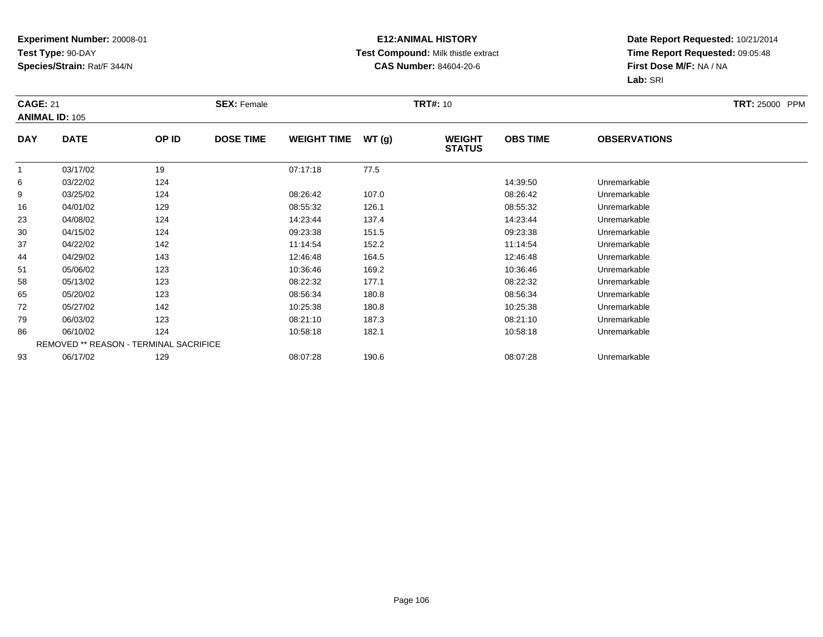## **E12:ANIMAL HISTORY Test Compound:** Milk thistle extract**CAS Number:** 84604-20-6

| <b>CAGE: 21</b> | <b>ANIMAL ID: 105</b>                  |       | <b>SEX: Female</b> |                    |       | <b>TRT#: 10</b>                |                 |                     | TRT: 25000 PPM |
|-----------------|----------------------------------------|-------|--------------------|--------------------|-------|--------------------------------|-----------------|---------------------|----------------|
| <b>DAY</b>      | <b>DATE</b>                            | OP ID | <b>DOSE TIME</b>   | <b>WEIGHT TIME</b> | WT(g) | <b>WEIGHT</b><br><b>STATUS</b> | <b>OBS TIME</b> | <b>OBSERVATIONS</b> |                |
| 1               | 03/17/02                               | 19    |                    | 07:17:18           | 77.5  |                                |                 |                     |                |
| 6               | 03/22/02                               | 124   |                    |                    |       |                                | 14:39:50        | Unremarkable        |                |
| 9               | 03/25/02                               | 124   |                    | 08:26:42           | 107.0 |                                | 08:26:42        | Unremarkable        |                |
| 16              | 04/01/02                               | 129   |                    | 08:55:32           | 126.1 |                                | 08:55:32        | Unremarkable        |                |
| 23              | 04/08/02                               | 124   |                    | 14:23:44           | 137.4 |                                | 14:23:44        | Unremarkable        |                |
| 30              | 04/15/02                               | 124   |                    | 09:23:38           | 151.5 |                                | 09:23:38        | Unremarkable        |                |
| 37              | 04/22/02                               | 142   |                    | 11:14:54           | 152.2 |                                | 11:14:54        | Unremarkable        |                |
| 44              | 04/29/02                               | 143   |                    | 12:46:48           | 164.5 |                                | 12:46:48        | Unremarkable        |                |
| 51              | 05/06/02                               | 123   |                    | 10:36:46           | 169.2 |                                | 10:36:46        | Unremarkable        |                |
| 58              | 05/13/02                               | 123   |                    | 08:22:32           | 177.1 |                                | 08:22:32        | Unremarkable        |                |
| 65              | 05/20/02                               | 123   |                    | 08:56:34           | 180.8 |                                | 08:56:34        | Unremarkable        |                |
| 72              | 05/27/02                               | 142   |                    | 10:25:38           | 180.8 |                                | 10:25:38        | Unremarkable        |                |
| 79              | 06/03/02                               | 123   |                    | 08:21:10           | 187.3 |                                | 08:21:10        | Unremarkable        |                |
| 86              | 06/10/02                               | 124   |                    | 10:58:18           | 182.1 |                                | 10:58:18        | Unremarkable        |                |
|                 | REMOVED ** REASON - TERMINAL SACRIFICE |       |                    |                    |       |                                |                 |                     |                |
| 93              | 06/17/02                               | 129   |                    | 08:07:28           | 190.6 |                                | 08:07:28        | Unremarkable        |                |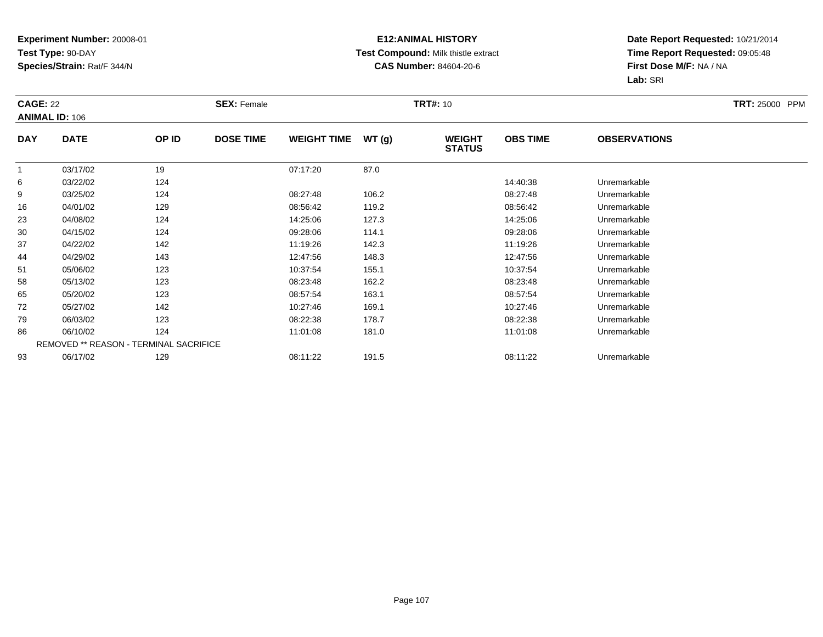## **E12:ANIMAL HISTORY Test Compound:** Milk thistle extract**CAS Number:** 84604-20-6

| <b>CAGE: 22</b> | <b>ANIMAL ID: 106</b> |                                        | <b>SEX: Female</b> |                    |       | <b>TRT#: 10</b>                |                 |                     | <b>TRT: 25000 PPM</b> |
|-----------------|-----------------------|----------------------------------------|--------------------|--------------------|-------|--------------------------------|-----------------|---------------------|-----------------------|
| <b>DAY</b>      | <b>DATE</b>           | OP ID                                  | <b>DOSE TIME</b>   | <b>WEIGHT TIME</b> | WT(g) | <b>WEIGHT</b><br><b>STATUS</b> | <b>OBS TIME</b> | <b>OBSERVATIONS</b> |                       |
| 1               | 03/17/02              | 19                                     |                    | 07:17:20           | 87.0  |                                |                 |                     |                       |
| 6               | 03/22/02              | 124                                    |                    |                    |       |                                | 14:40:38        | Unremarkable        |                       |
| 9               | 03/25/02              | 124                                    |                    | 08:27:48           | 106.2 |                                | 08:27:48        | Unremarkable        |                       |
| 16              | 04/01/02              | 129                                    |                    | 08:56:42           | 119.2 |                                | 08:56:42        | Unremarkable        |                       |
| 23              | 04/08/02              | 124                                    |                    | 14:25:06           | 127.3 |                                | 14:25:06        | Unremarkable        |                       |
| 30              | 04/15/02              | 124                                    |                    | 09:28:06           | 114.1 |                                | 09:28:06        | Unremarkable        |                       |
| 37              | 04/22/02              | 142                                    |                    | 11:19:26           | 142.3 |                                | 11:19:26        | Unremarkable        |                       |
| 44              | 04/29/02              | 143                                    |                    | 12:47:56           | 148.3 |                                | 12:47:56        | Unremarkable        |                       |
| 51              | 05/06/02              | 123                                    |                    | 10:37:54           | 155.1 |                                | 10:37:54        | Unremarkable        |                       |
| 58              | 05/13/02              | 123                                    |                    | 08:23:48           | 162.2 |                                | 08:23:48        | Unremarkable        |                       |
| 65              | 05/20/02              | 123                                    |                    | 08:57:54           | 163.1 |                                | 08:57:54        | Unremarkable        |                       |
| 72              | 05/27/02              | 142                                    |                    | 10:27:46           | 169.1 |                                | 10:27:46        | Unremarkable        |                       |
| 79              | 06/03/02              | 123                                    |                    | 08:22:38           | 178.7 |                                | 08:22:38        | Unremarkable        |                       |
| 86              | 06/10/02              | 124                                    |                    | 11:01:08           | 181.0 |                                | 11:01:08        | Unremarkable        |                       |
|                 |                       | REMOVED ** REASON - TERMINAL SACRIFICE |                    |                    |       |                                |                 |                     |                       |
| 93              | 06/17/02              | 129                                    |                    | 08:11:22           | 191.5 |                                | 08:11:22        | Unremarkable        |                       |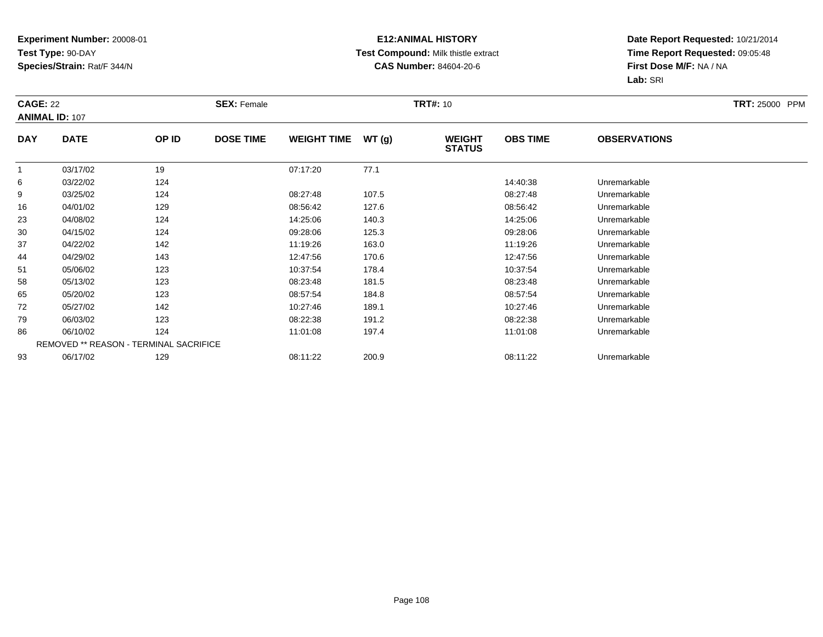## **E12:ANIMAL HISTORY Test Compound:** Milk thistle extract**CAS Number:** 84604-20-6

| <b>CAGE: 22</b> | <b>ANIMAL ID: 107</b>                  |       | <b>SEX: Female</b> |                    |       | <b>TRT#: 10</b>                |                 |                     | <b>TRT: 25000 PPM</b> |
|-----------------|----------------------------------------|-------|--------------------|--------------------|-------|--------------------------------|-----------------|---------------------|-----------------------|
| <b>DAY</b>      | <b>DATE</b>                            | OP ID | <b>DOSE TIME</b>   | <b>WEIGHT TIME</b> | WT(g) | <b>WEIGHT</b><br><b>STATUS</b> | <b>OBS TIME</b> | <b>OBSERVATIONS</b> |                       |
| 1               | 03/17/02                               | 19    |                    | 07:17:20           | 77.1  |                                |                 |                     |                       |
| 6               | 03/22/02                               | 124   |                    |                    |       |                                | 14:40:38        | Unremarkable        |                       |
| 9               | 03/25/02                               | 124   |                    | 08:27:48           | 107.5 |                                | 08:27:48        | Unremarkable        |                       |
| 16              | 04/01/02                               | 129   |                    | 08:56:42           | 127.6 |                                | 08:56:42        | Unremarkable        |                       |
| 23              | 04/08/02                               | 124   |                    | 14:25:06           | 140.3 |                                | 14:25:06        | Unremarkable        |                       |
| 30              | 04/15/02                               | 124   |                    | 09:28:06           | 125.3 |                                | 09:28:06        | Unremarkable        |                       |
| 37              | 04/22/02                               | 142   |                    | 11:19:26           | 163.0 |                                | 11:19:26        | Unremarkable        |                       |
| 44              | 04/29/02                               | 143   |                    | 12:47:56           | 170.6 |                                | 12:47:56        | Unremarkable        |                       |
| 51              | 05/06/02                               | 123   |                    | 10:37:54           | 178.4 |                                | 10:37:54        | Unremarkable        |                       |
| 58              | 05/13/02                               | 123   |                    | 08:23:48           | 181.5 |                                | 08:23:48        | Unremarkable        |                       |
| 65              | 05/20/02                               | 123   |                    | 08:57:54           | 184.8 |                                | 08:57:54        | Unremarkable        |                       |
| 72              | 05/27/02                               | 142   |                    | 10:27:46           | 189.1 |                                | 10:27:46        | Unremarkable        |                       |
| 79              | 06/03/02                               | 123   |                    | 08:22:38           | 191.2 |                                | 08:22:38        | Unremarkable        |                       |
| 86              | 06/10/02                               | 124   |                    | 11:01:08           | 197.4 |                                | 11:01:08        | Unremarkable        |                       |
|                 | REMOVED ** REASON - TERMINAL SACRIFICE |       |                    |                    |       |                                |                 |                     |                       |
| 93              | 06/17/02                               | 129   |                    | 08:11:22           | 200.9 |                                | 08:11:22        | Unremarkable        |                       |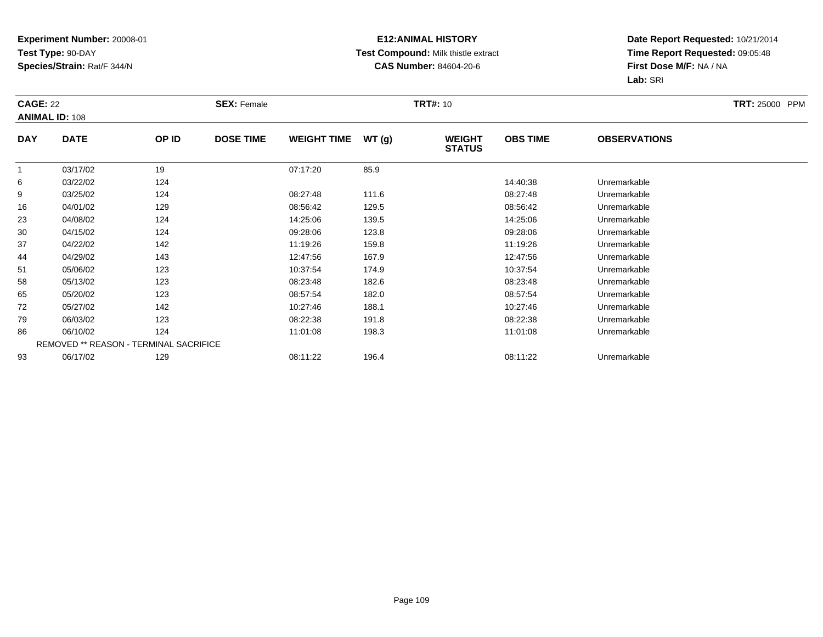### **E12:ANIMAL HISTORY Test Compound:** Milk thistle extract**CAS Number:** 84604-20-6

|            | <b>CAGE: 22</b><br><b>ANIMAL ID: 108</b> |       | <b>SEX: Female</b> |                    |       |                                | <b>TRT#: 10</b> |                     |  |  |
|------------|------------------------------------------|-------|--------------------|--------------------|-------|--------------------------------|-----------------|---------------------|--|--|
| <b>DAY</b> | <b>DATE</b>                              | OP ID | <b>DOSE TIME</b>   | <b>WEIGHT TIME</b> | WT(g) | <b>WEIGHT</b><br><b>STATUS</b> | <b>OBS TIME</b> | <b>OBSERVATIONS</b> |  |  |
|            | 03/17/02                                 | 19    |                    | 07:17:20           | 85.9  |                                |                 |                     |  |  |
| 6          | 03/22/02                                 | 124   |                    |                    |       |                                | 14:40:38        | Unremarkable        |  |  |
| 9          | 03/25/02                                 | 124   |                    | 08:27:48           | 111.6 |                                | 08:27:48        | Unremarkable        |  |  |
| 16         | 04/01/02                                 | 129   |                    | 08:56:42           | 129.5 |                                | 08:56:42        | Unremarkable        |  |  |
| 23         | 04/08/02                                 | 124   |                    | 14:25:06           | 139.5 |                                | 14:25:06        | Unremarkable        |  |  |
| 30         | 04/15/02                                 | 124   |                    | 09:28:06           | 123.8 |                                | 09:28:06        | Unremarkable        |  |  |
| 37         | 04/22/02                                 | 142   |                    | 11:19:26           | 159.8 |                                | 11:19:26        | Unremarkable        |  |  |
| 44         | 04/29/02                                 | 143   |                    | 12:47:56           | 167.9 |                                | 12:47:56        | Unremarkable        |  |  |
| 51         | 05/06/02                                 | 123   |                    | 10:37:54           | 174.9 |                                | 10:37:54        | Unremarkable        |  |  |
| 58         | 05/13/02                                 | 123   |                    | 08:23:48           | 182.6 |                                | 08:23:48        | Unremarkable        |  |  |
| 65         | 05/20/02                                 | 123   |                    | 08:57:54           | 182.0 |                                | 08:57:54        | Unremarkable        |  |  |
| 72         | 05/27/02                                 | 142   |                    | 10:27:46           | 188.1 |                                | 10:27:46        | Unremarkable        |  |  |
| 79         | 06/03/02                                 | 123   |                    | 08:22:38           | 191.8 |                                | 08:22:38        | Unremarkable        |  |  |
| 86         | 06/10/02                                 | 124   |                    | 11:01:08           | 198.3 |                                | 11:01:08        | Unremarkable        |  |  |
|            | REMOVED ** REASON - TERMINAL SACRIFICE   |       |                    |                    |       |                                |                 |                     |  |  |
| 93         | 06/17/02                                 | 129   |                    | 08:11:22           | 196.4 |                                | 08:11:22        | Unremarkable        |  |  |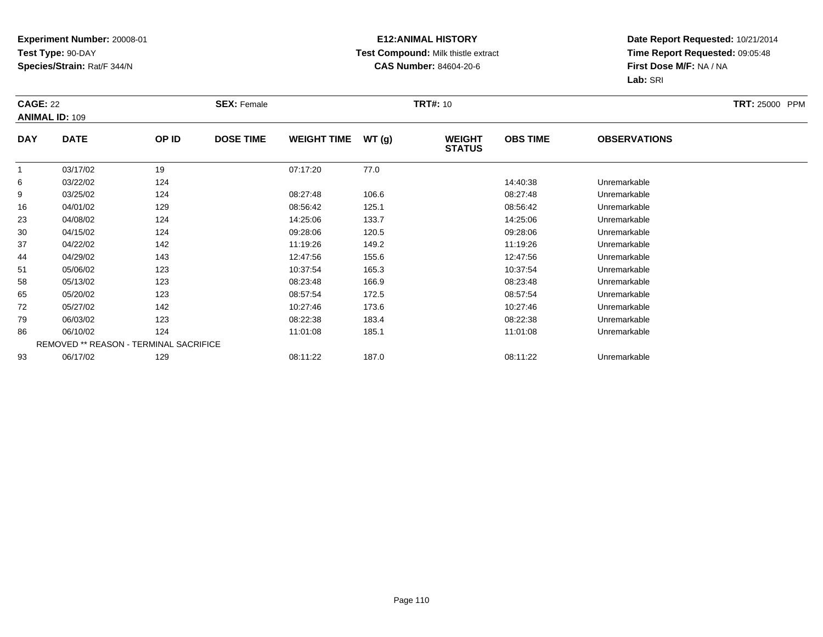### **E12:ANIMAL HISTORY Test Compound:** Milk thistle extract**CAS Number:** 84604-20-6

| <b>CAGE: 22</b> | <b>ANIMAL ID: 109</b>                  |       | <b>SEX: Female</b> |                    |       | <b>TRT#: 10</b>                |                 |                     | <b>TRT: 25000 PPM</b> |
|-----------------|----------------------------------------|-------|--------------------|--------------------|-------|--------------------------------|-----------------|---------------------|-----------------------|
| <b>DAY</b>      | <b>DATE</b>                            | OP ID | <b>DOSE TIME</b>   | <b>WEIGHT TIME</b> | WT(g) | <b>WEIGHT</b><br><b>STATUS</b> | <b>OBS TIME</b> | <b>OBSERVATIONS</b> |                       |
| 1               | 03/17/02                               | 19    |                    | 07:17:20           | 77.0  |                                |                 |                     |                       |
| 6               | 03/22/02                               | 124   |                    |                    |       |                                | 14:40:38        | Unremarkable        |                       |
| 9               | 03/25/02                               | 124   |                    | 08:27:48           | 106.6 |                                | 08:27:48        | Unremarkable        |                       |
| 16              | 04/01/02                               | 129   |                    | 08:56:42           | 125.1 |                                | 08:56:42        | Unremarkable        |                       |
| 23              | 04/08/02                               | 124   |                    | 14:25:06           | 133.7 |                                | 14:25:06        | Unremarkable        |                       |
| 30              | 04/15/02                               | 124   |                    | 09:28:06           | 120.5 |                                | 09:28:06        | Unremarkable        |                       |
| 37              | 04/22/02                               | 142   |                    | 11:19:26           | 149.2 |                                | 11:19:26        | Unremarkable        |                       |
| 44              | 04/29/02                               | 143   |                    | 12:47:56           | 155.6 |                                | 12:47:56        | Unremarkable        |                       |
| 51              | 05/06/02                               | 123   |                    | 10:37:54           | 165.3 |                                | 10:37:54        | Unremarkable        |                       |
| 58              | 05/13/02                               | 123   |                    | 08:23:48           | 166.9 |                                | 08:23:48        | Unremarkable        |                       |
| 65              | 05/20/02                               | 123   |                    | 08:57:54           | 172.5 |                                | 08:57:54        | Unremarkable        |                       |
| 72              | 05/27/02                               | 142   |                    | 10:27:46           | 173.6 |                                | 10:27:46        | Unremarkable        |                       |
| 79              | 06/03/02                               | 123   |                    | 08:22:38           | 183.4 |                                | 08:22:38        | Unremarkable        |                       |
| 86              | 06/10/02                               | 124   |                    | 11:01:08           | 185.1 |                                | 11:01:08        | Unremarkable        |                       |
|                 | REMOVED ** REASON - TERMINAL SACRIFICE |       |                    |                    |       |                                |                 |                     |                       |
| 93              | 06/17/02                               | 129   |                    | 08:11:22           | 187.0 |                                | 08:11:22        | Unremarkable        |                       |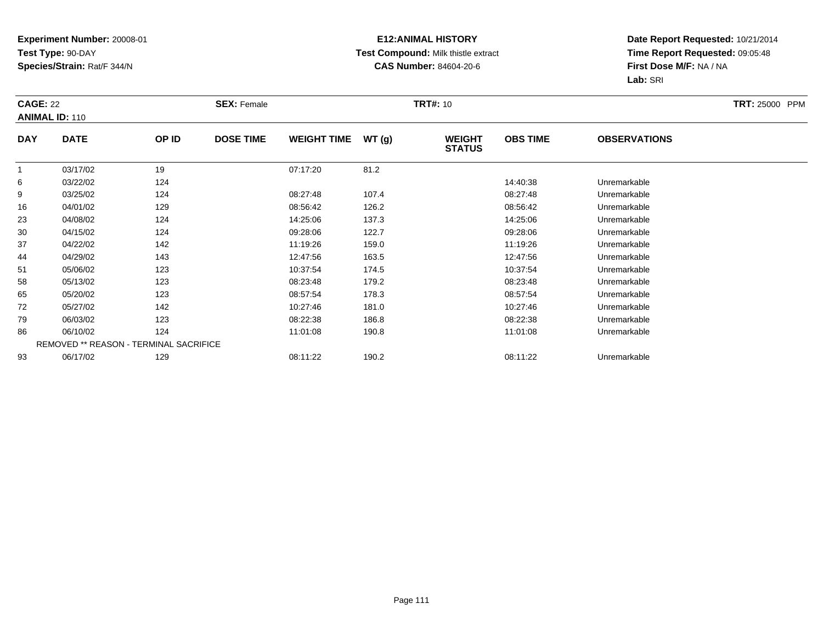### **E12:ANIMAL HISTORY Test Compound:** Milk thistle extract**CAS Number:** 84604-20-6

|            | <b>CAGE: 22</b><br><b>ANIMAL ID: 110</b> |       | <b>SEX: Female</b> |                    | <b>TRT#:</b> 10 | <b>TRT: 25000 PPM</b>          |                 |                     |  |
|------------|------------------------------------------|-------|--------------------|--------------------|-----------------|--------------------------------|-----------------|---------------------|--|
| <b>DAY</b> | <b>DATE</b>                              | OP ID | <b>DOSE TIME</b>   | <b>WEIGHT TIME</b> | WT(g)           | <b>WEIGHT</b><br><b>STATUS</b> | <b>OBS TIME</b> | <b>OBSERVATIONS</b> |  |
|            | 03/17/02                                 | 19    |                    | 07:17:20           | 81.2            |                                |                 |                     |  |
| 6          | 03/22/02                                 | 124   |                    |                    |                 |                                | 14:40:38        | Unremarkable        |  |
| 9          | 03/25/02                                 | 124   |                    | 08:27:48           | 107.4           |                                | 08:27:48        | Unremarkable        |  |
| 16         | 04/01/02                                 | 129   |                    | 08:56:42           | 126.2           |                                | 08:56:42        | Unremarkable        |  |
| 23         | 04/08/02                                 | 124   |                    | 14:25:06           | 137.3           |                                | 14:25:06        | Unremarkable        |  |
| 30         | 04/15/02                                 | 124   |                    | 09:28:06           | 122.7           |                                | 09:28:06        | Unremarkable        |  |
| 37         | 04/22/02                                 | 142   |                    | 11:19:26           | 159.0           |                                | 11:19:26        | Unremarkable        |  |
| 44         | 04/29/02                                 | 143   |                    | 12:47:56           | 163.5           |                                | 12:47:56        | Unremarkable        |  |
| 51         | 05/06/02                                 | 123   |                    | 10:37:54           | 174.5           |                                | 10:37:54        | Unremarkable        |  |
| 58         | 05/13/02                                 | 123   |                    | 08:23:48           | 179.2           |                                | 08:23:48        | Unremarkable        |  |
| 65         | 05/20/02                                 | 123   |                    | 08:57:54           | 178.3           |                                | 08:57:54        | Unremarkable        |  |
| 72         | 05/27/02                                 | 142   |                    | 10:27:46           | 181.0           |                                | 10:27:46        | Unremarkable        |  |
| 79         | 06/03/02                                 | 123   |                    | 08:22:38           | 186.8           |                                | 08:22:38        | Unremarkable        |  |
| 86         | 06/10/02                                 | 124   |                    | 11:01:08           | 190.8           |                                | 11:01:08        | Unremarkable        |  |
|            | REMOVED ** REASON - TERMINAL SACRIFICE   |       |                    |                    |                 |                                |                 |                     |  |
| 93         | 06/17/02                                 | 129   |                    | 08:11:22           | 190.2           |                                | 08:11:22        | Unremarkable        |  |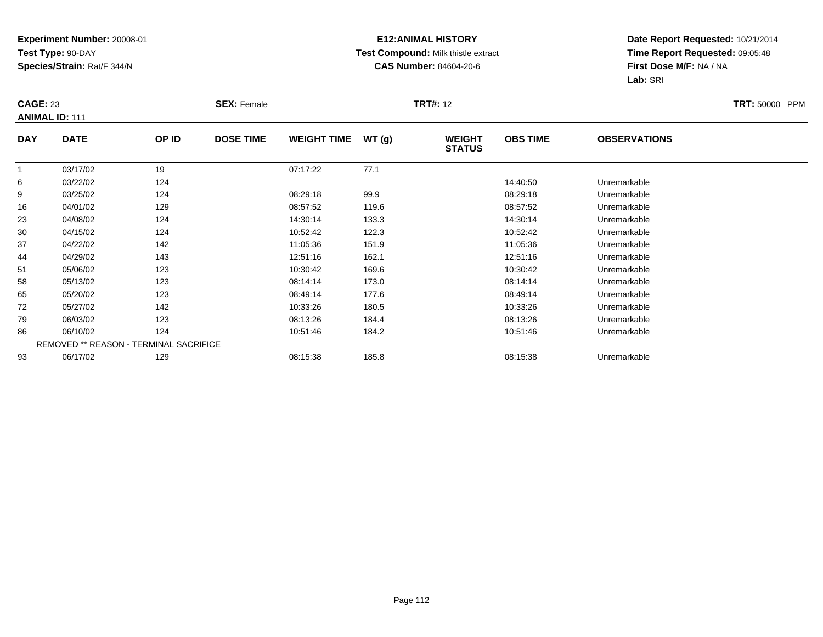### **E12:ANIMAL HISTORY Test Compound:** Milk thistle extract**CAS Number:** 84604-20-6

| <b>CAGE: 23</b> | <b>ANIMAL ID: 111</b> |                                        | <b>SEX: Female</b> |                    |       | <b>TRT#: 12</b>                |                 |                     | <b>TRT: 50000 PPM</b> |
|-----------------|-----------------------|----------------------------------------|--------------------|--------------------|-------|--------------------------------|-----------------|---------------------|-----------------------|
| <b>DAY</b>      | <b>DATE</b>           | OP ID                                  | <b>DOSE TIME</b>   | <b>WEIGHT TIME</b> | WT(g) | <b>WEIGHT</b><br><b>STATUS</b> | <b>OBS TIME</b> | <b>OBSERVATIONS</b> |                       |
|                 | 03/17/02              | 19                                     |                    | 07:17:22           | 77.1  |                                |                 |                     |                       |
| 6               | 03/22/02              | 124                                    |                    |                    |       |                                | 14:40:50        | Unremarkable        |                       |
| 9               | 03/25/02              | 124                                    |                    | 08:29:18           | 99.9  |                                | 08:29:18        | Unremarkable        |                       |
| 16              | 04/01/02              | 129                                    |                    | 08:57:52           | 119.6 |                                | 08:57:52        | Unremarkable        |                       |
| 23              | 04/08/02              | 124                                    |                    | 14:30:14           | 133.3 |                                | 14:30:14        | Unremarkable        |                       |
| 30              | 04/15/02              | 124                                    |                    | 10:52:42           | 122.3 |                                | 10:52:42        | Unremarkable        |                       |
| 37              | 04/22/02              | 142                                    |                    | 11:05:36           | 151.9 |                                | 11:05:36        | Unremarkable        |                       |
| 44              | 04/29/02              | 143                                    |                    | 12:51:16           | 162.1 |                                | 12:51:16        | Unremarkable        |                       |
| 51              | 05/06/02              | 123                                    |                    | 10:30:42           | 169.6 |                                | 10:30:42        | Unremarkable        |                       |
| 58              | 05/13/02              | 123                                    |                    | 08:14:14           | 173.0 |                                | 08:14:14        | Unremarkable        |                       |
| 65              | 05/20/02              | 123                                    |                    | 08:49:14           | 177.6 |                                | 08:49:14        | Unremarkable        |                       |
| 72              | 05/27/02              | 142                                    |                    | 10:33:26           | 180.5 |                                | 10:33:26        | Unremarkable        |                       |
| 79              | 06/03/02              | 123                                    |                    | 08:13:26           | 184.4 |                                | 08:13:26        | Unremarkable        |                       |
| 86              | 06/10/02              | 124                                    |                    | 10:51:46           | 184.2 |                                | 10:51:46        | Unremarkable        |                       |
|                 |                       | REMOVED ** REASON - TERMINAL SACRIFICE |                    |                    |       |                                |                 |                     |                       |
| 93              | 06/17/02              | 129                                    |                    | 08:15:38           | 185.8 |                                | 08:15:38        | Unremarkable        |                       |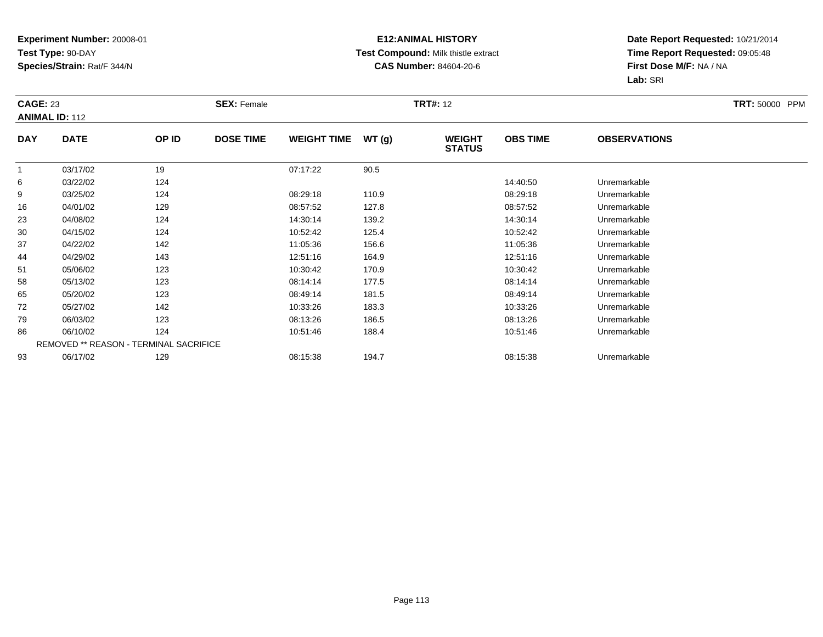### **E12:ANIMAL HISTORY Test Compound:** Milk thistle extract**CAS Number:** 84604-20-6

|                | <b>CAGE: 23</b><br><b>ANIMAL ID: 112</b> |                                        | <b>SEX: Female</b> |                    |       |                                | <b>TRT#: 12</b> |                     |  |
|----------------|------------------------------------------|----------------------------------------|--------------------|--------------------|-------|--------------------------------|-----------------|---------------------|--|
| <b>DAY</b>     | <b>DATE</b>                              | OP ID                                  | <b>DOSE TIME</b>   | <b>WEIGHT TIME</b> | WT(g) | <b>WEIGHT</b><br><b>STATUS</b> | <b>OBS TIME</b> | <b>OBSERVATIONS</b> |  |
| $\overline{1}$ | 03/17/02                                 | 19                                     |                    | 07:17:22           | 90.5  |                                |                 |                     |  |
| 6              | 03/22/02                                 | 124                                    |                    |                    |       |                                | 14:40:50        | Unremarkable        |  |
| 9              | 03/25/02                                 | 124                                    |                    | 08:29:18           | 110.9 |                                | 08:29:18        | Unremarkable        |  |
| 16             | 04/01/02                                 | 129                                    |                    | 08:57:52           | 127.8 |                                | 08:57:52        | Unremarkable        |  |
| 23             | 04/08/02                                 | 124                                    |                    | 14:30:14           | 139.2 |                                | 14:30:14        | Unremarkable        |  |
| 30             | 04/15/02                                 | 124                                    |                    | 10:52:42           | 125.4 |                                | 10:52:42        | Unremarkable        |  |
| 37             | 04/22/02                                 | 142                                    |                    | 11:05:36           | 156.6 |                                | 11:05:36        | Unremarkable        |  |
| 44             | 04/29/02                                 | 143                                    |                    | 12:51:16           | 164.9 |                                | 12:51:16        | Unremarkable        |  |
| 51             | 05/06/02                                 | 123                                    |                    | 10:30:42           | 170.9 |                                | 10:30:42        | Unremarkable        |  |
| 58             | 05/13/02                                 | 123                                    |                    | 08:14:14           | 177.5 |                                | 08:14:14        | Unremarkable        |  |
| 65             | 05/20/02                                 | 123                                    |                    | 08:49:14           | 181.5 |                                | 08:49:14        | Unremarkable        |  |
| 72             | 05/27/02                                 | 142                                    |                    | 10:33:26           | 183.3 |                                | 10:33:26        | Unremarkable        |  |
| 79             | 06/03/02                                 | 123                                    |                    | 08:13:26           | 186.5 |                                | 08:13:26        | Unremarkable        |  |
| 86             | 06/10/02                                 | 124                                    |                    | 10:51:46           | 188.4 |                                | 10:51:46        | Unremarkable        |  |
|                |                                          | REMOVED ** REASON - TERMINAL SACRIFICE |                    |                    |       |                                |                 |                     |  |
| 93             | 06/17/02                                 | 129                                    |                    | 08:15:38           | 194.7 |                                | 08:15:38        | Unremarkable        |  |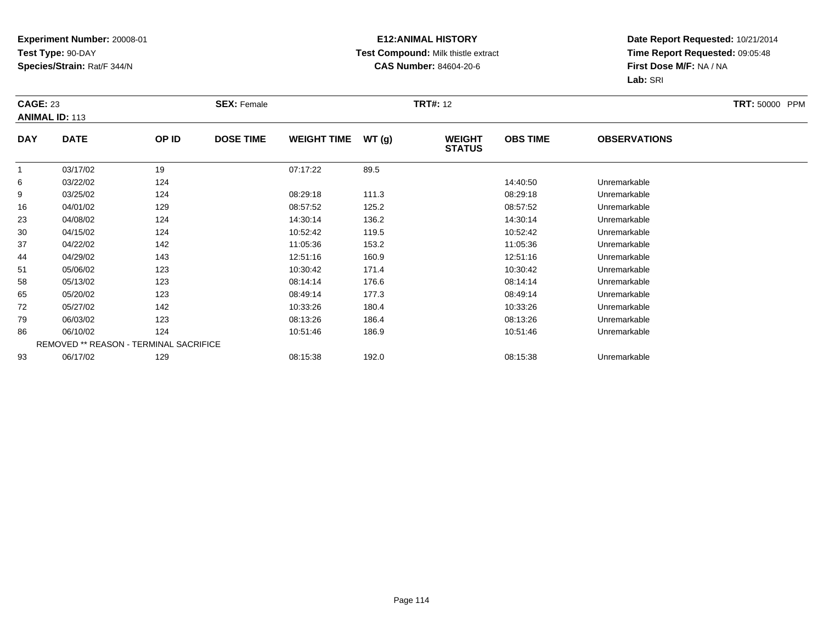### **E12:ANIMAL HISTORY Test Compound:** Milk thistle extract**CAS Number:** 84604-20-6

| <b>CAGE: 23</b> | <b>ANIMAL ID: 113</b> |                                        | <b>SEX: Female</b> |                    |       | <b>TRT#: 12</b>                |                 |                     | <b>TRT: 50000 PPM</b> |
|-----------------|-----------------------|----------------------------------------|--------------------|--------------------|-------|--------------------------------|-----------------|---------------------|-----------------------|
| <b>DAY</b>      | <b>DATE</b>           | OP ID                                  | <b>DOSE TIME</b>   | <b>WEIGHT TIME</b> | WT(g) | <b>WEIGHT</b><br><b>STATUS</b> | <b>OBS TIME</b> | <b>OBSERVATIONS</b> |                       |
|                 | 03/17/02              | 19                                     |                    | 07:17:22           | 89.5  |                                |                 |                     |                       |
| 6               | 03/22/02              | 124                                    |                    |                    |       |                                | 14:40:50        | Unremarkable        |                       |
| 9               | 03/25/02              | 124                                    |                    | 08:29:18           | 111.3 |                                | 08:29:18        | Unremarkable        |                       |
| 16              | 04/01/02              | 129                                    |                    | 08:57:52           | 125.2 |                                | 08:57:52        | Unremarkable        |                       |
| 23              | 04/08/02              | 124                                    |                    | 14:30:14           | 136.2 |                                | 14:30:14        | Unremarkable        |                       |
| 30              | 04/15/02              | 124                                    |                    | 10:52:42           | 119.5 |                                | 10:52:42        | Unremarkable        |                       |
| 37              | 04/22/02              | 142                                    |                    | 11:05:36           | 153.2 |                                | 11:05:36        | Unremarkable        |                       |
| 44              | 04/29/02              | 143                                    |                    | 12:51:16           | 160.9 |                                | 12:51:16        | Unremarkable        |                       |
| 51              | 05/06/02              | 123                                    |                    | 10:30:42           | 171.4 |                                | 10:30:42        | Unremarkable        |                       |
| 58              | 05/13/02              | 123                                    |                    | 08:14:14           | 176.6 |                                | 08:14:14        | Unremarkable        |                       |
| 65              | 05/20/02              | 123                                    |                    | 08:49:14           | 177.3 |                                | 08:49:14        | Unremarkable        |                       |
| 72              | 05/27/02              | 142                                    |                    | 10:33:26           | 180.4 |                                | 10:33:26        | Unremarkable        |                       |
| 79              | 06/03/02              | 123                                    |                    | 08:13:26           | 186.4 |                                | 08:13:26        | Unremarkable        |                       |
| 86              | 06/10/02              | 124                                    |                    | 10:51:46           | 186.9 |                                | 10:51:46        | Unremarkable        |                       |
|                 |                       | REMOVED ** REASON - TERMINAL SACRIFICE |                    |                    |       |                                |                 |                     |                       |
| 93              | 06/17/02              | 129                                    |                    | 08:15:38           | 192.0 |                                | 08:15:38        | Unremarkable        |                       |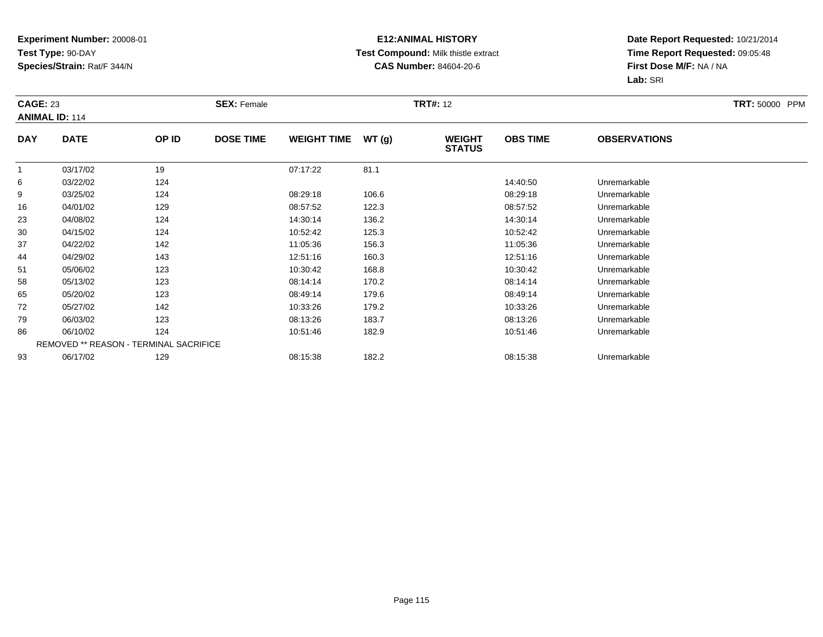### **E12:ANIMAL HISTORY Test Compound:** Milk thistle extract**CAS Number:** 84604-20-6

| <b>CAGE: 23</b> | <b>ANIMAL ID: 114</b> |                                        | <b>SEX: Female</b> |                    |       | <b>TRT#: 12</b>                |                 |                     | <b>TRT: 50000 PPM</b> |
|-----------------|-----------------------|----------------------------------------|--------------------|--------------------|-------|--------------------------------|-----------------|---------------------|-----------------------|
| <b>DAY</b>      | <b>DATE</b>           | OP ID                                  | <b>DOSE TIME</b>   | <b>WEIGHT TIME</b> | WT(g) | <b>WEIGHT</b><br><b>STATUS</b> | <b>OBS TIME</b> | <b>OBSERVATIONS</b> |                       |
|                 | 03/17/02              | 19                                     |                    | 07:17:22           | 81.1  |                                |                 |                     |                       |
| 6               | 03/22/02              | 124                                    |                    |                    |       |                                | 14:40:50        | Unremarkable        |                       |
| 9               | 03/25/02              | 124                                    |                    | 08:29:18           | 106.6 |                                | 08:29:18        | Unremarkable        |                       |
| 16              | 04/01/02              | 129                                    |                    | 08:57:52           | 122.3 |                                | 08:57:52        | Unremarkable        |                       |
| 23              | 04/08/02              | 124                                    |                    | 14:30:14           | 136.2 |                                | 14:30:14        | Unremarkable        |                       |
| 30              | 04/15/02              | 124                                    |                    | 10:52:42           | 125.3 |                                | 10:52:42        | Unremarkable        |                       |
| 37              | 04/22/02              | 142                                    |                    | 11:05:36           | 156.3 |                                | 11:05:36        | Unremarkable        |                       |
| 44              | 04/29/02              | 143                                    |                    | 12:51:16           | 160.3 |                                | 12:51:16        | Unremarkable        |                       |
| 51              | 05/06/02              | 123                                    |                    | 10:30:42           | 168.8 |                                | 10:30:42        | Unremarkable        |                       |
| 58              | 05/13/02              | 123                                    |                    | 08:14:14           | 170.2 |                                | 08:14:14        | Unremarkable        |                       |
| 65              | 05/20/02              | 123                                    |                    | 08:49:14           | 179.6 |                                | 08:49:14        | Unremarkable        |                       |
| 72              | 05/27/02              | 142                                    |                    | 10:33:26           | 179.2 |                                | 10:33:26        | Unremarkable        |                       |
| 79              | 06/03/02              | 123                                    |                    | 08:13:26           | 183.7 |                                | 08:13:26        | Unremarkable        |                       |
| 86              | 06/10/02              | 124                                    |                    | 10:51:46           | 182.9 |                                | 10:51:46        | Unremarkable        |                       |
|                 |                       | REMOVED ** REASON - TERMINAL SACRIFICE |                    |                    |       |                                |                 |                     |                       |
| 93              | 06/17/02              | 129                                    |                    | 08:15:38           | 182.2 |                                | 08:15:38        | Unremarkable        |                       |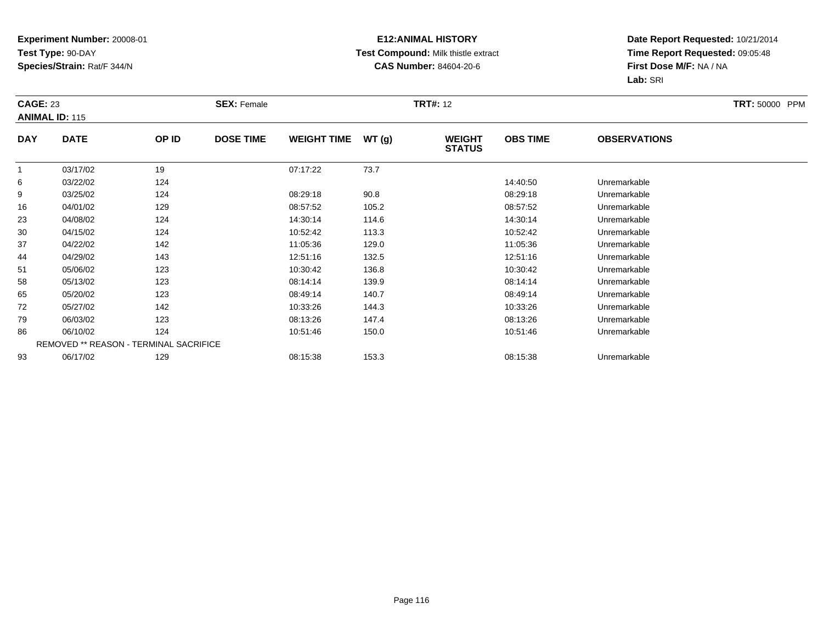### **E12:ANIMAL HISTORY Test Compound:** Milk thistle extract**CAS Number:** 84604-20-6

|            | <b>CAGE: 23</b><br><b>ANIMAL ID: 115</b> |                                        | <b>SEX: Female</b> |                    |       |                                | <b>TRT#: 12</b> |                     |  |  |
|------------|------------------------------------------|----------------------------------------|--------------------|--------------------|-------|--------------------------------|-----------------|---------------------|--|--|
| <b>DAY</b> | <b>DATE</b>                              | OP ID                                  | <b>DOSE TIME</b>   | <b>WEIGHT TIME</b> | WT(g) | <b>WEIGHT</b><br><b>STATUS</b> | <b>OBS TIME</b> | <b>OBSERVATIONS</b> |  |  |
|            | 03/17/02                                 | 19                                     |                    | 07:17:22           | 73.7  |                                |                 |                     |  |  |
| 6          | 03/22/02                                 | 124                                    |                    |                    |       |                                | 14:40:50        | Unremarkable        |  |  |
| 9          | 03/25/02                                 | 124                                    |                    | 08:29:18           | 90.8  |                                | 08:29:18        | Unremarkable        |  |  |
| 16         | 04/01/02                                 | 129                                    |                    | 08:57:52           | 105.2 |                                | 08:57:52        | Unremarkable        |  |  |
| 23         | 04/08/02                                 | 124                                    |                    | 14:30:14           | 114.6 |                                | 14:30:14        | Unremarkable        |  |  |
| 30         | 04/15/02                                 | 124                                    |                    | 10:52:42           | 113.3 |                                | 10:52:42        | Unremarkable        |  |  |
| 37         | 04/22/02                                 | 142                                    |                    | 11:05:36           | 129.0 |                                | 11:05:36        | Unremarkable        |  |  |
| 44         | 04/29/02                                 | 143                                    |                    | 12:51:16           | 132.5 |                                | 12:51:16        | Unremarkable        |  |  |
| 51         | 05/06/02                                 | 123                                    |                    | 10:30:42           | 136.8 |                                | 10:30:42        | Unremarkable        |  |  |
| 58         | 05/13/02                                 | 123                                    |                    | 08:14:14           | 139.9 |                                | 08:14:14        | Unremarkable        |  |  |
| 65         | 05/20/02                                 | 123                                    |                    | 08:49:14           | 140.7 |                                | 08:49:14        | Unremarkable        |  |  |
| 72         | 05/27/02                                 | 142                                    |                    | 10:33:26           | 144.3 |                                | 10:33:26        | Unremarkable        |  |  |
| 79         | 06/03/02                                 | 123                                    |                    | 08:13:26           | 147.4 |                                | 08:13:26        | Unremarkable        |  |  |
| 86         | 06/10/02                                 | 124                                    |                    | 10:51:46           | 150.0 |                                | 10:51:46        | Unremarkable        |  |  |
|            |                                          | REMOVED ** REASON - TERMINAL SACRIFICE |                    |                    |       |                                |                 |                     |  |  |
| 93         | 06/17/02                                 | 129                                    |                    | 08:15:38           | 153.3 |                                | 08:15:38        | Unremarkable        |  |  |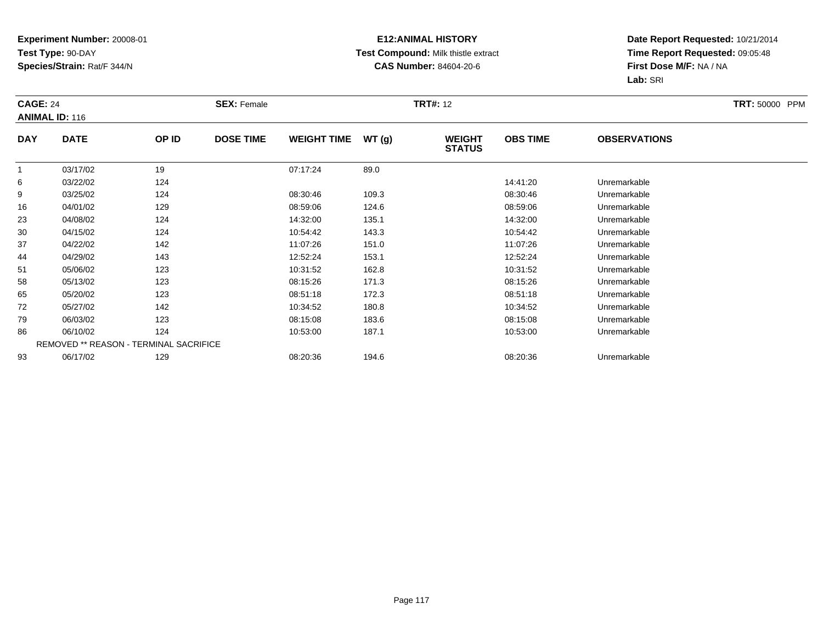### **E12:ANIMAL HISTORY Test Compound:** Milk thistle extract**CAS Number:** 84604-20-6

|            | <b>CAGE: 24</b><br><b>ANIMAL ID: 116</b> |       | <b>SEX: Female</b> |                    |       | <b>TRT#: 12</b>                | <b>TRT: 50000 PPM</b> |                     |  |
|------------|------------------------------------------|-------|--------------------|--------------------|-------|--------------------------------|-----------------------|---------------------|--|
| <b>DAY</b> | <b>DATE</b>                              | OP ID | <b>DOSE TIME</b>   | <b>WEIGHT TIME</b> | WT(g) | <b>WEIGHT</b><br><b>STATUS</b> | <b>OBS TIME</b>       | <b>OBSERVATIONS</b> |  |
|            | 03/17/02                                 | 19    |                    | 07:17:24           | 89.0  |                                |                       |                     |  |
| 6          | 03/22/02                                 | 124   |                    |                    |       |                                | 14:41:20              | Unremarkable        |  |
| 9          | 03/25/02                                 | 124   |                    | 08:30:46           | 109.3 |                                | 08:30:46              | Unremarkable        |  |
| 16         | 04/01/02                                 | 129   |                    | 08:59:06           | 124.6 |                                | 08:59:06              | Unremarkable        |  |
| 23         | 04/08/02                                 | 124   |                    | 14:32:00           | 135.1 |                                | 14:32:00              | Unremarkable        |  |
| 30         | 04/15/02                                 | 124   |                    | 10:54:42           | 143.3 |                                | 10:54:42              | Unremarkable        |  |
| 37         | 04/22/02                                 | 142   |                    | 11:07:26           | 151.0 |                                | 11:07:26              | Unremarkable        |  |
| 44         | 04/29/02                                 | 143   |                    | 12:52:24           | 153.1 |                                | 12:52:24              | Unremarkable        |  |
| 51         | 05/06/02                                 | 123   |                    | 10:31:52           | 162.8 |                                | 10:31:52              | Unremarkable        |  |
| 58         | 05/13/02                                 | 123   |                    | 08:15:26           | 171.3 |                                | 08:15:26              | Unremarkable        |  |
| 65         | 05/20/02                                 | 123   |                    | 08:51:18           | 172.3 |                                | 08:51:18              | Unremarkable        |  |
| 72         | 05/27/02                                 | 142   |                    | 10:34:52           | 180.8 |                                | 10:34:52              | Unremarkable        |  |
| 79         | 06/03/02                                 | 123   |                    | 08:15:08           | 183.6 |                                | 08:15:08              | Unremarkable        |  |
| 86         | 06/10/02                                 | 124   |                    | 10:53:00           | 187.1 |                                | 10:53:00              | Unremarkable        |  |
|            | REMOVED ** REASON - TERMINAL SACRIFICE   |       |                    |                    |       |                                |                       |                     |  |
| 93         | 06/17/02                                 | 129   |                    | 08:20:36           | 194.6 |                                | 08:20:36              | Unremarkable        |  |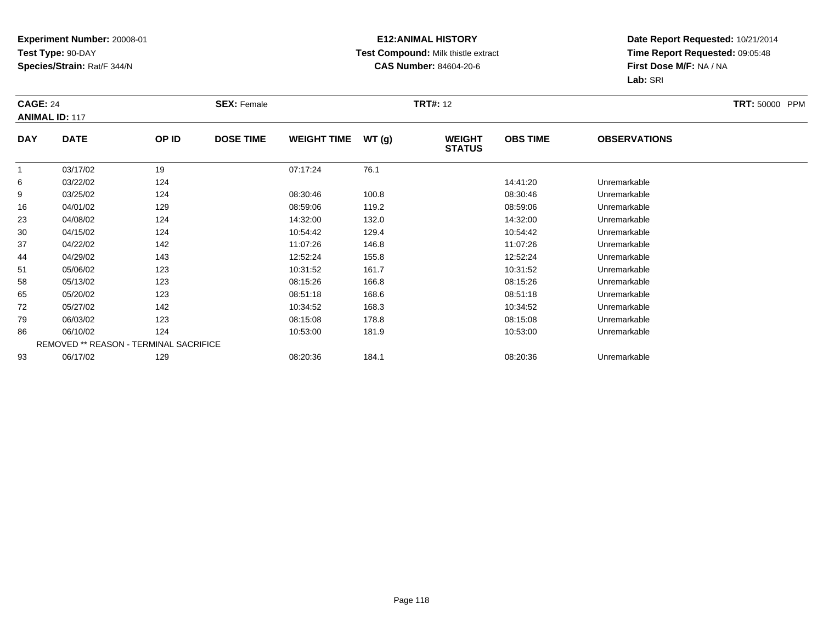### **E12:ANIMAL HISTORY Test Compound:** Milk thistle extract**CAS Number:** 84604-20-6

|            | <b>CAGE: 24</b><br><b>ANIMAL ID: 117</b> |                                        | <b>SEX: Female</b> |                    |       | <b>TRT#: 12</b>                | <b>TRT: 50000 PPM</b> |                     |  |
|------------|------------------------------------------|----------------------------------------|--------------------|--------------------|-------|--------------------------------|-----------------------|---------------------|--|
| <b>DAY</b> | <b>DATE</b>                              | OP ID                                  | <b>DOSE TIME</b>   | <b>WEIGHT TIME</b> | WT(g) | <b>WEIGHT</b><br><b>STATUS</b> | <b>OBS TIME</b>       | <b>OBSERVATIONS</b> |  |
|            | 03/17/02                                 | 19                                     |                    | 07:17:24           | 76.1  |                                |                       |                     |  |
| 6          | 03/22/02                                 | 124                                    |                    |                    |       |                                | 14:41:20              | Unremarkable        |  |
| 9          | 03/25/02                                 | 124                                    |                    | 08:30:46           | 100.8 |                                | 08:30:46              | Unremarkable        |  |
| 16         | 04/01/02                                 | 129                                    |                    | 08:59:06           | 119.2 |                                | 08:59:06              | Unremarkable        |  |
| 23         | 04/08/02                                 | 124                                    |                    | 14:32:00           | 132.0 |                                | 14:32:00              | Unremarkable        |  |
| 30         | 04/15/02                                 | 124                                    |                    | 10:54:42           | 129.4 |                                | 10:54:42              | Unremarkable        |  |
| 37         | 04/22/02                                 | 142                                    |                    | 11:07:26           | 146.8 |                                | 11:07:26              | Unremarkable        |  |
| 44         | 04/29/02                                 | 143                                    |                    | 12:52:24           | 155.8 |                                | 12:52:24              | Unremarkable        |  |
| 51         | 05/06/02                                 | 123                                    |                    | 10:31:52           | 161.7 |                                | 10:31:52              | Unremarkable        |  |
| 58         | 05/13/02                                 | 123                                    |                    | 08:15:26           | 166.8 |                                | 08:15:26              | Unremarkable        |  |
| 65         | 05/20/02                                 | 123                                    |                    | 08:51:18           | 168.6 |                                | 08:51:18              | Unremarkable        |  |
| 72         | 05/27/02                                 | 142                                    |                    | 10:34:52           | 168.3 |                                | 10:34:52              | Unremarkable        |  |
| 79         | 06/03/02                                 | 123                                    |                    | 08:15:08           | 178.8 |                                | 08:15:08              | Unremarkable        |  |
| 86         | 06/10/02                                 | 124                                    |                    | 10:53:00           | 181.9 |                                | 10:53:00              | Unremarkable        |  |
|            |                                          | REMOVED ** REASON - TERMINAL SACRIFICE |                    |                    |       |                                |                       |                     |  |
| 93         | 06/17/02                                 | 129                                    |                    | 08:20:36           | 184.1 |                                | 08:20:36              | Unremarkable        |  |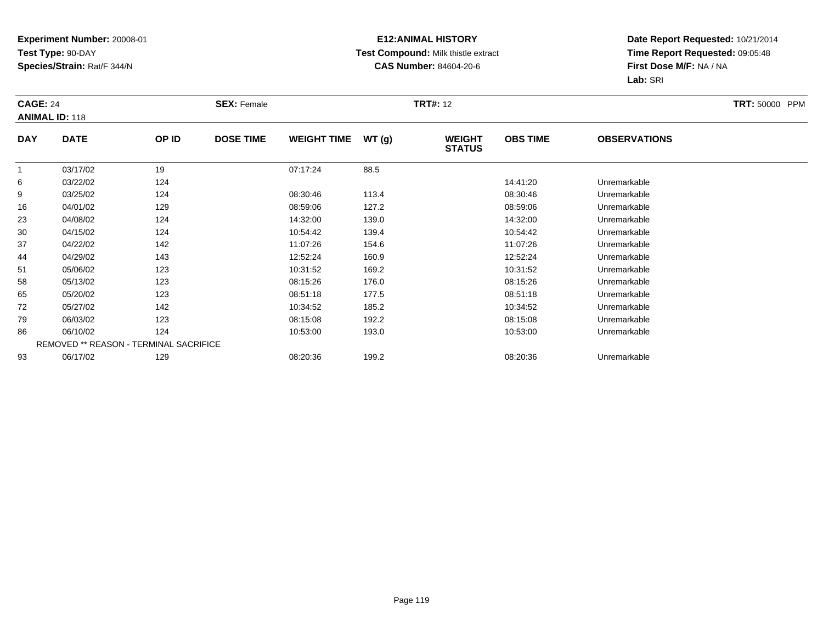### **E12:ANIMAL HISTORY Test Compound:** Milk thistle extract**CAS Number:** 84604-20-6

|            | <b>CAGE: 24</b><br><b>ANIMAL ID: 118</b> |       | <b>SEX: Female</b> |                    | <b>TRT: 50000 PPM</b> |                                |                 |                     |  |
|------------|------------------------------------------|-------|--------------------|--------------------|-----------------------|--------------------------------|-----------------|---------------------|--|
| <b>DAY</b> | <b>DATE</b>                              | OP ID | <b>DOSE TIME</b>   | <b>WEIGHT TIME</b> | WT(g)                 | <b>WEIGHT</b><br><b>STATUS</b> | <b>OBS TIME</b> | <b>OBSERVATIONS</b> |  |
|            | 03/17/02                                 | 19    |                    | 07:17:24           | 88.5                  |                                |                 |                     |  |
| 6          | 03/22/02                                 | 124   |                    |                    |                       |                                | 14:41:20        | Unremarkable        |  |
| 9          | 03/25/02                                 | 124   |                    | 08:30:46           | 113.4                 |                                | 08:30:46        | Unremarkable        |  |
| 16         | 04/01/02                                 | 129   |                    | 08:59:06           | 127.2                 |                                | 08:59:06        | Unremarkable        |  |
| 23         | 04/08/02                                 | 124   |                    | 14:32:00           | 139.0                 |                                | 14:32:00        | Unremarkable        |  |
| 30         | 04/15/02                                 | 124   |                    | 10:54:42           | 139.4                 |                                | 10:54:42        | Unremarkable        |  |
| 37         | 04/22/02                                 | 142   |                    | 11:07:26           | 154.6                 |                                | 11:07:26        | Unremarkable        |  |
| 44         | 04/29/02                                 | 143   |                    | 12:52:24           | 160.9                 |                                | 12:52:24        | Unremarkable        |  |
| 51         | 05/06/02                                 | 123   |                    | 10:31:52           | 169.2                 |                                | 10:31:52        | Unremarkable        |  |
| 58         | 05/13/02                                 | 123   |                    | 08:15:26           | 176.0                 |                                | 08:15:26        | Unremarkable        |  |
| 65         | 05/20/02                                 | 123   |                    | 08:51:18           | 177.5                 |                                | 08:51:18        | Unremarkable        |  |
| 72         | 05/27/02                                 | 142   |                    | 10:34:52           | 185.2                 |                                | 10:34:52        | Unremarkable        |  |
| 79         | 06/03/02                                 | 123   |                    | 08:15:08           | 192.2                 |                                | 08:15:08        | Unremarkable        |  |
| 86         | 06/10/02                                 | 124   |                    | 10:53:00           | 193.0                 |                                | 10:53:00        | Unremarkable        |  |
|            | REMOVED ** REASON - TERMINAL SACRIFICE   |       |                    |                    |                       |                                |                 |                     |  |
| 93         | 06/17/02                                 | 129   |                    | 08:20:36           | 199.2                 |                                | 08:20:36        | Unremarkable        |  |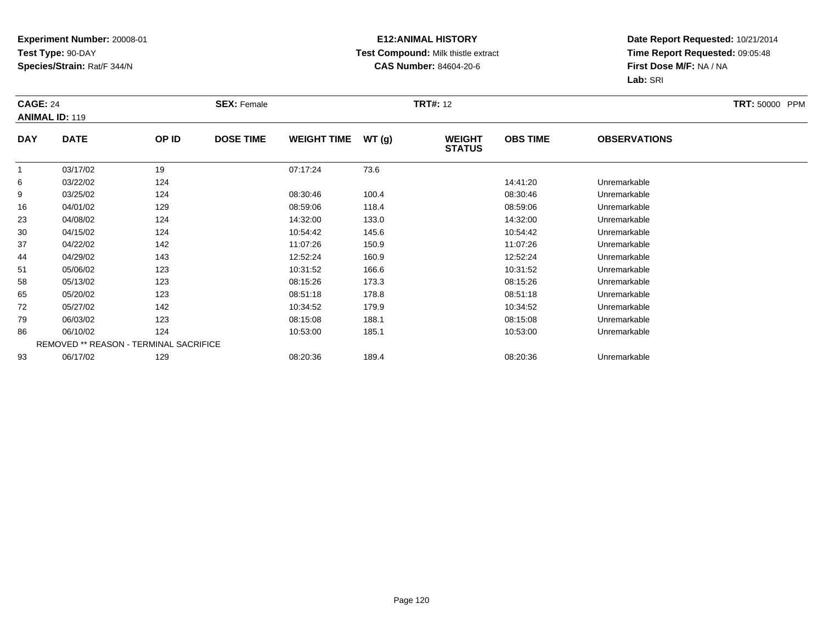### **E12:ANIMAL HISTORY Test Compound:** Milk thistle extract**CAS Number:** 84604-20-6

| <b>CAGE: 24</b> | <b>ANIMAL ID: 119</b>                  |       | <b>SEX: Female</b> |                    |       | <b>TRT#: 12</b>                |                 |                     | <b>TRT: 50000 PPM</b> |
|-----------------|----------------------------------------|-------|--------------------|--------------------|-------|--------------------------------|-----------------|---------------------|-----------------------|
| <b>DAY</b>      | <b>DATE</b>                            | OP ID | <b>DOSE TIME</b>   | <b>WEIGHT TIME</b> | WT(g) | <b>WEIGHT</b><br><b>STATUS</b> | <b>OBS TIME</b> | <b>OBSERVATIONS</b> |                       |
|                 | 03/17/02                               | 19    |                    | 07:17:24           | 73.6  |                                |                 |                     |                       |
| 6               | 03/22/02                               | 124   |                    |                    |       |                                | 14:41:20        | Unremarkable        |                       |
| 9               | 03/25/02                               | 124   |                    | 08:30:46           | 100.4 |                                | 08:30:46        | Unremarkable        |                       |
| 16              | 04/01/02                               | 129   |                    | 08:59:06           | 118.4 |                                | 08:59:06        | Unremarkable        |                       |
| 23              | 04/08/02                               | 124   |                    | 14:32:00           | 133.0 |                                | 14:32:00        | Unremarkable        |                       |
| 30              | 04/15/02                               | 124   |                    | 10:54:42           | 145.6 |                                | 10:54:42        | Unremarkable        |                       |
| 37              | 04/22/02                               | 142   |                    | 11:07:26           | 150.9 |                                | 11:07:26        | Unremarkable        |                       |
| 44              | 04/29/02                               | 143   |                    | 12:52:24           | 160.9 |                                | 12:52:24        | Unremarkable        |                       |
| 51              | 05/06/02                               | 123   |                    | 10:31:52           | 166.6 |                                | 10:31:52        | Unremarkable        |                       |
| 58              | 05/13/02                               | 123   |                    | 08:15:26           | 173.3 |                                | 08:15:26        | Unremarkable        |                       |
| 65              | 05/20/02                               | 123   |                    | 08:51:18           | 178.8 |                                | 08:51:18        | Unremarkable        |                       |
| 72              | 05/27/02                               | 142   |                    | 10:34:52           | 179.9 |                                | 10:34:52        | Unremarkable        |                       |
| 79              | 06/03/02                               | 123   |                    | 08:15:08           | 188.1 |                                | 08:15:08        | Unremarkable        |                       |
| 86              | 06/10/02                               | 124   |                    | 10:53:00           | 185.1 |                                | 10:53:00        | Unremarkable        |                       |
|                 | REMOVED ** REASON - TERMINAL SACRIFICE |       |                    |                    |       |                                |                 |                     |                       |
| 93              | 06/17/02                               | 129   |                    | 08:20:36           | 189.4 |                                | 08:20:36        | Unremarkable        |                       |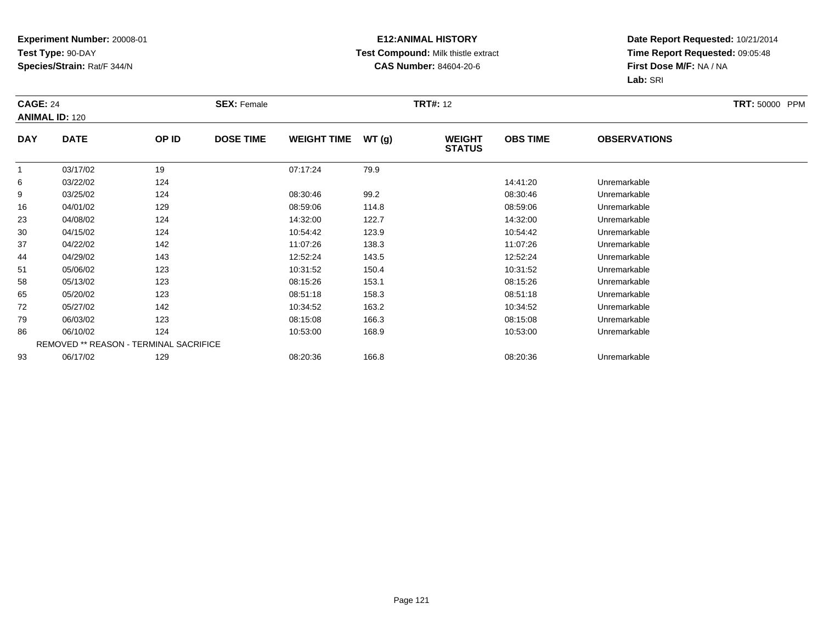### **E12:ANIMAL HISTORY Test Compound:** Milk thistle extract**CAS Number:** 84604-20-6

| <b>CAGE: 24</b><br><b>ANIMAL ID: 120</b> |             |                                        | <b>SEX: Female</b> |                    |       | <b>TRT#: 12</b>                |                 |                     | <b>TRT: 50000 PPM</b> |
|------------------------------------------|-------------|----------------------------------------|--------------------|--------------------|-------|--------------------------------|-----------------|---------------------|-----------------------|
| <b>DAY</b>                               | <b>DATE</b> | OP ID                                  | <b>DOSE TIME</b>   | <b>WEIGHT TIME</b> | WT(g) | <b>WEIGHT</b><br><b>STATUS</b> | <b>OBS TIME</b> | <b>OBSERVATIONS</b> |                       |
|                                          | 03/17/02    | 19                                     |                    | 07:17:24           | 79.9  |                                |                 |                     |                       |
| 6                                        | 03/22/02    | 124                                    |                    |                    |       |                                | 14:41:20        | Unremarkable        |                       |
| 9                                        | 03/25/02    | 124                                    |                    | 08:30:46           | 99.2  |                                | 08:30:46        | Unremarkable        |                       |
| 16                                       | 04/01/02    | 129                                    |                    | 08:59:06           | 114.8 |                                | 08:59:06        | Unremarkable        |                       |
| 23                                       | 04/08/02    | 124                                    |                    | 14:32:00           | 122.7 |                                | 14:32:00        | Unremarkable        |                       |
| 30                                       | 04/15/02    | 124                                    |                    | 10:54:42           | 123.9 |                                | 10:54:42        | Unremarkable        |                       |
| 37                                       | 04/22/02    | 142                                    |                    | 11:07:26           | 138.3 |                                | 11:07:26        | Unremarkable        |                       |
| 44                                       | 04/29/02    | 143                                    |                    | 12:52:24           | 143.5 |                                | 12:52:24        | Unremarkable        |                       |
| 51                                       | 05/06/02    | 123                                    |                    | 10:31:52           | 150.4 |                                | 10:31:52        | Unremarkable        |                       |
| 58                                       | 05/13/02    | 123                                    |                    | 08:15:26           | 153.1 |                                | 08:15:26        | Unremarkable        |                       |
| 65                                       | 05/20/02    | 123                                    |                    | 08:51:18           | 158.3 |                                | 08:51:18        | Unremarkable        |                       |
| 72                                       | 05/27/02    | 142                                    |                    | 10:34:52           | 163.2 |                                | 10:34:52        | Unremarkable        |                       |
| 79                                       | 06/03/02    | 123                                    |                    | 08:15:08           | 166.3 |                                | 08:15:08        | Unremarkable        |                       |
| 86                                       | 06/10/02    | 124                                    |                    | 10:53:00           | 168.9 |                                | 10:53:00        | Unremarkable        |                       |
|                                          |             | REMOVED ** REASON - TERMINAL SACRIFICE |                    |                    |       |                                |                 |                     |                       |
| 93                                       | 06/17/02    | 129                                    |                    | 08:20:36           | 166.8 |                                | 08:20:36        | Unremarkable        |                       |